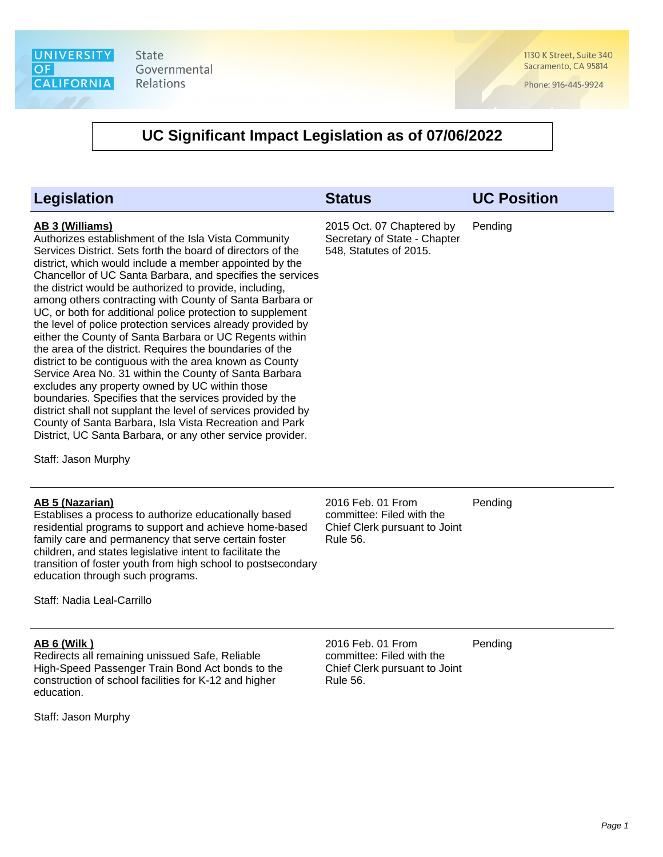

1130 K Street, Suite 340 Sacramento, CA 95814

Phone: 916-445-9924

### **UC Significant Impact Legislation as of 07/06/2022**

|                                                                                                                                                                                                                                                                                                                                                                                                                                                                                                                                                                                                                                                                                                                                                                                                                                                                                                                                                                                                                                                                                               | 2015 Oct. 07 Chaptered by                              |         |
|-----------------------------------------------------------------------------------------------------------------------------------------------------------------------------------------------------------------------------------------------------------------------------------------------------------------------------------------------------------------------------------------------------------------------------------------------------------------------------------------------------------------------------------------------------------------------------------------------------------------------------------------------------------------------------------------------------------------------------------------------------------------------------------------------------------------------------------------------------------------------------------------------------------------------------------------------------------------------------------------------------------------------------------------------------------------------------------------------|--------------------------------------------------------|---------|
| AB 3 (Williams)<br>Authorizes establishment of the Isla Vista Community<br>Services District. Sets forth the board of directors of the<br>district, which would include a member appointed by the<br>Chancellor of UC Santa Barbara, and specifies the services<br>the district would be authorized to provide, including,<br>among others contracting with County of Santa Barbara or<br>UC, or both for additional police protection to supplement<br>the level of police protection services already provided by<br>either the County of Santa Barbara or UC Regents within<br>the area of the district. Requires the boundaries of the<br>district to be contiguous with the area known as County<br>Service Area No. 31 within the County of Santa Barbara<br>excludes any property owned by UC within those<br>boundaries. Specifies that the services provided by the<br>district shall not supplant the level of services provided by<br>County of Santa Barbara, Isla Vista Recreation and Park<br>District, UC Santa Barbara, or any other service provider.<br>Staff: Jason Murphy | Secretary of State - Chapter<br>548, Statutes of 2015. | Pending |

#### **AB 5 (Nazarian)**

Establises a process to authorize educationally based residential programs to support and achieve home-based family care and permanency that serve certain foster children, and states legislative intent to facilitate the transition of foster youth from high school to postsecondary education through such programs.

Staff: Nadia Leal-Carrillo

#### **AB 6 (Wilk )**

Redirects all remaining unissued Safe, Reliable High-Speed Passenger Train Bond Act bonds to the construction of school facilities for K-12 and higher education.

Staff: Jason Murphy

2016 Feb. 01 From committee: Filed with the Chief Clerk pursuant to Joint Rule 56. Pending

2016 Feb. 01 From committee: Filed with the Chief Clerk pursuant to Joint Rule 56. Pending

Page 1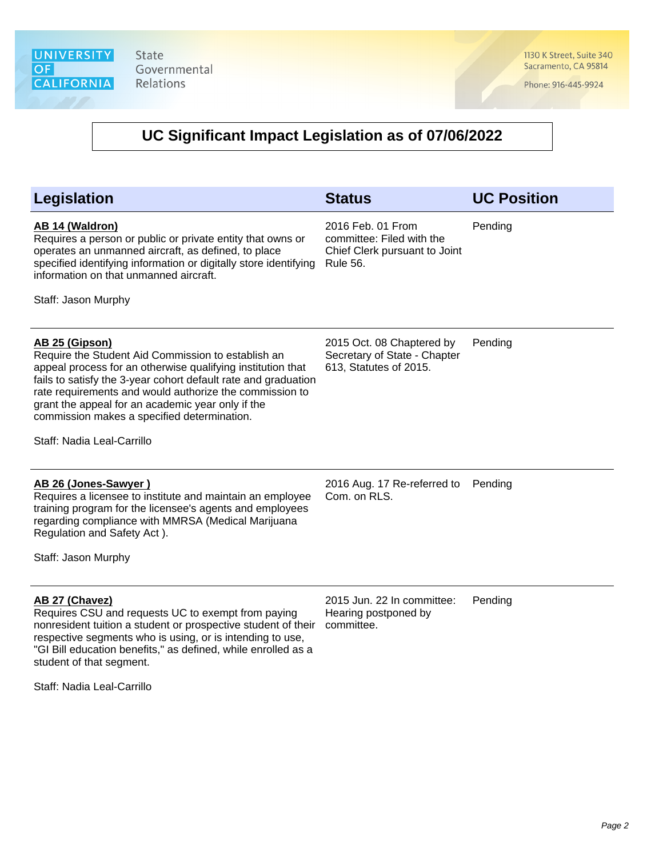1130 K Street, Suite 340 Sacramento, CA 95814

Phone: 916-445-9924

| <b>Legislation</b>                                                                                                                                                                                                                                                                                                                                                                                 | <b>Status</b>                                                                               | <b>UC Position</b> |
|----------------------------------------------------------------------------------------------------------------------------------------------------------------------------------------------------------------------------------------------------------------------------------------------------------------------------------------------------------------------------------------------------|---------------------------------------------------------------------------------------------|--------------------|
| <b>AB 14 (Waldron)</b><br>Requires a person or public or private entity that owns or<br>operates an unmanned aircraft, as defined, to place<br>specified identifying information or digitally store identifying<br>information on that unmanned aircraft.<br>Staff: Jason Murphy                                                                                                                   | 2016 Feb. 01 From<br>committee: Filed with the<br>Chief Clerk pursuant to Joint<br>Rule 56. | Pending            |
| AB 25 (Gipson)<br>Require the Student Aid Commission to establish an<br>appeal process for an otherwise qualifying institution that<br>fails to satisfy the 3-year cohort default rate and graduation<br>rate requirements and would authorize the commission to<br>grant the appeal for an academic year only if the<br>commission makes a specified determination.<br>Staff: Nadia Leal-Carrillo | 2015 Oct. 08 Chaptered by<br>Secretary of State - Chapter<br>613, Statutes of 2015.         | Pending            |
| AB 26 (Jones-Sawyer)<br>Requires a licensee to institute and maintain an employee<br>training program for the licensee's agents and employees<br>regarding compliance with MMRSA (Medical Marijuana<br>Regulation and Safety Act).<br>Staff: Jason Murphy                                                                                                                                          | 2016 Aug. 17 Re-referred to<br>Com. on RLS.                                                 | Pending            |
| AB 27 (Chavez)<br>Requires CSU and requests UC to exempt from paying<br>nonresident tuition a student or prospective student of their<br>respective segments who is using, or is intending to use,<br>"GI Bill education benefits," as defined, while enrolled as a<br>student of that segment.<br>Staff: Nadia Leal-Carrillo                                                                      | 2015 Jun. 22 In committee:<br>Hearing postponed by<br>committee.                            | Pending            |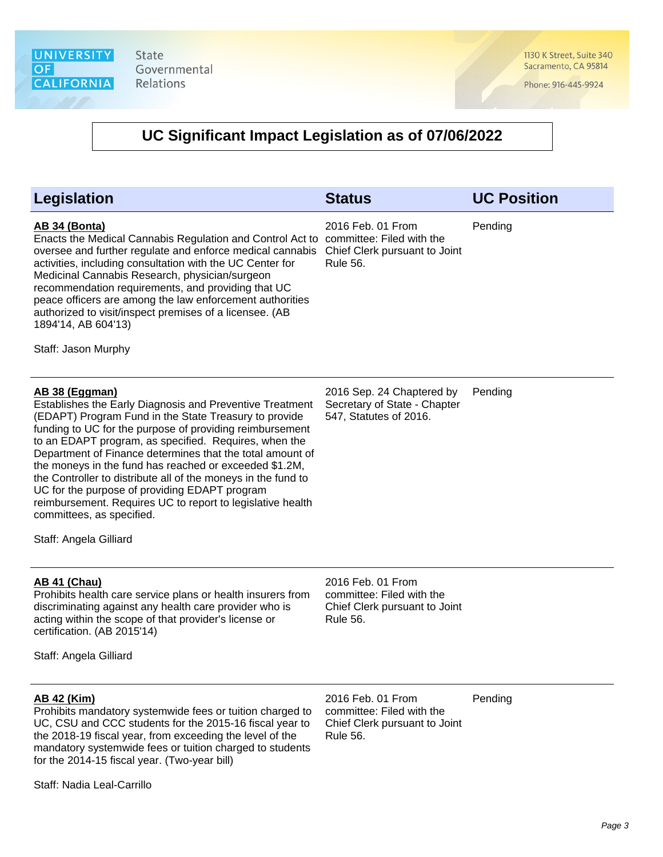1130 K Street, Suite 340 Sacramento, CA 95814

Phone: 916-445-9924

| 2016 Feb. 01 From<br>Pending<br>committee: Filed with the<br>Chief Clerk pursuant to Joint     |
|------------------------------------------------------------------------------------------------|
|                                                                                                |
| 2016 Sep. 24 Chaptered by<br>Pending<br>Secretary of State - Chapter<br>547, Statutes of 2016. |
| 2016 Feb. 01 From<br>committee: Filed with the<br>Chief Clerk pursuant to Joint                |
| 2016 Feb. 01 From<br>Pending<br>committee: Filed with the<br>Chief Clerk pursuant to Joint     |
|                                                                                                |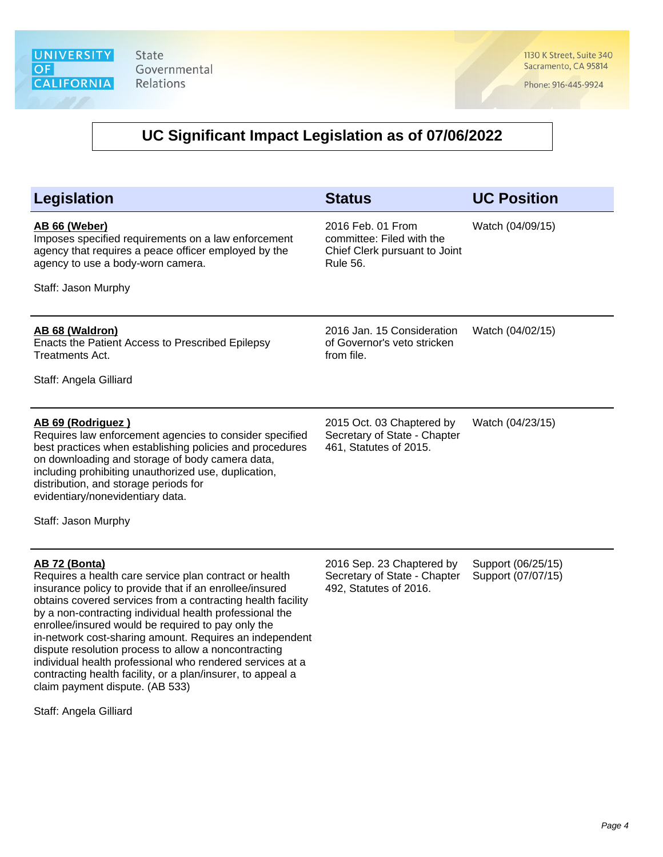1130 K Street, Suite 340 Sacramento, CA 95814

Phone: 916-445-9924

### **UC Significant Impact Legislation as of 07/06/2022**

| <b>Legislation</b>                                                                                                                                                                                                                                                                                                                                                                   | <b>Status</b>                                                                                      | <b>UC Position</b>                       |
|--------------------------------------------------------------------------------------------------------------------------------------------------------------------------------------------------------------------------------------------------------------------------------------------------------------------------------------------------------------------------------------|----------------------------------------------------------------------------------------------------|------------------------------------------|
| AB 66 (Weber)<br>Imposes specified requirements on a law enforcement<br>agency that requires a peace officer employed by the<br>agency to use a body-worn camera.<br>Staff: Jason Murphy                                                                                                                                                                                             | 2016 Feb. 01 From<br>committee: Filed with the<br>Chief Clerk pursuant to Joint<br><b>Rule 56.</b> | Watch (04/09/15)                         |
| AB 68 (Waldron)<br>Enacts the Patient Access to Prescribed Epilepsy<br>Treatments Act.<br>Staff: Angela Gilliard                                                                                                                                                                                                                                                                     | 2016 Jan. 15 Consideration<br>of Governor's veto stricken<br>from file.                            | Watch (04/02/15)                         |
| AB 69 (Rodriguez)<br>Requires law enforcement agencies to consider specified<br>best practices when establishing policies and procedures<br>on downloading and storage of body camera data,<br>including prohibiting unauthorized use, duplication,<br>distribution, and storage periods for<br>evidentiary/nonevidentiary data.                                                     | 2015 Oct. 03 Chaptered by<br>Secretary of State - Chapter<br>461, Statutes of 2015.                | Watch (04/23/15)                         |
| Staff: Jason Murphy                                                                                                                                                                                                                                                                                                                                                                  |                                                                                                    |                                          |
| <b>AB 72 (Bonta)</b><br>Requires a health care service plan contract or health<br>insurance policy to provide that if an enrollee/insured<br>obtains covered services from a contracting health facility<br>by a non-contracting individual health professional the<br>enrollee/insured would be required to pay only the<br>in-network cost-sharing amount. Requires an independent | 2016 Sep. 23 Chaptered by<br>Secretary of State - Chapter<br>492, Statutes of 2016.                | Support (06/25/15)<br>Support (07/07/15) |

claim payment dispute. (AB 533)

dispute resolution process to allow a noncontracting individual health professional who rendered services at a contracting health facility, or a plan/insurer, to appeal a

Staff: Angela Gilliard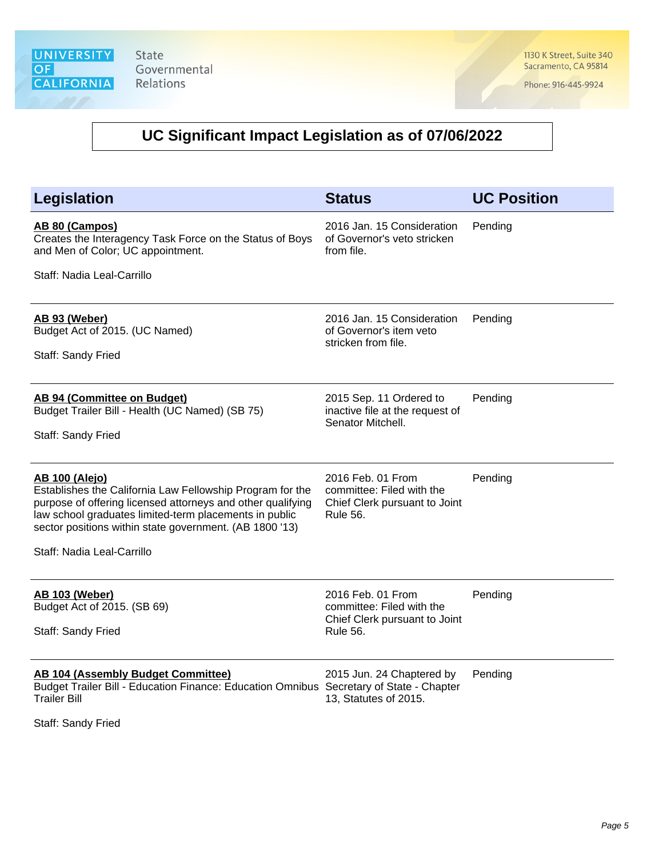1130 K Street, Suite 340 Sacramento, CA 95814

Phone: 916-445-9924

# **UC Significant Impact Legislation as of 07/06/2022**

| <b>Legislation</b>                                                                                                                                                                                                                                                     | <b>Status</b>                                                                                      | <b>UC Position</b> |
|------------------------------------------------------------------------------------------------------------------------------------------------------------------------------------------------------------------------------------------------------------------------|----------------------------------------------------------------------------------------------------|--------------------|
| AB 80 (Campos)<br>Creates the Interagency Task Force on the Status of Boys<br>and Men of Color; UC appointment.                                                                                                                                                        | 2016 Jan. 15 Consideration<br>of Governor's veto stricken<br>from file.                            | Pending            |
| Staff: Nadia Leal-Carrillo                                                                                                                                                                                                                                             |                                                                                                    |                    |
| AB 93 (Weber)<br>Budget Act of 2015. (UC Named)<br>Staff: Sandy Fried                                                                                                                                                                                                  | 2016 Jan. 15 Consideration<br>of Governor's item veto<br>stricken from file.                       | Pending            |
| AB 94 (Committee on Budget)<br>Budget Trailer Bill - Health (UC Named) (SB 75)<br>Staff: Sandy Fried                                                                                                                                                                   | 2015 Sep. 11 Ordered to<br>inactive file at the request of<br>Senator Mitchell.                    | Pending            |
| <b>AB 100 (Alejo)</b><br>Establishes the California Law Fellowship Program for the<br>purpose of offering licensed attorneys and other qualifying<br>law school graduates limited-term placements in public<br>sector positions within state government. (AB 1800 '13) | 2016 Feb. 01 From<br>committee: Filed with the<br>Chief Clerk pursuant to Joint<br><b>Rule 56.</b> | Pending            |
| Staff: Nadia Leal-Carrillo                                                                                                                                                                                                                                             |                                                                                                    |                    |
| <b>AB 103 (Weber)</b><br>Budget Act of 2015. (SB 69)<br>Staff: Sandy Fried                                                                                                                                                                                             | 2016 Feb. 01 From<br>committee: Filed with the<br>Chief Clerk pursuant to Joint<br><b>Rule 56.</b> | Pending            |
| <b>AB 104 (Assembly Budget Committee)</b><br>Budget Trailer Bill - Education Finance: Education Omnibus Secretary of State - Chapter<br><b>Trailer Bill</b>                                                                                                            | 2015 Jun. 24 Chaptered by<br>13, Statutes of 2015.                                                 | Pending            |

Staff: Sandy Fried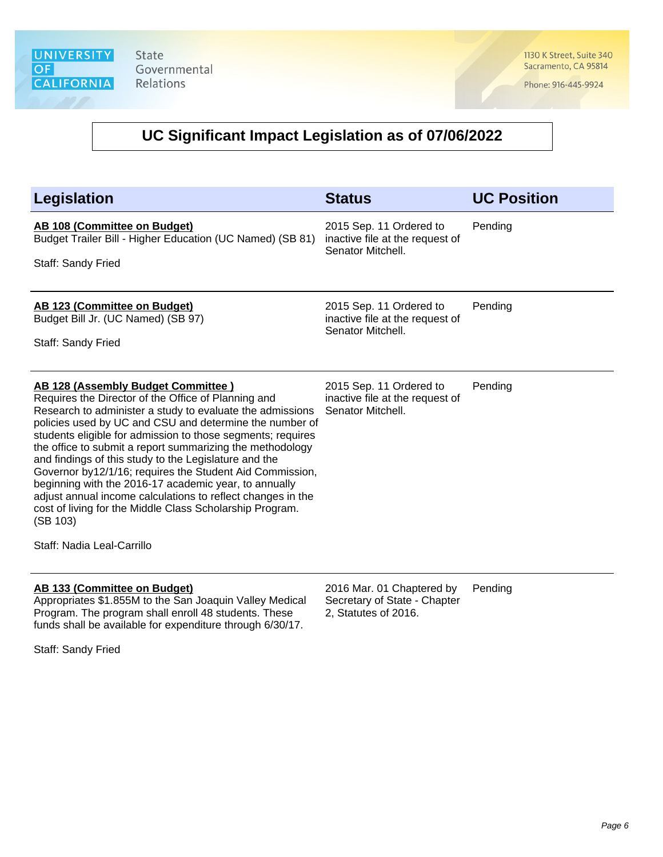1130 K Street, Suite 340 Sacramento, CA 95814

Phone: 916-445-9924

| <b>Legislation</b>                                                                                                                                                                                                                                                                                                                                                                                                                                                                                                                                                                                                                                                                                      | <b>Status</b>                                                                     | <b>UC Position</b> |
|---------------------------------------------------------------------------------------------------------------------------------------------------------------------------------------------------------------------------------------------------------------------------------------------------------------------------------------------------------------------------------------------------------------------------------------------------------------------------------------------------------------------------------------------------------------------------------------------------------------------------------------------------------------------------------------------------------|-----------------------------------------------------------------------------------|--------------------|
| AB 108 (Committee on Budget)<br>Budget Trailer Bill - Higher Education (UC Named) (SB 81)<br>Staff: Sandy Fried                                                                                                                                                                                                                                                                                                                                                                                                                                                                                                                                                                                         | 2015 Sep. 11 Ordered to<br>inactive file at the request of<br>Senator Mitchell.   | Pending            |
| AB 123 (Committee on Budget)<br>Budget Bill Jr. (UC Named) (SB 97)<br>Staff: Sandy Fried                                                                                                                                                                                                                                                                                                                                                                                                                                                                                                                                                                                                                | 2015 Sep. 11 Ordered to<br>inactive file at the request of<br>Senator Mitchell.   | Pending            |
| <b>AB 128 (Assembly Budget Committee)</b><br>Requires the Director of the Office of Planning and<br>Research to administer a study to evaluate the admissions<br>policies used by UC and CSU and determine the number of<br>students eligible for admission to those segments; requires<br>the office to submit a report summarizing the methodology<br>and findings of this study to the Legislature and the<br>Governor by12/1/16; requires the Student Aid Commission,<br>beginning with the 2016-17 academic year, to annually<br>adjust annual income calculations to reflect changes in the<br>cost of living for the Middle Class Scholarship Program.<br>(SB 103)<br>Staff: Nadia Leal-Carrillo | 2015 Sep. 11 Ordered to<br>inactive file at the request of<br>Senator Mitchell.   | Pending            |
| AB 133 (Committee on Budget)<br>Appropriates \$1.855M to the San Joaquin Valley Medical<br>Program. The program shall enroll 48 students. These<br>funds shall be available for expenditure through 6/30/17.<br>Staff: Sandy Fried                                                                                                                                                                                                                                                                                                                                                                                                                                                                      | 2016 Mar. 01 Chaptered by<br>Secretary of State - Chapter<br>2, Statutes of 2016. | Pending            |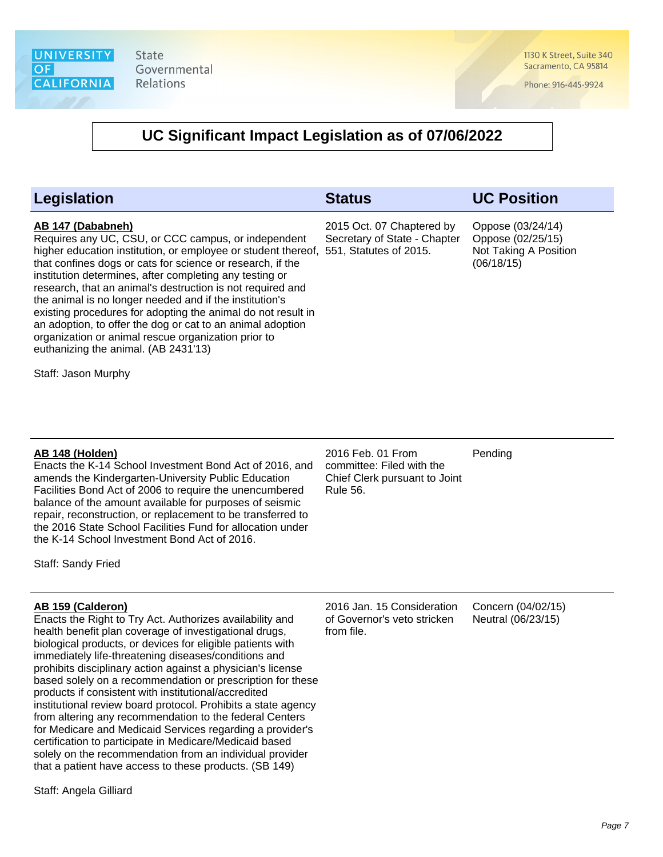1130 K Street, Suite 340 Sacramento, CA 95814

Phone: 916-445-9924

### **UC Significant Impact Legislation as of 07/06/2022**

| <b>Legislation</b>                                                                                                                                                                                                                                                                                                                                                                                                                                                                                                                                                                                                                              | <b>Status</b>                                             | <b>UC Position</b>                                                            |
|-------------------------------------------------------------------------------------------------------------------------------------------------------------------------------------------------------------------------------------------------------------------------------------------------------------------------------------------------------------------------------------------------------------------------------------------------------------------------------------------------------------------------------------------------------------------------------------------------------------------------------------------------|-----------------------------------------------------------|-------------------------------------------------------------------------------|
| AB 147 (Dababneh)<br>Requires any UC, CSU, or CCC campus, or independent<br>higher education institution, or employee or student thereof, 551, Statutes of 2015.<br>that confines dogs or cats for science or research, if the<br>institution determines, after completing any testing or<br>research, that an animal's destruction is not required and<br>the animal is no longer needed and if the institution's<br>existing procedures for adopting the animal do not result in<br>an adoption, to offer the dog or cat to an animal adoption<br>organization or animal rescue organization prior to<br>euthanizing the animal. (AB 2431'13) | 2015 Oct. 07 Chaptered by<br>Secretary of State - Chapter | Oppose (03/24/14)<br>Oppose (02/25/15)<br>Not Taking A Position<br>(06/18/15) |
| Staff: Jason Murphy                                                                                                                                                                                                                                                                                                                                                                                                                                                                                                                                                                                                                             |                                                           |                                                                               |

#### **AB 148 (Holden)**

Enacts the K-14 School Investment Bond Act of 2016, and amends the Kindergarten-University Public Education Facilities Bond Act of 2006 to require the unencumbered balance of the amount available for purposes of seismic repair, reconstruction, or replacement to be transferred to the 2016 State School Facilities Fund for allocation under the K-14 School Investment Bond Act of 2016.

Staff: Sandy Fried

#### **AB 159 (Calderon)**

Enacts the Right to Try Act. Authorizes availability and health benefit plan coverage of investigational drugs, biological products, or devices for eligible patients with immediately life-threatening diseases/conditions and prohibits disciplinary action against a physician's license based solely on a recommendation or prescription for these products if consistent with institutional/accredited institutional review board protocol. Prohibits a state agency from altering any recommendation to the federal Centers for Medicare and Medicaid Services regarding a provider's certification to participate in Medicare/Medicaid based solely on the recommendation from an individual provider that a patient have access to these products. (SB 149)

Staff: Angela Gilliard

2016 Feb. 01 From committee: Filed with the Chief Clerk pursuant to Joint Rule 56.

Pending

2016 Jan. 15 Consideration of Governor's veto stricken from file.

Concern (04/02/15) Neutral (06/23/15)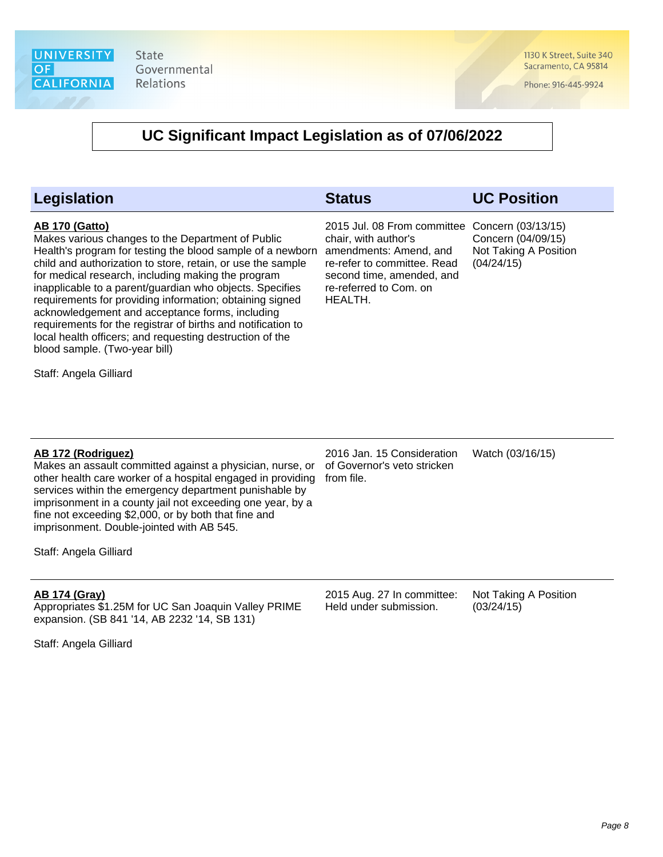

1130 K Street, Suite 340 Sacramento, CA 95814

Phone: 916-445-9924

### **UC Significant Impact Legislation as of 07/06/2022**

| Legislation                                                                                                                                                                                                                                                                                                                                                                                                                                                                                                                                                                                           | <b>Status</b>                                                                                                                                                                                     | <b>UC Position</b>                                        |
|-------------------------------------------------------------------------------------------------------------------------------------------------------------------------------------------------------------------------------------------------------------------------------------------------------------------------------------------------------------------------------------------------------------------------------------------------------------------------------------------------------------------------------------------------------------------------------------------------------|---------------------------------------------------------------------------------------------------------------------------------------------------------------------------------------------------|-----------------------------------------------------------|
| <b>AB 170 (Gatto)</b><br>Makes various changes to the Department of Public<br>Health's program for testing the blood sample of a newborn<br>child and authorization to store, retain, or use the sample<br>for medical research, including making the program<br>inapplicable to a parent/guardian who objects. Specifies<br>requirements for providing information; obtaining signed<br>acknowledgement and acceptance forms, including<br>requirements for the registrar of births and notification to<br>local health officers; and requesting destruction of the<br>blood sample. (Two-year bill) | 2015 Jul. 08 From committee Concern (03/13/15)<br>chair, with author's<br>amendments: Amend, and<br>re-refer to committee. Read<br>second time, amended, and<br>re-referred to Com. on<br>HEALTH. | Concern (04/09/15)<br>Not Taking A Position<br>(04/24/15) |
| Staff: Angela Gilliard                                                                                                                                                                                                                                                                                                                                                                                                                                                                                                                                                                                |                                                                                                                                                                                                   |                                                           |
|                                                                                                                                                                                                                                                                                                                                                                                                                                                                                                                                                                                                       |                                                                                                                                                                                                   |                                                           |
| AB 172 (Rodriguez)<br>Makes an assault committed against a physician, nurse, or<br>other health care worker of a hospital engaged in providing<br>services within the emergency department punishable by<br>imprisonment in a county jail not exceeding one year, by a<br>fine not exceeding \$2,000, or by both that fine and<br>imprisonment. Double-jointed with AB 545.<br>Staff: Angela Gilliard                                                                                                                                                                                                 | 2016 Jan. 15 Consideration<br>of Governor's veto stricken<br>from file.                                                                                                                           | Watch (03/16/15)                                          |
|                                                                                                                                                                                                                                                                                                                                                                                                                                                                                                                                                                                                       |                                                                                                                                                                                                   |                                                           |
| <b>AB 174 (Gray)</b><br>Appropriates \$1.25M for UC San Joaquin Valley PRIME<br>expansion. (SB 841 '14, AB 2232 '14, SB 131)                                                                                                                                                                                                                                                                                                                                                                                                                                                                          | 2015 Aug. 27 In committee:<br>Held under submission.                                                                                                                                              | Not Taking A Position<br>(03/24/15)                       |

Staff: Angela Gilliard

Page 8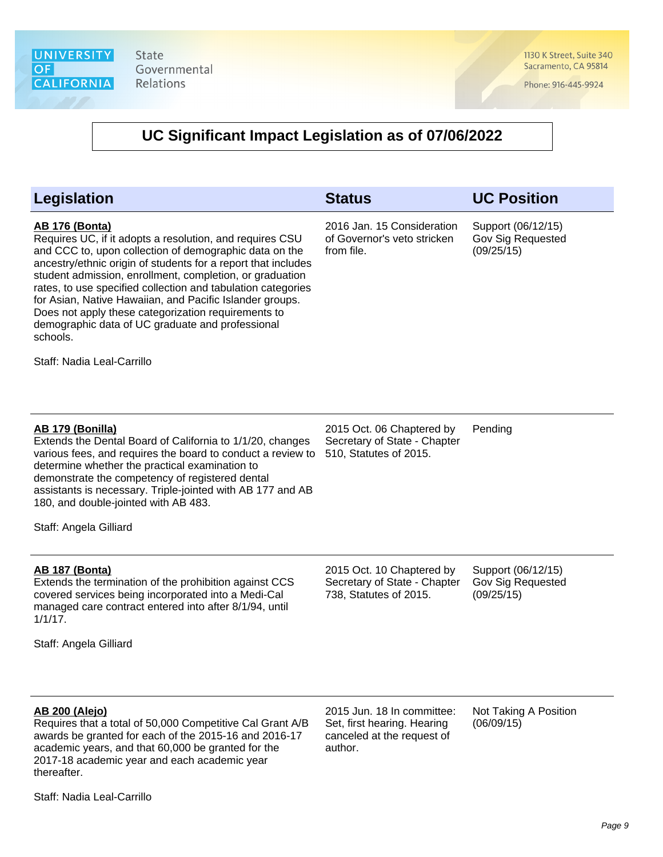1130 K Street, Suite 340 Sacramento, CA 95814

Phone: 916-445-9924

| <b>Legislation</b>                                                                                                                                                                                                                                                                                                                                                                                                                                                                                                                                        | <b>Status</b>                                                                                      | <b>UC Position</b>                                           |
|-----------------------------------------------------------------------------------------------------------------------------------------------------------------------------------------------------------------------------------------------------------------------------------------------------------------------------------------------------------------------------------------------------------------------------------------------------------------------------------------------------------------------------------------------------------|----------------------------------------------------------------------------------------------------|--------------------------------------------------------------|
| <b>AB 176 (Bonta)</b><br>Requires UC, if it adopts a resolution, and requires CSU<br>and CCC to, upon collection of demographic data on the<br>ancestry/ethnic origin of students for a report that includes<br>student admission, enrollment, completion, or graduation<br>rates, to use specified collection and tabulation categories<br>for Asian, Native Hawaiian, and Pacific Islander groups.<br>Does not apply these categorization requirements to<br>demographic data of UC graduate and professional<br>schools.<br>Staff: Nadia Leal-Carrillo | 2016 Jan. 15 Consideration<br>of Governor's veto stricken<br>from file.                            | Support (06/12/15)<br><b>Gov Sig Requested</b><br>(09/25/15) |
| AB 179 (Bonilla)<br>Extends the Dental Board of California to 1/1/20, changes<br>various fees, and requires the board to conduct a review to<br>determine whether the practical examination to<br>demonstrate the competency of registered dental<br>assistants is necessary. Triple-jointed with AB 177 and AB<br>180, and double-jointed with AB 483.<br>Staff: Angela Gilliard                                                                                                                                                                         | 2015 Oct. 06 Chaptered by<br>Secretary of State - Chapter<br>510, Statutes of 2015.                | Pending                                                      |
| <b>AB 187 (Bonta)</b><br>Extends the termination of the prohibition against CCS<br>covered services being incorporated into a Medi-Cal<br>managed care contract entered into after 8/1/94, until<br>$1/1/17$ .<br>Staff: Angela Gilliard                                                                                                                                                                                                                                                                                                                  | 2015 Oct. 10 Chaptered by<br>Secretary of State - Chapter<br>738, Statutes of 2015.                | Support (06/12/15)<br>Gov Sig Requested<br>(09/25/15)        |
| <b>AB 200 (Alejo)</b><br>Requires that a total of 50,000 Competitive Cal Grant A/B<br>awards be granted for each of the 2015-16 and 2016-17<br>academic years, and that 60,000 be granted for the<br>2017-18 academic year and each academic year<br>thereafter.<br>Staff: Nadia Leal-Carrillo                                                                                                                                                                                                                                                            | 2015 Jun. 18 In committee:<br>Set, first hearing. Hearing<br>canceled at the request of<br>author. | Not Taking A Position<br>(06/09/15)                          |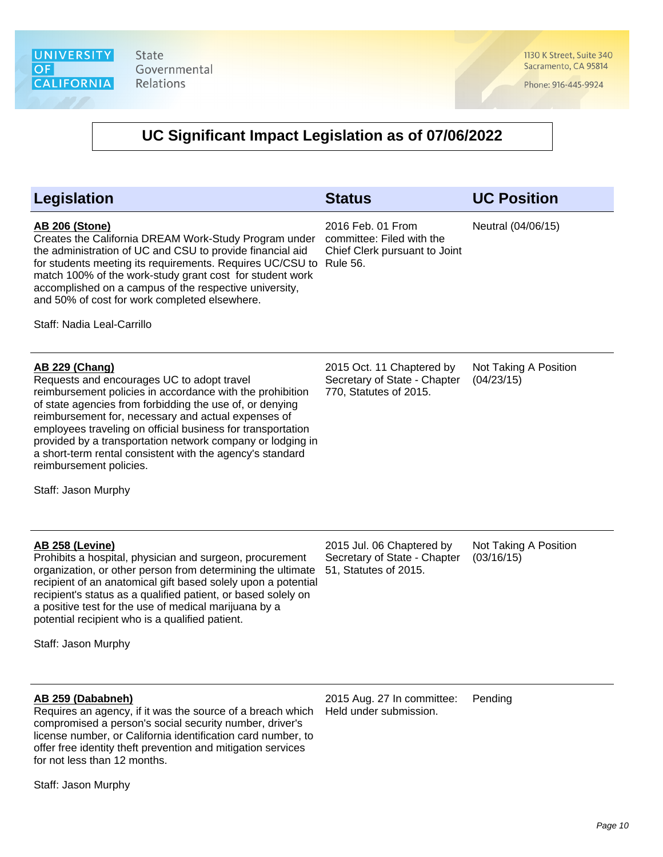1130 K Street, Suite 340 Sacramento, CA 95814

Phone: 916-445-9924

# **UC Significant Impact Legislation as of 07/06/2022**

| <b>Legislation</b>                                                                                                                                                                                                                                                                                                                                                                                                                                                                              | <b>Status</b>                                                                                      | <b>UC Position</b>                  |
|-------------------------------------------------------------------------------------------------------------------------------------------------------------------------------------------------------------------------------------------------------------------------------------------------------------------------------------------------------------------------------------------------------------------------------------------------------------------------------------------------|----------------------------------------------------------------------------------------------------|-------------------------------------|
| <b>AB 206 (Stone)</b><br>Creates the California DREAM Work-Study Program under<br>the administration of UC and CSU to provide financial aid<br>for students meeting its requirements. Requires UC/CSU to<br>match 100% of the work-study grant cost for student work<br>accomplished on a campus of the respective university,<br>and 50% of cost for work completed elsewhere.<br>Staff: Nadia Leal-Carrillo                                                                                   | 2016 Feb. 01 From<br>committee: Filed with the<br>Chief Clerk pursuant to Joint<br><b>Rule 56.</b> | Neutral (04/06/15)                  |
| <b>AB 229 (Chang)</b><br>Requests and encourages UC to adopt travel<br>reimbursement policies in accordance with the prohibition<br>of state agencies from forbidding the use of, or denying<br>reimbursement for, necessary and actual expenses of<br>employees traveling on official business for transportation<br>provided by a transportation network company or lodging in<br>a short-term rental consistent with the agency's standard<br>reimbursement policies.<br>Staff: Jason Murphy | 2015 Oct. 11 Chaptered by<br>Secretary of State - Chapter<br>770, Statutes of 2015.                | Not Taking A Position<br>(04/23/15) |
| <b>AB 258 (Levine)</b><br>Prohibits a hospital, physician and surgeon, procurement<br>organization, or other person from determining the ultimate<br>recipient of an anatomical gift based solely upon a potential<br>recipient's status as a qualified patient, or based solely on<br>a positive test for the use of medical marijuana by a<br>potential recipient who is a qualified patient.<br>Staff: Jason Murphy                                                                          | 2015 Jul. 06 Chaptered by<br>Secretary of State - Chapter<br>51, Statutes of 2015.                 | Not Taking A Position<br>(03/16/15) |
| AB 259 (Dababneh)<br>Requires an agency, if it was the source of a breach which<br>compromised a person's social security number, driver's<br>license number, or California identification card number, to<br>offer free identity theft prevention and mitigation services<br>for not less than 12 months.                                                                                                                                                                                      | 2015 Aug. 27 In committee:<br>Held under submission.                                               | Pending                             |

Staff: Jason Murphy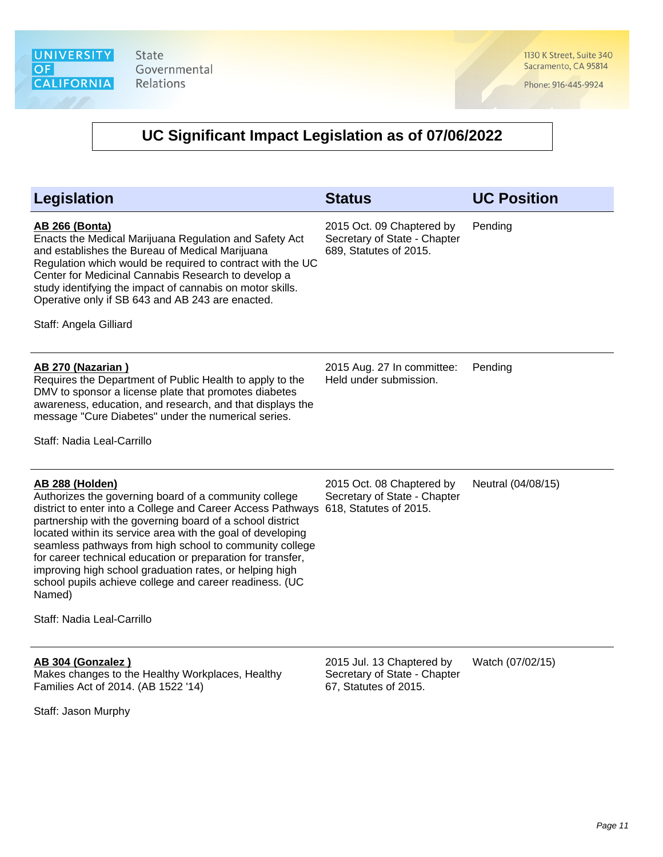1130 K Street, Suite 340 Sacramento, CA 95814

Phone: 916-445-9924

| <b>Legislation</b>                                                                                                                                                                                                                                                                                                                                                                                                                                                                                                                                          | <b>Status</b>                                                                       | <b>UC Position</b> |
|-------------------------------------------------------------------------------------------------------------------------------------------------------------------------------------------------------------------------------------------------------------------------------------------------------------------------------------------------------------------------------------------------------------------------------------------------------------------------------------------------------------------------------------------------------------|-------------------------------------------------------------------------------------|--------------------|
| <b>AB 266 (Bonta)</b><br>Enacts the Medical Marijuana Regulation and Safety Act<br>and establishes the Bureau of Medical Marijuana<br>Regulation which would be required to contract with the UC<br>Center for Medicinal Cannabis Research to develop a<br>study identifying the impact of cannabis on motor skills.<br>Operative only if SB 643 and AB 243 are enacted.<br>Staff: Angela Gilliard                                                                                                                                                          | 2015 Oct. 09 Chaptered by<br>Secretary of State - Chapter<br>689, Statutes of 2015. | Pending            |
| AB 270 (Nazarian)<br>Requires the Department of Public Health to apply to the<br>DMV to sponsor a license plate that promotes diabetes<br>awareness, education, and research, and that displays the<br>message "Cure Diabetes" under the numerical series.<br>Staff: Nadia Leal-Carrillo                                                                                                                                                                                                                                                                    | 2015 Aug. 27 In committee:<br>Held under submission.                                | Pending            |
| AB 288 (Holden)<br>Authorizes the governing board of a community college<br>district to enter into a College and Career Access Pathways<br>partnership with the governing board of a school district<br>located within its service area with the goal of developing<br>seamless pathways from high school to community college<br>for career technical education or preparation for transfer,<br>improving high school graduation rates, or helping high<br>school pupils achieve college and career readiness. (UC<br>Named)<br>Staff: Nadia Leal-Carrillo | 2015 Oct. 08 Chaptered by<br>Secretary of State - Chapter<br>618, Statutes of 2015. | Neutral (04/08/15) |
| AB 304 (Gonzalez)<br>Makes changes to the Healthy Workplaces, Healthy<br>Families Act of 2014. (AB 1522 '14)<br>Staff: Jason Murphy                                                                                                                                                                                                                                                                                                                                                                                                                         | 2015 Jul. 13 Chaptered by<br>Secretary of State - Chapter<br>67, Statutes of 2015.  | Watch (07/02/15)   |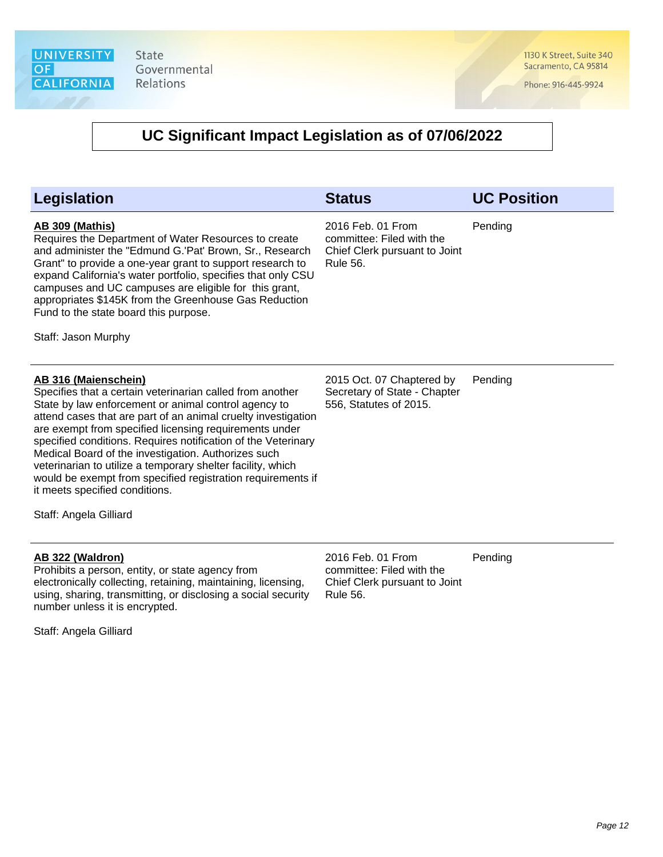1130 K Street, Suite 340 Sacramento, CA 95814

Phone: 916-445-9924

| Legislation                                                                                                                                                                                                                                                                                                                                                                                                                                                                                                                                                                            | <b>Status</b>                                                                                      | <b>UC Position</b> |
|----------------------------------------------------------------------------------------------------------------------------------------------------------------------------------------------------------------------------------------------------------------------------------------------------------------------------------------------------------------------------------------------------------------------------------------------------------------------------------------------------------------------------------------------------------------------------------------|----------------------------------------------------------------------------------------------------|--------------------|
| <b>AB 309 (Mathis)</b><br>Requires the Department of Water Resources to create<br>and administer the "Edmund G.'Pat' Brown, Sr., Research<br>Grant" to provide a one-year grant to support research to<br>expand California's water portfolio, specifies that only CSU<br>campuses and UC campuses are eligible for this grant,<br>appropriates \$145K from the Greenhouse Gas Reduction<br>Fund to the state board this purpose.<br>Staff: Jason Murphy                                                                                                                               | 2016 Feb. 01 From<br>committee: Filed with the<br>Chief Clerk pursuant to Joint<br><b>Rule 56.</b> | Pending            |
| AB 316 (Maienschein)<br>Specifies that a certain veterinarian called from another<br>State by law enforcement or animal control agency to<br>attend cases that are part of an animal cruelty investigation<br>are exempt from specified licensing requirements under<br>specified conditions. Requires notification of the Veterinary<br>Medical Board of the investigation. Authorizes such<br>veterinarian to utilize a temporary shelter facility, which<br>would be exempt from specified registration requirements if<br>it meets specified conditions.<br>Staff: Angela Gilliard | 2015 Oct. 07 Chaptered by<br>Secretary of State - Chapter<br>556, Statutes of 2015.                | Pending            |
| AB 322 (Waldron)<br>Prohibits a person, entity, or state agency from<br>electronically collecting, retaining, maintaining, licensing,<br>using, sharing, transmitting, or disclosing a social security<br>number unless it is encrypted.<br>Staff: Angela Gilliard                                                                                                                                                                                                                                                                                                                     | 2016 Feb. 01 From<br>committee: Filed with the<br>Chief Clerk pursuant to Joint<br><b>Rule 56.</b> | Pending            |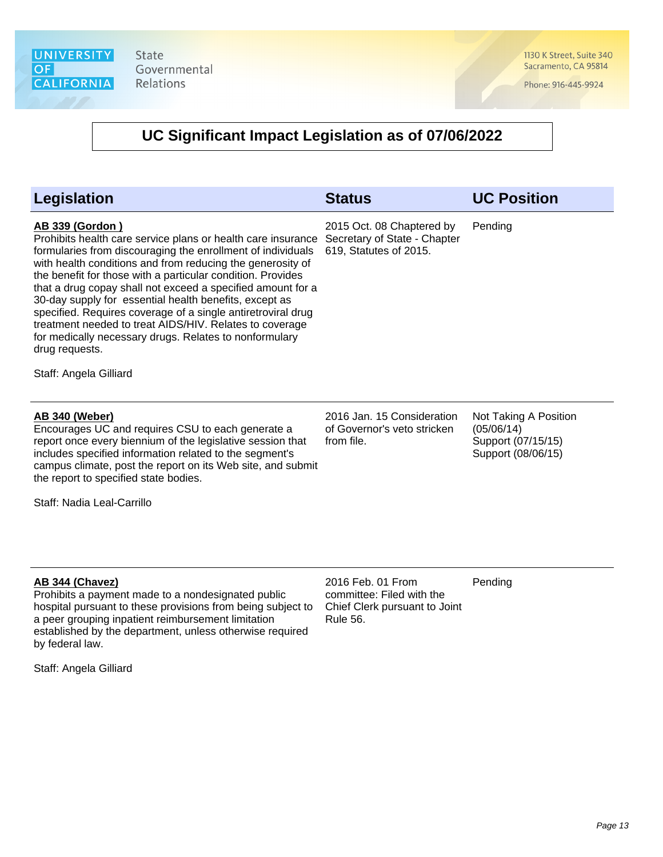1130 K Street, Suite 340 Sacramento, CA 95814

Phone: 916-445-9924

| Legislation                                                                                                                                                                                                                                                                                                                                                                                                                                                                                                                                                                                                                                  | <b>Status</b>                                                                                      | <b>UC Position</b>                                                              |
|----------------------------------------------------------------------------------------------------------------------------------------------------------------------------------------------------------------------------------------------------------------------------------------------------------------------------------------------------------------------------------------------------------------------------------------------------------------------------------------------------------------------------------------------------------------------------------------------------------------------------------------------|----------------------------------------------------------------------------------------------------|---------------------------------------------------------------------------------|
| <b>AB 339 (Gordon)</b><br>Prohibits health care service plans or health care insurance<br>formularies from discouraging the enrollment of individuals<br>with health conditions and from reducing the generosity of<br>the benefit for those with a particular condition. Provides<br>that a drug copay shall not exceed a specified amount for a<br>30-day supply for essential health benefits, except as<br>specified. Requires coverage of a single antiretroviral drug<br>treatment needed to treat AIDS/HIV. Relates to coverage<br>for medically necessary drugs. Relates to nonformulary<br>drug requests.<br>Staff: Angela Gilliard | 2015 Oct. 08 Chaptered by<br>Secretary of State - Chapter<br>619, Statutes of 2015.                | Pending                                                                         |
| <b>AB 340 (Weber)</b><br>Encourages UC and requires CSU to each generate a<br>report once every biennium of the legislative session that<br>includes specified information related to the segment's<br>campus climate, post the report on its Web site, and submit<br>the report to specified state bodies.<br>Staff: Nadia Leal-Carrillo                                                                                                                                                                                                                                                                                                    | 2016 Jan. 15 Consideration<br>of Governor's veto stricken<br>from file.                            | Not Taking A Position<br>(05/06/14)<br>Support (07/15/15)<br>Support (08/06/15) |
| AB 344 (Chavez)<br>Prohibits a payment made to a nondesignated public<br>hospital pursuant to these provisions from being subject to<br>a peer grouping inpatient reimbursement limitation<br>established by the department, unless otherwise required<br>by federal law.<br>Staff: Angela Gilliard                                                                                                                                                                                                                                                                                                                                          | 2016 Feb. 01 From<br>committee: Filed with the<br>Chief Clerk pursuant to Joint<br><b>Rule 56.</b> | Pending                                                                         |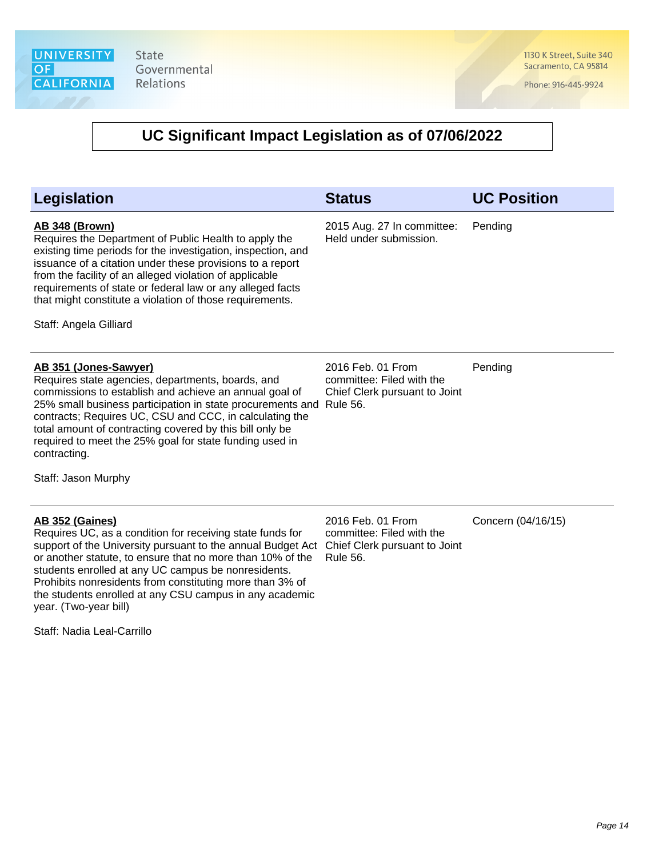1130 K Street, Suite 340 Sacramento, CA 95814

Phone: 916-445-9924

| <b>Legislation</b>                                                                                                                                                                                                                                                                                                                                                                                                                   | <b>Status</b>                                                                                      | <b>UC Position</b> |
|--------------------------------------------------------------------------------------------------------------------------------------------------------------------------------------------------------------------------------------------------------------------------------------------------------------------------------------------------------------------------------------------------------------------------------------|----------------------------------------------------------------------------------------------------|--------------------|
| <b>AB 348 (Brown)</b><br>Requires the Department of Public Health to apply the<br>existing time periods for the investigation, inspection, and<br>issuance of a citation under these provisions to a report<br>from the facility of an alleged violation of applicable<br>requirements of state or federal law or any alleged facts<br>that might constitute a violation of those requirements.<br>Staff: Angela Gilliard            | 2015 Aug. 27 In committee:<br>Held under submission.                                               | Pending            |
| AB 351 (Jones-Sawyer)<br>Requires state agencies, departments, boards, and<br>commissions to establish and achieve an annual goal of<br>25% small business participation in state procurements and Rule 56.<br>contracts; Requires UC, CSU and CCC, in calculating the<br>total amount of contracting covered by this bill only be<br>required to meet the 25% goal for state funding used in<br>contracting.<br>Staff: Jason Murphy | 2016 Feb. 01 From<br>committee: Filed with the<br>Chief Clerk pursuant to Joint                    | Pending            |
| <b>AB 352 (Gaines)</b><br>Requires UC, as a condition for receiving state funds for<br>support of the University pursuant to the annual Budget Act<br>or another statute, to ensure that no more than 10% of the<br>students enrolled at any UC campus be nonresidents.<br>Prohibits nonresidents from constituting more than 3% of<br>the students enrolled at any CSU campus in any academic<br>year. (Two-year bill)              | 2016 Feb. 01 From<br>committee: Filed with the<br>Chief Clerk pursuant to Joint<br><b>Rule 56.</b> | Concern (04/16/15) |
| Staff: Nadia Leal-Carrillo                                                                                                                                                                                                                                                                                                                                                                                                           |                                                                                                    |                    |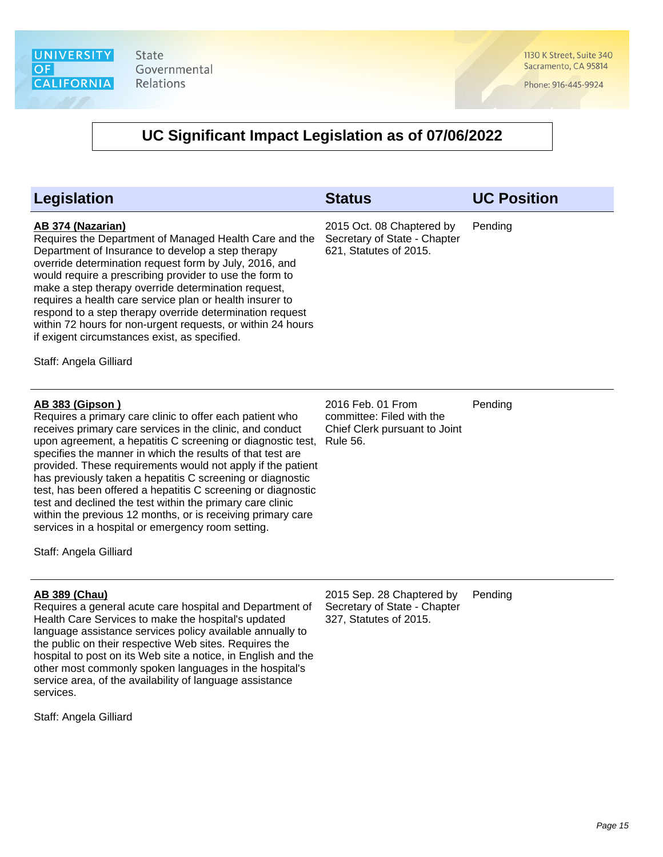1130 K Street, Suite 340 Sacramento, CA 95814

Phone: 916-445-9924

| Legislation                                                                                                                                                                                                                                                                                                                                                                                                                                                                                                                                                                                                                                                                          | <b>Status</b>                                                                                      | <b>UC Position</b> |
|--------------------------------------------------------------------------------------------------------------------------------------------------------------------------------------------------------------------------------------------------------------------------------------------------------------------------------------------------------------------------------------------------------------------------------------------------------------------------------------------------------------------------------------------------------------------------------------------------------------------------------------------------------------------------------------|----------------------------------------------------------------------------------------------------|--------------------|
| AB 374 (Nazarian)<br>Requires the Department of Managed Health Care and the<br>Department of Insurance to develop a step therapy<br>override determination request form by July, 2016, and<br>would require a prescribing provider to use the form to<br>make a step therapy override determination request,<br>requires a health care service plan or health insurer to<br>respond to a step therapy override determination request<br>within 72 hours for non-urgent requests, or within 24 hours<br>if exigent circumstances exist, as specified.<br>Staff: Angela Gilliard                                                                                                       | 2015 Oct. 08 Chaptered by<br>Secretary of State - Chapter<br>621, Statutes of 2015.                | Pending            |
| <b>AB 383 (Gipson)</b><br>Requires a primary care clinic to offer each patient who<br>receives primary care services in the clinic, and conduct<br>upon agreement, a hepatitis C screening or diagnostic test,<br>specifies the manner in which the results of that test are<br>provided. These requirements would not apply if the patient<br>has previously taken a hepatitis C screening or diagnostic<br>test, has been offered a hepatitis C screening or diagnostic<br>test and declined the test within the primary care clinic<br>within the previous 12 months, or is receiving primary care<br>services in a hospital or emergency room setting.<br>Staff: Angela Gilliard | 2016 Feb. 01 From<br>committee: Filed with the<br>Chief Clerk pursuant to Joint<br><b>Rule 56.</b> | Pending            |
| <b>AB 389 (Chau)</b><br>Requires a general acute care hospital and Department of<br>Health Care Services to make the hospital's updated<br>language assistance services policy available annually to<br>the public on their respective Web sites. Requires the<br>hospital to post on its Web site a notice, in English and the<br>other most commonly spoken languages in the hospital's<br>service area, of the availability of language assistance<br>services.<br>Staff: Angela Gilliard                                                                                                                                                                                         | 2015 Sep. 28 Chaptered by<br>Secretary of State - Chapter<br>327, Statutes of 2015.                | Pending            |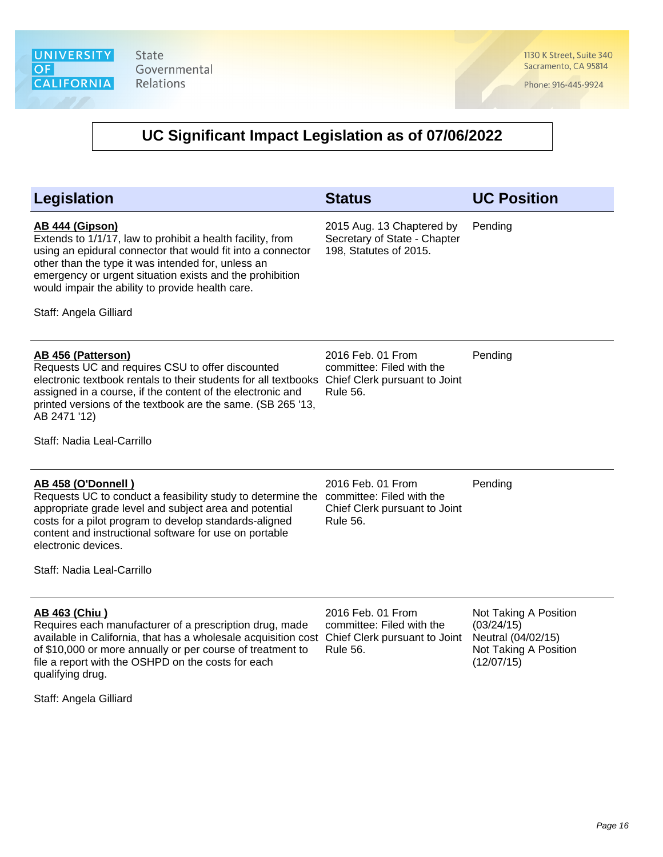1130 K Street, Suite 340 Sacramento, CA 95814

Phone: 916-445-9924

| Legislation                                                                                                                                                                                                                                                                                                                                       | <b>Status</b>                                                                                      | <b>UC Position</b>                                                                               |
|---------------------------------------------------------------------------------------------------------------------------------------------------------------------------------------------------------------------------------------------------------------------------------------------------------------------------------------------------|----------------------------------------------------------------------------------------------------|--------------------------------------------------------------------------------------------------|
| AB 444 (Gipson)<br>Extends to 1/1/17, law to prohibit a health facility, from<br>using an epidural connector that would fit into a connector<br>other than the type it was intended for, unless an<br>emergency or urgent situation exists and the prohibition<br>would impair the ability to provide health care.<br>Staff: Angela Gilliard      | 2015 Aug. 13 Chaptered by<br>Secretary of State - Chapter<br>198, Statutes of 2015.                | Pending                                                                                          |
| AB 456 (Patterson)<br>Requests UC and requires CSU to offer discounted<br>electronic textbook rentals to their students for all textbooks<br>assigned in a course, if the content of the electronic and<br>printed versions of the textbook are the same. (SB 265 '13,<br>AB 2471 '12)<br>Staff: Nadia Leal-Carrillo                              | 2016 Feb. 01 From<br>committee: Filed with the<br>Chief Clerk pursuant to Joint<br><b>Rule 56.</b> | Pending                                                                                          |
| AB 458 (O'Donnell)<br>Requests UC to conduct a feasibility study to determine the<br>appropriate grade level and subject area and potential<br>costs for a pilot program to develop standards-aligned<br>content and instructional software for use on portable<br>electronic devices.<br>Staff: Nadia Leal-Carrillo                              | 2016 Feb. 01 From<br>committee: Filed with the<br>Chief Clerk pursuant to Joint<br><b>Rule 56.</b> | Pending                                                                                          |
| <b>AB 463 (Chiu)</b><br>Requires each manufacturer of a prescription drug, made<br>available in California, that has a wholesale acquisition cost Chief Clerk pursuant to Joint<br>of \$10,000 or more annually or per course of treatment to<br>file a report with the OSHPD on the costs for each<br>qualifying drug.<br>Staff: Angela Gilliard | 2016 Feb. 01 From<br>committee: Filed with the<br><b>Rule 56.</b>                                  | Not Taking A Position<br>(03/24/15)<br>Neutral (04/02/15)<br>Not Taking A Position<br>(12/07/15) |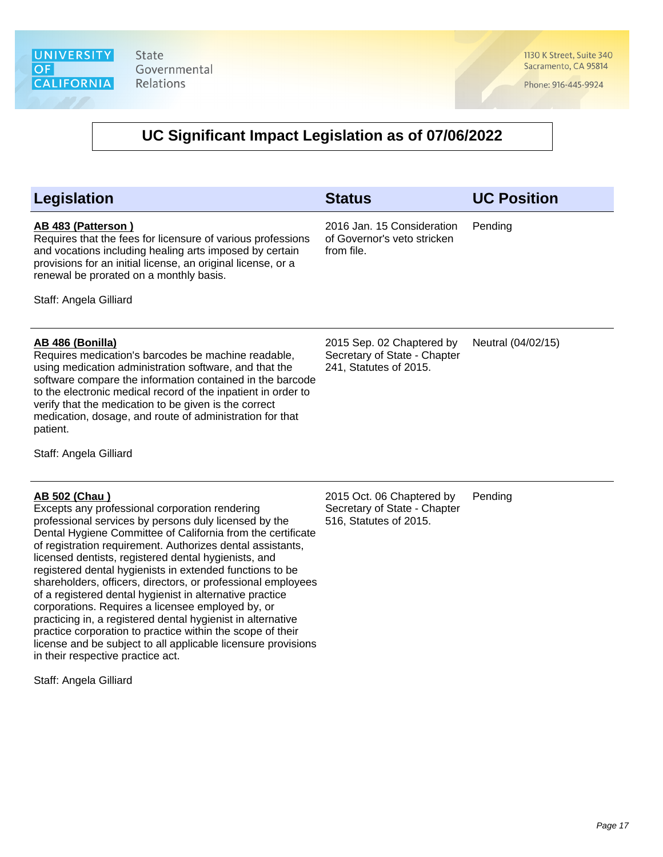1130 K Street, Suite 340 Sacramento, CA 95814

Phone: 916-445-9924

| <b>Legislation</b>                                                                                                                                                                                                                                                                                                                                                                                                                                                                                                                                                                                                                                                                                                                                                                                                      | <b>Status</b>                                                                       | <b>UC Position</b> |
|-------------------------------------------------------------------------------------------------------------------------------------------------------------------------------------------------------------------------------------------------------------------------------------------------------------------------------------------------------------------------------------------------------------------------------------------------------------------------------------------------------------------------------------------------------------------------------------------------------------------------------------------------------------------------------------------------------------------------------------------------------------------------------------------------------------------------|-------------------------------------------------------------------------------------|--------------------|
| AB 483 (Patterson)<br>Requires that the fees for licensure of various professions<br>and vocations including healing arts imposed by certain<br>provisions for an initial license, an original license, or a<br>renewal be prorated on a monthly basis.<br>Staff: Angela Gilliard                                                                                                                                                                                                                                                                                                                                                                                                                                                                                                                                       | 2016 Jan. 15 Consideration<br>of Governor's veto stricken<br>from file.             | Pending            |
|                                                                                                                                                                                                                                                                                                                                                                                                                                                                                                                                                                                                                                                                                                                                                                                                                         |                                                                                     |                    |
| AB 486 (Bonilla)<br>Requires medication's barcodes be machine readable,<br>using medication administration software, and that the<br>software compare the information contained in the barcode<br>to the electronic medical record of the inpatient in order to<br>verify that the medication to be given is the correct<br>medication, dosage, and route of administration for that<br>patient.                                                                                                                                                                                                                                                                                                                                                                                                                        | 2015 Sep. 02 Chaptered by<br>Secretary of State - Chapter<br>241, Statutes of 2015. | Neutral (04/02/15) |
| Staff: Angela Gilliard                                                                                                                                                                                                                                                                                                                                                                                                                                                                                                                                                                                                                                                                                                                                                                                                  |                                                                                     |                    |
| AB 502 (Chau)<br>Excepts any professional corporation rendering<br>professional services by persons duly licensed by the<br>Dental Hygiene Committee of California from the certificate<br>of registration requirement. Authorizes dental assistants,<br>licensed dentists, registered dental hygienists, and<br>registered dental hygienists in extended functions to be<br>shareholders, officers, directors, or professional employees<br>of a registered dental hygienist in alternative practice<br>corporations. Requires a licensee employed by, or<br>practicing in, a registered dental hygienist in alternative<br>practice corporation to practice within the scope of their<br>license and be subject to all applicable licensure provisions<br>in their respective practice act.<br>Staff: Angela Gilliard | 2015 Oct. 06 Chaptered by<br>Secretary of State - Chapter<br>516, Statutes of 2015. | Pending            |
|                                                                                                                                                                                                                                                                                                                                                                                                                                                                                                                                                                                                                                                                                                                                                                                                                         |                                                                                     |                    |
|                                                                                                                                                                                                                                                                                                                                                                                                                                                                                                                                                                                                                                                                                                                                                                                                                         |                                                                                     |                    |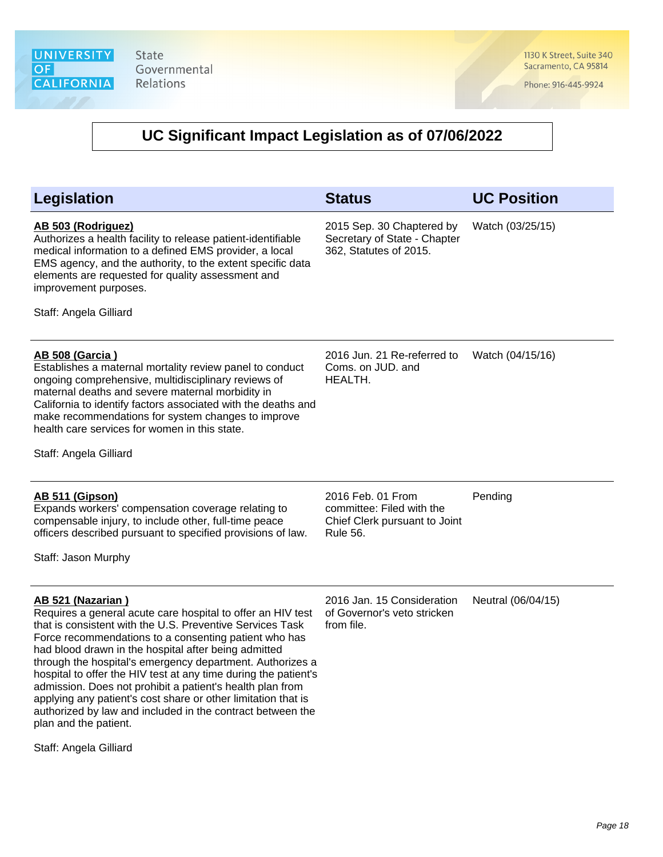1130 K Street, Suite 340 Sacramento, CA 95814

Phone: 916-445-9924

# **UC Significant Impact Legislation as of 07/06/2022**

| Legislation                                                                                                                                                                                                                                                                                                                                                                                                                                                                                                                                                                                                         | <b>Status</b>                                                                                      | <b>UC Position</b> |
|---------------------------------------------------------------------------------------------------------------------------------------------------------------------------------------------------------------------------------------------------------------------------------------------------------------------------------------------------------------------------------------------------------------------------------------------------------------------------------------------------------------------------------------------------------------------------------------------------------------------|----------------------------------------------------------------------------------------------------|--------------------|
| AB 503 (Rodriguez)<br>Authorizes a health facility to release patient-identifiable<br>medical information to a defined EMS provider, a local<br>EMS agency, and the authority, to the extent specific data<br>elements are requested for quality assessment and<br>improvement purposes.<br>Staff: Angela Gilliard                                                                                                                                                                                                                                                                                                  | 2015 Sep. 30 Chaptered by<br>Secretary of State - Chapter<br>362, Statutes of 2015.                | Watch (03/25/15)   |
| <b>AB 508 (Garcia)</b><br>Establishes a maternal mortality review panel to conduct<br>ongoing comprehensive, multidisciplinary reviews of<br>maternal deaths and severe maternal morbidity in<br>California to identify factors associated with the deaths and<br>make recommendations for system changes to improve<br>health care services for women in this state.<br>Staff: Angela Gilliard                                                                                                                                                                                                                     | 2016 Jun. 21 Re-referred to<br>Coms. on JUD. and<br>HEALTH.                                        | Watch (04/15/16)   |
| AB 511 (Gipson)<br>Expands workers' compensation coverage relating to<br>compensable injury, to include other, full-time peace<br>officers described pursuant to specified provisions of law.<br>Staff: Jason Murphy                                                                                                                                                                                                                                                                                                                                                                                                | 2016 Feb. 01 From<br>committee: Filed with the<br>Chief Clerk pursuant to Joint<br><b>Rule 56.</b> | Pending            |
| AB 521 (Nazarian)<br>Requires a general acute care hospital to offer an HIV test<br>that is consistent with the U.S. Preventive Services Task<br>Force recommendations to a consenting patient who has<br>had blood drawn in the hospital after being admitted<br>through the hospital's emergency department. Authorizes a<br>hospital to offer the HIV test at any time during the patient's<br>admission. Does not prohibit a patient's health plan from<br>applying any patient's cost share or other limitation that is<br>authorized by law and included in the contract between the<br>plan and the patient. | 2016 Jan. 15 Consideration<br>of Governor's veto stricken<br>from file.                            | Neutral (06/04/15) |

Staff: Angela Gilliard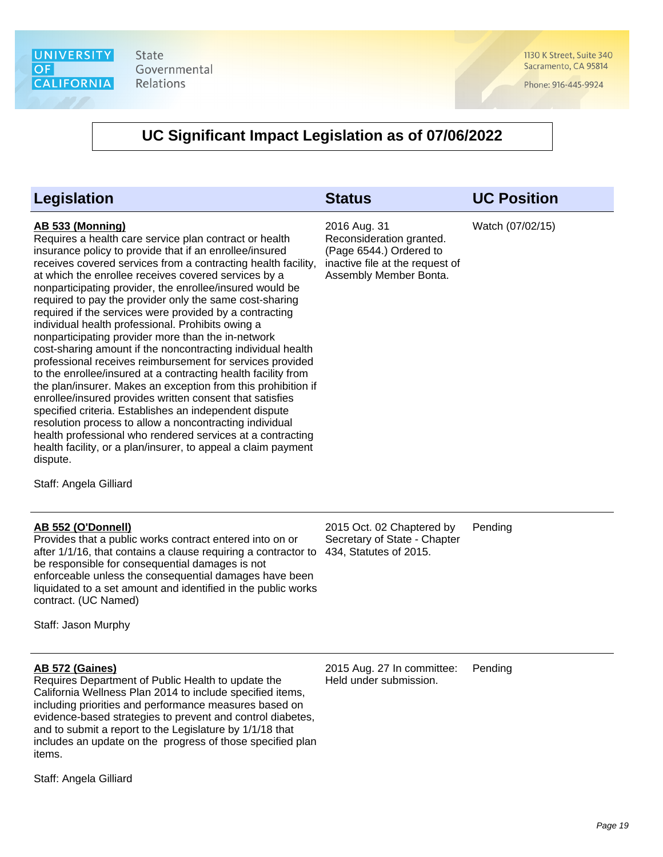

1130 K Street, Suite 340 Sacramento, CA 95814

Phone: 916-445-9924

### **UC Significant Impact Legislation as of 07/06/2022**

### **Legislation Status UC Position**

#### **AB 533 (Monning)**

Requires a health care service plan contract or health insurance policy to provide that if an enrollee/insured receives covered services from a contracting health facility, at which the enrollee receives covered services by a nonparticipating provider, the enrollee/insured would be required to pay the provider only the same cost-sharing required if the services were provided by a contracting individual health professional. Prohibits owing a nonparticipating provider more than the in-network cost-sharing amount if the noncontracting individual health professional receives reimbursement for services provided to the enrollee/insured at a contracting health facility from the plan/insurer. Makes an exception from this prohibition if enrollee/insured provides written consent that satisfies specified criteria. Establishes an independent dispute resolution process to allow a noncontracting individual health professional who rendered services at a contracting health facility, or a plan/insurer, to appeal a claim payment dispute.

Staff: Angela Gilliard

#### **AB 552 (O'Donnell)**

Provides that a public works contract entered into on or after 1/1/16, that contains a clause requiring a contractor to be responsible for consequential damages is not enforceable unless the consequential damages have been liquidated to a set amount and identified in the public works contract. (UC Named)

Staff: Jason Murphy

#### **AB 572 (Gaines)**

Requires Department of Public Health to update the California Wellness Plan 2014 to include specified items, including priorities and performance measures based on evidence-based strategies to prevent and control diabetes, and to submit a report to the Legislature by 1/1/18 that includes an update on the progress of those specified plan items.

Staff: Angela Gilliard

2016 Aug. 31

Reconsideration granted. (Page 6544.) Ordered to inactive file at the request of Assembly Member Bonta.

Watch (07/02/15)

2015 Oct. 02 Chaptered by Secretary of State - Chapter 434, Statutes of 2015. Pending

2015 Aug. 27 In committee: Held under submission. Pending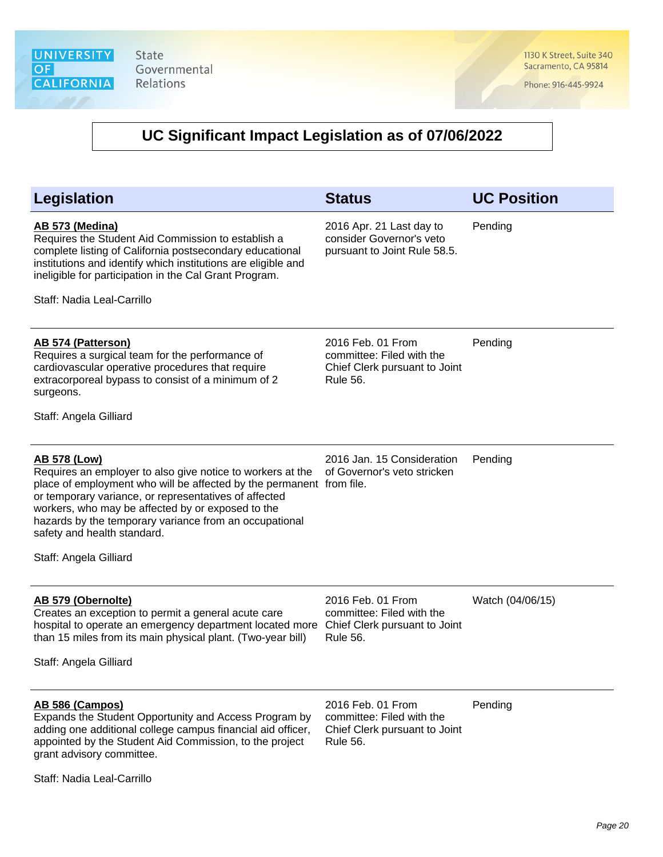1130 K Street, Suite 340 Sacramento, CA 95814

Phone: 916-445-9924

# **UC Significant Impact Legislation as of 07/06/2022**

| <b>Legislation</b>                                                                                                                                                                                                                                                                                                                                                                         | <b>Status</b>                                                                                      | <b>UC Position</b> |
|--------------------------------------------------------------------------------------------------------------------------------------------------------------------------------------------------------------------------------------------------------------------------------------------------------------------------------------------------------------------------------------------|----------------------------------------------------------------------------------------------------|--------------------|
| <b>AB 573 (Medina)</b><br>Requires the Student Aid Commission to establish a<br>complete listing of California postsecondary educational<br>institutions and identify which institutions are eligible and<br>ineligible for participation in the Cal Grant Program.<br>Staff: Nadia Leal-Carrillo                                                                                          | 2016 Apr. 21 Last day to<br>consider Governor's veto<br>pursuant to Joint Rule 58.5.               | Pending            |
| AB 574 (Patterson)<br>Requires a surgical team for the performance of<br>cardiovascular operative procedures that require<br>extracorporeal bypass to consist of a minimum of 2<br>surgeons.<br>Staff: Angela Gilliard                                                                                                                                                                     | 2016 Feb. 01 From<br>committee: Filed with the<br>Chief Clerk pursuant to Joint<br><b>Rule 56.</b> | Pending            |
| <b>AB 578 (Low)</b><br>Requires an employer to also give notice to workers at the<br>place of employment who will be affected by the permanent from file.<br>or temporary variance, or representatives of affected<br>workers, who may be affected by or exposed to the<br>hazards by the temporary variance from an occupational<br>safety and health standard.<br>Staff: Angela Gilliard | 2016 Jan. 15 Consideration<br>of Governor's veto stricken                                          | Pending            |
| AB 579 (Obernolte)<br>Creates an exception to permit a general acute care<br>hospital to operate an emergency department located more<br>than 15 miles from its main physical plant. (Two-year bill)<br>Staff: Angela Gilliard                                                                                                                                                             | 2016 Feb. 01 From<br>committee: Filed with the<br>Chief Clerk pursuant to Joint<br><b>Rule 56.</b> | Watch (04/06/15)   |
| AB 586 (Campos)<br>Expands the Student Opportunity and Access Program by<br>adding one additional college campus financial aid officer,<br>appointed by the Student Aid Commission, to the project<br>grant advisory committee.                                                                                                                                                            | 2016 Feb. 01 From<br>committee: Filed with the<br>Chief Clerk pursuant to Joint<br><b>Rule 56.</b> | Pending            |

Staff: Nadia Leal-Carrillo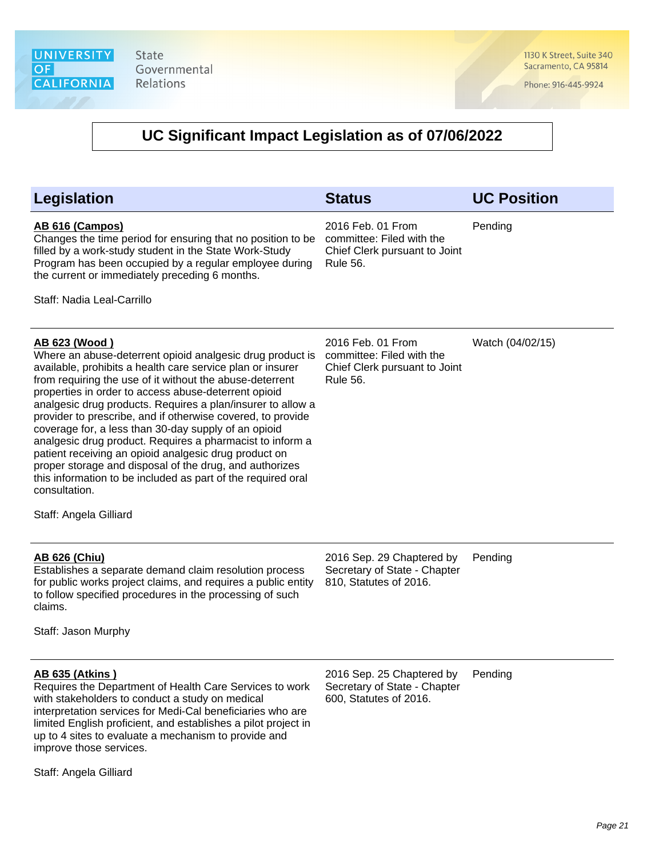1130 K Street, Suite 340 Sacramento, CA 95814

Phone: 916-445-9924

| <b>Legislation</b>                                                                                                                                                                                                                                                                                                                                                                                                                                                                                                                                                                                                                                                                                                                                    | <b>Status</b>                                                                                      | <b>UC Position</b> |
|-------------------------------------------------------------------------------------------------------------------------------------------------------------------------------------------------------------------------------------------------------------------------------------------------------------------------------------------------------------------------------------------------------------------------------------------------------------------------------------------------------------------------------------------------------------------------------------------------------------------------------------------------------------------------------------------------------------------------------------------------------|----------------------------------------------------------------------------------------------------|--------------------|
| AB 616 (Campos)<br>Changes the time period for ensuring that no position to be<br>filled by a work-study student in the State Work-Study<br>Program has been occupied by a regular employee during<br>the current or immediately preceding 6 months.<br>Staff: Nadia Leal-Carrillo                                                                                                                                                                                                                                                                                                                                                                                                                                                                    | 2016 Feb. 01 From<br>committee: Filed with the<br>Chief Clerk pursuant to Joint<br><b>Rule 56.</b> | Pending            |
|                                                                                                                                                                                                                                                                                                                                                                                                                                                                                                                                                                                                                                                                                                                                                       |                                                                                                    |                    |
| <u>AB 623 (Wood)</u><br>Where an abuse-deterrent opioid analgesic drug product is<br>available, prohibits a health care service plan or insurer<br>from requiring the use of it without the abuse-deterrent<br>properties in order to access abuse-deterrent opioid<br>analgesic drug products. Requires a plan/insurer to allow a<br>provider to prescribe, and if otherwise covered, to provide<br>coverage for, a less than 30-day supply of an opioid<br>analgesic drug product. Requires a pharmacist to inform a<br>patient receiving an opioid analgesic drug product on<br>proper storage and disposal of the drug, and authorizes<br>this information to be included as part of the required oral<br>consultation.<br>Staff: Angela Gilliard | 2016 Feb. 01 From<br>committee: Filed with the<br>Chief Clerk pursuant to Joint<br><b>Rule 56.</b> | Watch (04/02/15)   |
| <b>AB 626 (Chiu)</b><br>Establishes a separate demand claim resolution process<br>for public works project claims, and requires a public entity<br>to follow specified procedures in the processing of such<br>claims.<br>Staff: Jason Murphy                                                                                                                                                                                                                                                                                                                                                                                                                                                                                                         | 2016 Sep. 29 Chaptered by<br>Secretary of State - Chapter<br>810, Statutes of 2016.                | Pending            |
| <u>AB 635 (Atkins )</u><br>Requires the Department of Health Care Services to work<br>with stakeholders to conduct a study on medical<br>interpretation services for Medi-Cal beneficiaries who are<br>limited English proficient, and establishes a pilot project in<br>up to 4 sites to evaluate a mechanism to provide and<br>improve those services.                                                                                                                                                                                                                                                                                                                                                                                              | 2016 Sep. 25 Chaptered by<br>Secretary of State - Chapter<br>600, Statutes of 2016.                | Pending            |
| Staff: Angela Gilliard                                                                                                                                                                                                                                                                                                                                                                                                                                                                                                                                                                                                                                                                                                                                |                                                                                                    |                    |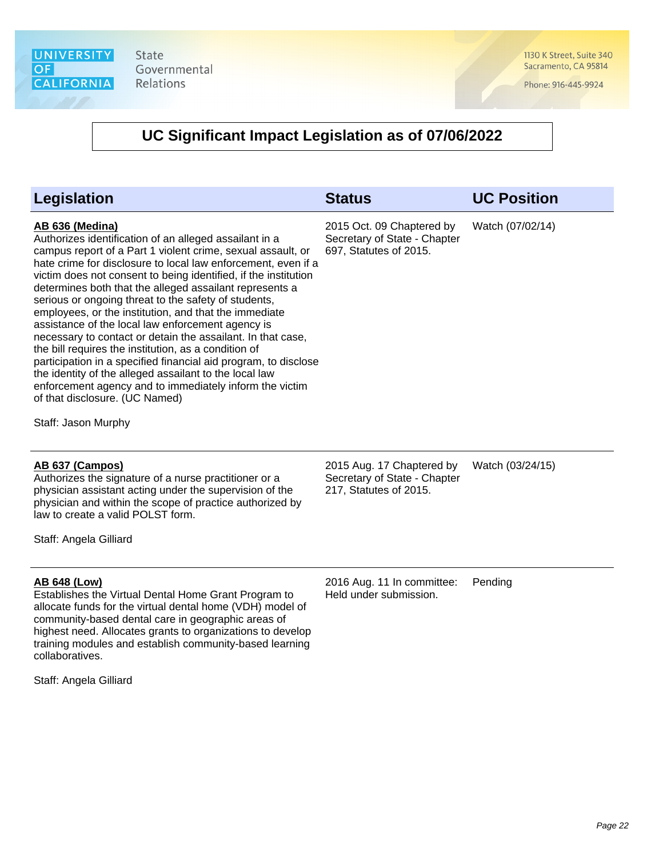1130 K Street, Suite 340 Sacramento, CA 95814

Phone: 916-445-9924

### **UC Significant Impact Legislation as of 07/06/2022**

| Legislation                                                                                                                                                                                                                                                                                                                                                                                                                                                                                                                                                                                                                                                                                                                                                                                                                                                                           | <b>Status</b>                                                                       | <b>UC Position</b> |
|---------------------------------------------------------------------------------------------------------------------------------------------------------------------------------------------------------------------------------------------------------------------------------------------------------------------------------------------------------------------------------------------------------------------------------------------------------------------------------------------------------------------------------------------------------------------------------------------------------------------------------------------------------------------------------------------------------------------------------------------------------------------------------------------------------------------------------------------------------------------------------------|-------------------------------------------------------------------------------------|--------------------|
| AB 636 (Medina)<br>Authorizes identification of an alleged assailant in a<br>campus report of a Part 1 violent crime, sexual assault, or<br>hate crime for disclosure to local law enforcement, even if a<br>victim does not consent to being identified, if the institution<br>determines both that the alleged assailant represents a<br>serious or ongoing threat to the safety of students,<br>employees, or the institution, and that the immediate<br>assistance of the local law enforcement agency is<br>necessary to contact or detain the assailant. In that case,<br>the bill requires the institution, as a condition of<br>participation in a specified financial aid program, to disclose<br>the identity of the alleged assailant to the local law<br>enforcement agency and to immediately inform the victim<br>of that disclosure. (UC Named)<br>Staff: Jason Murphy | 2015 Oct. 09 Chaptered by<br>Secretary of State - Chapter<br>697, Statutes of 2015. | Watch (07/02/14)   |
| AB 637 (Campos)<br>Authorizes the signature of a nurse practitioner or a<br>physician assistant acting under the supervision of the<br>physician and within the scope of practice authorized by<br>law to create a valid POLST form.                                                                                                                                                                                                                                                                                                                                                                                                                                                                                                                                                                                                                                                  | 2015 Aug. 17 Chaptered by<br>Secretary of State - Chapter<br>217, Statutes of 2015. | Watch (03/24/15)   |
| Staff: Angela Gilliard                                                                                                                                                                                                                                                                                                                                                                                                                                                                                                                                                                                                                                                                                                                                                                                                                                                                |                                                                                     |                    |

### **AB 648 (Low)**

Establishes the Virtual Dental Home Grant Program to allocate funds for the virtual dental home (VDH) model of community-based dental care in geographic areas of highest need. Allocates grants to organizations to develop training modules and establish community-based learning collaboratives.

Staff: Angela Gilliard

2016 Aug. 11 In committee: Held under submission. Pending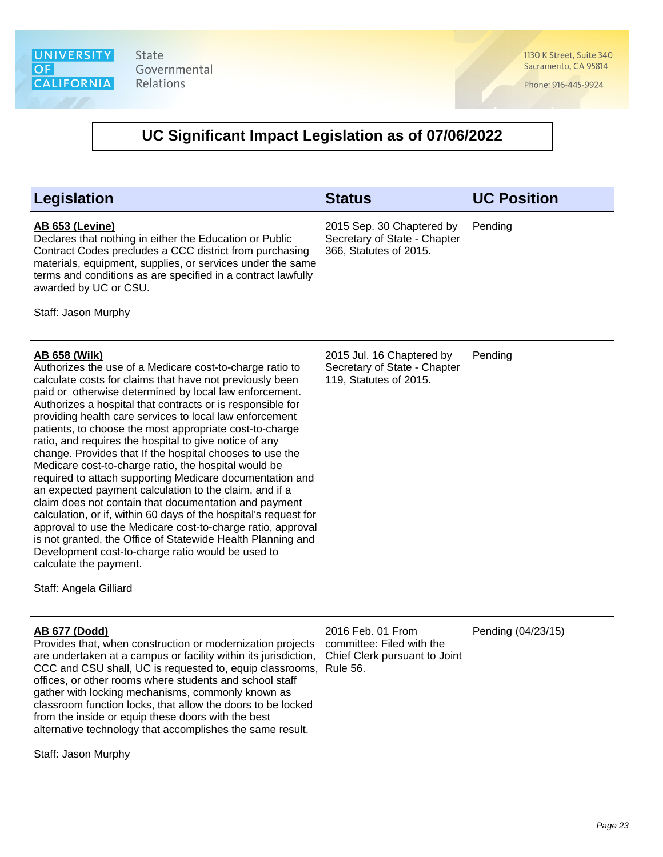1130 K Street, Suite 340 Sacramento, CA 95814

Phone: 916-445-9924

### **UC Significant Impact Legislation as of 07/06/2022**

| Legislation                                                                                                                                                                                                                                                                                                                                                                                                                                                                                                                                                                                                                                                                                                                                                                                                                                                                                                                                                                                                                                                        | <b>Status</b>                                                                       | <b>UC Position</b> |
|--------------------------------------------------------------------------------------------------------------------------------------------------------------------------------------------------------------------------------------------------------------------------------------------------------------------------------------------------------------------------------------------------------------------------------------------------------------------------------------------------------------------------------------------------------------------------------------------------------------------------------------------------------------------------------------------------------------------------------------------------------------------------------------------------------------------------------------------------------------------------------------------------------------------------------------------------------------------------------------------------------------------------------------------------------------------|-------------------------------------------------------------------------------------|--------------------|
| AB 653 (Levine)<br>Declares that nothing in either the Education or Public<br>Contract Codes precludes a CCC district from purchasing<br>materials, equipment, supplies, or services under the same<br>terms and conditions as are specified in a contract lawfully<br>awarded by UC or CSU.<br>Staff: Jason Murphy                                                                                                                                                                                                                                                                                                                                                                                                                                                                                                                                                                                                                                                                                                                                                | 2015 Sep. 30 Chaptered by<br>Secretary of State - Chapter<br>366, Statutes of 2015. | Pending            |
| <b>AB 658 (Wilk)</b><br>Authorizes the use of a Medicare cost-to-charge ratio to<br>calculate costs for claims that have not previously been<br>paid or otherwise determined by local law enforcement.<br>Authorizes a hospital that contracts or is responsible for<br>providing health care services to local law enforcement<br>patients, to choose the most appropriate cost-to-charge<br>ratio, and requires the hospital to give notice of any<br>change. Provides that If the hospital chooses to use the<br>Medicare cost-to-charge ratio, the hospital would be<br>required to attach supporting Medicare documentation and<br>an expected payment calculation to the claim, and if a<br>claim does not contain that documentation and payment<br>calculation, or if, within 60 days of the hospital's request for<br>approval to use the Medicare cost-to-charge ratio, approval<br>is not granted, the Office of Statewide Health Planning and<br>Development cost-to-charge ratio would be used to<br>calculate the payment.<br>Staff: Angela Gilliard | 2015 Jul. 16 Chaptered by<br>Secretary of State - Chapter<br>119, Statutes of 2015. | Pending            |
| <b>AB 677 (Dodd)</b><br>Provides that, when construction or modernization projects<br>are undertaken at a campus or facility within its jurisdiction,<br>CCC and CSU shall, UC is requested to, equip classrooms, Rule 56.<br>offices, or other rooms where students and school staff<br>gather with locking mechanisms, commonly known as<br>classroom function locks, that allow the doors to be locked<br>from the inside or equip these doors with the best<br>alternative technology that accomplishes the same result.                                                                                                                                                                                                                                                                                                                                                                                                                                                                                                                                       | 2016 Feb. 01 From<br>committee: Filed with the<br>Chief Clerk pursuant to Joint     | Pending (04/23/15) |

Staff: Jason Murphy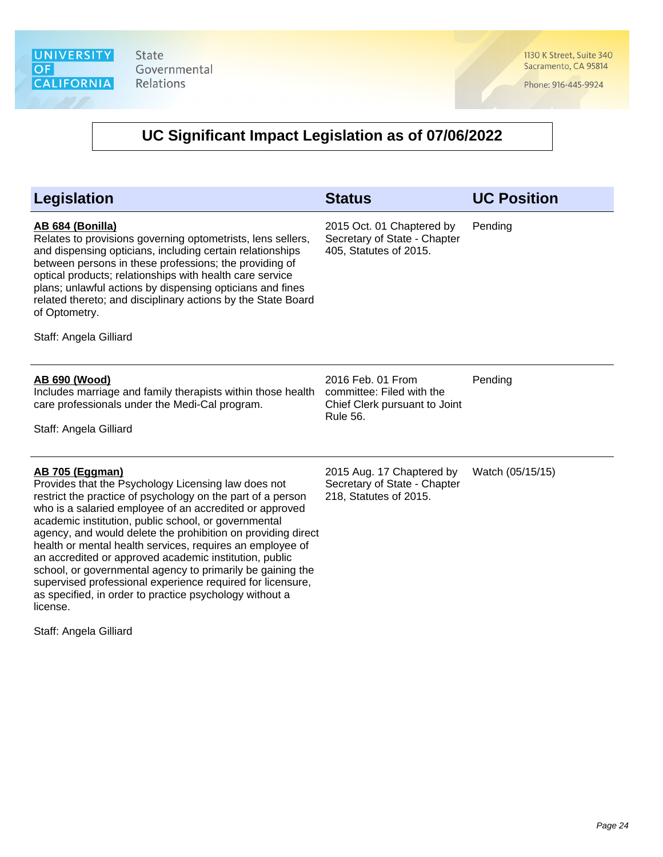1130 K Street, Suite 340 Sacramento, CA 95814

Phone: 916-445-9924

| <b>Legislation</b>                                                                                                                                                                                                                                                                                                                                                                                                                                                                                                                                                                                                                                                                  | <b>Status</b>                                                                                      | <b>UC Position</b> |
|-------------------------------------------------------------------------------------------------------------------------------------------------------------------------------------------------------------------------------------------------------------------------------------------------------------------------------------------------------------------------------------------------------------------------------------------------------------------------------------------------------------------------------------------------------------------------------------------------------------------------------------------------------------------------------------|----------------------------------------------------------------------------------------------------|--------------------|
| AB 684 (Bonilla)<br>Relates to provisions governing optometrists, lens sellers,<br>and dispensing opticians, including certain relationships<br>between persons in these professions; the providing of<br>optical products; relationships with health care service<br>plans; unlawful actions by dispensing opticians and fines<br>related thereto; and disciplinary actions by the State Board<br>of Optometry.<br>Staff: Angela Gilliard                                                                                                                                                                                                                                          | 2015 Oct. 01 Chaptered by<br>Secretary of State - Chapter<br>405, Statutes of 2015.                | Pending            |
| AB 690 (Wood)<br>Includes marriage and family therapists within those health<br>care professionals under the Medi-Cal program.<br>Staff: Angela Gilliard                                                                                                                                                                                                                                                                                                                                                                                                                                                                                                                            | 2016 Feb. 01 From<br>committee: Filed with the<br>Chief Clerk pursuant to Joint<br><b>Rule 56.</b> | Pending            |
| <b>AB 705 (Eggman)</b><br>Provides that the Psychology Licensing law does not<br>restrict the practice of psychology on the part of a person<br>who is a salaried employee of an accredited or approved<br>academic institution, public school, or governmental<br>agency, and would delete the prohibition on providing direct<br>health or mental health services, requires an employee of<br>an accredited or approved academic institution, public<br>school, or governmental agency to primarily be gaining the<br>supervised professional experience required for licensure,<br>as specified, in order to practice psychology without a<br>license.<br>Staff: Angela Gilliard | 2015 Aug. 17 Chaptered by<br>Secretary of State - Chapter<br>218, Statutes of 2015.                | Watch (05/15/15)   |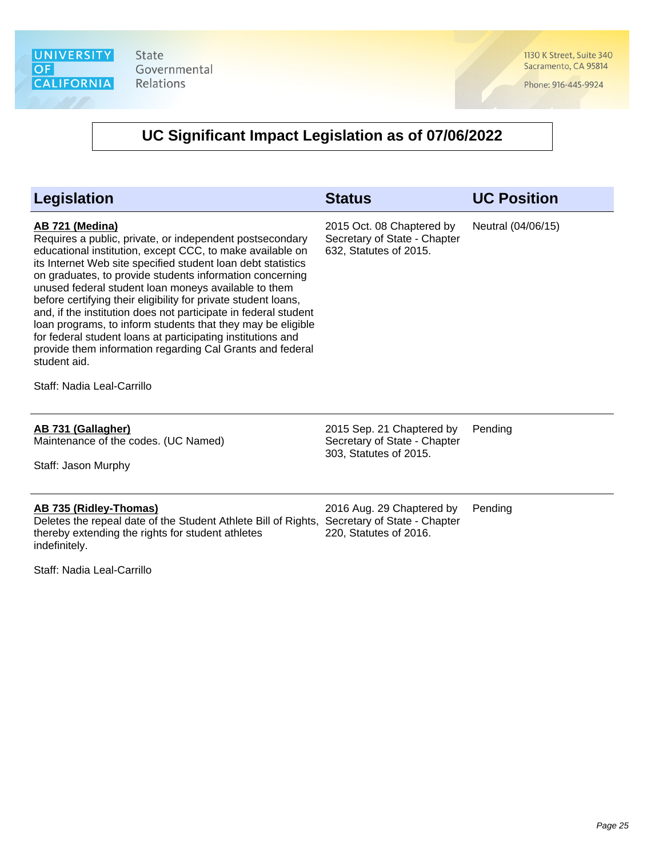1130 K Street, Suite 340 Sacramento, CA 95814

Phone: 916-445-9924

| <b>Legislation</b>                                                                                                                                                                                                                                                                                                                                                                                                                                                                                                                                                                                                                                                                                         | <b>Status</b>                                                                       | <b>UC Position</b> |
|------------------------------------------------------------------------------------------------------------------------------------------------------------------------------------------------------------------------------------------------------------------------------------------------------------------------------------------------------------------------------------------------------------------------------------------------------------------------------------------------------------------------------------------------------------------------------------------------------------------------------------------------------------------------------------------------------------|-------------------------------------------------------------------------------------|--------------------|
| AB 721 (Medina)<br>Requires a public, private, or independent postsecondary<br>educational institution, except CCC, to make available on<br>its Internet Web site specified student loan debt statistics<br>on graduates, to provide students information concerning<br>unused federal student loan moneys available to them<br>before certifying their eligibility for private student loans,<br>and, if the institution does not participate in federal student<br>loan programs, to inform students that they may be eligible<br>for federal student loans at participating institutions and<br>provide them information regarding Cal Grants and federal<br>student aid.<br>Staff: Nadia Leal-Carrillo | 2015 Oct. 08 Chaptered by<br>Secretary of State - Chapter<br>632, Statutes of 2015. | Neutral (04/06/15) |
| AB 731 (Gallagher)<br>Maintenance of the codes. (UC Named)<br>Staff: Jason Murphy                                                                                                                                                                                                                                                                                                                                                                                                                                                                                                                                                                                                                          | 2015 Sep. 21 Chaptered by<br>Secretary of State - Chapter<br>303, Statutes of 2015. | Pending            |
| AB 735 (Ridley-Thomas)<br>Deletes the repeal date of the Student Athlete Bill of Rights,<br>thereby extending the rights for student athletes<br>indefinitely.<br>Staff: Nadia Leal-Carrillo                                                                                                                                                                                                                                                                                                                                                                                                                                                                                                               | 2016 Aug. 29 Chaptered by<br>Secretary of State - Chapter<br>220, Statutes of 2016. | Pending            |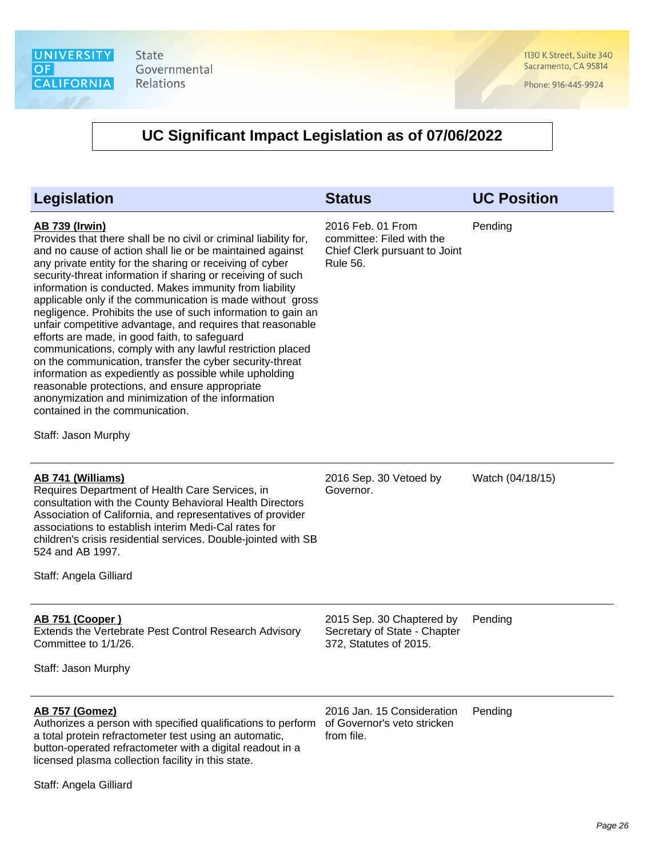1130 K Street, Suite 340 Sacramento, CA 95814

Phone: 916-445-9924

| Legislation                                                                                                                                                                                                                                                                                                                                                                                                                                                                                                                                                                                                                                                                                                                                                                                                                                                                                                                                   | <b>Status</b>                                                                                      | <b>UC Position</b> |
|-----------------------------------------------------------------------------------------------------------------------------------------------------------------------------------------------------------------------------------------------------------------------------------------------------------------------------------------------------------------------------------------------------------------------------------------------------------------------------------------------------------------------------------------------------------------------------------------------------------------------------------------------------------------------------------------------------------------------------------------------------------------------------------------------------------------------------------------------------------------------------------------------------------------------------------------------|----------------------------------------------------------------------------------------------------|--------------------|
| <u>AB 739 (Irwin)</u><br>Provides that there shall be no civil or criminal liability for,<br>and no cause of action shall lie or be maintained against<br>any private entity for the sharing or receiving of cyber<br>security-threat information if sharing or receiving of such<br>information is conducted. Makes immunity from liability<br>applicable only if the communication is made without gross<br>negligence. Prohibits the use of such information to gain an<br>unfair competitive advantage, and requires that reasonable<br>efforts are made, in good faith, to safeguard<br>communications, comply with any lawful restriction placed<br>on the communication, transfer the cyber security-threat<br>information as expediently as possible while upholding<br>reasonable protections, and ensure appropriate<br>anonymization and minimization of the information<br>contained in the communication.<br>Staff: Jason Murphy | 2016 Feb. 01 From<br>committee: Filed with the<br>Chief Clerk pursuant to Joint<br><b>Rule 56.</b> | Pending            |
| <b>AB 741 (Williams)</b><br>Requires Department of Health Care Services, in<br>consultation with the County Behavioral Health Directors<br>Association of California, and representatives of provider<br>associations to establish interim Medi-Cal rates for<br>children's crisis residential services. Double-jointed with SB<br>524 and AB 1997.<br>Staff: Angela Gilliard                                                                                                                                                                                                                                                                                                                                                                                                                                                                                                                                                                 | 2016 Sep. 30 Vetoed by<br>Governor.                                                                | Watch (04/18/15)   |
| <u>AB 751 (Cooper)</u><br>Extends the Vertebrate Pest Control Research Advisory<br>Committee to 1/1/26.<br>Staff: Jason Murphy                                                                                                                                                                                                                                                                                                                                                                                                                                                                                                                                                                                                                                                                                                                                                                                                                | 2015 Sep. 30 Chaptered by<br>Secretary of State - Chapter<br>372, Statutes of 2015.                | Pending            |
| <b>AB 757 (Gomez)</b><br>Authorizes a person with specified qualifications to perform<br>a total protein refractometer test using an automatic,<br>button-operated refractometer with a digital readout in a<br>licensed plasma collection facility in this state.<br>Staff: Angela Gilliard                                                                                                                                                                                                                                                                                                                                                                                                                                                                                                                                                                                                                                                  | 2016 Jan. 15 Consideration<br>of Governor's veto stricken<br>from file.                            | Pending            |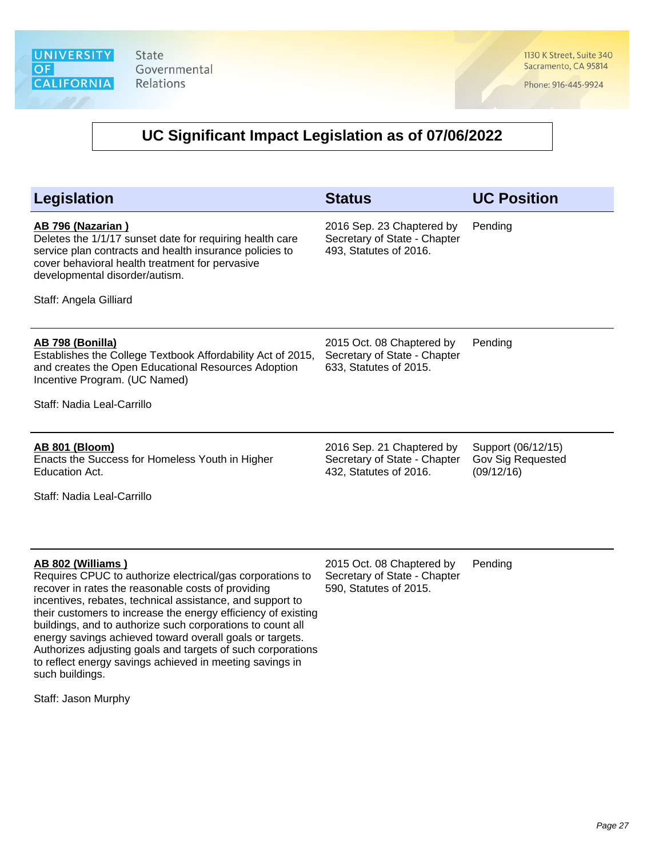1130 K Street, Suite 340 Sacramento, CA 95814

Phone: 916-445-9924

# **UC Significant Impact Legislation as of 07/06/2022**

| <b>Legislation</b>                                                                                                                                                                                                                                                                                                                                                                                                                                                                                                                         | <b>Status</b>                                                                       | <b>UC Position</b>                                    |
|--------------------------------------------------------------------------------------------------------------------------------------------------------------------------------------------------------------------------------------------------------------------------------------------------------------------------------------------------------------------------------------------------------------------------------------------------------------------------------------------------------------------------------------------|-------------------------------------------------------------------------------------|-------------------------------------------------------|
| AB 796 (Nazarian)<br>Deletes the 1/1/17 sunset date for requiring health care<br>service plan contracts and health insurance policies to<br>cover behavioral health treatment for pervasive<br>developmental disorder/autism.<br>Staff: Angela Gilliard                                                                                                                                                                                                                                                                                    | 2016 Sep. 23 Chaptered by<br>Secretary of State - Chapter<br>493, Statutes of 2016. | Pending                                               |
| AB 798 (Bonilla)<br>Establishes the College Textbook Affordability Act of 2015,<br>and creates the Open Educational Resources Adoption<br>Incentive Program. (UC Named)<br>Staff: Nadia Leal-Carrillo                                                                                                                                                                                                                                                                                                                                      | 2015 Oct. 08 Chaptered by<br>Secretary of State - Chapter<br>633, Statutes of 2015. | Pending                                               |
| <b>AB 801 (Bloom)</b><br>Enacts the Success for Homeless Youth in Higher<br>Education Act.<br>Staff: Nadia Leal-Carrillo                                                                                                                                                                                                                                                                                                                                                                                                                   | 2016 Sep. 21 Chaptered by<br>Secretary of State - Chapter<br>432, Statutes of 2016. | Support (06/12/15)<br>Gov Sig Requested<br>(09/12/16) |
| AB 802 (Williams)<br>Requires CPUC to authorize electrical/gas corporations to<br>recover in rates the reasonable costs of providing<br>incentives, rebates, technical assistance, and support to<br>their customers to increase the energy efficiency of existing<br>buildings, and to authorize such corporations to count all<br>energy savings achieved toward overall goals or targets.<br>Authorizes adjusting goals and targets of such corporations<br>to reflect energy savings achieved in meeting savings in<br>such buildings. | 2015 Oct. 08 Chaptered by<br>Secretary of State - Chapter<br>590, Statutes of 2015. | Pending                                               |

Staff: Jason Murphy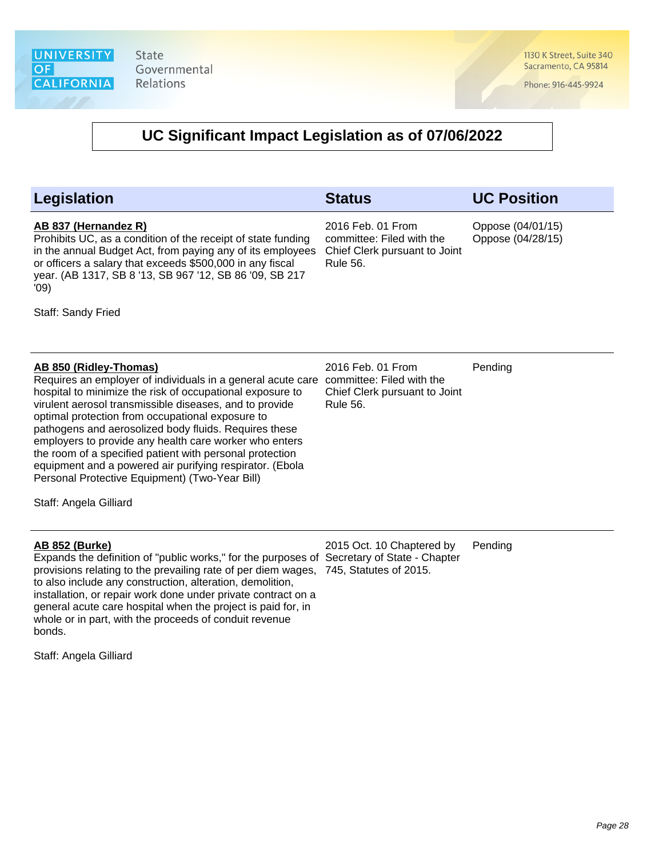1130 K Street, Suite 340 Sacramento, CA 95814

Phone: 916-445-9924

### **UC Significant Impact Legislation as of 07/06/2022**

#### **Legislation Status UC Position AB 837 (Hernandez R)** Prohibits UC, as a condition of the receipt of state funding in the annual Budget Act, from paying any of its employees or officers a salary that exceeds \$500,000 in any fiscal year. (AB 1317, SB 8 '13, SB 967 '12, SB 86 '09, SB 217 '09) Staff: Sandy Fried 2016 Feb. 01 From committee: Filed with the Chief Clerk pursuant to Joint Rule 56. Oppose (04/01/15) Oppose (04/28/15) **AB 850 (Ridley-Thomas)** Requires an employer of individuals in a general acute care committee: Filed with the hospital to minimize the risk of occupational exposure to virulent aerosol transmissible diseases, and to provide optimal protection from occupational exposure to pathogens and aerosolized body fluids. Requires these employers to provide any health care worker who enters the room of a specified patient with personal protection equipment and a powered air purifying respirator. (Ebola Personal Protective Equipment) (Two-Year Bill) Staff: Angela Gilliard 2016 Feb. 01 From Chief Clerk pursuant to Joint Rule 56. Pending **AB 852 (Burke)** Expands the definition of "public works," for the purposes of Secretary of State - Chapter provisions relating to the prevailing rate of per diem wages, 745, Statutes of 2015. to also include any construction, alteration, demolition, installation, or repair work done under private contract on a general acute care hospital when the project is paid for, in 2015 Oct. 10 Chaptered by Pending

Staff: Angela Gilliard

bonds.

whole or in part, with the proceeds of conduit revenue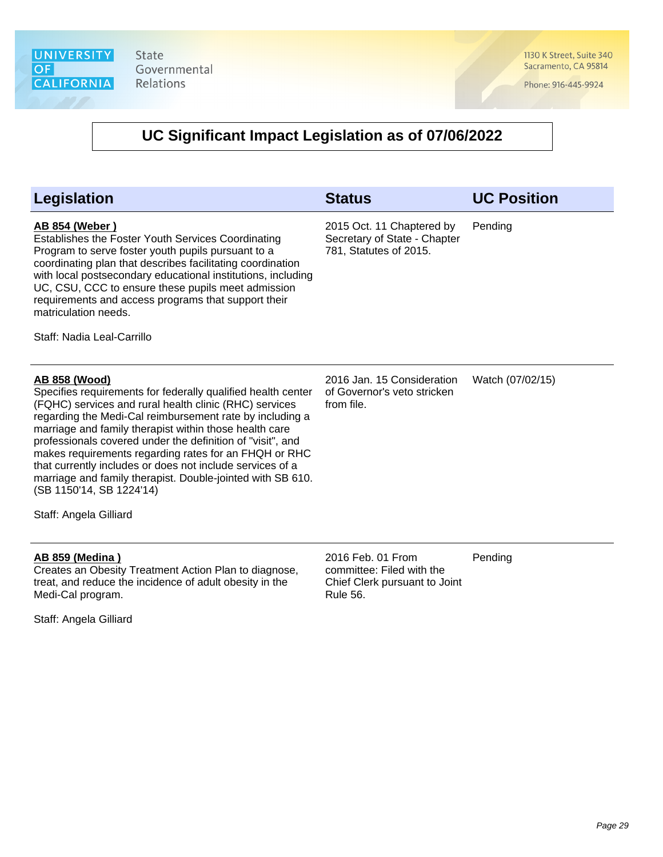1130 K Street, Suite 340 Sacramento, CA 95814

Phone: 916-445-9924

# **UC Significant Impact Legislation as of 07/06/2022**

| Legislation                                                                                                                                                                                                                                                                                                                                                                                                                                                                                                                                                                  | <b>Status</b>                                                                                      | <b>UC Position</b> |
|------------------------------------------------------------------------------------------------------------------------------------------------------------------------------------------------------------------------------------------------------------------------------------------------------------------------------------------------------------------------------------------------------------------------------------------------------------------------------------------------------------------------------------------------------------------------------|----------------------------------------------------------------------------------------------------|--------------------|
| <b>AB 854 (Weber)</b><br>Establishes the Foster Youth Services Coordinating<br>Program to serve foster youth pupils pursuant to a<br>coordinating plan that describes facilitating coordination<br>with local postsecondary educational institutions, including<br>UC, CSU, CCC to ensure these pupils meet admission<br>requirements and access programs that support their<br>matriculation needs.<br>Staff: Nadia Leal-Carrillo                                                                                                                                           | 2015 Oct. 11 Chaptered by<br>Secretary of State - Chapter<br>781, Statutes of 2015.                | Pending            |
| <u>AB 858 (Wood)</u><br>Specifies requirements for federally qualified health center<br>(FQHC) services and rural health clinic (RHC) services<br>regarding the Medi-Cal reimbursement rate by including a<br>marriage and family therapist within those health care<br>professionals covered under the definition of "visit", and<br>makes requirements regarding rates for an FHQH or RHC<br>that currently includes or does not include services of a<br>marriage and family therapist. Double-jointed with SB 610.<br>(SB 1150'14, SB 1224'14)<br>Staff: Angela Gilliard | 2016 Jan. 15 Consideration<br>of Governor's veto stricken<br>from file.                            | Watch (07/02/15)   |
| <u>AB 859 (Medina)</u><br>Creates an Obesity Treatment Action Plan to diagnose,<br>treat, and reduce the incidence of adult obesity in the<br>Medi-Cal program.                                                                                                                                                                                                                                                                                                                                                                                                              | 2016 Feb. 01 From<br>committee: Filed with the<br>Chief Clerk pursuant to Joint<br><b>Rule 56.</b> | Pending            |

Staff: Angela Gilliard

Rule 56.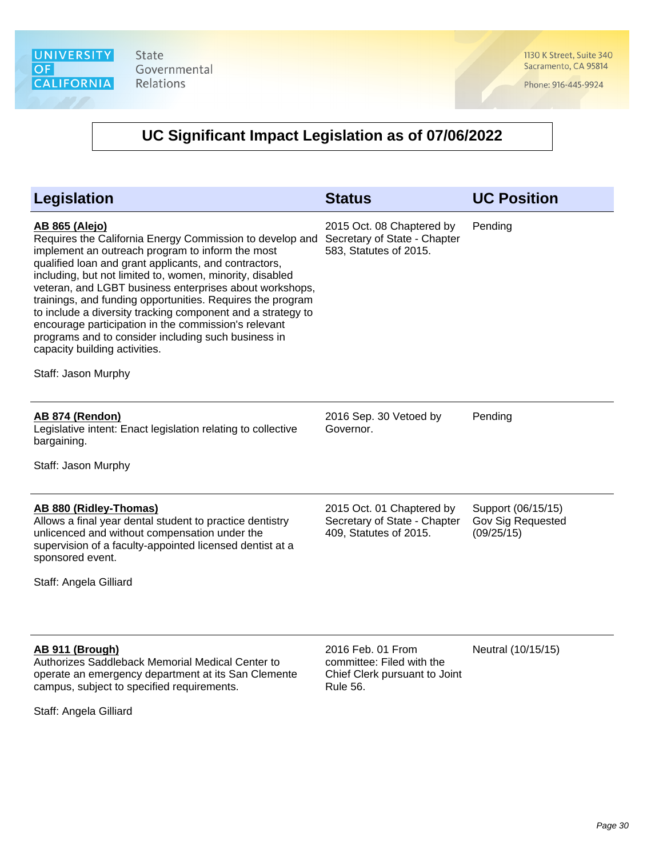1130 K Street, Suite 340 Sacramento, CA 95814

Phone: 916-445-9924

| <b>Legislation</b>                                                                                                                                                                                                                                                                                                                                                                                                                                                                                                                                                                                                        | <b>Status</b>                                                                                      | <b>UC Position</b>                                    |
|---------------------------------------------------------------------------------------------------------------------------------------------------------------------------------------------------------------------------------------------------------------------------------------------------------------------------------------------------------------------------------------------------------------------------------------------------------------------------------------------------------------------------------------------------------------------------------------------------------------------------|----------------------------------------------------------------------------------------------------|-------------------------------------------------------|
| <b>AB 865 (Alejo)</b><br>Requires the California Energy Commission to develop and<br>implement an outreach program to inform the most<br>qualified loan and grant applicants, and contractors,<br>including, but not limited to, women, minority, disabled<br>veteran, and LGBT business enterprises about workshops,<br>trainings, and funding opportunities. Requires the program<br>to include a diversity tracking component and a strategy to<br>encourage participation in the commission's relevant<br>programs and to consider including such business in<br>capacity building activities.<br>Staff: Jason Murphy | 2015 Oct. 08 Chaptered by<br>Secretary of State - Chapter<br>583, Statutes of 2015.                | Pending                                               |
| <b>AB 874 (Rendon)</b><br>Legislative intent: Enact legislation relating to collective<br>bargaining.<br>Staff: Jason Murphy                                                                                                                                                                                                                                                                                                                                                                                                                                                                                              | 2016 Sep. 30 Vetoed by<br>Governor.                                                                | Pending                                               |
| AB 880 (Ridley-Thomas)<br>Allows a final year dental student to practice dentistry<br>unlicenced and without compensation under the<br>supervision of a faculty-appointed licensed dentist at a<br>sponsored event.<br>Staff: Angela Gilliard                                                                                                                                                                                                                                                                                                                                                                             | 2015 Oct. 01 Chaptered by<br>Secretary of State - Chapter<br>409, Statutes of 2015.                | Support (06/15/15)<br>Gov Sig Requested<br>(09/25/15) |
| AB 911 (Brough)<br>Authorizes Saddleback Memorial Medical Center to<br>operate an emergency department at its San Clemente<br>campus, subject to specified requirements.<br>Staff: Angela Gilliard                                                                                                                                                                                                                                                                                                                                                                                                                        | 2016 Feb. 01 From<br>committee: Filed with the<br>Chief Clerk pursuant to Joint<br><b>Rule 56.</b> | Neutral (10/15/15)                                    |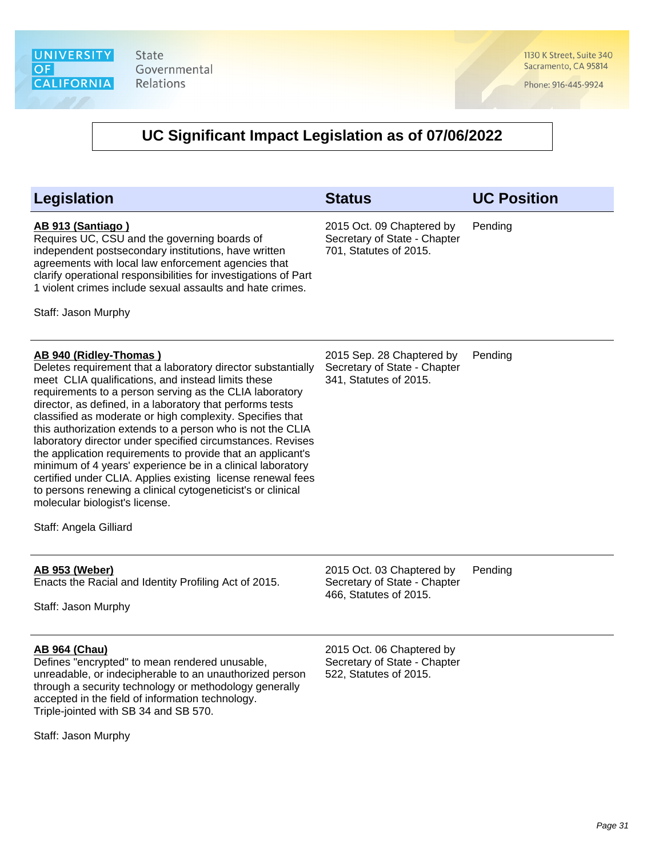1130 K Street, Suite 340 Sacramento, CA 95814

Phone: 916-445-9924

# **UC Significant Impact Legislation as of 07/06/2022**

| <b>Legislation</b>                                                                                                                                                                                                                                                                                                                                                                                                                                                                                                                                                                                                                                                                                                                                                                   | <b>Status</b>                                                                       | <b>UC Position</b> |
|--------------------------------------------------------------------------------------------------------------------------------------------------------------------------------------------------------------------------------------------------------------------------------------------------------------------------------------------------------------------------------------------------------------------------------------------------------------------------------------------------------------------------------------------------------------------------------------------------------------------------------------------------------------------------------------------------------------------------------------------------------------------------------------|-------------------------------------------------------------------------------------|--------------------|
| AB 913 (Santiago)<br>Requires UC, CSU and the governing boards of<br>independent postsecondary institutions, have written<br>agreements with local law enforcement agencies that<br>clarify operational responsibilities for investigations of Part<br>1 violent crimes include sexual assaults and hate crimes.<br>Staff: Jason Murphy                                                                                                                                                                                                                                                                                                                                                                                                                                              | 2015 Oct. 09 Chaptered by<br>Secretary of State - Chapter<br>701, Statutes of 2015. | Pending            |
| AB 940 (Ridley-Thomas)<br>Deletes requirement that a laboratory director substantially<br>meet CLIA qualifications, and instead limits these<br>requirements to a person serving as the CLIA laboratory<br>director, as defined, in a laboratory that performs tests<br>classified as moderate or high complexity. Specifies that<br>this authorization extends to a person who is not the CLIA<br>laboratory director under specified circumstances. Revises<br>the application requirements to provide that an applicant's<br>minimum of 4 years' experience be in a clinical laboratory<br>certified under CLIA. Applies existing license renewal fees<br>to persons renewing a clinical cytogeneticist's or clinical<br>molecular biologist's license.<br>Staff: Angela Gilliard | 2015 Sep. 28 Chaptered by<br>Secretary of State - Chapter<br>341, Statutes of 2015. | Pending            |
| <b>AB 953 (Weber)</b><br>Enacts the Racial and Identity Profiling Act of 2015.<br>Staff: Jason Murphy                                                                                                                                                                                                                                                                                                                                                                                                                                                                                                                                                                                                                                                                                | 2015 Oct. 03 Chaptered by<br>Secretary of State - Chapter<br>466, Statutes of 2015. | Pending            |
| <b>AB 964 (Chau)</b><br>Defines "encrypted" to mean rendered unusable,<br>unreadable, or indecipherable to an unauthorized person<br>through a security technology or methodology generally<br>accepted in the field of information technology.<br>Triple-jointed with SB 34 and SB 570.                                                                                                                                                                                                                                                                                                                                                                                                                                                                                             | 2015 Oct. 06 Chaptered by<br>Secretary of State - Chapter<br>522, Statutes of 2015. |                    |

Staff: Jason Murphy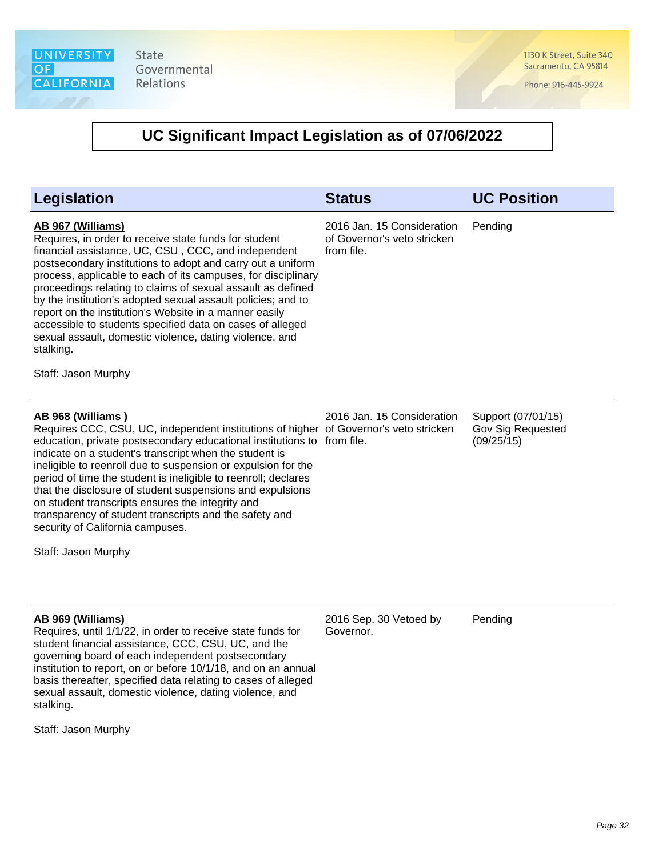1130 K Street, Suite 340 Sacramento, CA 95814

Phone: 916-445-9924

# **UC Significant Impact Legislation as of 07/06/2022**

| Legislation                                                                                                                                                                                                                                                                                                                                                                                                                                                                                                                                                                                                              | <b>Status</b>                                                           | <b>UC Position</b>                                    |
|--------------------------------------------------------------------------------------------------------------------------------------------------------------------------------------------------------------------------------------------------------------------------------------------------------------------------------------------------------------------------------------------------------------------------------------------------------------------------------------------------------------------------------------------------------------------------------------------------------------------------|-------------------------------------------------------------------------|-------------------------------------------------------|
| AB 967 (Williams)<br>Requires, in order to receive state funds for student<br>financial assistance, UC, CSU, CCC, and independent<br>postsecondary institutions to adopt and carry out a uniform<br>process, applicable to each of its campuses, for disciplinary<br>proceedings relating to claims of sexual assault as defined<br>by the institution's adopted sexual assault policies; and to<br>report on the institution's Website in a manner easily<br>accessible to students specified data on cases of alleged<br>sexual assault, domestic violence, dating violence, and<br>stalking.<br>Staff: Jason Murphy   | 2016 Jan. 15 Consideration<br>of Governor's veto stricken<br>from file. | Pending                                               |
| AB 968 (Williams)<br>Requires CCC, CSU, UC, independent institutions of higher of Governor's veto stricken<br>education, private postsecondary educational institutions to from file.<br>indicate on a student's transcript when the student is<br>ineligible to reenroll due to suspension or expulsion for the<br>period of time the student is ineligible to reenroll; declares<br>that the disclosure of student suspensions and expulsions<br>on student transcripts ensures the integrity and<br>transparency of student transcripts and the safety and<br>security of California campuses.<br>Staff: Jason Murphy | 2016 Jan. 15 Consideration                                              | Support (07/01/15)<br>Gov Sig Requested<br>(09/25/15) |
| AB 969 (Williams)<br>Requires, until 1/1/22, in order to receive state funds for<br>student financial assistance, CCC, CSU, UC, and the<br>governing board of each independent postsecondary<br>institution to report, on or before 10/1/18, and on an annual<br>basis thereafter, specified data relating to cases of alleged<br>sexual assault, domestic violence, dating violence, and<br>stalking.                                                                                                                                                                                                                   | 2016 Sep. 30 Vetoed by<br>Governor.                                     | Pending                                               |

Staff: Jason Murphy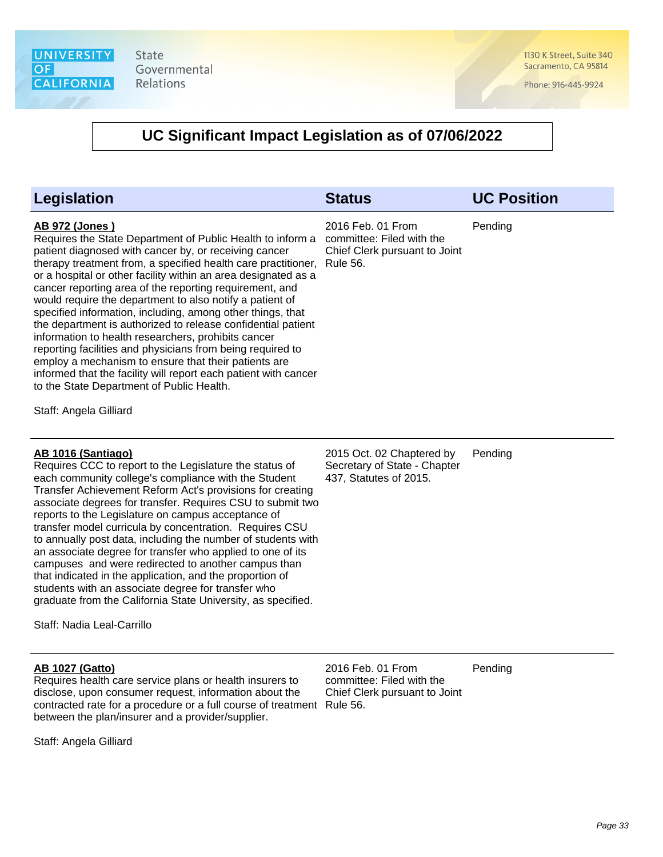1130 K Street, Suite 340 Sacramento, CA 95814

Phone: 916-445-9924

### **UC Significant Impact Legislation as of 07/06/2022**

| <b>Legislation</b>                                                                                                                                                                                                                                                                                                                                                                                                                                                                                                                                                                                                                                                                                                                                                                                                                                          | <b>Status</b>                                                                                      | <b>UC Position</b> |
|-------------------------------------------------------------------------------------------------------------------------------------------------------------------------------------------------------------------------------------------------------------------------------------------------------------------------------------------------------------------------------------------------------------------------------------------------------------------------------------------------------------------------------------------------------------------------------------------------------------------------------------------------------------------------------------------------------------------------------------------------------------------------------------------------------------------------------------------------------------|----------------------------------------------------------------------------------------------------|--------------------|
| <b>AB 972 (Jones)</b><br>Requires the State Department of Public Health to inform a<br>patient diagnosed with cancer by, or receiving cancer<br>therapy treatment from, a specified health care practitioner,<br>or a hospital or other facility within an area designated as a<br>cancer reporting area of the reporting requirement, and<br>would require the department to also notify a patient of<br>specified information, including, among other things, that<br>the department is authorized to release confidential patient<br>information to health researchers, prohibits cancer<br>reporting facilities and physicians from being required to<br>employ a mechanism to ensure that their patients are<br>informed that the facility will report each patient with cancer<br>to the State Department of Public Health.<br>Staff: Angela Gilliard | 2016 Feb. 01 From<br>committee: Filed with the<br>Chief Clerk pursuant to Joint<br><b>Rule 56.</b> | Pending            |
| AB 1016 (Santiago)<br>Requires CCC to report to the Legislature the status of<br>each community college's compliance with the Student<br>Transfer Achievement Reform Act's provisions for creating<br>associate degrees for transfer. Requires CSU to submit two<br>reports to the Legislature on campus acceptance of<br>transfer model curricula by concentration. Requires CSU<br>to annually post data, including the number of students with<br>an associate degree for transfer who applied to one of its<br>campuses and were redirected to another campus than<br>that indicated in the application, and the proportion of<br>students with an associate degree for transfer who<br>graduate from the California State University, as specified.                                                                                                    | 2015 Oct. 02 Chaptered by<br>Secretary of State - Chapter<br>437, Statutes of 2015.                | Pending            |

Staff: Nadia Leal-Carrillo

#### **AB 1027 (Gatto)**

Requires health care service plans or health insurers to disclose, upon consumer request, information about the contracted rate for a procedure or a full course of treatment Rule 56. between the plan/insurer and a provider/supplier.

Staff: Angela Gilliard

2016 Feb. 01 From committee: Filed with the Chief Clerk pursuant to Joint

Pending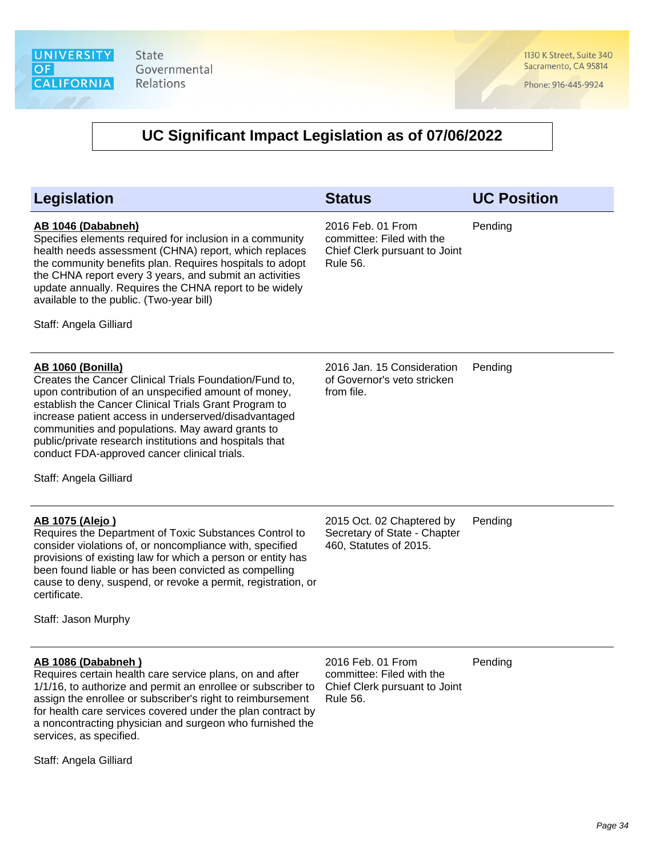1130 K Street, Suite 340 Sacramento, CA 95814

Phone: 916-445-9924

| <b>Legislation</b>                                                                                                                                                                                                                                                                                                                                                                                                                                   | <b>Status</b>                                                                                      | <b>UC Position</b> |
|------------------------------------------------------------------------------------------------------------------------------------------------------------------------------------------------------------------------------------------------------------------------------------------------------------------------------------------------------------------------------------------------------------------------------------------------------|----------------------------------------------------------------------------------------------------|--------------------|
| AB 1046 (Dababneh)<br>Specifies elements required for inclusion in a community<br>health needs assessment (CHNA) report, which replaces<br>the community benefits plan. Requires hospitals to adopt<br>the CHNA report every 3 years, and submit an activities<br>update annually. Requires the CHNA report to be widely<br>available to the public. (Two-year bill)<br>Staff: Angela Gilliard                                                       | 2016 Feb. 01 From<br>committee: Filed with the<br>Chief Clerk pursuant to Joint<br><b>Rule 56.</b> | Pending            |
| <b>AB 1060 (Bonilla)</b><br>Creates the Cancer Clinical Trials Foundation/Fund to,<br>upon contribution of an unspecified amount of money,<br>establish the Cancer Clinical Trials Grant Program to<br>increase patient access in underserved/disadvantaged<br>communities and populations. May award grants to<br>public/private research institutions and hospitals that<br>conduct FDA-approved cancer clinical trials.<br>Staff: Angela Gilliard | 2016 Jan. 15 Consideration<br>of Governor's veto stricken<br>from file.                            | Pending            |
| <u>AB 1075 (Alejo)</u><br>Requires the Department of Toxic Substances Control to<br>consider violations of, or noncompliance with, specified<br>provisions of existing law for which a person or entity has<br>been found liable or has been convicted as compelling<br>cause to deny, suspend, or revoke a permit, registration, or<br>certificate.<br>Staff: Jason Murphy                                                                          | 2015 Oct. 02 Chaptered by<br>Secretary of State - Chapter<br>460, Statutes of 2015.                | Pending            |
| AB 1086 (Dababneh)<br>Requires certain health care service plans, on and after<br>1/1/16, to authorize and permit an enrollee or subscriber to<br>assign the enrollee or subscriber's right to reimbursement<br>for health care services covered under the plan contract by<br>a noncontracting physician and surgeon who furnished the<br>services, as specified.<br>Staff: Angela Gilliard                                                         | 2016 Feb. 01 From<br>committee: Filed with the<br>Chief Clerk pursuant to Joint<br><b>Rule 56.</b> | Pending            |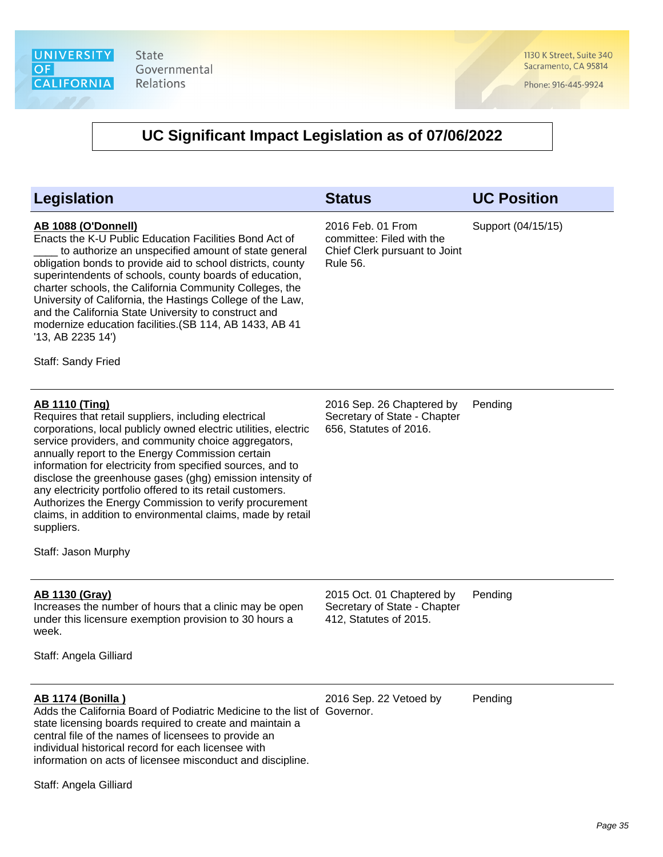1130 K Street, Suite 340 Sacramento, CA 95814

Phone: 916-445-9924

| Legislation                                                                                                                                                                                                                                                                                                                                                                                                                                                                                                                                                                                                         | <b>Status</b>                                                                                      | <b>UC Position</b> |
|---------------------------------------------------------------------------------------------------------------------------------------------------------------------------------------------------------------------------------------------------------------------------------------------------------------------------------------------------------------------------------------------------------------------------------------------------------------------------------------------------------------------------------------------------------------------------------------------------------------------|----------------------------------------------------------------------------------------------------|--------------------|
| AB 1088 (O'Donnell)<br>Enacts the K-U Public Education Facilities Bond Act of<br>to authorize an unspecified amount of state general<br>obligation bonds to provide aid to school districts, county<br>superintendents of schools, county boards of education,<br>charter schools, the California Community Colleges, the<br>University of California, the Hastings College of the Law,<br>and the California State University to construct and<br>modernize education facilities. (SB 114, AB 1433, AB 41<br>'13, AB 2235 14')<br>Staff: Sandy Fried                                                               | 2016 Feb. 01 From<br>committee: Filed with the<br>Chief Clerk pursuant to Joint<br><b>Rule 56.</b> | Support (04/15/15) |
| <b>AB 1110 (Ting)</b><br>Requires that retail suppliers, including electrical<br>corporations, local publicly owned electric utilities, electric<br>service providers, and community choice aggregators,<br>annually report to the Energy Commission certain<br>information for electricity from specified sources, and to<br>disclose the greenhouse gases (ghg) emission intensity of<br>any electricity portfolio offered to its retail customers.<br>Authorizes the Energy Commission to verify procurement<br>claims, in addition to environmental claims, made by retail<br>suppliers.<br>Staff: Jason Murphy | 2016 Sep. 26 Chaptered by<br>Secretary of State - Chapter<br>656, Statutes of 2016.                | Pending            |
| <b>AB 1130 (Gray)</b><br>Increases the number of hours that a clinic may be open<br>under this licensure exemption provision to 30 hours a<br>week.<br>Staff: Angela Gilliard                                                                                                                                                                                                                                                                                                                                                                                                                                       | 2015 Oct. 01 Chaptered by<br>Secretary of State - Chapter<br>412, Statutes of 2015.                | Pending            |
| <b>AB 1174 (Bonilla)</b><br>Adds the California Board of Podiatric Medicine to the list of Governor.<br>state licensing boards required to create and maintain a<br>central file of the names of licensees to provide an<br>individual historical record for each licensee with<br>information on acts of licensee misconduct and discipline.<br>Staff: Angela Gilliard                                                                                                                                                                                                                                             | 2016 Sep. 22 Vetoed by                                                                             | Pending            |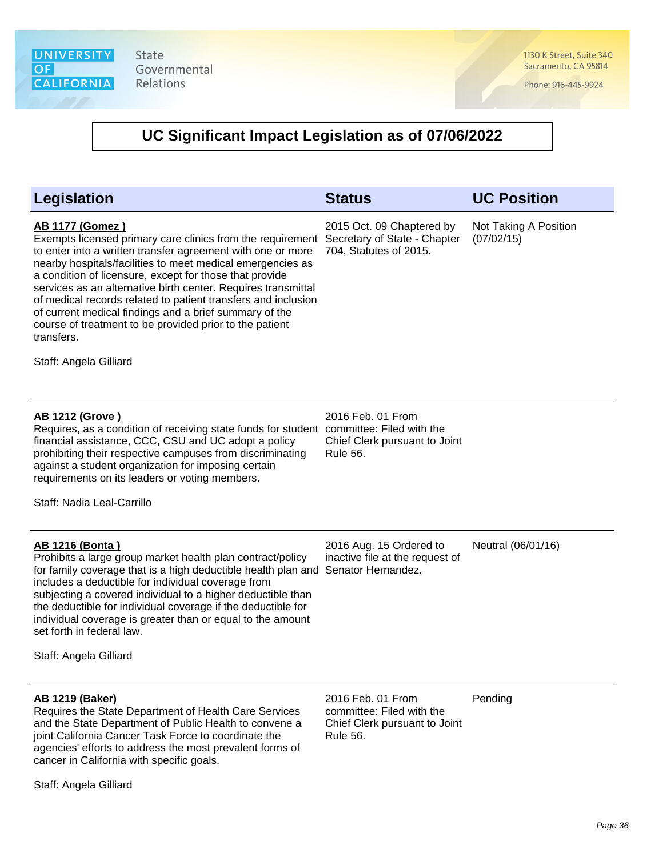cancer in California with specific goals.

Staff: Angela Gilliard

State Governmental Relations

1130 K Street, Suite 340 Sacramento, CA 95814

Phone: 916-445-9924

| <b>Legislation</b>                                                                                                                                                                                                                                                                                                                                                                                                                                                                                                                                                          | <b>Status</b>                                                                                      | <b>UC Position</b>                  |
|-----------------------------------------------------------------------------------------------------------------------------------------------------------------------------------------------------------------------------------------------------------------------------------------------------------------------------------------------------------------------------------------------------------------------------------------------------------------------------------------------------------------------------------------------------------------------------|----------------------------------------------------------------------------------------------------|-------------------------------------|
| <b>AB 1177 (Gomez)</b><br>Exempts licensed primary care clinics from the requirement<br>to enter into a written transfer agreement with one or more<br>nearby hospitals/facilities to meet medical emergencies as<br>a condition of licensure, except for those that provide<br>services as an alternative birth center. Requires transmittal<br>of medical records related to patient transfers and inclusion<br>of current medical findings and a brief summary of the<br>course of treatment to be provided prior to the patient<br>transfers.<br>Staff: Angela Gilliard | 2015 Oct. 09 Chaptered by<br>Secretary of State - Chapter<br>704, Statutes of 2015.                | Not Taking A Position<br>(07/02/15) |
|                                                                                                                                                                                                                                                                                                                                                                                                                                                                                                                                                                             |                                                                                                    |                                     |
| <b>AB 1212 (Grove)</b><br>Requires, as a condition of receiving state funds for student committee: Filed with the<br>financial assistance, CCC, CSU and UC adopt a policy<br>prohibiting their respective campuses from discriminating<br>against a student organization for imposing certain<br>requirements on its leaders or voting members.                                                                                                                                                                                                                             | 2016 Feb. 01 From<br>Chief Clerk pursuant to Joint<br>Rule 56.                                     |                                     |
| Staff: Nadia Leal-Carrillo                                                                                                                                                                                                                                                                                                                                                                                                                                                                                                                                                  |                                                                                                    |                                     |
| <b>AB 1216 (Bonta)</b><br>Prohibits a large group market health plan contract/policy<br>for family coverage that is a high deductible health plan and<br>includes a deductible for individual coverage from<br>subjecting a covered individual to a higher deductible than<br>the deductible for individual coverage if the deductible for<br>individual coverage is greater than or equal to the amount<br>set forth in federal law.                                                                                                                                       | 2016 Aug. 15 Ordered to<br>inactive file at the request of<br>Senator Hernandez.                   | Neutral (06/01/16)                  |
| Staff: Angela Gilliard                                                                                                                                                                                                                                                                                                                                                                                                                                                                                                                                                      |                                                                                                    |                                     |
|                                                                                                                                                                                                                                                                                                                                                                                                                                                                                                                                                                             |                                                                                                    |                                     |
| <b>AB 1219 (Baker)</b><br>Requires the State Department of Health Care Services<br>and the State Department of Public Health to convene a<br>joint California Cancer Task Force to coordinate the<br>agencies' efforts to address the most prevalent forms of                                                                                                                                                                                                                                                                                                               | 2016 Feb. 01 From<br>committee: Filed with the<br>Chief Clerk pursuant to Joint<br><b>Rule 56.</b> | Pending                             |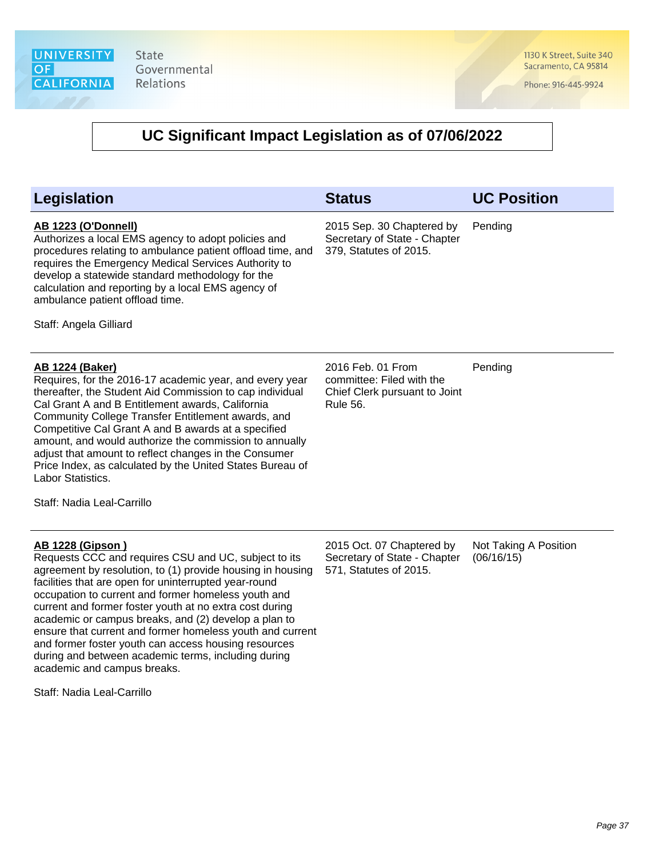1130 K Street, Suite 340 Sacramento, CA 95814

Phone: 916-445-9924

| Legislation                                                                                                                                                                                                                                                                                                                                                                                                                                                                                                                                                                                                               | <b>Status</b>                                                                               | <b>UC Position</b>                  |
|---------------------------------------------------------------------------------------------------------------------------------------------------------------------------------------------------------------------------------------------------------------------------------------------------------------------------------------------------------------------------------------------------------------------------------------------------------------------------------------------------------------------------------------------------------------------------------------------------------------------------|---------------------------------------------------------------------------------------------|-------------------------------------|
| <b>AB 1223 (O'Donnell)</b><br>Authorizes a local EMS agency to adopt policies and<br>procedures relating to ambulance patient offload time, and<br>requires the Emergency Medical Services Authority to<br>develop a statewide standard methodology for the<br>calculation and reporting by a local EMS agency of<br>ambulance patient offload time.<br>Staff: Angela Gilliard                                                                                                                                                                                                                                            | 2015 Sep. 30 Chaptered by<br>Secretary of State - Chapter<br>379, Statutes of 2015.         | Pending                             |
| <b>AB 1224 (Baker)</b><br>Requires, for the 2016-17 academic year, and every year<br>thereafter, the Student Aid Commission to cap individual<br>Cal Grant A and B Entitlement awards, California<br>Community College Transfer Entitlement awards, and<br>Competitive Cal Grant A and B awards at a specified<br>amount, and would authorize the commission to annually<br>adjust that amount to reflect changes in the Consumer<br>Price Index, as calculated by the United States Bureau of<br>Labor Statistics.<br>Staff: Nadia Leal-Carrillo                                                                         | 2016 Feb. 01 From<br>committee: Filed with the<br>Chief Clerk pursuant to Joint<br>Rule 56. | Pending                             |
| <b>AB 1228 (Gipson)</b><br>Requests CCC and requires CSU and UC, subject to its<br>agreement by resolution, to (1) provide housing in housing<br>facilities that are open for uninterrupted year-round<br>occupation to current and former homeless youth and<br>current and former foster youth at no extra cost during<br>academic or campus breaks, and (2) develop a plan to<br>ensure that current and former homeless youth and current<br>and former foster youth can access housing resources<br>during and between academic terms, including during<br>academic and campus breaks.<br>Staff: Nadia Leal-Carrillo | 2015 Oct. 07 Chaptered by<br>Secretary of State - Chapter<br>571, Statutes of 2015.         | Not Taking A Position<br>(06/16/15) |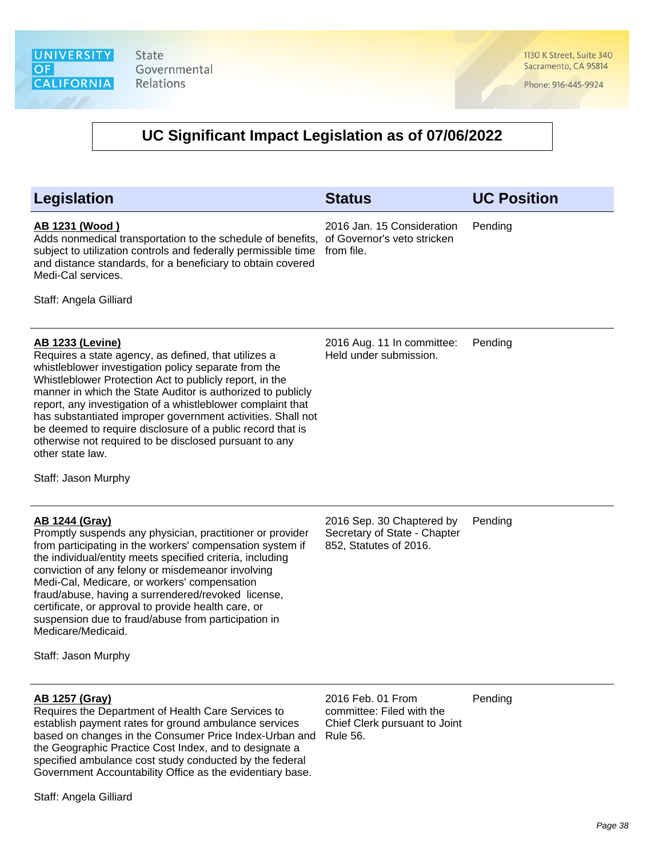1130 K Street, Suite 340 Sacramento, CA 95814

Phone: 916-445-9924

# **UC Significant Impact Legislation as of 07/06/2022**

| Legislation                                                                                                                                                                                                                                                                                                                                                                                                                                                                                                                                                        | <b>Status</b>                                                                                      | <b>UC Position</b> |
|--------------------------------------------------------------------------------------------------------------------------------------------------------------------------------------------------------------------------------------------------------------------------------------------------------------------------------------------------------------------------------------------------------------------------------------------------------------------------------------------------------------------------------------------------------------------|----------------------------------------------------------------------------------------------------|--------------------|
| <u>AB 1231 (Wood)</u><br>Adds nonmedical transportation to the schedule of benefits,<br>subject to utilization controls and federally permissible time<br>and distance standards, for a beneficiary to obtain covered<br>Medi-Cal services.<br>Staff: Angela Gilliard                                                                                                                                                                                                                                                                                              | 2016 Jan. 15 Consideration<br>of Governor's veto stricken<br>from file.                            | Pending            |
| <b>AB 1233 (Levine)</b><br>Requires a state agency, as defined, that utilizes a<br>whistleblower investigation policy separate from the<br>Whistleblower Protection Act to publicly report, in the<br>manner in which the State Auditor is authorized to publicly<br>report, any investigation of a whistleblower complaint that<br>has substantiated improper government activities. Shall not<br>be deemed to require disclosure of a public record that is<br>otherwise not required to be disclosed pursuant to any<br>other state law.<br>Staff: Jason Murphy | 2016 Aug. 11 In committee:<br>Held under submission.                                               | Pending            |
| <u>AB 1244 (Gray)</u><br>Promptly suspends any physician, practitioner or provider<br>from participating in the workers' compensation system if<br>the individual/entity meets specified criteria, including<br>conviction of any felony or misdemeanor involving<br>Medi-Cal, Medicare, or workers' compensation<br>fraud/abuse, having a surrendered/revoked license,<br>certificate, or approval to provide health care, or<br>suspension due to fraud/abuse from participation in<br>Medicare/Medicaid.<br>Staff: Jason Murphy                                 | 2016 Sep. 30 Chaptered by<br>Secretary of State - Chapter<br>852, Statutes of 2016.                | Pending            |
| <u>AB 1257 (Gray)</u><br>Requires the Department of Health Care Services to<br>establish payment rates for ground ambulance services<br>based on changes in the Consumer Price Index-Urban and<br>the Geographic Practice Cost Index, and to designate a<br>specified ambulance cost study conducted by the federal<br>Government Accountability Office as the evidentiary base.                                                                                                                                                                                   | 2016 Feb. 01 From<br>committee: Filed with the<br>Chief Clerk pursuant to Joint<br><b>Rule 56.</b> | Pending            |

Staff: Angela Gilliard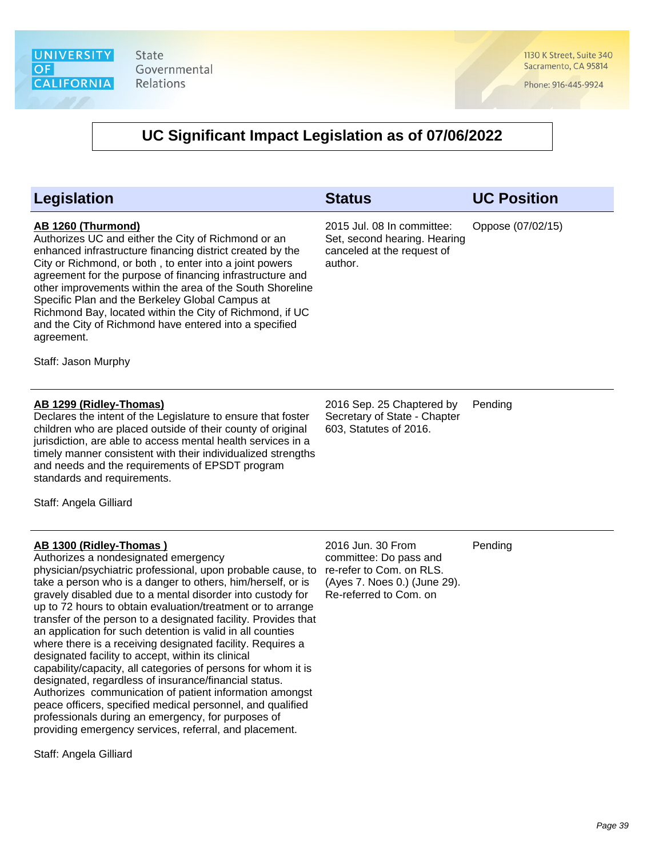1130 K Street, Suite 340 Sacramento, CA 95814

Phone: 916-445-9924

| <b>Legislation</b>                                                                                                                                                                                                                                                                                                                                                                                                                                                                                                                                                                                                                                                                                                                                                                                                                                                                                                                                                          | <b>Status</b>                                                                                                                     | <b>UC Position</b> |
|-----------------------------------------------------------------------------------------------------------------------------------------------------------------------------------------------------------------------------------------------------------------------------------------------------------------------------------------------------------------------------------------------------------------------------------------------------------------------------------------------------------------------------------------------------------------------------------------------------------------------------------------------------------------------------------------------------------------------------------------------------------------------------------------------------------------------------------------------------------------------------------------------------------------------------------------------------------------------------|-----------------------------------------------------------------------------------------------------------------------------------|--------------------|
| AB 1260 (Thurmond)<br>Authorizes UC and either the City of Richmond or an<br>enhanced infrastructure financing district created by the<br>City or Richmond, or both, to enter into a joint powers<br>agreement for the purpose of financing infrastructure and<br>other improvements within the area of the South Shoreline<br>Specific Plan and the Berkeley Global Campus at<br>Richmond Bay, located within the City of Richmond, if UC<br>and the City of Richmond have entered into a specified<br>agreement.<br>Staff: Jason Murphy                                                                                                                                                                                                                                                                                                                                                                                                                                   | 2015 Jul. 08 In committee:<br>Set, second hearing. Hearing<br>canceled at the request of<br>author.                               | Oppose (07/02/15)  |
| AB 1299 (Ridley-Thomas)<br>Declares the intent of the Legislature to ensure that foster<br>children who are placed outside of their county of original<br>jurisdiction, are able to access mental health services in a<br>timely manner consistent with their individualized strengths<br>and needs and the requirements of EPSDT program<br>standards and requirements.<br>Staff: Angela Gilliard                                                                                                                                                                                                                                                                                                                                                                                                                                                                                                                                                                          | 2016 Sep. 25 Chaptered by<br>Secretary of State - Chapter<br>603, Statutes of 2016.                                               | Pending            |
| AB 1300 (Ridley-Thomas)<br>Authorizes a nondesignated emergency<br>physician/psychiatric professional, upon probable cause, to<br>take a person who is a danger to others, him/herself, or is<br>gravely disabled due to a mental disorder into custody for<br>up to 72 hours to obtain evaluation/treatment or to arrange<br>transfer of the person to a designated facility. Provides that<br>an application for such detention is valid in all counties<br>where there is a receiving designated facility. Requires a<br>designated facility to accept, within its clinical<br>capability/capacity, all categories of persons for whom it is<br>designated, regardless of insurance/financial status.<br>Authorizes communication of patient information amongst<br>peace officers, specified medical personnel, and qualified<br>professionals during an emergency, for purposes of<br>providing emergency services, referral, and placement.<br>Staff: Angela Gilliard | 2016 Jun. 30 From<br>committee: Do pass and<br>re-refer to Com. on RLS.<br>(Ayes 7. Noes 0.) (June 29).<br>Re-referred to Com. on | Pending            |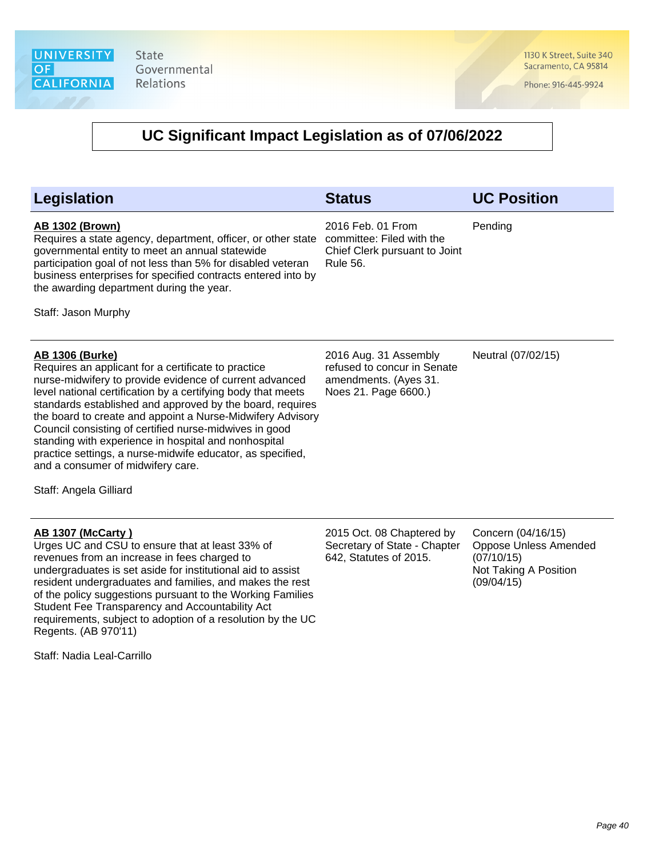1130 K Street, Suite 340 Sacramento, CA 95814

Phone: 916-445-9924

### **UC Significant Impact Legislation as of 07/06/2022**

#### **Legislation Status UC Position AB 1302 (Brown)** Requires a state agency, department, officer, or other state governmental entity to meet an annual statewide participation goal of not less than 5% for disabled veteran business enterprises for specified contracts entered into by the awarding department during the year. Staff: Jason Murphy 2016 Feb. 01 From committee: Filed with the Chief Clerk pursuant to Joint Rule 56. Pending **AB 1306 (Burke)** Requires an applicant for a certificate to practice nurse-midwifery to provide evidence of current advanced level national certification by a certifying body that meets standards established and approved by the board, requires the board to create and appoint a Nurse-Midwifery Advisory Council consisting of certified nurse-midwives in good standing with experience in hospital and nonhospital practice settings, a nurse-midwife educator, as specified, and a consumer of midwifery care. Staff: Angela Gilliard 2016 Aug. 31 Assembly refused to concur in Senate amendments. (Ayes 31. Noes 21. Page 6600.) Neutral (07/02/15)

### **AB 1307 (McCarty )**

Urges UC and CSU to ensure that at least 33% of revenues from an increase in fees charged to undergraduates is set aside for institutional aid to assist resident undergraduates and families, and makes the rest of the policy suggestions pursuant to the Working Families Student Fee Transparency and Accountability Act requirements, subject to adoption of a resolution by the UC Regents. (AB 970'11)

Staff: Nadia Leal-Carrillo

2015 Oct. 08 Chaptered by Secretary of State - Chapter 642, Statutes of 2015. Concern (04/16/15) Oppose Unless Amended (07/10/15) Not Taking A Position

(09/04/15)

Page 40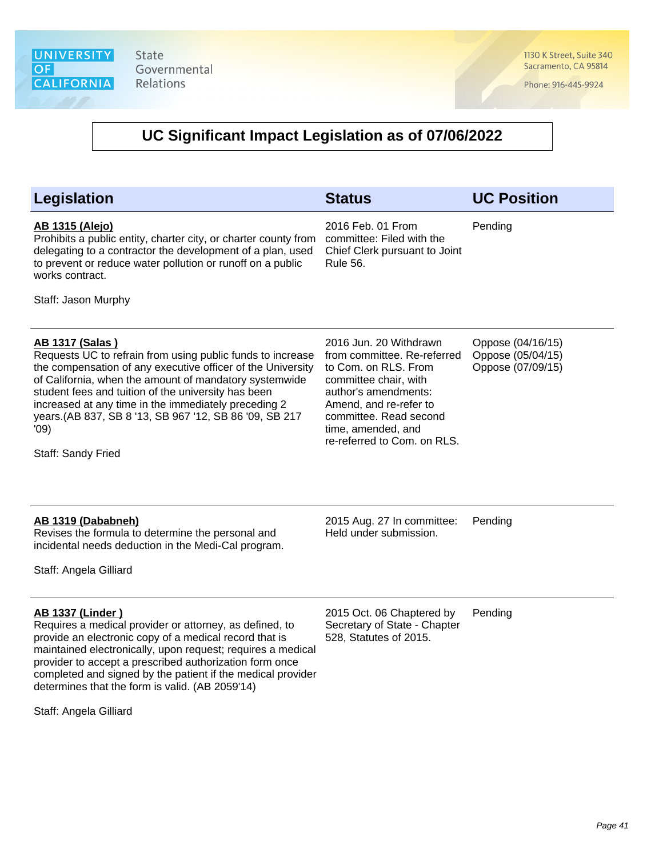1130 K Street, Suite 340 Sacramento, CA 95814

Phone: 916-445-9924

| <b>Legislation</b>                                                                                                                                                                                                                                                                                                                                                                                                   | <b>Status</b>                                                                                                                                                                                                                           | <b>UC Position</b>                                          |
|----------------------------------------------------------------------------------------------------------------------------------------------------------------------------------------------------------------------------------------------------------------------------------------------------------------------------------------------------------------------------------------------------------------------|-----------------------------------------------------------------------------------------------------------------------------------------------------------------------------------------------------------------------------------------|-------------------------------------------------------------|
| <b>AB 1315 (Alejo)</b><br>Prohibits a public entity, charter city, or charter county from<br>delegating to a contractor the development of a plan, used<br>to prevent or reduce water pollution or runoff on a public<br>works contract.<br>Staff: Jason Murphy                                                                                                                                                      | 2016 Feb. 01 From<br>committee: Filed with the<br>Chief Clerk pursuant to Joint<br><b>Rule 56.</b>                                                                                                                                      | Pending                                                     |
| <b>AB 1317 (Salas)</b><br>Requests UC to refrain from using public funds to increase<br>the compensation of any executive officer of the University<br>of California, when the amount of mandatory systemwide<br>student fees and tuition of the university has been<br>increased at any time in the immediately preceding 2<br>years.(AB 837, SB 8 '13, SB 967 '12, SB 86 '09, SB 217<br>'09)<br>Staff: Sandy Fried | 2016 Jun. 20 Withdrawn<br>from committee. Re-referred<br>to Com. on RLS. From<br>committee chair, with<br>author's amendments:<br>Amend, and re-refer to<br>committee. Read second<br>time, amended, and<br>re-referred to Com. on RLS. | Oppose (04/16/15)<br>Oppose (05/04/15)<br>Oppose (07/09/15) |
| <b>AB 1319 (Dababneh)</b><br>Revises the formula to determine the personal and<br>incidental needs deduction in the Medi-Cal program.<br>Staff: Angela Gilliard                                                                                                                                                                                                                                                      | 2015 Aug. 27 In committee:<br>Held under submission.                                                                                                                                                                                    | Pending                                                     |
| <b>AB 1337 (Linder)</b><br>Requires a medical provider or attorney, as defined, to<br>provide an electronic copy of a medical record that is<br>maintained electronically, upon request; requires a medical<br>provider to accept a prescribed authorization form once<br>completed and signed by the patient if the medical provider<br>determines that the form is valid. (AB 2059'14)<br>Staff: Angela Gilliard   | 2015 Oct. 06 Chaptered by<br>Secretary of State - Chapter<br>528, Statutes of 2015.                                                                                                                                                     | Pending                                                     |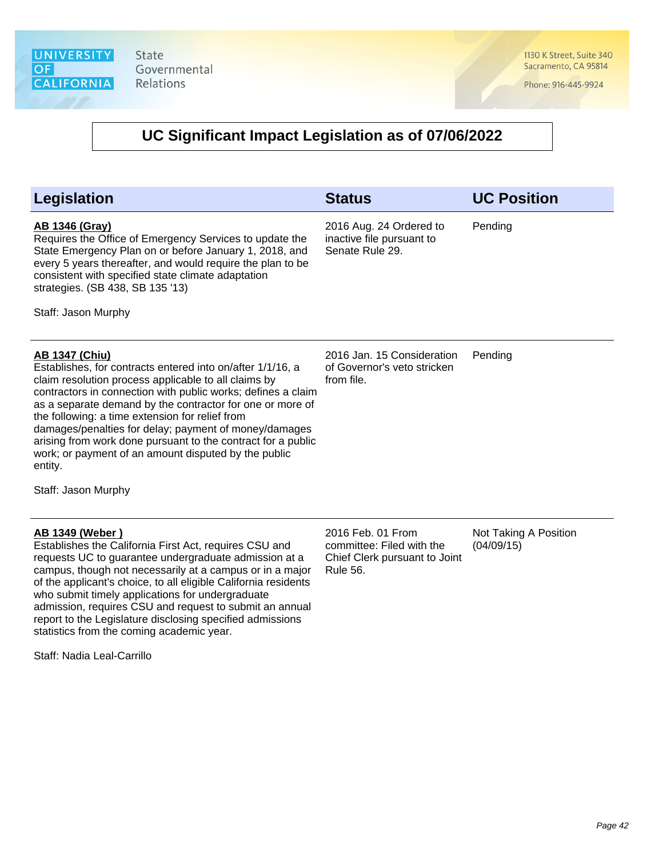1130 K Street, Suite 340 Sacramento, CA 95814

Phone: 916-445-9924

| Legislation                                                                                                                                                                                                                                                                                                                                                                                                                                                                                                                                    | <b>Status</b>                                                                                      | <b>UC Position</b>                  |
|------------------------------------------------------------------------------------------------------------------------------------------------------------------------------------------------------------------------------------------------------------------------------------------------------------------------------------------------------------------------------------------------------------------------------------------------------------------------------------------------------------------------------------------------|----------------------------------------------------------------------------------------------------|-------------------------------------|
| <b>AB 1346 (Gray)</b><br>Requires the Office of Emergency Services to update the<br>State Emergency Plan on or before January 1, 2018, and<br>every 5 years thereafter, and would require the plan to be<br>consistent with specified state climate adaptation<br>strategies. (SB 438, SB 135 '13)<br>Staff: Jason Murphy                                                                                                                                                                                                                      | 2016 Aug. 24 Ordered to<br>inactive file pursuant to<br>Senate Rule 29.                            | Pending                             |
| <b>AB 1347 (Chiu)</b><br>Establishes, for contracts entered into on/after 1/1/16, a<br>claim resolution process applicable to all claims by<br>contractors in connection with public works; defines a claim<br>as a separate demand by the contractor for one or more of<br>the following: a time extension for relief from<br>damages/penalties for delay; payment of money/damages<br>arising from work done pursuant to the contract for a public<br>work; or payment of an amount disputed by the public<br>entity.<br>Staff: Jason Murphy | 2016 Jan. 15 Consideration<br>of Governor's veto stricken<br>from file.                            | Pending                             |
| <b>AB 1349 (Weber)</b><br>Establishes the California First Act, requires CSU and<br>requests UC to guarantee undergraduate admission at a<br>campus, though not necessarily at a campus or in a major<br>of the applicant's choice, to all eligible California residents<br>who submit timely applications for undergraduate<br>admission, requires CSU and request to submit an annual<br>report to the Legislature disclosing specified admissions<br>statistics from the coming academic year.<br>Staff: Nadia Leal-Carrillo                | 2016 Feb. 01 From<br>committee: Filed with the<br>Chief Clerk pursuant to Joint<br><b>Rule 56.</b> | Not Taking A Position<br>(04/09/15) |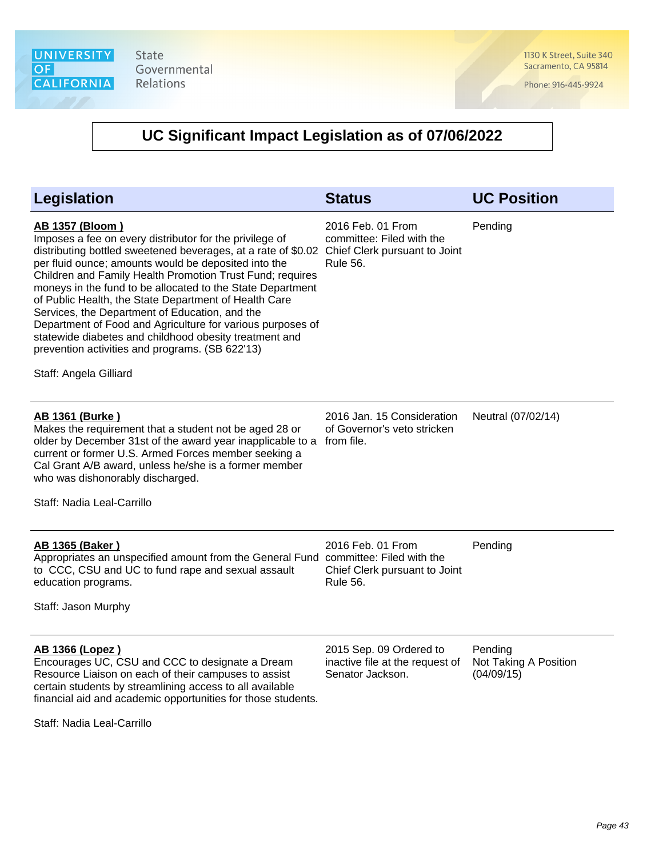1130 K Street, Suite 340 Sacramento, CA 95814

Phone: 916-445-9924

# **UC Significant Impact Legislation as of 07/06/2022**

| Legislation                                                                                                                                                                                                                                                                                                                                                                                                                                                                                                                                                                                                                                           | <b>Status</b>                                                                                      | <b>UC Position</b>                             |
|-------------------------------------------------------------------------------------------------------------------------------------------------------------------------------------------------------------------------------------------------------------------------------------------------------------------------------------------------------------------------------------------------------------------------------------------------------------------------------------------------------------------------------------------------------------------------------------------------------------------------------------------------------|----------------------------------------------------------------------------------------------------|------------------------------------------------|
| <b>AB 1357 (Bloom)</b><br>Imposes a fee on every distributor for the privilege of<br>distributing bottled sweetened beverages, at a rate of \$0.02<br>per fluid ounce; amounts would be deposited into the<br>Children and Family Health Promotion Trust Fund; requires<br>moneys in the fund to be allocated to the State Department<br>of Public Health, the State Department of Health Care<br>Services, the Department of Education, and the<br>Department of Food and Agriculture for various purposes of<br>statewide diabetes and childhood obesity treatment and<br>prevention activities and programs. (SB 622'13)<br>Staff: Angela Gilliard | 2016 Feb. 01 From<br>committee: Filed with the<br>Chief Clerk pursuant to Joint<br><b>Rule 56.</b> | Pending                                        |
| <b>AB 1361 (Burke)</b><br>Makes the requirement that a student not be aged 28 or<br>older by December 31st of the award year inapplicable to a<br>current or former U.S. Armed Forces member seeking a<br>Cal Grant A/B award, unless he/she is a former member<br>who was dishonorably discharged.<br>Staff: Nadia Leal-Carrillo                                                                                                                                                                                                                                                                                                                     | 2016 Jan. 15 Consideration<br>of Governor's veto stricken<br>from file.                            | Neutral (07/02/14)                             |
| <b>AB 1365 (Baker)</b><br>Appropriates an unspecified amount from the General Fund committee: Filed with the<br>to CCC, CSU and UC to fund rape and sexual assault<br>education programs.<br>Staff: Jason Murphy                                                                                                                                                                                                                                                                                                                                                                                                                                      | 2016 Feb. 01 From<br>Chief Clerk pursuant to Joint<br><b>Rule 56.</b>                              | Pending                                        |
| AB 1366 (Lopez)<br>Encourages UC, CSU and CCC to designate a Dream<br>Resource Liaison on each of their campuses to assist<br>certain students by streamlining access to all available<br>financial aid and academic opportunities for those students.                                                                                                                                                                                                                                                                                                                                                                                                | 2015 Sep. 09 Ordered to<br>inactive file at the request of<br>Senator Jackson.                     | Pending<br>Not Taking A Position<br>(04/09/15) |

Staff: Nadia Leal-Carrillo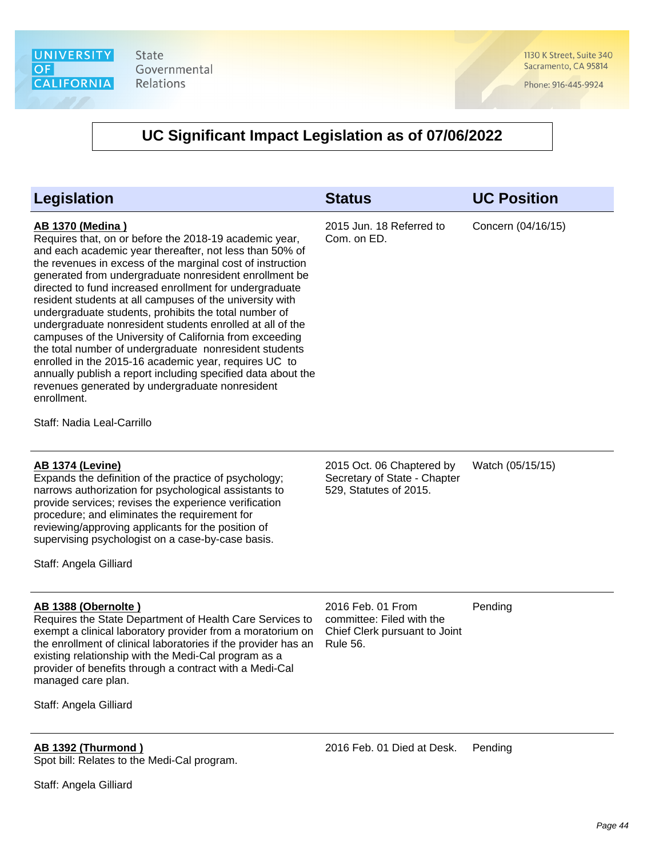1130 K Street, Suite 340 Sacramento, CA 95814

Phone: 916-445-9924

### **UC Significant Impact Legislation as of 07/06/2022**

| <b>Legislation</b>                                                                                                                                                                                                                                                                                                                                                                                                                                                                                                                                                                                                                                                                                                                                                                                                                                              | <b>Status</b>                                                                                      | <b>UC Position</b> |
|-----------------------------------------------------------------------------------------------------------------------------------------------------------------------------------------------------------------------------------------------------------------------------------------------------------------------------------------------------------------------------------------------------------------------------------------------------------------------------------------------------------------------------------------------------------------------------------------------------------------------------------------------------------------------------------------------------------------------------------------------------------------------------------------------------------------------------------------------------------------|----------------------------------------------------------------------------------------------------|--------------------|
| <b>AB 1370 (Medina)</b><br>Requires that, on or before the 2018-19 academic year,<br>and each academic year thereafter, not less than 50% of<br>the revenues in excess of the marginal cost of instruction<br>generated from undergraduate nonresident enrollment be<br>directed to fund increased enrollment for undergraduate<br>resident students at all campuses of the university with<br>undergraduate students, prohibits the total number of<br>undergraduate nonresident students enrolled at all of the<br>campuses of the University of California from exceeding<br>the total number of undergraduate nonresident students<br>enrolled in the 2015-16 academic year, requires UC to<br>annually publish a report including specified data about the<br>revenues generated by undergraduate nonresident<br>enrollment.<br>Staff: Nadia Leal-Carrillo | 2015 Jun. 18 Referred to<br>Com. on ED.                                                            | Concern (04/16/15) |
| <b>AB 1374 (Levine)</b><br>Expands the definition of the practice of psychology;<br>narrows authorization for psychological assistants to<br>provide services; revises the experience verification<br>procedure; and eliminates the requirement for<br>reviewing/approving applicants for the position of<br>supervising psychologist on a case-by-case basis.<br>Staff: Angela Gilliard                                                                                                                                                                                                                                                                                                                                                                                                                                                                        | 2015 Oct. 06 Chaptered by<br>Secretary of State - Chapter<br>529, Statutes of 2015.                | Watch (05/15/15)   |
| AB 1388 (Obernolte)<br>Requires the State Department of Health Care Services to<br>exempt a clinical laboratory provider from a moratorium on<br>the enrollment of clinical laboratories if the provider has an<br>existing relationship with the Medi-Cal program as a<br>provider of benefits through a contract with a Medi-Cal<br>managed care plan.                                                                                                                                                                                                                                                                                                                                                                                                                                                                                                        | 2016 Feb. 01 From<br>committee: Filed with the<br>Chief Clerk pursuant to Joint<br><b>Rule 56.</b> | Pending            |

Staff: Angela Gilliard

# **AB 1392 (Thurmond )**

Spot bill: Relates to the Medi-Cal program.

2016 Feb. 01 Died at Desk. Pending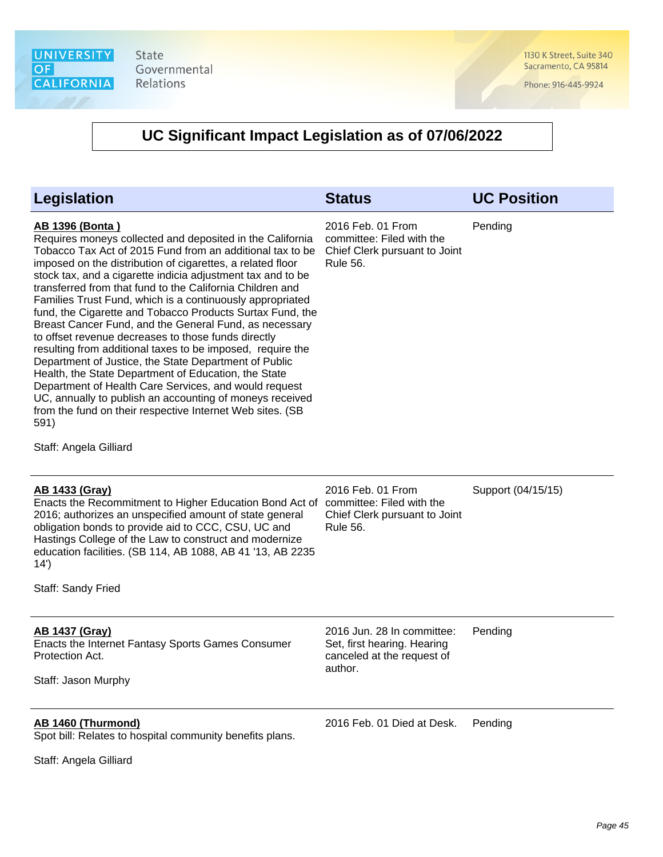

1130 K Street, Suite 340 Sacramento, CA 95814

Phone: 916-445-9924

| <b>Legislation</b>                                                                                                                                                                                                                                                                                                                                                                                                                                                                                                                                                                                                                                                                                                                                                                                                                                                                                                                                                                       | <b>Status</b>                                                                                      | <b>UC Position</b> |
|------------------------------------------------------------------------------------------------------------------------------------------------------------------------------------------------------------------------------------------------------------------------------------------------------------------------------------------------------------------------------------------------------------------------------------------------------------------------------------------------------------------------------------------------------------------------------------------------------------------------------------------------------------------------------------------------------------------------------------------------------------------------------------------------------------------------------------------------------------------------------------------------------------------------------------------------------------------------------------------|----------------------------------------------------------------------------------------------------|--------------------|
| <b>AB 1396 (Bonta)</b><br>Requires moneys collected and deposited in the California<br>Tobacco Tax Act of 2015 Fund from an additional tax to be<br>imposed on the distribution of cigarettes, a related floor<br>stock tax, and a cigarette indicia adjustment tax and to be<br>transferred from that fund to the California Children and<br>Families Trust Fund, which is a continuously appropriated<br>fund, the Cigarette and Tobacco Products Surtax Fund, the<br>Breast Cancer Fund, and the General Fund, as necessary<br>to offset revenue decreases to those funds directly<br>resulting from additional taxes to be imposed, require the<br>Department of Justice, the State Department of Public<br>Health, the State Department of Education, the State<br>Department of Health Care Services, and would request<br>UC, annually to publish an accounting of moneys received<br>from the fund on their respective Internet Web sites. (SB<br>591)<br>Staff: Angela Gilliard | 2016 Feb. 01 From<br>committee: Filed with the<br>Chief Clerk pursuant to Joint<br><b>Rule 56.</b> | Pending            |
| <u>AB 1433 (Gray)</u><br>Enacts the Recommitment to Higher Education Bond Act of<br>2016; authorizes an unspecified amount of state general<br>obligation bonds to provide aid to CCC, CSU, UC and<br>Hastings College of the Law to construct and modernize<br>education facilities. (SB 114, AB 1088, AB 41 '13, AB 2235<br>14')<br>Staff: Sandy Fried                                                                                                                                                                                                                                                                                                                                                                                                                                                                                                                                                                                                                                 | 2016 Feb. 01 From<br>committee: Filed with the<br>Chief Clerk pursuant to Joint<br><b>Rule 56.</b> | Support (04/15/15) |
|                                                                                                                                                                                                                                                                                                                                                                                                                                                                                                                                                                                                                                                                                                                                                                                                                                                                                                                                                                                          |                                                                                                    |                    |
| <b>AB 1437 (Gray)</b><br>Enacts the Internet Fantasy Sports Games Consumer<br>Protection Act.<br>Staff: Jason Murphy                                                                                                                                                                                                                                                                                                                                                                                                                                                                                                                                                                                                                                                                                                                                                                                                                                                                     | 2016 Jun. 28 In committee:<br>Set, first hearing. Hearing<br>canceled at the request of<br>author. | Pending            |
| AB 1460 (Thurmond)<br>Spot bill: Relates to hospital community benefits plans.<br>Staff: Angela Gilliard                                                                                                                                                                                                                                                                                                                                                                                                                                                                                                                                                                                                                                                                                                                                                                                                                                                                                 | 2016 Feb. 01 Died at Desk.                                                                         | Pending            |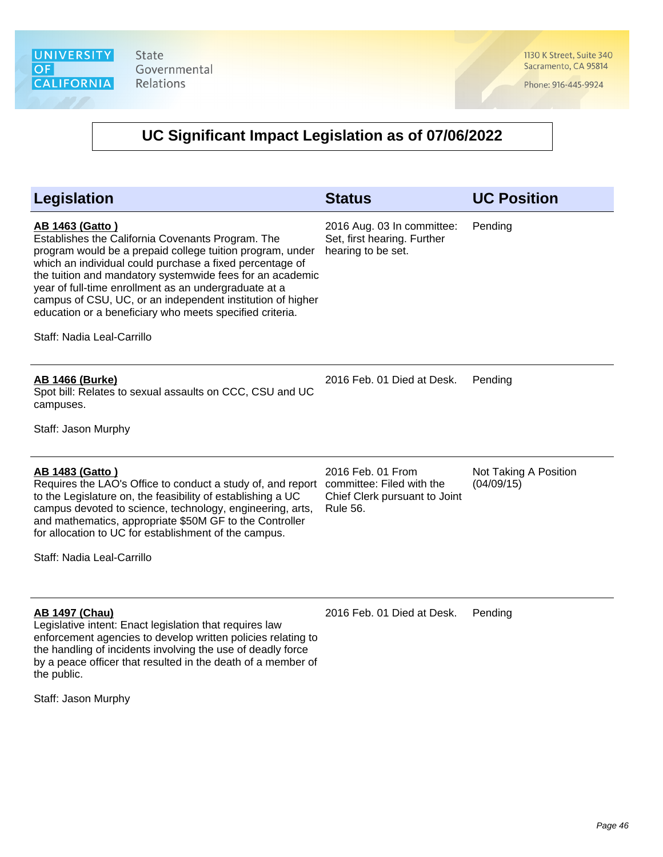1130 K Street, Suite 340 Sacramento, CA 95814

Phone: 916-445-9924

### **UC Significant Impact Legislation as of 07/06/2022**

| Legislation                                                                                                                                                                                                                                                                                                                                                                                                                                                                        | <b>Status</b>                                                                                      | <b>UC Position</b>                  |
|------------------------------------------------------------------------------------------------------------------------------------------------------------------------------------------------------------------------------------------------------------------------------------------------------------------------------------------------------------------------------------------------------------------------------------------------------------------------------------|----------------------------------------------------------------------------------------------------|-------------------------------------|
| <b>AB 1463 (Gatto)</b><br>Establishes the California Covenants Program. The<br>program would be a prepaid college tuition program, under<br>which an individual could purchase a fixed percentage of<br>the tuition and mandatory systemwide fees for an academic<br>year of full-time enrollment as an undergraduate at a<br>campus of CSU, UC, or an independent institution of higher<br>education or a beneficiary who meets specified criteria.<br>Staff: Nadia Leal-Carrillo | 2016 Aug. 03 In committee:<br>Set, first hearing. Further<br>hearing to be set.                    | Pending                             |
| <b>AB 1466 (Burke)</b><br>Spot bill: Relates to sexual assaults on CCC, CSU and UC<br>campuses.<br>Staff: Jason Murphy                                                                                                                                                                                                                                                                                                                                                             | 2016 Feb. 01 Died at Desk.                                                                         | Pending                             |
| <b>AB 1483 (Gatto)</b><br>Requires the LAO's Office to conduct a study of, and report<br>to the Legislature on, the feasibility of establishing a UC<br>campus devoted to science, technology, engineering, arts,<br>and mathematics, appropriate \$50M GF to the Controller<br>for allocation to UC for establishment of the campus.<br>Staff: Nadia Leal-Carrillo                                                                                                                | 2016 Feb. 01 From<br>committee: Filed with the<br>Chief Clerk pursuant to Joint<br><b>Rule 56.</b> | Not Taking A Position<br>(04/09/15) |
| <b>AB 1497 (Chau)</b><br>Legislative intent: Enact legislation that requires law<br>enforcement agencies to develop written policies relating to                                                                                                                                                                                                                                                                                                                                   | 2016 Feb. 01 Died at Desk.                                                                         | Pending                             |

the handling of incidents involving the use of deadly force by a peace officer that resulted in the death of a member of the public.

Staff: Jason Murphy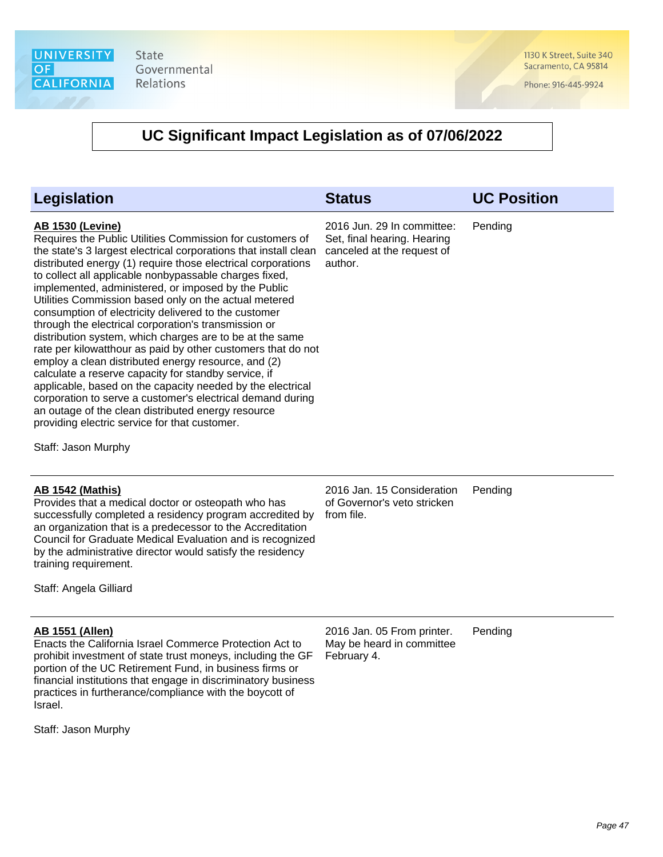1130 K Street, Suite 340 Sacramento, CA 95814

Phone: 916-445-9924

### **UC Significant Impact Legislation as of 07/06/2022**

| Legislation                                                                                                                                                                                                                                                                                                                                                                                                                                                                                                                                                                                                                                                                                                                                                                                                                                                                                                                                                                                                             | <b>Status</b>                                                                                      | <b>UC Position</b> |
|-------------------------------------------------------------------------------------------------------------------------------------------------------------------------------------------------------------------------------------------------------------------------------------------------------------------------------------------------------------------------------------------------------------------------------------------------------------------------------------------------------------------------------------------------------------------------------------------------------------------------------------------------------------------------------------------------------------------------------------------------------------------------------------------------------------------------------------------------------------------------------------------------------------------------------------------------------------------------------------------------------------------------|----------------------------------------------------------------------------------------------------|--------------------|
| <b>AB 1530 (Levine)</b><br>Requires the Public Utilities Commission for customers of<br>the state's 3 largest electrical corporations that install clean<br>distributed energy (1) require those electrical corporations<br>to collect all applicable nonbypassable charges fixed,<br>implemented, administered, or imposed by the Public<br>Utilities Commission based only on the actual metered<br>consumption of electricity delivered to the customer<br>through the electrical corporation's transmission or<br>distribution system, which charges are to be at the same<br>rate per kilowatthour as paid by other customers that do not<br>employ a clean distributed energy resource, and (2)<br>calculate a reserve capacity for standby service, if<br>applicable, based on the capacity needed by the electrical<br>corporation to serve a customer's electrical demand during<br>an outage of the clean distributed energy resource<br>providing electric service for that customer.<br>Staff: Jason Murphy | 2016 Jun. 29 In committee:<br>Set, final hearing. Hearing<br>canceled at the request of<br>author. | Pending            |
| <b>AB 1542 (Mathis)</b><br>Provides that a medical doctor or osteopath who has                                                                                                                                                                                                                                                                                                                                                                                                                                                                                                                                                                                                                                                                                                                                                                                                                                                                                                                                          | 2016 Jan. 15 Consideration<br>of Governor's veto stricken                                          | Pending            |

successfully completed a residency program accredited by from file. an organization that is a predecessor to the Accreditation Council for Graduate Medical Evaluation and is recognized by the administrative director would satisfy the residency training requirement.

Staff: Angela Gilliard

### **AB 1551 (Allen)**

Enacts the California Israel Commerce Protection Act to prohibit investment of state trust moneys, including the GF portion of the UC Retirement Fund, in business firms or financial institutions that engage in discriminatory business practices in furtherance/compliance with the boycott of Israel.

Staff: Jason Murphy

2016 Jan. 05 From printer. May be heard in committee February 4.

Pending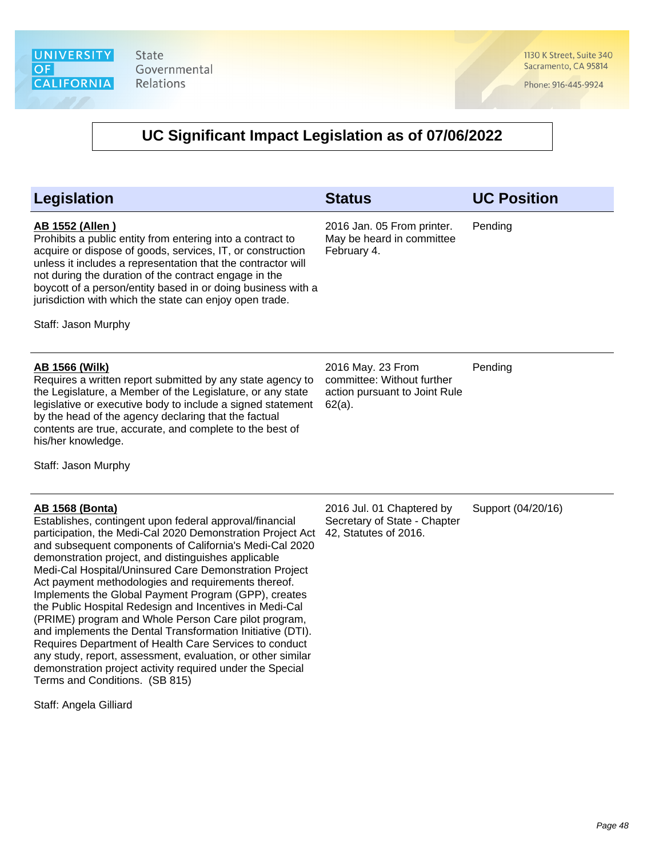1130 K Street, Suite 340 Sacramento, CA 95814

Phone: 916-445-9924

| Legislation                                                                                                                                                                                                                                                                                                                                                                                                                                                                                                                                                                                                                                                                                                                                                                                                                                                                   | <b>Status</b>                                                                                 | <b>UC Position</b> |
|-------------------------------------------------------------------------------------------------------------------------------------------------------------------------------------------------------------------------------------------------------------------------------------------------------------------------------------------------------------------------------------------------------------------------------------------------------------------------------------------------------------------------------------------------------------------------------------------------------------------------------------------------------------------------------------------------------------------------------------------------------------------------------------------------------------------------------------------------------------------------------|-----------------------------------------------------------------------------------------------|--------------------|
| <b>AB 1552 (Allen)</b><br>Prohibits a public entity from entering into a contract to<br>acquire or dispose of goods, services, IT, or construction<br>unless it includes a representation that the contractor will<br>not during the duration of the contract engage in the<br>boycott of a person/entity based in or doing business with a<br>jurisdiction with which the state can enjoy open trade.<br>Staff: Jason Murphy                                                                                                                                                                                                                                                                                                                                                                                                                                                 | 2016 Jan. 05 From printer.<br>May be heard in committee<br>February 4.                        | Pending            |
| <b>AB 1566 (Wilk)</b><br>Requires a written report submitted by any state agency to<br>the Legislature, a Member of the Legislature, or any state<br>legislative or executive body to include a signed statement<br>by the head of the agency declaring that the factual<br>contents are true, accurate, and complete to the best of<br>his/her knowledge.<br>Staff: Jason Murphy                                                                                                                                                                                                                                                                                                                                                                                                                                                                                             | 2016 May. 23 From<br>committee: Without further<br>action pursuant to Joint Rule<br>$62(a)$ . | Pending            |
| <b>AB 1568 (Bonta)</b><br>Establishes, contingent upon federal approval/financial<br>participation, the Medi-Cal 2020 Demonstration Project Act<br>and subsequent components of California's Medi-Cal 2020<br>demonstration project, and distinguishes applicable<br>Medi-Cal Hospital/Uninsured Care Demonstration Project<br>Act payment methodologies and requirements thereof.<br>Implements the Global Payment Program (GPP), creates<br>the Public Hospital Redesign and Incentives in Medi-Cal<br>(PRIME) program and Whole Person Care pilot program,<br>and implements the Dental Transformation Initiative (DTI).<br>Requires Department of Health Care Services to conduct<br>any study, report, assessment, evaluation, or other similar<br>demonstration project activity required under the Special<br>Terms and Conditions. (SB 815)<br>Staff: Angela Gilliard | 2016 Jul. 01 Chaptered by<br>Secretary of State - Chapter<br>42, Statutes of 2016.            | Support (04/20/16) |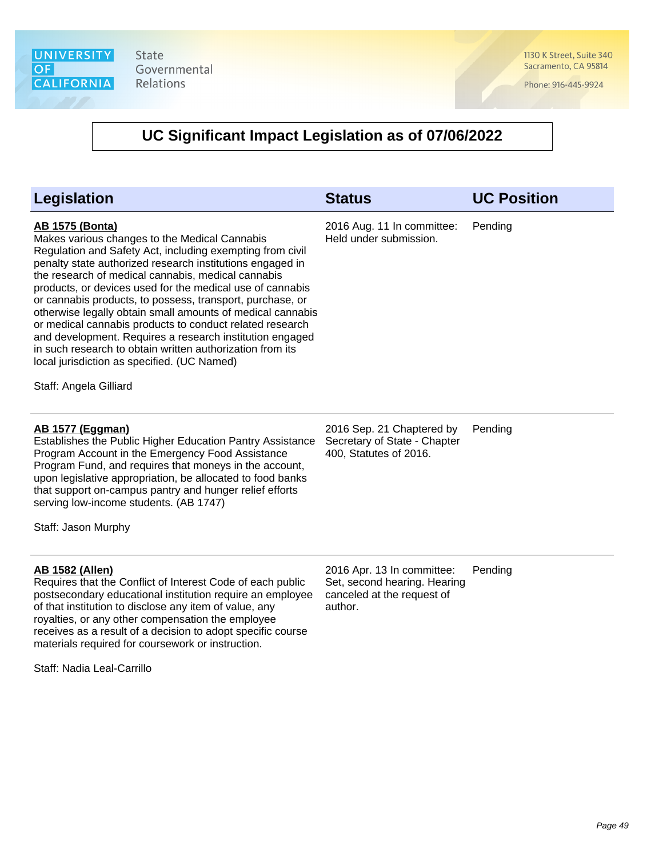1130 K Street, Suite 340 Sacramento, CA 95814

Phone: 916-445-9924

| <b>Legislation</b>                                                                                                                                                                                                                                                                                                                                                                                                                                                                                                                                                                                                                                                                                            | <b>Status</b>                                                                                       | <b>UC Position</b> |
|---------------------------------------------------------------------------------------------------------------------------------------------------------------------------------------------------------------------------------------------------------------------------------------------------------------------------------------------------------------------------------------------------------------------------------------------------------------------------------------------------------------------------------------------------------------------------------------------------------------------------------------------------------------------------------------------------------------|-----------------------------------------------------------------------------------------------------|--------------------|
| <b>AB 1575 (Bonta)</b><br>Makes various changes to the Medical Cannabis<br>Regulation and Safety Act, including exempting from civil<br>penalty state authorized research institutions engaged in<br>the research of medical cannabis, medical cannabis<br>products, or devices used for the medical use of cannabis<br>or cannabis products, to possess, transport, purchase, or<br>otherwise legally obtain small amounts of medical cannabis<br>or medical cannabis products to conduct related research<br>and development. Requires a research institution engaged<br>in such research to obtain written authorization from its<br>local jurisdiction as specified. (UC Named)<br>Staff: Angela Gilliard | 2016 Aug. 11 In committee:<br>Held under submission.                                                | Pending            |
| <b>AB 1577 (Eggman)</b><br>Establishes the Public Higher Education Pantry Assistance<br>Program Account in the Emergency Food Assistance<br>Program Fund, and requires that moneys in the account,<br>upon legislative appropriation, be allocated to food banks<br>that support on-campus pantry and hunger relief efforts<br>serving low-income students. (AB 1747)<br>Staff: Jason Murphy                                                                                                                                                                                                                                                                                                                  | 2016 Sep. 21 Chaptered by<br>Secretary of State - Chapter<br>400, Statutes of 2016.                 | Pending            |
| <b>AB 1582 (Allen)</b><br>Requires that the Conflict of Interest Code of each public<br>postsecondary educational institution require an employee<br>of that institution to disclose any item of value, any<br>royalties, or any other compensation the employee<br>receives as a result of a decision to adopt specific course<br>materials required for coursework or instruction.<br>Staff: Nadia Leal-Carrillo                                                                                                                                                                                                                                                                                            | 2016 Apr. 13 In committee:<br>Set, second hearing. Hearing<br>canceled at the request of<br>author. | Pending            |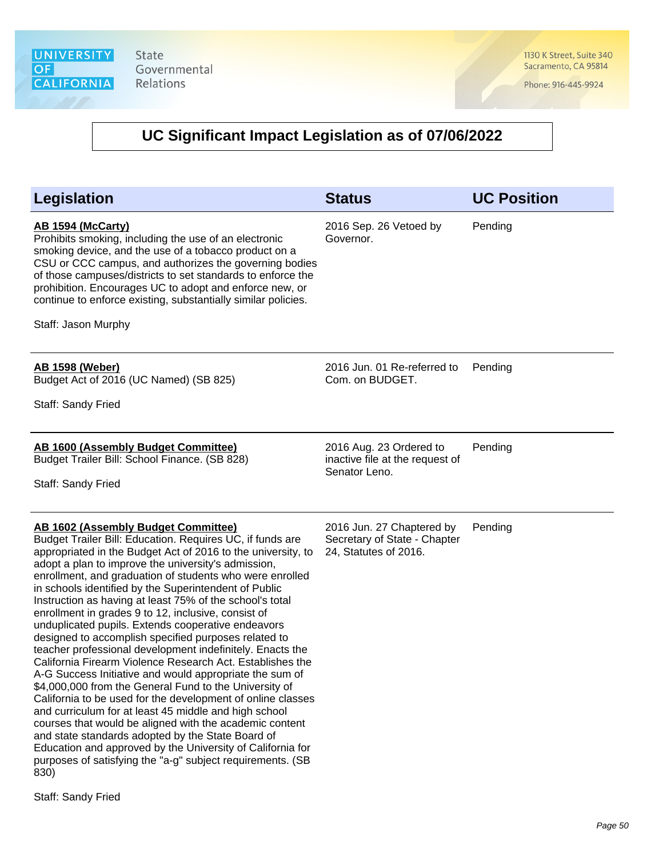1130 K Street, Suite 340 Sacramento, CA 95814

Phone: 916-445-9924

| <b>Legislation</b>                                                                                                                                                                                                                                                                                                                                                                                                                                                                                                                                                                                                                                                                                                                                                                                                                                                                                                                                                                                                                                                                                                                                                                                              | <b>Status</b>                                                                      | <b>UC Position</b> |
|-----------------------------------------------------------------------------------------------------------------------------------------------------------------------------------------------------------------------------------------------------------------------------------------------------------------------------------------------------------------------------------------------------------------------------------------------------------------------------------------------------------------------------------------------------------------------------------------------------------------------------------------------------------------------------------------------------------------------------------------------------------------------------------------------------------------------------------------------------------------------------------------------------------------------------------------------------------------------------------------------------------------------------------------------------------------------------------------------------------------------------------------------------------------------------------------------------------------|------------------------------------------------------------------------------------|--------------------|
| AB 1594 (McCarty)<br>Prohibits smoking, including the use of an electronic<br>smoking device, and the use of a tobacco product on a<br>CSU or CCC campus, and authorizes the governing bodies<br>of those campuses/districts to set standards to enforce the<br>prohibition. Encourages UC to adopt and enforce new, or<br>continue to enforce existing, substantially similar policies.<br>Staff: Jason Murphy                                                                                                                                                                                                                                                                                                                                                                                                                                                                                                                                                                                                                                                                                                                                                                                                 | 2016 Sep. 26 Vetoed by<br>Governor.                                                | Pending            |
|                                                                                                                                                                                                                                                                                                                                                                                                                                                                                                                                                                                                                                                                                                                                                                                                                                                                                                                                                                                                                                                                                                                                                                                                                 |                                                                                    |                    |
| <b>AB 1598 (Weber)</b><br>Budget Act of 2016 (UC Named) (SB 825)                                                                                                                                                                                                                                                                                                                                                                                                                                                                                                                                                                                                                                                                                                                                                                                                                                                                                                                                                                                                                                                                                                                                                | 2016 Jun. 01 Re-referred to<br>Com. on BUDGET.                                     | Pending            |
| Staff: Sandy Fried                                                                                                                                                                                                                                                                                                                                                                                                                                                                                                                                                                                                                                                                                                                                                                                                                                                                                                                                                                                                                                                                                                                                                                                              |                                                                                    |                    |
| AB 1600 (Assembly Budget Committee)<br>Budget Trailer Bill: School Finance. (SB 828)<br>Staff: Sandy Fried                                                                                                                                                                                                                                                                                                                                                                                                                                                                                                                                                                                                                                                                                                                                                                                                                                                                                                                                                                                                                                                                                                      | 2016 Aug. 23 Ordered to<br>inactive file at the request of<br>Senator Leno.        | Pending            |
| <b>AB 1602 (Assembly Budget Committee)</b><br>Budget Trailer Bill: Education. Requires UC, if funds are<br>appropriated in the Budget Act of 2016 to the university, to<br>adopt a plan to improve the university's admission,<br>enrollment, and graduation of students who were enrolled<br>in schools identified by the Superintendent of Public<br>Instruction as having at least 75% of the school's total<br>enrollment in grades 9 to 12, inclusive, consist of<br>unduplicated pupils. Extends cooperative endeavors<br>designed to accomplish specified purposes related to<br>teacher professional development indefinitely. Enacts the<br>California Firearm Violence Research Act. Establishes the<br>A-G Success Initiative and would appropriate the sum of<br>\$4,000,000 from the General Fund to the University of<br>California to be used for the development of online classes<br>and curriculum for at least 45 middle and high school<br>courses that would be aligned with the academic content<br>and state standards adopted by the State Board of<br>Education and approved by the University of California for<br>purposes of satisfying the "a-g" subject requirements. (SB<br>830) | 2016 Jun. 27 Chaptered by<br>Secretary of State - Chapter<br>24, Statutes of 2016. | Pending            |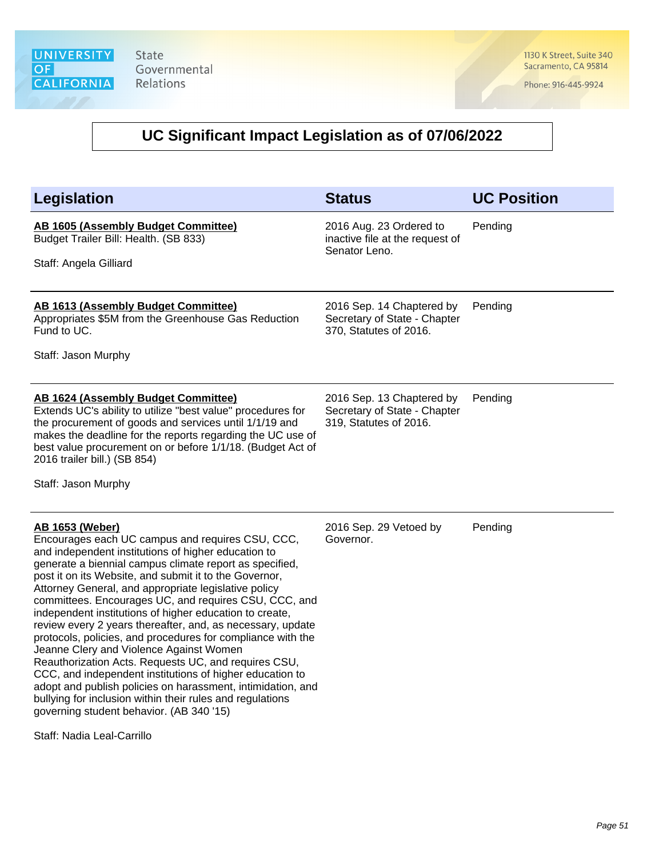1130 K Street, Suite 340 Sacramento, CA 95814

Phone: 916-445-9924

| Legislation                                                                                                                                                                                                                                                                                                                                                                                                                                                                                                                                                                                                                                                                                                                                                                                                                                                                                                                          | <b>Status</b>                                                                       | <b>UC Position</b> |
|--------------------------------------------------------------------------------------------------------------------------------------------------------------------------------------------------------------------------------------------------------------------------------------------------------------------------------------------------------------------------------------------------------------------------------------------------------------------------------------------------------------------------------------------------------------------------------------------------------------------------------------------------------------------------------------------------------------------------------------------------------------------------------------------------------------------------------------------------------------------------------------------------------------------------------------|-------------------------------------------------------------------------------------|--------------------|
| AB 1605 (Assembly Budget Committee)<br>Budget Trailer Bill: Health. (SB 833)<br>Staff: Angela Gilliard                                                                                                                                                                                                                                                                                                                                                                                                                                                                                                                                                                                                                                                                                                                                                                                                                               | 2016 Aug. 23 Ordered to<br>inactive file at the request of<br>Senator Leno.         | Pending            |
| <b>AB 1613 (Assembly Budget Committee)</b><br>Appropriates \$5M from the Greenhouse Gas Reduction<br>Fund to UC.<br>Staff: Jason Murphy                                                                                                                                                                                                                                                                                                                                                                                                                                                                                                                                                                                                                                                                                                                                                                                              | 2016 Sep. 14 Chaptered by<br>Secretary of State - Chapter<br>370, Statutes of 2016. | Pending            |
| <b>AB 1624 (Assembly Budget Committee)</b><br>Extends UC's ability to utilize "best value" procedures for<br>the procurement of goods and services until 1/1/19 and<br>makes the deadline for the reports regarding the UC use of<br>best value procurement on or before 1/1/18. (Budget Act of<br>2016 trailer bill.) (SB 854)<br>Staff: Jason Murphy                                                                                                                                                                                                                                                                                                                                                                                                                                                                                                                                                                               | 2016 Sep. 13 Chaptered by<br>Secretary of State - Chapter<br>319, Statutes of 2016. | Pending            |
| <u>AB 1653 (Weber)</u><br>Encourages each UC campus and requires CSU, CCC,<br>and independent institutions of higher education to<br>generate a biennial campus climate report as specified,<br>post it on its Website, and submit it to the Governor,<br>Attorney General, and appropriate legislative policy<br>committees. Encourages UC, and requires CSU, CCC, and<br>independent institutions of higher education to create,<br>review every 2 years thereafter, and, as necessary, update<br>protocols, policies, and procedures for compliance with the<br>Jeanne Clery and Violence Against Women<br>Reauthorization Acts. Requests UC, and requires CSU,<br>CCC, and independent institutions of higher education to<br>adopt and publish policies on harassment, intimidation, and<br>bullying for inclusion within their rules and regulations<br>governing student behavior. (AB 340 '15)<br>Staff: Nadia Leal-Carrillo | 2016 Sep. 29 Vetoed by<br>Governor.                                                 | Pending            |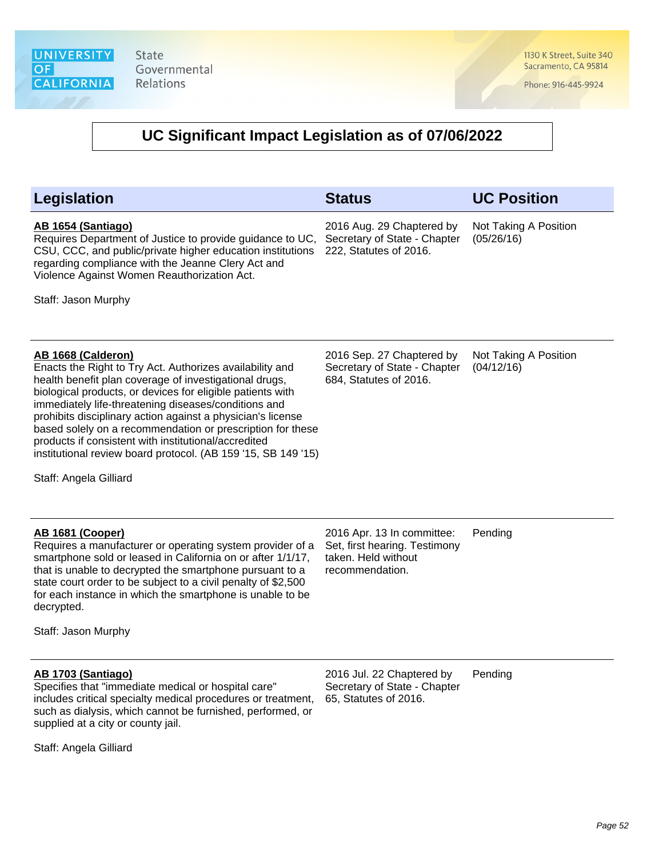1130 K Street, Suite 340 Sacramento, CA 95814

Phone: 916-445-9924

| Legislation                                                                                                                                                                                                                                                                                                                                                                                                                                                                                                                                    | <b>Status</b>                                                                                         | <b>UC Position</b>                  |
|------------------------------------------------------------------------------------------------------------------------------------------------------------------------------------------------------------------------------------------------------------------------------------------------------------------------------------------------------------------------------------------------------------------------------------------------------------------------------------------------------------------------------------------------|-------------------------------------------------------------------------------------------------------|-------------------------------------|
| AB 1654 (Santiago)<br>Requires Department of Justice to provide guidance to UC,<br>CSU, CCC, and public/private higher education institutions<br>regarding compliance with the Jeanne Clery Act and<br>Violence Against Women Reauthorization Act.<br>Staff: Jason Murphy                                                                                                                                                                                                                                                                      | 2016 Aug. 29 Chaptered by<br>Secretary of State - Chapter<br>222, Statutes of 2016.                   | Not Taking A Position<br>(05/26/16) |
| AB 1668 (Calderon)<br>Enacts the Right to Try Act. Authorizes availability and<br>health benefit plan coverage of investigational drugs,<br>biological products, or devices for eligible patients with<br>immediately life-threatening diseases/conditions and<br>prohibits disciplinary action against a physician's license<br>based solely on a recommendation or prescription for these<br>products if consistent with institutional/accredited<br>institutional review board protocol. (AB 159 '15, SB 149 '15)<br>Staff: Angela Gilliard | 2016 Sep. 27 Chaptered by<br>Secretary of State - Chapter<br>684, Statutes of 2016.                   | Not Taking A Position<br>(04/12/16) |
| AB 1681 (Cooper)<br>Requires a manufacturer or operating system provider of a<br>smartphone sold or leased in California on or after 1/1/17,<br>that is unable to decrypted the smartphone pursuant to a<br>state court order to be subject to a civil penalty of \$2,500<br>for each instance in which the smartphone is unable to be<br>decrypted.<br>Staff: Jason Murphy                                                                                                                                                                    | 2016 Apr. 13 In committee:<br>Set, first hearing. Testimony<br>taken. Held without<br>recommendation. | Pending                             |
| AB 1703 (Santiago)<br>Specifies that "immediate medical or hospital care"<br>includes critical specialty medical procedures or treatment,<br>such as dialysis, which cannot be furnished, performed, or<br>supplied at a city or county jail.                                                                                                                                                                                                                                                                                                  | 2016 Jul. 22 Chaptered by<br>Secretary of State - Chapter<br>65, Statutes of 2016.                    | Pending                             |
| Staff: Angela Gilliard                                                                                                                                                                                                                                                                                                                                                                                                                                                                                                                         |                                                                                                       |                                     |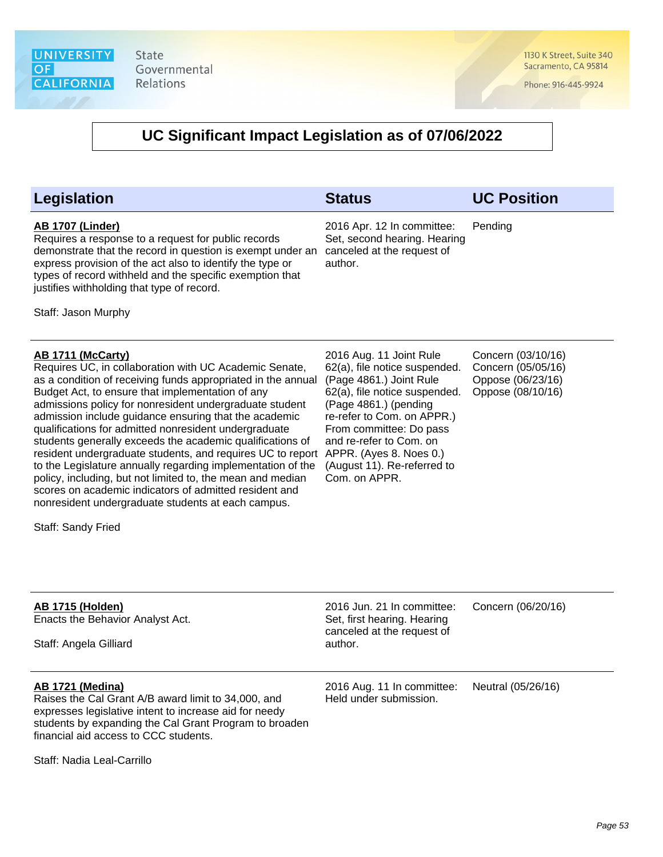1130 K Street, Suite 340 Sacramento, CA 95814

Phone: 916-445-9924

| <b>Legislation</b>                                                                                                                                                                                                                                                                                                                                                                                                                                                                                                                                                                                                                                                                                                                                                                                        | <b>Status</b>                                                                                                                                                                                                                                                                     | <b>UC Position</b>                                                                 |
|-----------------------------------------------------------------------------------------------------------------------------------------------------------------------------------------------------------------------------------------------------------------------------------------------------------------------------------------------------------------------------------------------------------------------------------------------------------------------------------------------------------------------------------------------------------------------------------------------------------------------------------------------------------------------------------------------------------------------------------------------------------------------------------------------------------|-----------------------------------------------------------------------------------------------------------------------------------------------------------------------------------------------------------------------------------------------------------------------------------|------------------------------------------------------------------------------------|
| <b>AB 1707 (Linder)</b><br>Requires a response to a request for public records<br>demonstrate that the record in question is exempt under an<br>express provision of the act also to identify the type or<br>types of record withheld and the specific exemption that<br>justifies withholding that type of record.<br>Staff: Jason Murphy                                                                                                                                                                                                                                                                                                                                                                                                                                                                | 2016 Apr. 12 In committee:<br>Set, second hearing. Hearing<br>canceled at the request of<br>author.                                                                                                                                                                               | Pending                                                                            |
| <b>AB 1711 (McCarty)</b><br>Requires UC, in collaboration with UC Academic Senate,<br>as a condition of receiving funds appropriated in the annual<br>Budget Act, to ensure that implementation of any<br>admissions policy for nonresident undergraduate student<br>admission include guidance ensuring that the academic<br>qualifications for admitted nonresident undergraduate<br>students generally exceeds the academic qualifications of<br>resident undergraduate students, and requires UC to report APPR. (Ayes 8. Noes 0.)<br>to the Legislature annually regarding implementation of the<br>policy, including, but not limited to, the mean and median<br>scores on academic indicators of admitted resident and<br>nonresident undergraduate students at each campus.<br>Staff: Sandy Fried | 2016 Aug. 11 Joint Rule<br>62(a), file notice suspended.<br>(Page 4861.) Joint Rule<br>62(a), file notice suspended.<br>(Page 4861.) (pending<br>re-refer to Com. on APPR.)<br>From committee: Do pass<br>and re-refer to Com. on<br>(August 11). Re-referred to<br>Com. on APPR. | Concern (03/10/16)<br>Concern (05/05/16)<br>Oppose (06/23/16)<br>Oppose (08/10/16) |
| <b>AB 1715 (Holden)</b><br>Enacts the Behavior Analyst Act.<br>Staff: Angela Gilliard                                                                                                                                                                                                                                                                                                                                                                                                                                                                                                                                                                                                                                                                                                                     | 2016 Jun. 21 In committee:<br>Set, first hearing. Hearing<br>canceled at the request of<br>author.                                                                                                                                                                                | Concern (06/20/16)                                                                 |
| <b>AB 1721 (Medina)</b><br>Raises the Cal Grant A/B award limit to 34,000, and<br>expresses legislative intent to increase aid for needy<br>students by expanding the Cal Grant Program to broaden<br>financial aid access to CCC students.<br>Staff: Nadia Leal-Carrillo                                                                                                                                                                                                                                                                                                                                                                                                                                                                                                                                 | 2016 Aug. 11 In committee:<br>Held under submission.                                                                                                                                                                                                                              | Neutral (05/26/16)                                                                 |
|                                                                                                                                                                                                                                                                                                                                                                                                                                                                                                                                                                                                                                                                                                                                                                                                           |                                                                                                                                                                                                                                                                                   |                                                                                    |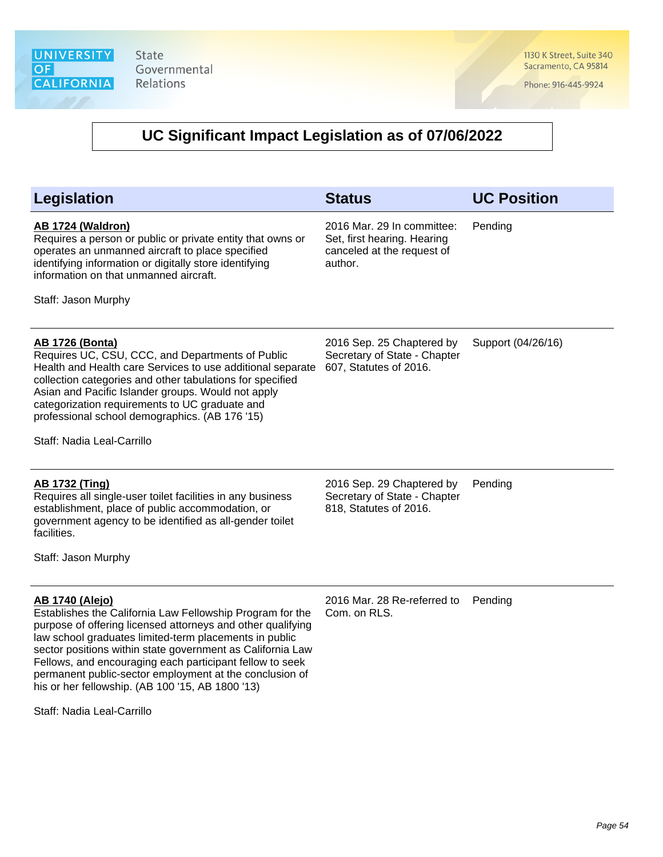1130 K Street, Suite 340 Sacramento, CA 95814

Phone: 916-445-9924

### **UC Significant Impact Legislation as of 07/06/2022**

| <b>Legislation</b>                                                                                                                                                                                                                                                                                                                                                                            | <b>Status</b>                                                                                      | <b>UC Position</b> |
|-----------------------------------------------------------------------------------------------------------------------------------------------------------------------------------------------------------------------------------------------------------------------------------------------------------------------------------------------------------------------------------------------|----------------------------------------------------------------------------------------------------|--------------------|
| <b>AB 1724 (Waldron)</b><br>Requires a person or public or private entity that owns or<br>operates an unmanned aircraft to place specified<br>identifying information or digitally store identifying<br>information on that unmanned aircraft.<br>Staff: Jason Murphy                                                                                                                         | 2016 Mar. 29 In committee:<br>Set, first hearing. Hearing<br>canceled at the request of<br>author. | Pending            |
| <b>AB 1726 (Bonta)</b><br>Requires UC, CSU, CCC, and Departments of Public<br>Health and Health care Services to use additional separate<br>collection categories and other tabulations for specified<br>Asian and Pacific Islander groups. Would not apply<br>categorization requirements to UC graduate and<br>professional school demographics. (AB 176 '15)<br>Staff: Nadia Leal-Carrillo | 2016 Sep. 25 Chaptered by<br>Secretary of State - Chapter<br>607, Statutes of 2016.                | Support (04/26/16) |
| <b>AB 1732 (Ting)</b><br>Requires all single-user toilet facilities in any business<br>establishment, place of public accommodation, or<br>government agency to be identified as all-gender toilet<br>facilities.<br>Staff: Jason Murphy                                                                                                                                                      | 2016 Sep. 29 Chaptered by<br>Secretary of State - Chapter<br>818, Statutes of 2016.                | Pending            |
| <b>AB 1740 (Alejo)</b><br>Establishes the California Law Fellowship Program for the<br>purpose of offering licensed attorneys and other qualifying<br>law school graduates limited-term placements in public<br>sector positions within state government as California Law                                                                                                                    | 2016 Mar. 28 Re-referred to<br>Com. on RLS.                                                        | Pending            |

Staff: Nadia Leal-Carrillo

Fellows, and encouraging each participant fellow to seek permanent public-sector employment at the conclusion of

his or her fellowship. (AB 100 '15, AB 1800 '13)

Page 54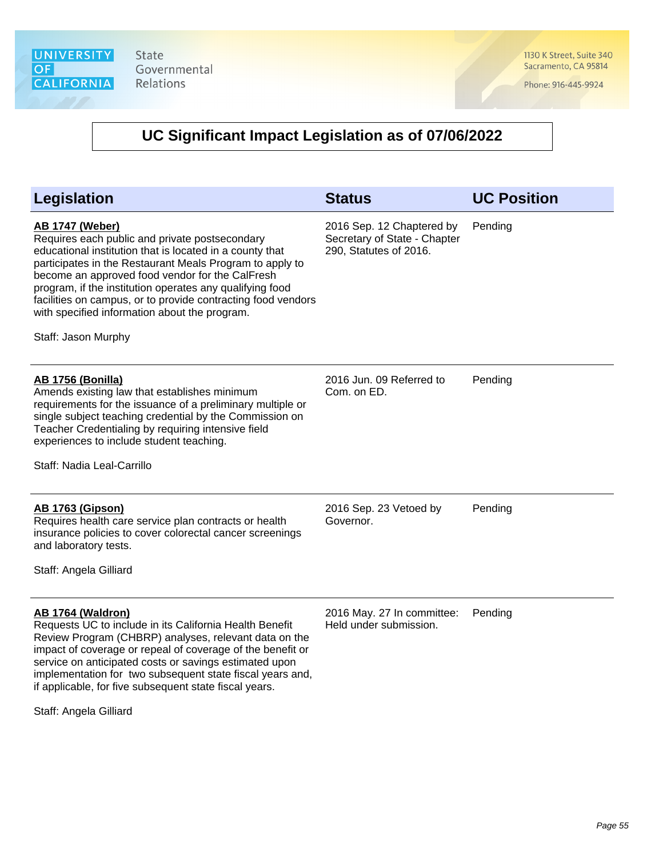1130 K Street, Suite 340 Sacramento, CA 95814

Phone: 916-445-9924

### **UC Significant Impact Legislation as of 07/06/2022**

| Legislation                                                                                                                                                                                                                                                                                                                                                                                                                                             | <b>Status</b>                                                                       | <b>UC Position</b> |
|---------------------------------------------------------------------------------------------------------------------------------------------------------------------------------------------------------------------------------------------------------------------------------------------------------------------------------------------------------------------------------------------------------------------------------------------------------|-------------------------------------------------------------------------------------|--------------------|
| <b>AB 1747 (Weber)</b><br>Requires each public and private postsecondary<br>educational institution that is located in a county that<br>participates in the Restaurant Meals Program to apply to<br>become an approved food vendor for the CalFresh<br>program, if the institution operates any qualifying food<br>facilities on campus, or to provide contracting food vendors<br>with specified information about the program.<br>Staff: Jason Murphy | 2016 Sep. 12 Chaptered by<br>Secretary of State - Chapter<br>290, Statutes of 2016. | Pending            |
| <b>AB 1756 (Bonilla)</b><br>Amends existing law that establishes minimum<br>requirements for the issuance of a preliminary multiple or<br>single subject teaching credential by the Commission on<br>Teacher Credentialing by requiring intensive field<br>experiences to include student teaching.<br>Staff: Nadia Leal-Carrillo                                                                                                                       | 2016 Jun. 09 Referred to<br>Com. on ED.                                             | Pending            |
| <b>AB 1763 (Gipson)</b><br>Requires health care service plan contracts or health<br>insurance policies to cover colorectal cancer screenings<br>and laboratory tests.<br>Staff: Angela Gilliard                                                                                                                                                                                                                                                         | 2016 Sep. 23 Vetoed by<br>Governor.                                                 | Pending            |
| <b>AB 1764 (Waldron)</b><br>Requests UC to include in its California Health Benefit<br>Review Program (CHBRP) analyses, relevant data on the<br>impact of coverage or repeal of coverage of the benefit or                                                                                                                                                                                                                                              | 2016 May. 27 In committee:<br>Held under submission.                                | Pending            |

impact of coverage or repeal of coverage of the benefit or service on anticipated costs or savings estimated upon implementation for two subsequent state fiscal years and, if applicable, for five subsequent state fiscal years.

Staff: Angela Gilliard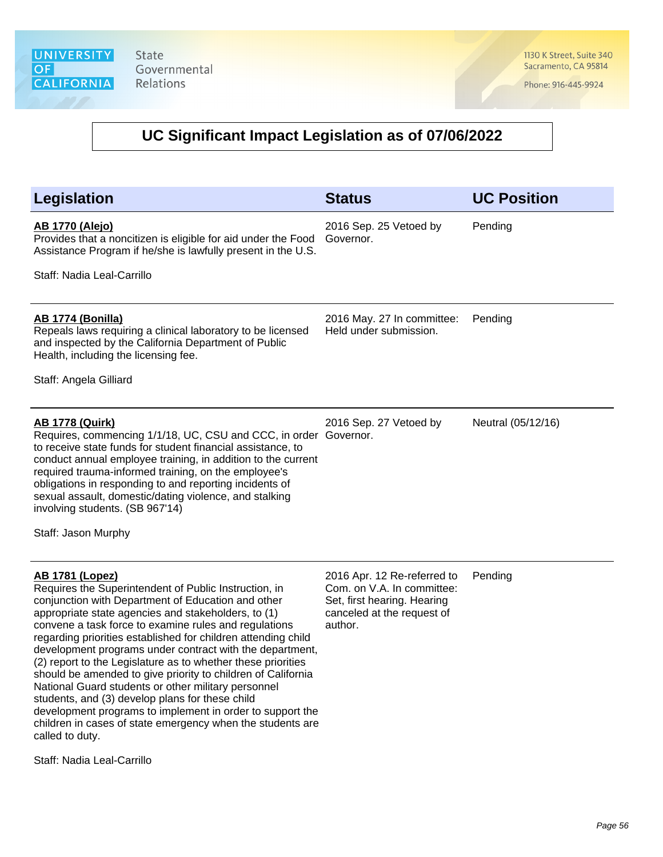1130 K Street, Suite 340 Sacramento, CA 95814

Phone: 916-445-9924

### **UC Significant Impact Legislation as of 07/06/2022**

| <b>Legislation</b>                                                                                                                                                                                                                                                                                                                                                                                                                        | <b>Status</b>                                        | <b>UC Position</b> |
|-------------------------------------------------------------------------------------------------------------------------------------------------------------------------------------------------------------------------------------------------------------------------------------------------------------------------------------------------------------------------------------------------------------------------------------------|------------------------------------------------------|--------------------|
| <b>AB 1770 (Alejo)</b><br>Provides that a noncitizen is eligible for aid under the Food<br>Assistance Program if he/she is lawfully present in the U.S.                                                                                                                                                                                                                                                                                   | 2016 Sep. 25 Vetoed by<br>Governor.                  | Pending            |
| Staff: Nadia Leal-Carrillo                                                                                                                                                                                                                                                                                                                                                                                                                |                                                      |                    |
| <b>AB 1774 (Bonilla)</b><br>Repeals laws requiring a clinical laboratory to be licensed<br>and inspected by the California Department of Public<br>Health, including the licensing fee.                                                                                                                                                                                                                                                   | 2016 May. 27 In committee:<br>Held under submission. | Pending            |
| Staff: Angela Gilliard                                                                                                                                                                                                                                                                                                                                                                                                                    |                                                      |                    |
| <b>AB 1778 (Quirk)</b><br>Requires, commencing 1/1/18, UC, CSU and CCC, in order Governor.<br>to receive state funds for student financial assistance, to<br>conduct annual employee training, in addition to the current<br>required trauma-informed training, on the employee's<br>obligations in responding to and reporting incidents of<br>sexual assault, domestic/dating violence, and stalking<br>involving students. (SB 967'14) | 2016 Sep. 27 Vetoed by                               | Neutral (05/12/16) |
| Staff: Jason Murphy                                                                                                                                                                                                                                                                                                                                                                                                                       |                                                      |                    |

### **AB 1781 (Lopez)**

Requires the Superintendent of Public Instruction, in conjunction with Department of Education and other appropriate state agencies and stakeholders, to (1) convene a task force to examine rules and regulations regarding priorities established for children attending child development programs under contract with the department, (2) report to the Legislature as to whether these priorities should be amended to give priority to children of California National Guard students or other military personnel students, and (3) develop plans for these child development programs to implement in order to support the children in cases of state emergency when the students are called to duty.

Staff: Nadia Leal-Carrillo

2016 Apr. 12 Re-referred to Com. on V.A. In committee: Set, first hearing. Hearing canceled at the request of author.

Pending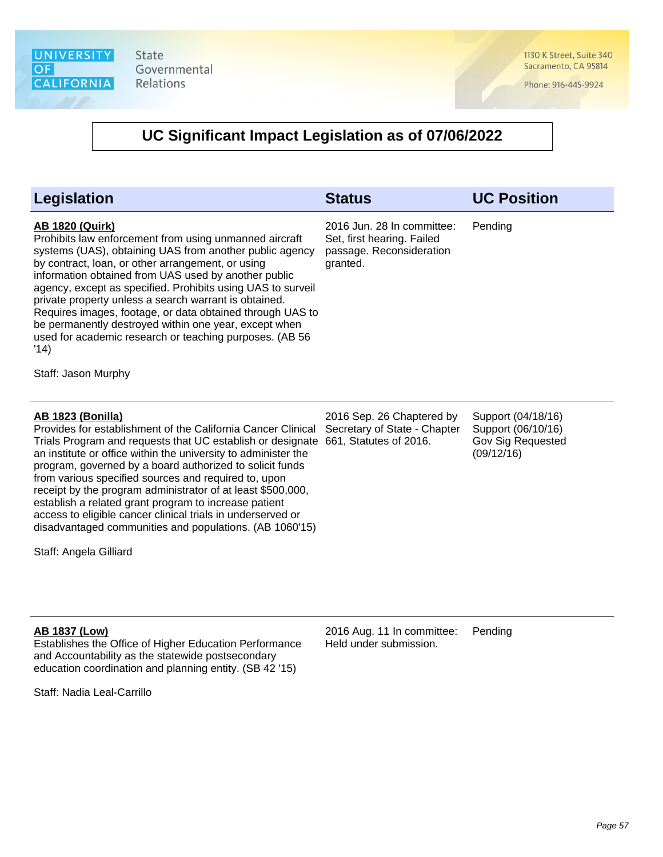1130 K Street, Suite 340 Sacramento, CA 95814

Phone: 916-445-9924

### **UC Significant Impact Legislation as of 07/06/2022**

| <b>Legislation</b>                                                                                                                                                                                                                                                                                                                                                                                                                                                                                                                                                                                                       | <b>Status</b>                                                                                    | <b>UC Position</b>                                                                 |
|--------------------------------------------------------------------------------------------------------------------------------------------------------------------------------------------------------------------------------------------------------------------------------------------------------------------------------------------------------------------------------------------------------------------------------------------------------------------------------------------------------------------------------------------------------------------------------------------------------------------------|--------------------------------------------------------------------------------------------------|------------------------------------------------------------------------------------|
| <b>AB 1820 (Quirk)</b><br>Prohibits law enforcement from using unmanned aircraft<br>systems (UAS), obtaining UAS from another public agency<br>by contract, loan, or other arrangement, or using<br>information obtained from UAS used by another public<br>agency, except as specified. Prohibits using UAS to surveil<br>private property unless a search warrant is obtained.<br>Requires images, footage, or data obtained through UAS to<br>be permanently destroyed within one year, except when<br>used for academic research or teaching purposes. (AB 56<br>'14)<br>Staff: Jason Murphy                         | 2016 Jun. 28 In committee:<br>Set, first hearing. Failed<br>passage. Reconsideration<br>granted. | Pending                                                                            |
| <b>AB 1823 (Bonilla)</b><br>Provides for establishment of the California Cancer Clinical<br>Trials Program and requests that UC establish or designate<br>an institute or office within the university to administer the<br>program, governed by a board authorized to solicit funds<br>from various specified sources and required to, upon<br>receipt by the program administrator of at least \$500,000,<br>establish a related grant program to increase patient<br>access to eligible cancer clinical trials in underserved or<br>disadvantaged communities and populations. (AB 1060'15)<br>Staff: Angela Gilliard | 2016 Sep. 26 Chaptered by<br>Secretary of State - Chapter<br>661, Statutes of 2016.              | Support (04/18/16)<br>Support (06/10/16)<br><b>Gov Sig Requested</b><br>(09/12/16) |
| <b>AB 1837 (Low)</b><br>Establishes the Office of Higher Education Performance                                                                                                                                                                                                                                                                                                                                                                                                                                                                                                                                           | 2016 Aug. 11 In committee:<br>Held under submission.                                             | Pending                                                                            |

Staff: Nadia Leal-Carrillo

and Accountability as the statewide postsecondary education coordination and planning entity. (SB 42 '15)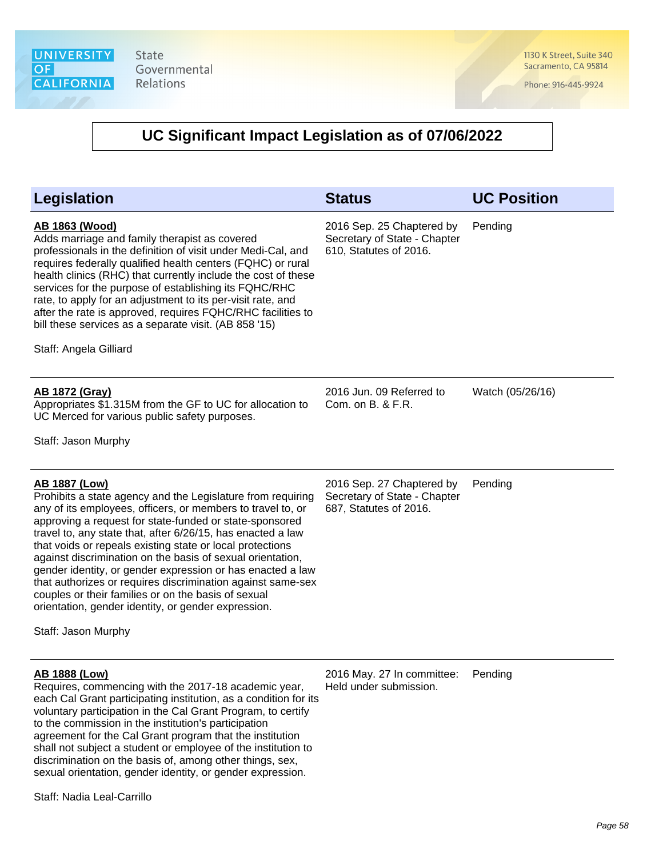1130 K Street, Suite 340 Sacramento, CA 95814

Phone: 916-445-9924

| <b>Legislation</b>                                                                                                                                                                                                                                                                                                                                                                                                                                                                                                                                                                                                                                                        | <b>Status</b>                                                                       | <b>UC Position</b> |
|---------------------------------------------------------------------------------------------------------------------------------------------------------------------------------------------------------------------------------------------------------------------------------------------------------------------------------------------------------------------------------------------------------------------------------------------------------------------------------------------------------------------------------------------------------------------------------------------------------------------------------------------------------------------------|-------------------------------------------------------------------------------------|--------------------|
| <u>AB 1863 (Wood)</u><br>Adds marriage and family therapist as covered<br>professionals in the definition of visit under Medi-Cal, and<br>requires federally qualified health centers (FQHC) or rural<br>health clinics (RHC) that currently include the cost of these<br>services for the purpose of establishing its FQHC/RHC<br>rate, to apply for an adjustment to its per-visit rate, and<br>after the rate is approved, requires FQHC/RHC facilities to<br>bill these services as a separate visit. (AB 858 '15)<br>Staff: Angela Gilliard                                                                                                                          | 2016 Sep. 25 Chaptered by<br>Secretary of State - Chapter<br>610, Statutes of 2016. | Pending            |
| <u>AB 1872 (Gray)</u><br>Appropriates \$1.315M from the GF to UC for allocation to<br>UC Merced for various public safety purposes.<br>Staff: Jason Murphy                                                                                                                                                                                                                                                                                                                                                                                                                                                                                                                | 2016 Jun. 09 Referred to<br>Com. on B. & F.R.                                       | Watch (05/26/16)   |
| <b>AB 1887 (Low)</b><br>Prohibits a state agency and the Legislature from requiring<br>any of its employees, officers, or members to travel to, or<br>approving a request for state-funded or state-sponsored<br>travel to, any state that, after 6/26/15, has enacted a law<br>that voids or repeals existing state or local protections<br>against discrimination on the basis of sexual orientation,<br>gender identity, or gender expression or has enacted a law<br>that authorizes or requires discrimination against same-sex<br>couples or their families or on the basis of sexual<br>orientation, gender identity, or gender expression.<br>Staff: Jason Murphy | 2016 Sep. 27 Chaptered by<br>Secretary of State - Chapter<br>687, Statutes of 2016. | Pending            |
| <b>AB 1888 (Low)</b><br>Requires, commencing with the 2017-18 academic year,<br>each Cal Grant participating institution, as a condition for its<br>voluntary participation in the Cal Grant Program, to certify<br>to the commission in the institution's participation<br>agreement for the Cal Grant program that the institution<br>shall not subject a student or employee of the institution to<br>discrimination on the basis of, among other things, sex,<br>sexual orientation, gender identity, or gender expression.                                                                                                                                           | 2016 May. 27 In committee: Pending<br>Held under submission.                        |                    |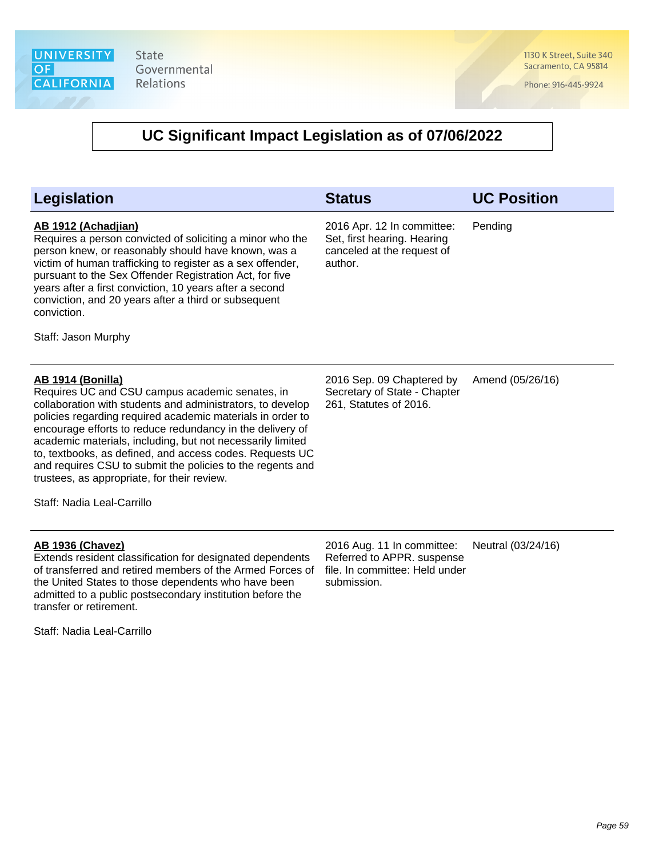1130 K Street, Suite 340 Sacramento, CA 95814

Phone: 916-445-9924

| Legislation                                                                                                                                                                                                                                                                                                                                                                                                                                                                                                                               | <b>Status</b>                                                                                             | <b>UC Position</b> |
|-------------------------------------------------------------------------------------------------------------------------------------------------------------------------------------------------------------------------------------------------------------------------------------------------------------------------------------------------------------------------------------------------------------------------------------------------------------------------------------------------------------------------------------------|-----------------------------------------------------------------------------------------------------------|--------------------|
| AB 1912 (Achadjian)<br>Requires a person convicted of soliciting a minor who the<br>person knew, or reasonably should have known, was a<br>victim of human trafficking to register as a sex offender,<br>pursuant to the Sex Offender Registration Act, for five<br>years after a first conviction, 10 years after a second<br>conviction, and 20 years after a third or subsequent<br>conviction.<br>Staff: Jason Murphy                                                                                                                 | 2016 Apr. 12 In committee:<br>Set, first hearing. Hearing<br>canceled at the request of<br>author.        | Pending            |
| <b>AB 1914 (Bonilla)</b><br>Requires UC and CSU campus academic senates, in<br>collaboration with students and administrators, to develop<br>policies regarding required academic materials in order to<br>encourage efforts to reduce redundancy in the delivery of<br>academic materials, including, but not necessarily limited<br>to, textbooks, as defined, and access codes. Requests UC<br>and requires CSU to submit the policies to the regents and<br>trustees, as appropriate, for their review.<br>Staff: Nadia Leal-Carrillo | 2016 Sep. 09 Chaptered by<br>Secretary of State - Chapter<br>261, Statutes of 2016.                       | Amend (05/26/16)   |
| <b>AB 1936 (Chavez)</b><br>Extends resident classification for designated dependents<br>of transferred and retired members of the Armed Forces of<br>the United States to those dependents who have been<br>admitted to a public postsecondary institution before the<br>transfer or retirement.<br>Staff: Nadia Leal-Carrillo                                                                                                                                                                                                            | 2016 Aug. 11 In committee:<br>Referred to APPR. suspense<br>file. In committee: Held under<br>submission. | Neutral (03/24/16) |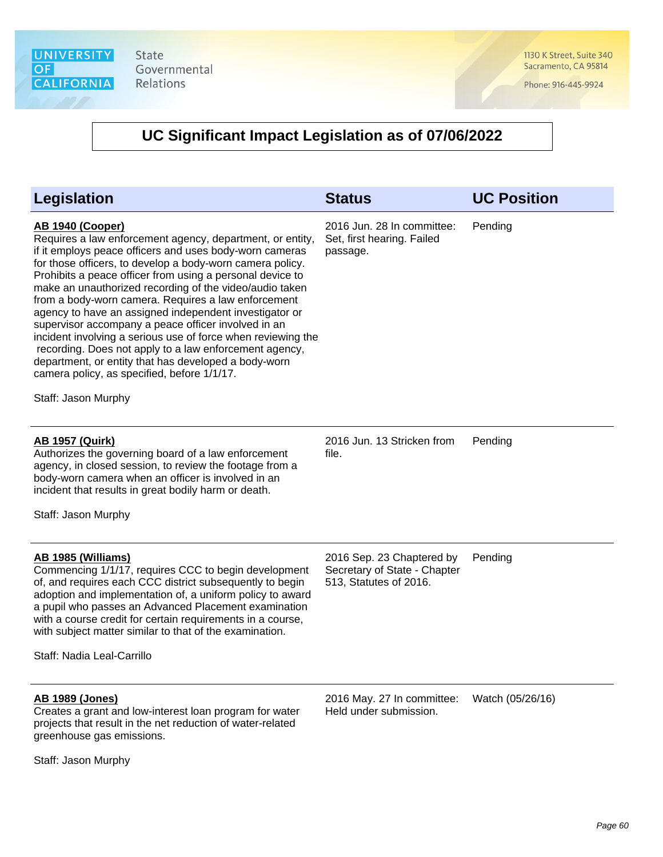1130 K Street, Suite 340 Sacramento, CA 95814

Phone: 916-445-9924

| <b>Legislation</b>                                                                                                                                                                                                                                                                                                                                                                                                                                                                                                                                                                                                                                                                                                                                                   | <b>Status</b>                                                                       | <b>UC Position</b> |
|----------------------------------------------------------------------------------------------------------------------------------------------------------------------------------------------------------------------------------------------------------------------------------------------------------------------------------------------------------------------------------------------------------------------------------------------------------------------------------------------------------------------------------------------------------------------------------------------------------------------------------------------------------------------------------------------------------------------------------------------------------------------|-------------------------------------------------------------------------------------|--------------------|
| <b>AB 1940 (Cooper)</b><br>Requires a law enforcement agency, department, or entity,<br>if it employs peace officers and uses body-worn cameras<br>for those officers, to develop a body-worn camera policy.<br>Prohibits a peace officer from using a personal device to<br>make an unauthorized recording of the video/audio taken<br>from a body-worn camera. Requires a law enforcement<br>agency to have an assigned independent investigator or<br>supervisor accompany a peace officer involved in an<br>incident involving a serious use of force when reviewing the<br>recording. Does not apply to a law enforcement agency,<br>department, or entity that has developed a body-worn<br>camera policy, as specified, before 1/1/17.<br>Staff: Jason Murphy | 2016 Jun. 28 In committee:<br>Set, first hearing. Failed<br>passage.                | Pending            |
| <b>AB 1957 (Quirk)</b><br>Authorizes the governing board of a law enforcement<br>agency, in closed session, to review the footage from a<br>body-worn camera when an officer is involved in an<br>incident that results in great bodily harm or death.<br>Staff: Jason Murphy                                                                                                                                                                                                                                                                                                                                                                                                                                                                                        | 2016 Jun. 13 Stricken from<br>file.                                                 | Pending            |
| AB 1985 (Williams)<br>Commencing 1/1/17, requires CCC to begin development<br>of, and requires each CCC district subsequently to begin<br>adoption and implementation of, a uniform policy to award<br>a pupil who passes an Advanced Placement examination<br>with a course credit for certain requirements in a course,<br>with subject matter similar to that of the examination.<br>Staff: Nadia Leal-Carrillo                                                                                                                                                                                                                                                                                                                                                   | 2016 Sep. 23 Chaptered by<br>Secretary of State - Chapter<br>513, Statutes of 2016. | Pending            |
| <b>AB 1989 (Jones)</b><br>Creates a grant and low-interest loan program for water<br>projects that result in the net reduction of water-related<br>greenhouse gas emissions.                                                                                                                                                                                                                                                                                                                                                                                                                                                                                                                                                                                         | 2016 May. 27 In committee:<br>Held under submission.                                | Watch (05/26/16)   |
| Staff: Jason Murphy                                                                                                                                                                                                                                                                                                                                                                                                                                                                                                                                                                                                                                                                                                                                                  |                                                                                     |                    |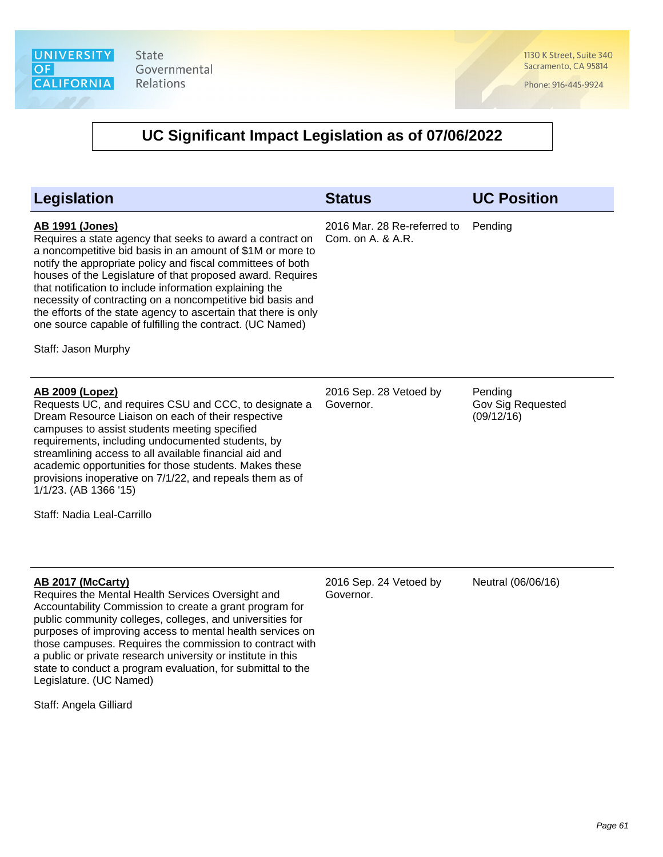1130 K Street, Suite 340 Sacramento, CA 95814

Phone: 916-445-9924

### **UC Significant Impact Legislation as of 07/06/2022**

| <b>Legislation</b>                                                                                                                                                                                                                                                                                                                                                                                                                                                                                                                                             | <b>Status</b>                                    | <b>UC Position</b>                         |
|----------------------------------------------------------------------------------------------------------------------------------------------------------------------------------------------------------------------------------------------------------------------------------------------------------------------------------------------------------------------------------------------------------------------------------------------------------------------------------------------------------------------------------------------------------------|--------------------------------------------------|--------------------------------------------|
| <b>AB 1991 (Jones)</b><br>Requires a state agency that seeks to award a contract on<br>a noncompetitive bid basis in an amount of \$1M or more to<br>notify the appropriate policy and fiscal committees of both<br>houses of the Legislature of that proposed award. Requires<br>that notification to include information explaining the<br>necessity of contracting on a noncompetitive bid basis and<br>the efforts of the state agency to ascertain that there is only<br>one source capable of fulfilling the contract. (UC Named)<br>Staff: Jason Murphy | 2016 Mar. 28 Re-referred to<br>Com. on A. & A.R. | Pending                                    |
| <b>AB 2009 (Lopez)</b><br>Requests UC, and requires CSU and CCC, to designate a<br>Dream Resource Liaison on each of their respective<br>campuses to assist students meeting specified<br>requirements, including undocumented students, by<br>streamlining access to all available financial aid and<br>academic opportunities for those students. Makes these<br>provisions inoperative on 7/1/22, and repeals them as of<br>1/1/23. (AB 1366 '15)<br>Staff: Nadia Leal-Carrillo                                                                             | 2016 Sep. 28 Vetoed by<br>Governor.              | Pending<br>Gov Sig Requested<br>(09/12/16) |
| AB 2017 (McCarty)<br>Requires the Mental Health Services Oversight and<br>Accountability Commission to create a grant program for<br>public community colleges, colleges, and universities for<br>purposes of improving access to mental health services on<br>those campuses. Requires the commission to contract with<br>a public or private research university or institute in this                                                                                                                                                                        | 2016 Sep. 24 Vetoed by<br>Governor.              | Neutral (06/06/16)                         |

Staff: Angela Gilliard

Legislature. (UC Named)

state to conduct a program evaluation, for submittal to the

Page 61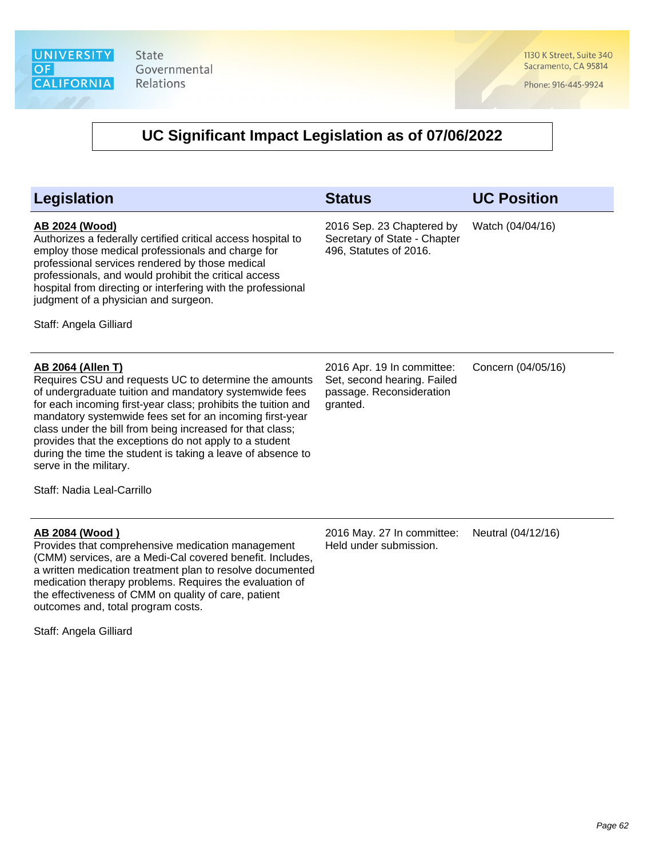1130 K Street, Suite 340 Sacramento, CA 95814

Phone: 916-445-9924

| <b>Legislation</b>                                                                                                                                                                                                                                                                                                                                                                                                                                                                                                     | <b>Status</b>                                                                                     | <b>UC Position</b> |
|------------------------------------------------------------------------------------------------------------------------------------------------------------------------------------------------------------------------------------------------------------------------------------------------------------------------------------------------------------------------------------------------------------------------------------------------------------------------------------------------------------------------|---------------------------------------------------------------------------------------------------|--------------------|
| AB 2024 (Wood)<br>Authorizes a federally certified critical access hospital to<br>employ those medical professionals and charge for<br>professional services rendered by those medical<br>professionals, and would prohibit the critical access<br>hospital from directing or interfering with the professional<br>judgment of a physician and surgeon.<br>Staff: Angela Gilliard                                                                                                                                      | 2016 Sep. 23 Chaptered by<br>Secretary of State - Chapter<br>496, Statutes of 2016.               | Watch (04/04/16)   |
| <b>AB 2064 (Allen T)</b><br>Requires CSU and requests UC to determine the amounts<br>of undergraduate tuition and mandatory systemwide fees<br>for each incoming first-year class; prohibits the tuition and<br>mandatory systemwide fees set for an incoming first-year<br>class under the bill from being increased for that class;<br>provides that the exceptions do not apply to a student<br>during the time the student is taking a leave of absence to<br>serve in the military.<br>Staff: Nadia Leal-Carrillo | 2016 Apr. 19 In committee:<br>Set, second hearing. Failed<br>passage. Reconsideration<br>granted. | Concern (04/05/16) |
| AB 2084 (Wood)<br>Provides that comprehensive medication management<br>(CMM) services, are a Medi-Cal covered benefit. Includes,<br>a written medication treatment plan to resolve documented<br>medication therapy problems. Requires the evaluation of<br>the effectiveness of CMM on quality of care, patient<br>outcomes and, total program costs.                                                                                                                                                                 | 2016 May. 27 In committee:<br>Held under submission.                                              | Neutral (04/12/16) |
| Staff: Angela Gilliard                                                                                                                                                                                                                                                                                                                                                                                                                                                                                                 |                                                                                                   |                    |
|                                                                                                                                                                                                                                                                                                                                                                                                                                                                                                                        |                                                                                                   |                    |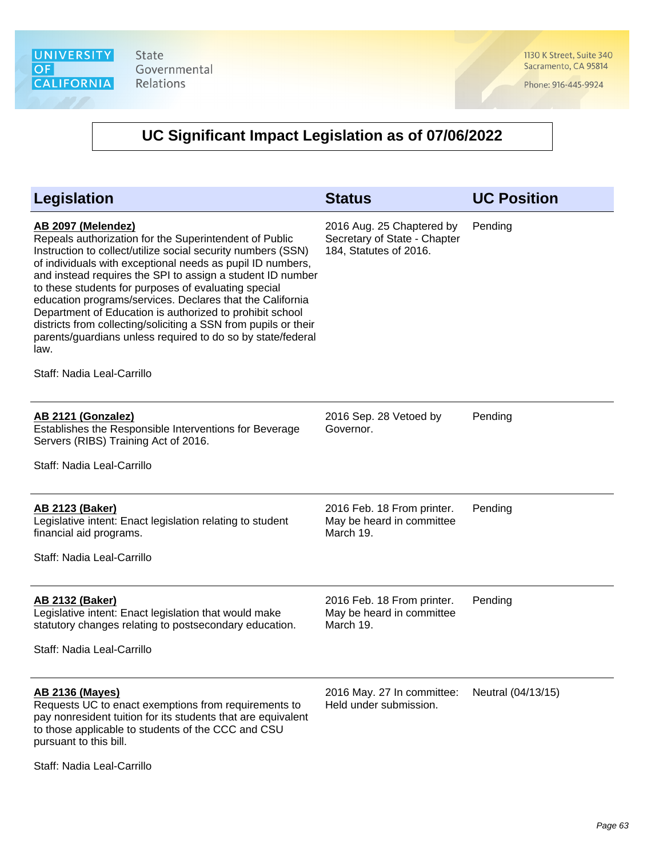1130 K Street, Suite 340 Sacramento, CA 95814

Phone: 916-445-9924

| Legislation                                                                                                                                                                                                                                                                                                                                                                                                                                                                                                                                                                                                                       | <b>Status</b>                                                                       | <b>UC Position</b> |
|-----------------------------------------------------------------------------------------------------------------------------------------------------------------------------------------------------------------------------------------------------------------------------------------------------------------------------------------------------------------------------------------------------------------------------------------------------------------------------------------------------------------------------------------------------------------------------------------------------------------------------------|-------------------------------------------------------------------------------------|--------------------|
| AB 2097 (Melendez)<br>Repeals authorization for the Superintendent of Public<br>Instruction to collect/utilize social security numbers (SSN)<br>of individuals with exceptional needs as pupil ID numbers,<br>and instead requires the SPI to assign a student ID number<br>to these students for purposes of evaluating special<br>education programs/services. Declares that the California<br>Department of Education is authorized to prohibit school<br>districts from collecting/soliciting a SSN from pupils or their<br>parents/guardians unless required to do so by state/federal<br>law.<br>Staff: Nadia Leal-Carrillo | 2016 Aug. 25 Chaptered by<br>Secretary of State - Chapter<br>184, Statutes of 2016. | Pending            |
| AB 2121 (Gonzalez)<br>Establishes the Responsible Interventions for Beverage<br>Servers (RIBS) Training Act of 2016.                                                                                                                                                                                                                                                                                                                                                                                                                                                                                                              | 2016 Sep. 28 Vetoed by<br>Governor.                                                 | Pending            |
| Staff: Nadia Leal-Carrillo                                                                                                                                                                                                                                                                                                                                                                                                                                                                                                                                                                                                        |                                                                                     |                    |
| <b>AB 2123 (Baker)</b><br>Legislative intent: Enact legislation relating to student<br>financial aid programs.<br>Staff: Nadia Leal-Carrillo                                                                                                                                                                                                                                                                                                                                                                                                                                                                                      | 2016 Feb. 18 From printer.<br>May be heard in committee<br>March 19.                | Pending            |
| <b>AB 2132 (Baker)</b><br>Legislative intent: Enact legislation that would make<br>statutory changes relating to postsecondary education.<br>Staff: Nadia Leal-Carrillo                                                                                                                                                                                                                                                                                                                                                                                                                                                           | 2016 Feb. 18 From printer.<br>May be heard in committee<br>March 19.                | Pending            |
| <b>AB 2136 (Mayes)</b><br>Requests UC to enact exemptions from requirements to<br>pay nonresident tuition for its students that are equivalent<br>to those applicable to students of the CCC and CSU<br>pursuant to this bill.                                                                                                                                                                                                                                                                                                                                                                                                    | 2016 May. 27 In committee:<br>Held under submission.                                | Neutral (04/13/15) |
| Staff: Nadia Leal-Carrillo                                                                                                                                                                                                                                                                                                                                                                                                                                                                                                                                                                                                        |                                                                                     |                    |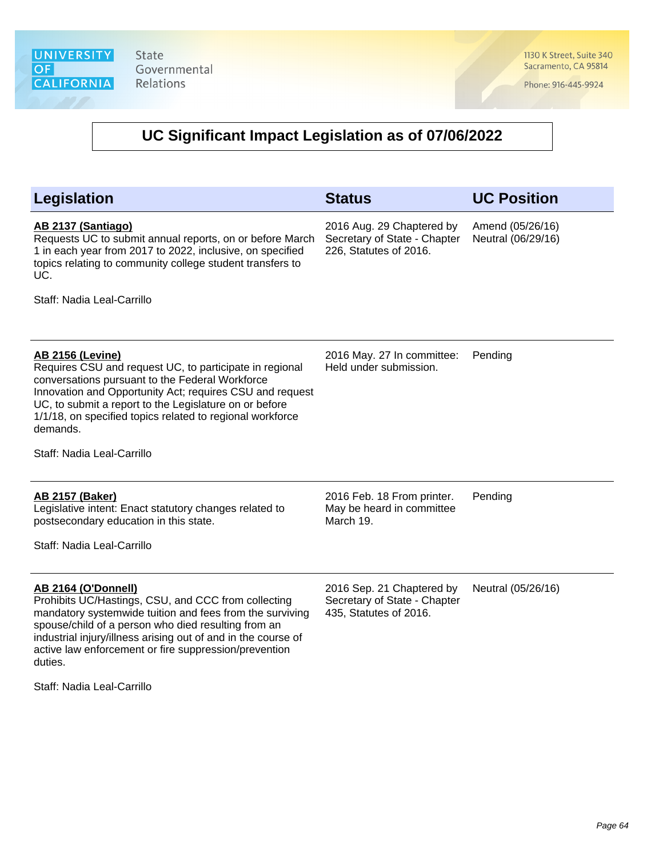1130 K Street, Suite 340 Sacramento, CA 95814

Phone: 916-445-9924

| Legislation                                                                                                                                                                                                                                                                                                                                                        | <b>Status</b>                                                                       | <b>UC Position</b>                     |
|--------------------------------------------------------------------------------------------------------------------------------------------------------------------------------------------------------------------------------------------------------------------------------------------------------------------------------------------------------------------|-------------------------------------------------------------------------------------|----------------------------------------|
| AB 2137 (Santiago)<br>Requests UC to submit annual reports, on or before March<br>1 in each year from 2017 to 2022, inclusive, on specified<br>topics relating to community college student transfers to<br>UC.<br>Staff: Nadia Leal-Carrillo                                                                                                                      | 2016 Aug. 29 Chaptered by<br>Secretary of State - Chapter<br>226, Statutes of 2016. | Amend (05/26/16)<br>Neutral (06/29/16) |
|                                                                                                                                                                                                                                                                                                                                                                    |                                                                                     |                                        |
| <b>AB 2156 (Levine)</b><br>Requires CSU and request UC, to participate in regional<br>conversations pursuant to the Federal Workforce<br>Innovation and Opportunity Act; requires CSU and request<br>UC, to submit a report to the Legislature on or before<br>1/1/18, on specified topics related to regional workforce<br>demands.<br>Staff: Nadia Leal-Carrillo | 2016 May. 27 In committee:<br>Held under submission.                                | Pending                                |
|                                                                                                                                                                                                                                                                                                                                                                    |                                                                                     |                                        |
| <b>AB 2157 (Baker)</b><br>Legislative intent: Enact statutory changes related to<br>postsecondary education in this state.<br>Staff: Nadia Leal-Carrillo                                                                                                                                                                                                           | 2016 Feb. 18 From printer.<br>May be heard in committee<br>March 19.                | Pending                                |
| <b>AB 2164 (O'Donnell)</b><br>Prohibits UC/Hastings, CSU, and CCC from collecting<br>mandatory systemwide tuition and fees from the surviving<br>spouse/child of a person who died resulting from an<br>industrial injury/illness arising out of and in the course of<br>active law enforcement or fire suppression/prevention<br>duties.                          | 2016 Sep. 21 Chaptered by<br>Secretary of State - Chapter<br>435, Statutes of 2016. | Neutral (05/26/16)                     |
| Staff: Nadia Leal-Carrillo                                                                                                                                                                                                                                                                                                                                         |                                                                                     |                                        |
|                                                                                                                                                                                                                                                                                                                                                                    |                                                                                     |                                        |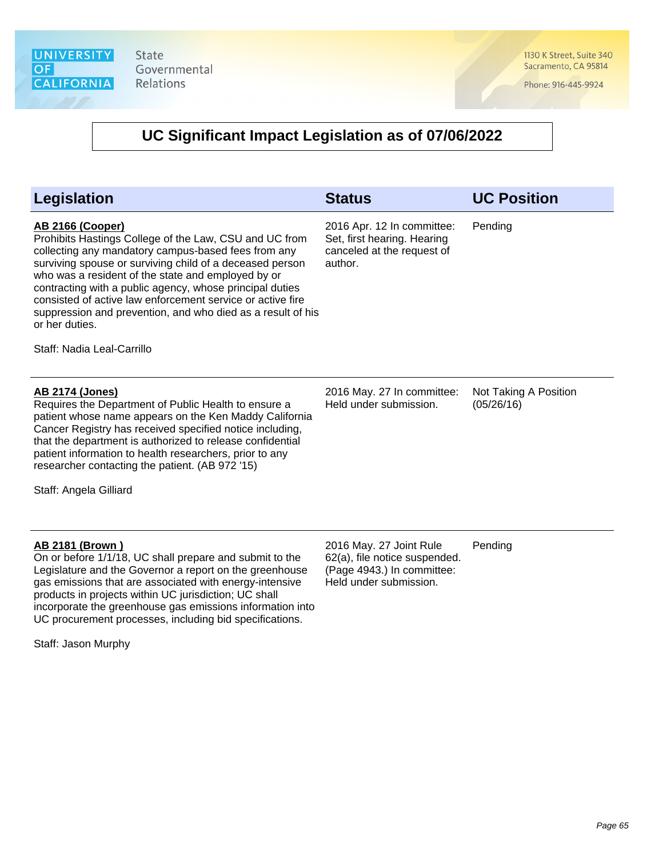1130 K Street, Suite 340 Sacramento, CA 95814

Phone: 916-445-9924

| Legislation                                                                                                                                                                                                                                                                                                                                                                                                                                                                                         | <b>Status</b>                                                                                                    | <b>UC Position</b>                  |
|-----------------------------------------------------------------------------------------------------------------------------------------------------------------------------------------------------------------------------------------------------------------------------------------------------------------------------------------------------------------------------------------------------------------------------------------------------------------------------------------------------|------------------------------------------------------------------------------------------------------------------|-------------------------------------|
| <b>AB 2166 (Cooper)</b><br>Prohibits Hastings College of the Law, CSU and UC from<br>collecting any mandatory campus-based fees from any<br>surviving spouse or surviving child of a deceased person<br>who was a resident of the state and employed by or<br>contracting with a public agency, whose principal duties<br>consisted of active law enforcement service or active fire<br>suppression and prevention, and who died as a result of his<br>or her duties.<br>Staff: Nadia Leal-Carrillo | 2016 Apr. 12 In committee:<br>Set, first hearing. Hearing<br>canceled at the request of<br>author.               | Pending                             |
| <b>AB 2174 (Jones)</b><br>Requires the Department of Public Health to ensure a<br>patient whose name appears on the Ken Maddy California<br>Cancer Registry has received specified notice including,<br>that the department is authorized to release confidential<br>patient information to health researchers, prior to any<br>researcher contacting the patient. (AB 972 '15)<br>Staff: Angela Gilliard                                                                                           | 2016 May. 27 In committee:<br>Held under submission.                                                             | Not Taking A Position<br>(05/26/16) |
| AB 2181 (Brown)<br>On or before 1/1/18, UC shall prepare and submit to the<br>Legislature and the Governor a report on the greenhouse<br>gas emissions that are associated with energy-intensive<br>products in projects within UC jurisdiction; UC shall<br>incorporate the greenhouse gas emissions information into<br>UC procurement processes, including bid specifications.<br>Staff: Jason Murphy                                                                                            | 2016 May. 27 Joint Rule<br>62(a), file notice suspended.<br>(Page 4943.) In committee:<br>Held under submission. | Pending                             |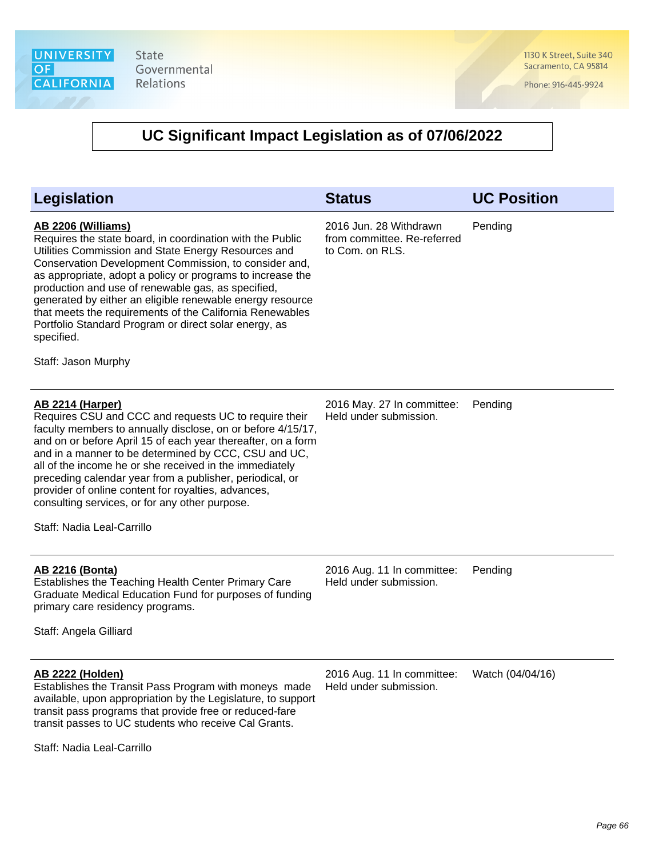1130 K Street, Suite 340 Sacramento, CA 95814

Phone: 916-445-9924

| <b>Legislation</b>                                                                                                                                                                                                                                                                                                                                                                                                                                                                                                                         | <b>Status</b>                                                            | <b>UC Position</b> |
|--------------------------------------------------------------------------------------------------------------------------------------------------------------------------------------------------------------------------------------------------------------------------------------------------------------------------------------------------------------------------------------------------------------------------------------------------------------------------------------------------------------------------------------------|--------------------------------------------------------------------------|--------------------|
| AB 2206 (Williams)<br>Requires the state board, in coordination with the Public<br>Utilities Commission and State Energy Resources and<br>Conservation Development Commission, to consider and,<br>as appropriate, adopt a policy or programs to increase the<br>production and use of renewable gas, as specified,<br>generated by either an eligible renewable energy resource<br>that meets the requirements of the California Renewables<br>Portfolio Standard Program or direct solar energy, as<br>specified.<br>Staff: Jason Murphy | 2016 Jun. 28 Withdrawn<br>from committee. Re-referred<br>to Com. on RLS. | Pending            |
| <b>AB 2214 (Harper)</b><br>Requires CSU and CCC and requests UC to require their<br>faculty members to annually disclose, on or before 4/15/17,<br>and on or before April 15 of each year thereafter, on a form<br>and in a manner to be determined by CCC, CSU and UC,<br>all of the income he or she received in the immediately<br>preceding calendar year from a publisher, periodical, or<br>provider of online content for royalties, advances,<br>consulting services, or for any other purpose.<br>Staff: Nadia Leal-Carrillo      | 2016 May. 27 In committee:<br>Held under submission.                     | Pending            |
| <b>AB 2216 (Bonta)</b><br>Establishes the Teaching Health Center Primary Care<br>Graduate Medical Education Fund for purposes of funding<br>primary care residency programs.<br>Staff: Angela Gilliard                                                                                                                                                                                                                                                                                                                                     | 2016 Aug. 11 In committee:<br>Held under submission.                     | Pending            |
| <b>AB 2222 (Holden)</b><br>Establishes the Transit Pass Program with moneys made<br>available, upon appropriation by the Legislature, to support<br>transit pass programs that provide free or reduced-fare<br>transit passes to UC students who receive Cal Grants.<br>Staff: Nadia Leal-Carrillo                                                                                                                                                                                                                                         | 2016 Aug. 11 In committee:<br>Held under submission.                     | Watch (04/04/16)   |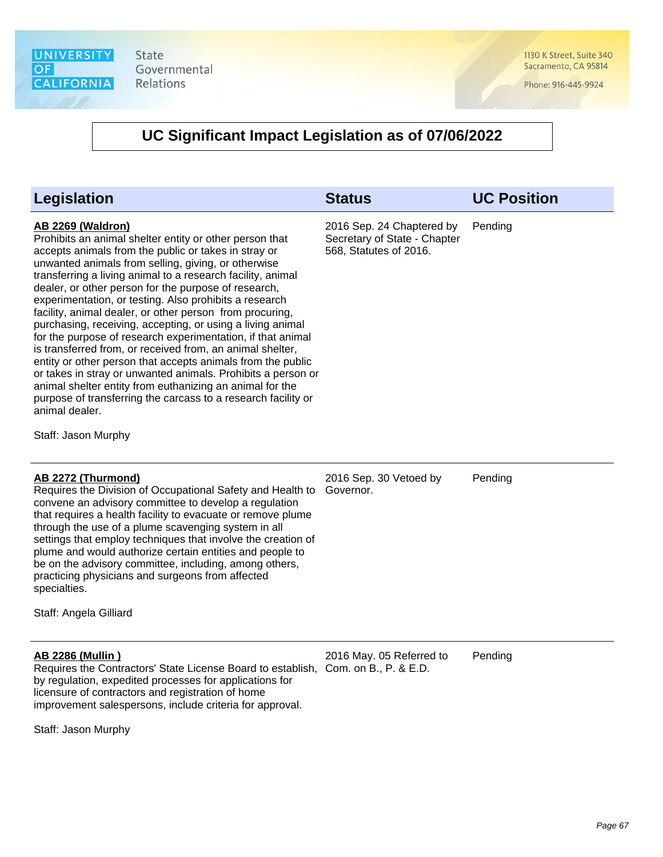1130 K Street, Suite 340 Sacramento, CA 95814

Phone: 916-445-9924

### **UC Significant Impact Legislation as of 07/06/2022**

| <b>Legislation</b>                                                                                                                                                                                                                                                                                                                                                                                                                                                                                                                                                                                                                                                                                                                                                                                                                                                                                                                             | <b>Status</b>                                                                       | <b>UC Position</b> |
|------------------------------------------------------------------------------------------------------------------------------------------------------------------------------------------------------------------------------------------------------------------------------------------------------------------------------------------------------------------------------------------------------------------------------------------------------------------------------------------------------------------------------------------------------------------------------------------------------------------------------------------------------------------------------------------------------------------------------------------------------------------------------------------------------------------------------------------------------------------------------------------------------------------------------------------------|-------------------------------------------------------------------------------------|--------------------|
| <b>AB 2269 (Waldron)</b><br>Prohibits an animal shelter entity or other person that<br>accepts animals from the public or takes in stray or<br>unwanted animals from selling, giving, or otherwise<br>transferring a living animal to a research facility, animal<br>dealer, or other person for the purpose of research,<br>experimentation, or testing. Also prohibits a research<br>facility, animal dealer, or other person from procuring,<br>purchasing, receiving, accepting, or using a living animal<br>for the purpose of research experimentation, if that animal<br>is transferred from, or received from, an animal shelter,<br>entity or other person that accepts animals from the public<br>or takes in stray or unwanted animals. Prohibits a person or<br>animal shelter entity from euthanizing an animal for the<br>purpose of transferring the carcass to a research facility or<br>animal dealer.<br>Staff: Jason Murphy | 2016 Sep. 24 Chaptered by<br>Secretary of State - Chapter<br>568, Statutes of 2016. | Pending            |
| AB 2272 (Thurmond)<br>Requires the Division of Occupational Safety and Health to<br>convene an advisory committee to develop a regulation<br>that requires a health facility to evacuate or remove plume<br>through the use of a plume scavenging system in all<br>settings that employ techniques that involve the creation of<br>plume and would authorize certain entities and people to<br>be on the advisory committee, including, among others,<br>practicing physicians and surgeons from affected<br>specialties.<br>Staff: Angela Gilliard                                                                                                                                                                                                                                                                                                                                                                                            | 2016 Sep. 30 Vetoed by<br>Governor.                                                 | Pending            |
| <b>AB 2286 (Mullin)</b><br>$104.44 \pm 12.44$<br>بالمثال والمربة                                                                                                                                                                                                                                                                                                                                                                                                                                                                                                                                                                                                                                                                                                                                                                                                                                                                               | 2016 May. 05 Referred to                                                            | Pending            |

Requires the Contractors' State License Board to establish, Com. on B., P. & E.D. by regulation, expedited processes for applications for licensure of contractors and registration of home improvement salespersons, include criteria for approval.

Staff: Jason Murphy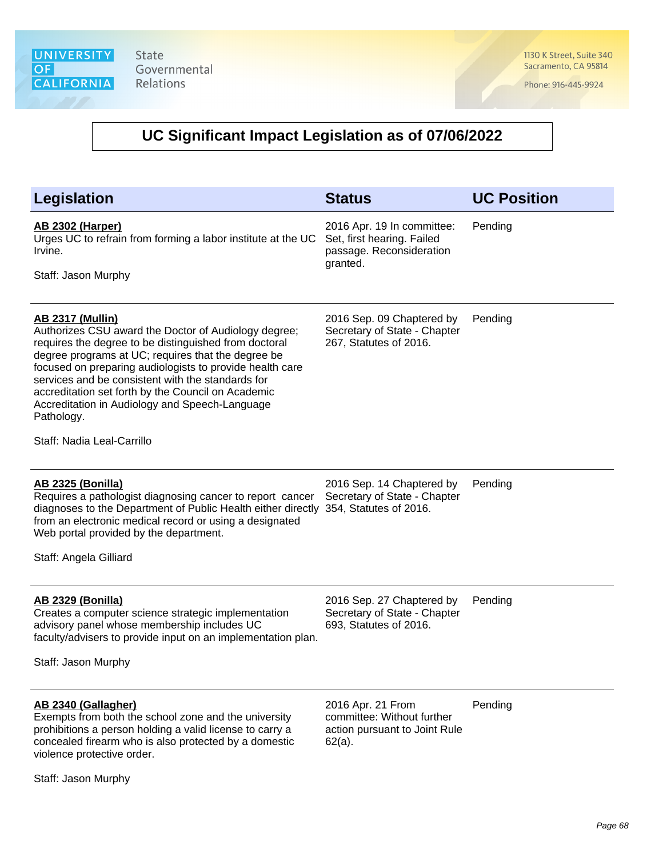1130 K Street, Suite 340 Sacramento, CA 95814

Phone: 916-445-9924

| Legislation                                                                                                                                                                                                                                                                                                                                                                                                                                                         | <b>Status</b>                                                                                    | <b>UC Position</b> |
|---------------------------------------------------------------------------------------------------------------------------------------------------------------------------------------------------------------------------------------------------------------------------------------------------------------------------------------------------------------------------------------------------------------------------------------------------------------------|--------------------------------------------------------------------------------------------------|--------------------|
| <b>AB 2302 (Harper)</b><br>Urges UC to refrain from forming a labor institute at the UC<br>Irvine.<br>Staff: Jason Murphy                                                                                                                                                                                                                                                                                                                                           | 2016 Apr. 19 In committee:<br>Set, first hearing. Failed<br>passage. Reconsideration<br>granted. | Pending            |
| <b>AB 2317 (Mullin)</b><br>Authorizes CSU award the Doctor of Audiology degree;<br>requires the degree to be distinguished from doctoral<br>degree programs at UC; requires that the degree be<br>focused on preparing audiologists to provide health care<br>services and be consistent with the standards for<br>accreditation set forth by the Council on Academic<br>Accreditation in Audiology and Speech-Language<br>Pathology.<br>Staff: Nadia Leal-Carrillo | 2016 Sep. 09 Chaptered by<br>Secretary of State - Chapter<br>267, Statutes of 2016.              | Pending            |
|                                                                                                                                                                                                                                                                                                                                                                                                                                                                     |                                                                                                  |                    |
| <b>AB 2325 (Bonilla)</b><br>Requires a pathologist diagnosing cancer to report cancer<br>diagnoses to the Department of Public Health either directly<br>from an electronic medical record or using a designated<br>Web portal provided by the department.<br>Staff: Angela Gilliard                                                                                                                                                                                | 2016 Sep. 14 Chaptered by<br>Secretary of State - Chapter<br>354, Statutes of 2016.              | Pending            |
| <b>AB 2329 (Bonilla)</b><br>Creates a computer science strategic implementation<br>advisory panel whose membership includes UC<br>faculty/advisers to provide input on an implementation plan.<br>Staff: Jason Murphy                                                                                                                                                                                                                                               | 2016 Sep. 27 Chaptered by<br>Secretary of State - Chapter<br>693, Statutes of 2016.              | Pending            |
| AB 2340 (Gallagher)<br>Exempts from both the school zone and the university<br>prohibitions a person holding a valid license to carry a<br>concealed firearm who is also protected by a domestic<br>violence protective order.                                                                                                                                                                                                                                      | 2016 Apr. 21 From<br>committee: Without further<br>action pursuant to Joint Rule<br>$62(a)$ .    | Pending            |
| Staff: Jason Murphy                                                                                                                                                                                                                                                                                                                                                                                                                                                 |                                                                                                  |                    |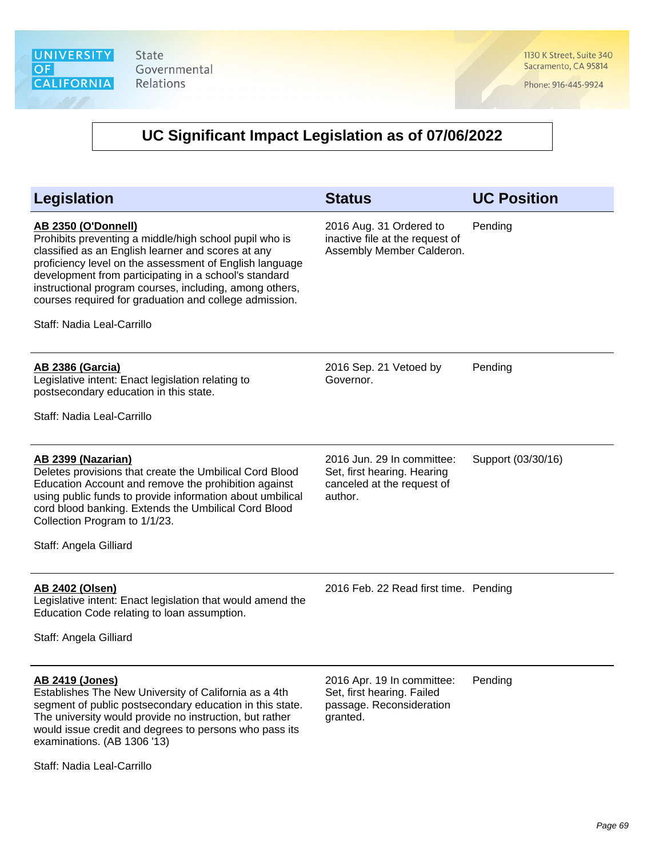1130 K Street, Suite 340 Sacramento, CA 95814

Phone: 916-445-9924

| <b>Legislation</b>                                                                                                                                                                                                                                                                                                                                                                                                | <b>Status</b>                                                                                      | <b>UC Position</b> |
|-------------------------------------------------------------------------------------------------------------------------------------------------------------------------------------------------------------------------------------------------------------------------------------------------------------------------------------------------------------------------------------------------------------------|----------------------------------------------------------------------------------------------------|--------------------|
| <b>AB 2350 (O'Donnell)</b><br>Prohibits preventing a middle/high school pupil who is<br>classified as an English learner and scores at any<br>proficiency level on the assessment of English language<br>development from participating in a school's standard<br>instructional program courses, including, among others,<br>courses required for graduation and college admission.<br>Staff: Nadia Leal-Carrillo | 2016 Aug. 31 Ordered to<br>inactive file at the request of<br>Assembly Member Calderon.            | Pending            |
| <b>AB 2386 (Garcia)</b><br>Legislative intent: Enact legislation relating to<br>postsecondary education in this state.<br>Staff: Nadia Leal-Carrillo                                                                                                                                                                                                                                                              | 2016 Sep. 21 Vetoed by<br>Governor.                                                                | Pending            |
| AB 2399 (Nazarian)<br>Deletes provisions that create the Umbilical Cord Blood<br>Education Account and remove the prohibition against<br>using public funds to provide information about umbilical<br>cord blood banking. Extends the Umbilical Cord Blood<br>Collection Program to 1/1/23.<br>Staff: Angela Gilliard                                                                                             | 2016 Jun. 29 In committee:<br>Set, first hearing. Hearing<br>canceled at the request of<br>author. | Support (03/30/16) |
| AB 2402 (Olsen)<br>Legislative intent: Enact legislation that would amend the<br>Education Code relating to loan assumption.<br>Staff: Angela Gilliard                                                                                                                                                                                                                                                            | 2016 Feb. 22 Read first time. Pending                                                              |                    |
| <b>AB 2419 (Jones)</b><br>Establishes The New University of California as a 4th<br>segment of public postsecondary education in this state.<br>The university would provide no instruction, but rather<br>would issue credit and degrees to persons who pass its<br>examinations. (AB 1306 '13)                                                                                                                   | 2016 Apr. 19 In committee:<br>Set, first hearing. Failed<br>passage. Reconsideration<br>granted.   | Pending            |
| Staff: Nadia Leal-Carrillo                                                                                                                                                                                                                                                                                                                                                                                        |                                                                                                    |                    |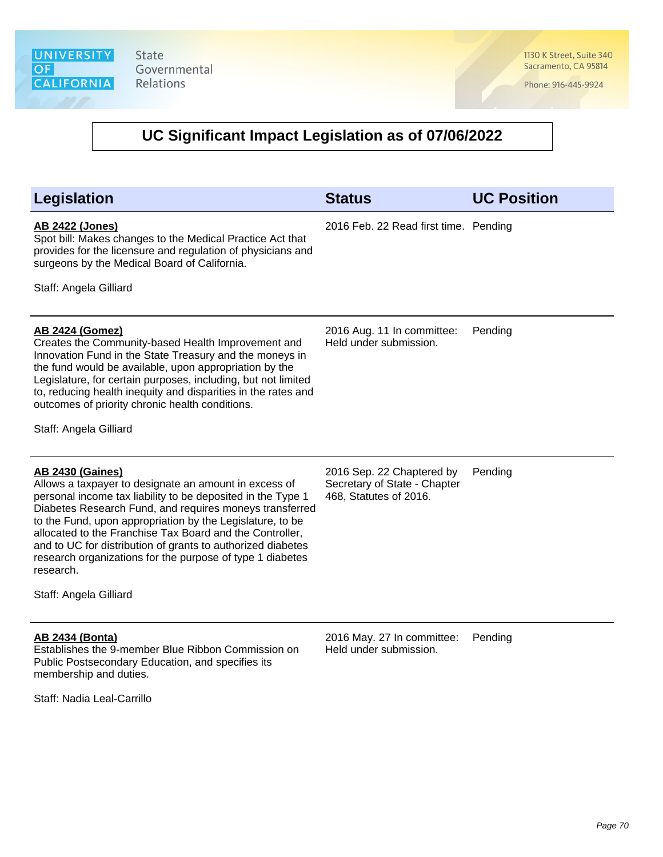1130 K Street, Suite 340 Sacramento, CA 95814

Phone: 916-445-9924

| <b>Legislation</b>                                                                                                                                                                                                                                                                                                                                                                                                                                                                                     | <b>Status</b>                                                                       | <b>UC Position</b> |
|--------------------------------------------------------------------------------------------------------------------------------------------------------------------------------------------------------------------------------------------------------------------------------------------------------------------------------------------------------------------------------------------------------------------------------------------------------------------------------------------------------|-------------------------------------------------------------------------------------|--------------------|
| <b>AB 2422 (Jones)</b><br>Spot bill: Makes changes to the Medical Practice Act that<br>provides for the licensure and regulation of physicians and<br>surgeons by the Medical Board of California.                                                                                                                                                                                                                                                                                                     | 2016 Feb. 22 Read first time. Pending                                               |                    |
| Staff: Angela Gilliard                                                                                                                                                                                                                                                                                                                                                                                                                                                                                 |                                                                                     |                    |
| <b>AB 2424 (Gomez)</b><br>Creates the Community-based Health Improvement and<br>Innovation Fund in the State Treasury and the moneys in<br>the fund would be available, upon appropriation by the<br>Legislature, for certain purposes, including, but not limited<br>to, reducing health inequity and disparities in the rates and<br>outcomes of priority chronic health conditions.                                                                                                                 | 2016 Aug. 11 In committee:<br>Held under submission.                                | Pending            |
| Staff: Angela Gilliard                                                                                                                                                                                                                                                                                                                                                                                                                                                                                 |                                                                                     |                    |
| <b>AB 2430 (Gaines)</b><br>Allows a taxpayer to designate an amount in excess of<br>personal income tax liability to be deposited in the Type 1<br>Diabetes Research Fund, and requires moneys transferred<br>to the Fund, upon appropriation by the Legislature, to be<br>allocated to the Franchise Tax Board and the Controller,<br>and to UC for distribution of grants to authorized diabetes<br>research organizations for the purpose of type 1 diabetes<br>research.<br>Staff: Angela Gilliard | 2016 Sep. 22 Chaptered by<br>Secretary of State - Chapter<br>468, Statutes of 2016. | Pending            |
| <b>AB 2434 (Bonta)</b><br>Establishes the 9-member Blue Ribbon Commission on<br>Public Postsecondary Education, and specifies its<br>membership and duties.                                                                                                                                                                                                                                                                                                                                            | 2016 May. 27 In committee:<br>Held under submission.                                | Pending            |
| Staff: Nadia Leal-Carrillo                                                                                                                                                                                                                                                                                                                                                                                                                                                                             |                                                                                     |                    |
|                                                                                                                                                                                                                                                                                                                                                                                                                                                                                                        |                                                                                     |                    |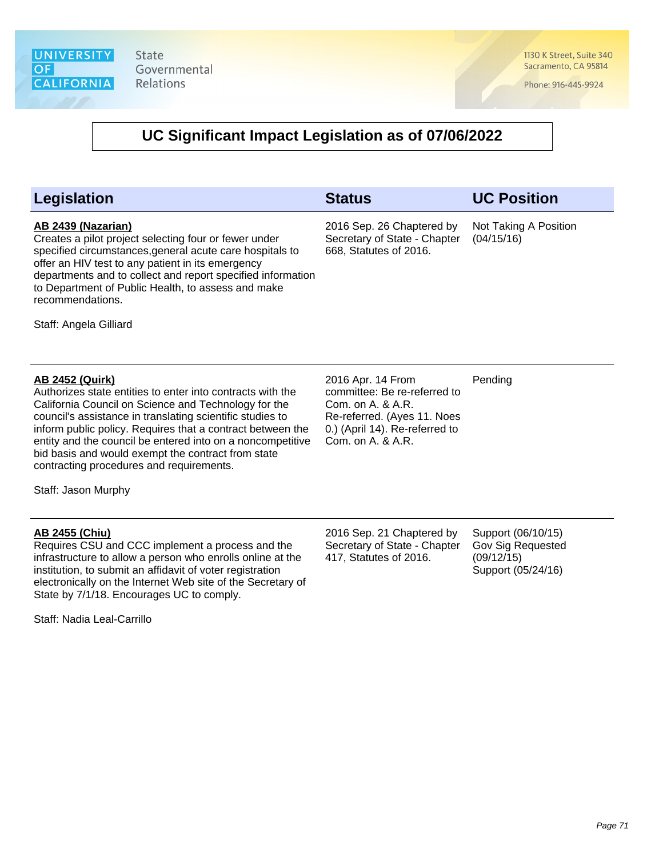1130 K Street, Suite 340 Sacramento, CA 95814

Phone: 916-445-9924

### **UC Significant Impact Legislation as of 07/06/2022**

#### **AB 2439 (Nazarian)**

Creates a pilot project selecting four or fewer under specified circumstances,general acute care hospitals to offer an HIV test to any patient in its emergency departments and to collect and report specified information to Department of Public Health, to assess and make recommendations.

**Legislation Status UC Position**

2016 Sep. 26 Chaptered by Secretary of State - Chapter 668, Statutes of 2016.

Not Taking A Position (04/15/16)

Staff: Angela Gilliard

### **AB 2452 (Quirk)**

Authorizes state entities to enter into contracts with the California Council on Science and Technology for the council's assistance in translating scientific studies to inform public policy. Requires that a contract between the entity and the council be entered into on a noncompetitive bid basis and would exempt the contract from state contracting procedures and requirements.

Staff: Jason Murphy

### **AB 2455 (Chiu)**

Requires CSU and CCC implement a process and the infrastructure to allow a person who enrolls online at the institution, to submit an affidavit of voter registration electronically on the Internet Web site of the Secretary of State by 7/1/18. Encourages UC to comply.

Staff: Nadia Leal-Carrillo

2016 Apr. 14 From committee: Be re-referred to Com. on A. & A.R. Re-referred. (Ayes 11. Noes 0.) (April 14). Re-referred to Com. on A. & A.R.

Pending

2016 Sep. 21 Chaptered by Secretary of State - Chapter 417, Statutes of 2016.

Support (06/10/15) Gov Sig Requested (09/12/15) Support (05/24/16)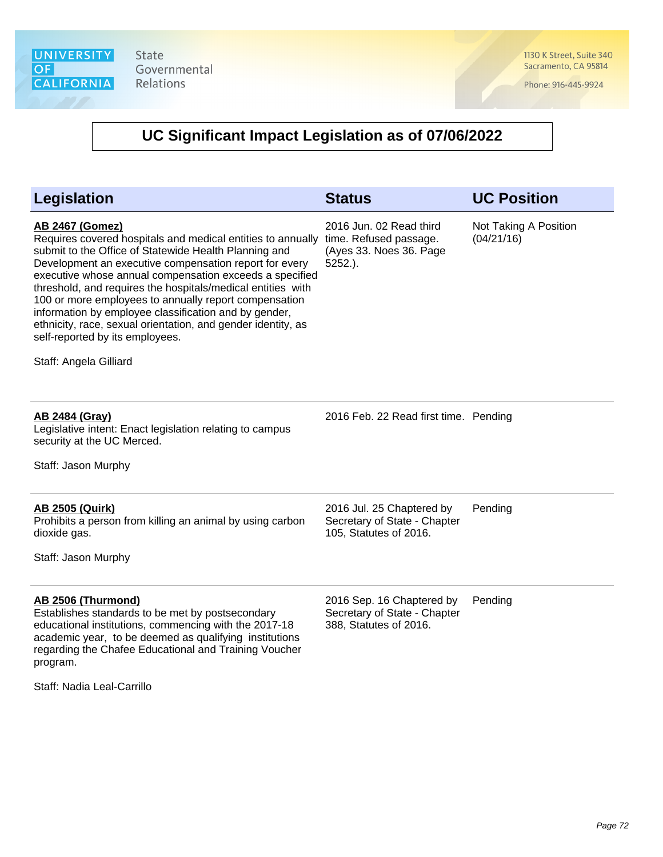1130 K Street, Suite 340 Sacramento, CA 95814

Phone: 916-445-9924

| <b>Legislation</b>                                                                                                                                                                                                                                                                                                                                                                                                                                                                                                                                                                | <b>Status</b>                                                                              | <b>UC Position</b>                  |
|-----------------------------------------------------------------------------------------------------------------------------------------------------------------------------------------------------------------------------------------------------------------------------------------------------------------------------------------------------------------------------------------------------------------------------------------------------------------------------------------------------------------------------------------------------------------------------------|--------------------------------------------------------------------------------------------|-------------------------------------|
| <b>AB 2467 (Gomez)</b><br>Requires covered hospitals and medical entities to annually<br>submit to the Office of Statewide Health Planning and<br>Development an executive compensation report for every<br>executive whose annual compensation exceeds a specified<br>threshold, and requires the hospitals/medical entities with<br>100 or more employees to annually report compensation<br>information by employee classification and by gender,<br>ethnicity, race, sexual orientation, and gender identity, as<br>self-reported by its employees.<br>Staff: Angela Gilliard | 2016 Jun. 02 Read third<br>time. Refused passage.<br>(Ayes 33. Noes 36. Page<br>$5252.$ ). | Not Taking A Position<br>(04/21/16) |
| <b>AB 2484 (Gray)</b><br>Legislative intent: Enact legislation relating to campus<br>security at the UC Merced.<br>Staff: Jason Murphy                                                                                                                                                                                                                                                                                                                                                                                                                                            | 2016 Feb. 22 Read first time. Pending                                                      |                                     |
| <b>AB 2505 (Quirk)</b><br>Prohibits a person from killing an animal by using carbon<br>dioxide gas.<br>Staff: Jason Murphy                                                                                                                                                                                                                                                                                                                                                                                                                                                        | 2016 Jul. 25 Chaptered by<br>Secretary of State - Chapter<br>105, Statutes of 2016.        | Pending                             |
| AB 2506 (Thurmond)<br>Establishes standards to be met by postsecondary<br>educational institutions, commencing with the 2017-18<br>academic year, to be deemed as qualifying institutions<br>regarding the Chafee Educational and Training Voucher<br>program.<br>Staff: Nadia Leal-Carrillo                                                                                                                                                                                                                                                                                      | 2016 Sep. 16 Chaptered by<br>Secretary of State - Chapter<br>388, Statutes of 2016.        | Pending                             |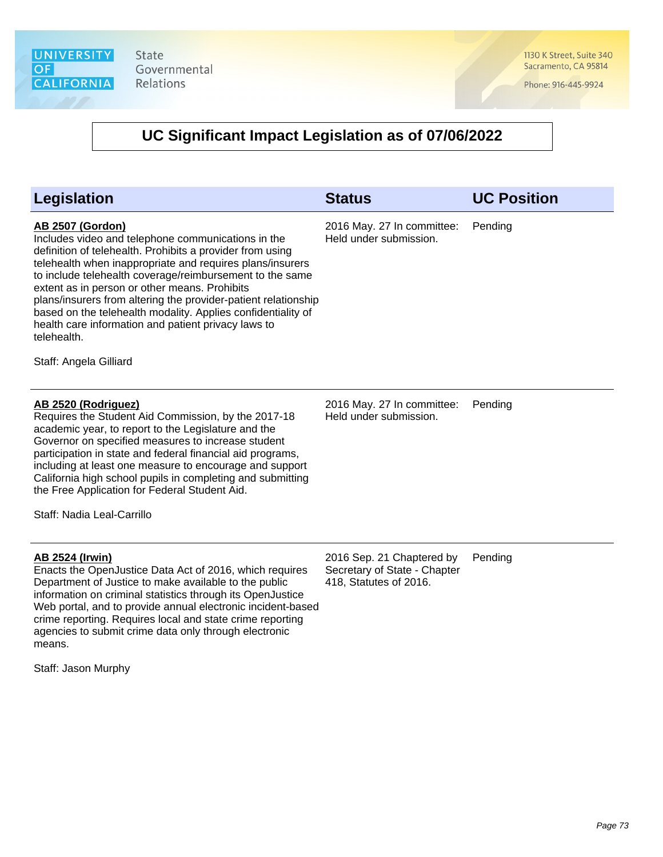1130 K Street, Suite 340 Sacramento, CA 95814

Phone: 916-445-9924

| <b>Legislation</b>                                                                                                                                                                                                                                                                                                                                                                                                                                                                                                                                     | <b>Status</b>                                                                       | <b>UC Position</b> |
|--------------------------------------------------------------------------------------------------------------------------------------------------------------------------------------------------------------------------------------------------------------------------------------------------------------------------------------------------------------------------------------------------------------------------------------------------------------------------------------------------------------------------------------------------------|-------------------------------------------------------------------------------------|--------------------|
| <b>AB 2507 (Gordon)</b><br>Includes video and telephone communications in the<br>definition of telehealth. Prohibits a provider from using<br>telehealth when inappropriate and requires plans/insurers<br>to include telehealth coverage/reimbursement to the same<br>extent as in person or other means. Prohibits<br>plans/insurers from altering the provider-patient relationship<br>based on the telehealth modality. Applies confidentiality of<br>health care information and patient privacy laws to<br>telehealth.<br>Staff: Angela Gilliard | 2016 May. 27 In committee:<br>Held under submission.                                | Pending            |
| AB 2520 (Rodriguez)<br>Requires the Student Aid Commission, by the 2017-18<br>academic year, to report to the Legislature and the<br>Governor on specified measures to increase student<br>participation in state and federal financial aid programs,<br>including at least one measure to encourage and support<br>California high school pupils in completing and submitting<br>the Free Application for Federal Student Aid.<br>Staff: Nadia Leal-Carrillo                                                                                          | 2016 May. 27 In committee:<br>Held under submission.                                | Pending            |
| <b>AB 2524 (Irwin)</b><br>Enacts the OpenJustice Data Act of 2016, which requires<br>Department of Justice to make available to the public<br>information on criminal statistics through its OpenJustice<br>Web portal, and to provide annual electronic incident-based<br>crime reporting. Requires local and state crime reporting<br>agencies to submit crime data only through electronic<br>means.<br>Staff: Jason Murphy                                                                                                                         | 2016 Sep. 21 Chaptered by<br>Secretary of State - Chapter<br>418, Statutes of 2016. | Pending            |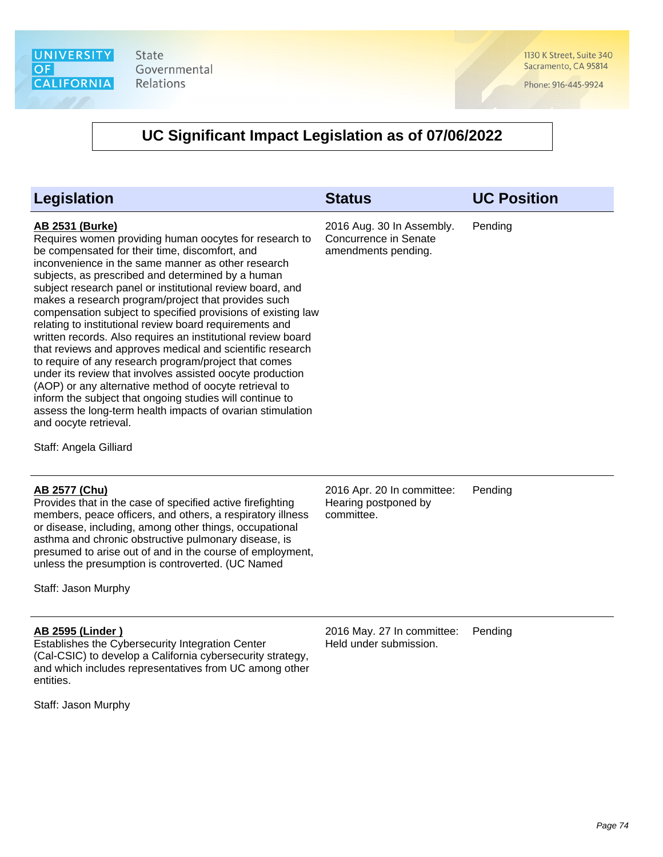1130 K Street, Suite 340 Sacramento, CA 95814

Phone: 916-445-9924

#### **UC Significant Impact Legislation as of 07/06/2022**

| <b>Legislation</b>                                                                                                                                                                                                                                                                                                                                                                                                                                                                                                                                                                                                                                                                                                                                                                                                                                                                                                                                                                     | <b>Status</b>                                                             | <b>UC Position</b> |
|----------------------------------------------------------------------------------------------------------------------------------------------------------------------------------------------------------------------------------------------------------------------------------------------------------------------------------------------------------------------------------------------------------------------------------------------------------------------------------------------------------------------------------------------------------------------------------------------------------------------------------------------------------------------------------------------------------------------------------------------------------------------------------------------------------------------------------------------------------------------------------------------------------------------------------------------------------------------------------------|---------------------------------------------------------------------------|--------------------|
| <b>AB 2531 (Burke)</b><br>Requires women providing human oocytes for research to<br>be compensated for their time, discomfort, and<br>inconvenience in the same manner as other research<br>subjects, as prescribed and determined by a human<br>subject research panel or institutional review board, and<br>makes a research program/project that provides such<br>compensation subject to specified provisions of existing law<br>relating to institutional review board requirements and<br>written records. Also requires an institutional review board<br>that reviews and approves medical and scientific research<br>to require of any research program/project that comes<br>under its review that involves assisted oocyte production<br>(AOP) or any alternative method of oocyte retrieval to<br>inform the subject that ongoing studies will continue to<br>assess the long-term health impacts of ovarian stimulation<br>and oocyte retrieval.<br>Staff: Angela Gilliard | 2016 Aug. 30 In Assembly.<br>Concurrence in Senate<br>amendments pending. | Pending            |
| <b>AB 2577 (Chu)</b><br>Provides that in the case of specified active firefighting<br>members, peace officers, and others, a respiratory illness                                                                                                                                                                                                                                                                                                                                                                                                                                                                                                                                                                                                                                                                                                                                                                                                                                       | 2016 Apr. 20 In committee:<br>Hearing postponed by<br>committee.          | Pending            |

members, peace officers, and others, a respiratory illness or disease, including, among other things, occupational asthma and chronic obstructive pulmonary disease, is presumed to arise out of and in the course of employment, unless the presumption is controverted. (UC Named

Staff: Jason Murphy

#### **AB 2595 (Linder )**

Establishes the Cybersecurity Integration Center (Cal-CSIC) to develop a California cybersecurity strategy, and which includes representatives from UC among other entities.

Staff: Jason Murphy

2016 May. 27 In committee: Held under submission. Pending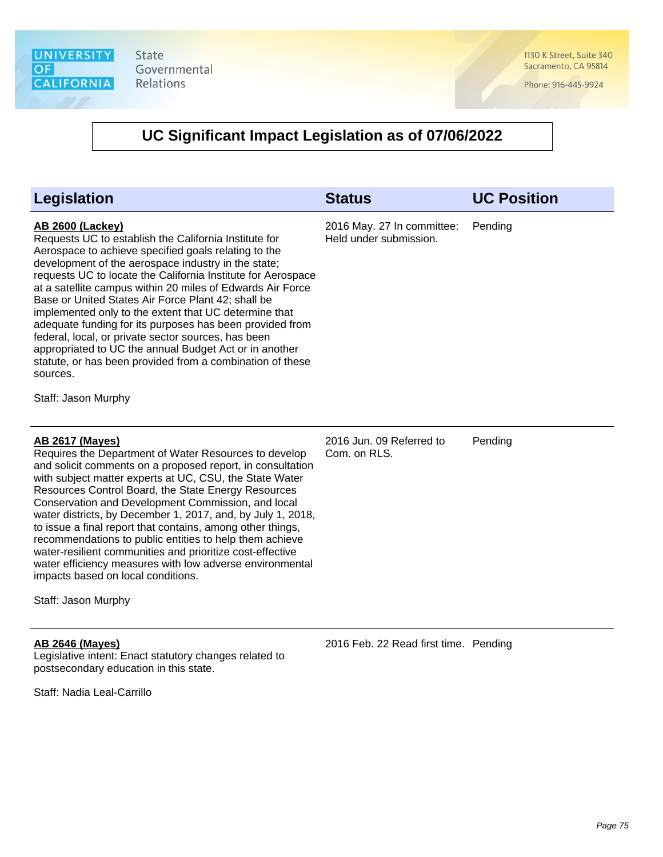1130 K Street, Suite 340 Sacramento, CA 95814

Phone: 916-445-9924

| Legislation                                                                                                                                                                                                                                                                                                                                                                                                                                                                                                                                                                                                                                                                                                               | <b>Status</b>                                        | <b>UC Position</b> |
|---------------------------------------------------------------------------------------------------------------------------------------------------------------------------------------------------------------------------------------------------------------------------------------------------------------------------------------------------------------------------------------------------------------------------------------------------------------------------------------------------------------------------------------------------------------------------------------------------------------------------------------------------------------------------------------------------------------------------|------------------------------------------------------|--------------------|
| <b>AB 2600 (Lackey)</b><br>Requests UC to establish the California Institute for<br>Aerospace to achieve specified goals relating to the<br>development of the aerospace industry in the state;<br>requests UC to locate the California Institute for Aerospace<br>at a satellite campus within 20 miles of Edwards Air Force<br>Base or United States Air Force Plant 42; shall be<br>implemented only to the extent that UC determine that<br>adequate funding for its purposes has been provided from<br>federal, local, or private sector sources, has been<br>appropriated to UC the annual Budget Act or in another<br>statute, or has been provided from a combination of these<br>sources.<br>Staff: Jason Murphy | 2016 May. 27 In committee:<br>Held under submission. | Pending            |
| <b>AB 2617 (Mayes)</b><br>Requires the Department of Water Resources to develop<br>and solicit comments on a proposed report, in consultation<br>with subject matter experts at UC, CSU, the State Water<br>Resources Control Board, the State Energy Resources<br>Conservation and Development Commission, and local<br>water districts, by December 1, 2017, and, by July 1, 2018,<br>to issue a final report that contains, among other things,<br>recommendations to public entities to help them achieve<br>water-resilient communities and prioritize cost-effective<br>water efficiency measures with low adverse environmental<br>impacts based on local conditions.<br>Staff: Jason Murphy                       | 2016 Jun. 09 Referred to<br>Com. on RLS.             | Pending            |
| <b>AB 2646 (Mayes)</b><br>Legislative intent: Enact statutory changes related to<br>postsecondary education in this state.<br>Staff: Nadia Leal-Carrillo                                                                                                                                                                                                                                                                                                                                                                                                                                                                                                                                                                  | 2016 Feb. 22 Read first time. Pending                |                    |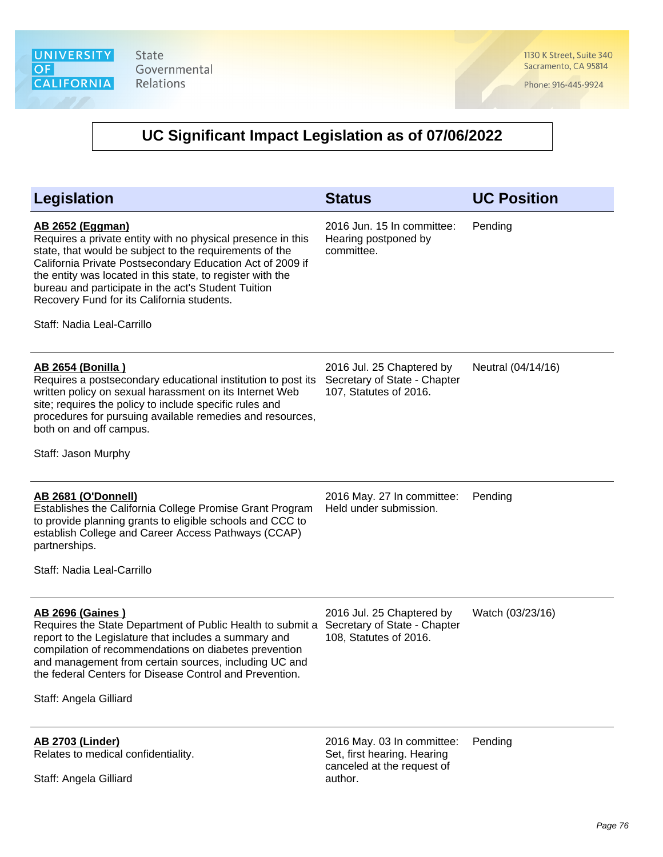1130 K Street, Suite 340 Sacramento, CA 95814

Phone: 916-445-9924

| Legislation                                                                                                                                                                                                                                                                                                                                                                                                     | <b>Status</b>                                                                                      | <b>UC Position</b> |
|-----------------------------------------------------------------------------------------------------------------------------------------------------------------------------------------------------------------------------------------------------------------------------------------------------------------------------------------------------------------------------------------------------------------|----------------------------------------------------------------------------------------------------|--------------------|
| <b>AB 2652 (Eggman)</b><br>Requires a private entity with no physical presence in this<br>state, that would be subject to the requirements of the<br>California Private Postsecondary Education Act of 2009 if<br>the entity was located in this state, to register with the<br>bureau and participate in the act's Student Tuition<br>Recovery Fund for its California students.<br>Staff: Nadia Leal-Carrillo | 2016 Jun. 15 In committee:<br>Hearing postponed by<br>committee.                                   | Pending            |
| <b>AB 2654 (Bonilla)</b><br>Requires a postsecondary educational institution to post its<br>written policy on sexual harassment on its Internet Web<br>site; requires the policy to include specific rules and<br>procedures for pursuing available remedies and resources,<br>both on and off campus.<br>Staff: Jason Murphy                                                                                   | 2016 Jul. 25 Chaptered by<br>Secretary of State - Chapter<br>107, Statutes of 2016.                | Neutral (04/14/16) |
| <b>AB 2681 (O'Donnell)</b><br>Establishes the California College Promise Grant Program<br>to provide planning grants to eligible schools and CCC to<br>establish College and Career Access Pathways (CCAP)<br>partnerships.<br>Staff: Nadia Leal-Carrillo                                                                                                                                                       | 2016 May. 27 In committee:<br>Held under submission.                                               | Pending            |
| <b>AB 2696 (Gaines)</b><br>Requires the State Department of Public Health to submit a<br>report to the Legislature that includes a summary and<br>compilation of recommendations on diabetes prevention<br>and management from certain sources, including UC and<br>the federal Centers for Disease Control and Prevention.<br>Staff: Angela Gilliard                                                           | 2016 Jul. 25 Chaptered by<br>Secretary of State - Chapter<br>108, Statutes of 2016.                | Watch (03/23/16)   |
| <b>AB 2703 (Linder)</b><br>Relates to medical confidentiality.<br>Staff: Angela Gilliard                                                                                                                                                                                                                                                                                                                        | 2016 May. 03 In committee:<br>Set, first hearing. Hearing<br>canceled at the request of<br>author. | Pending            |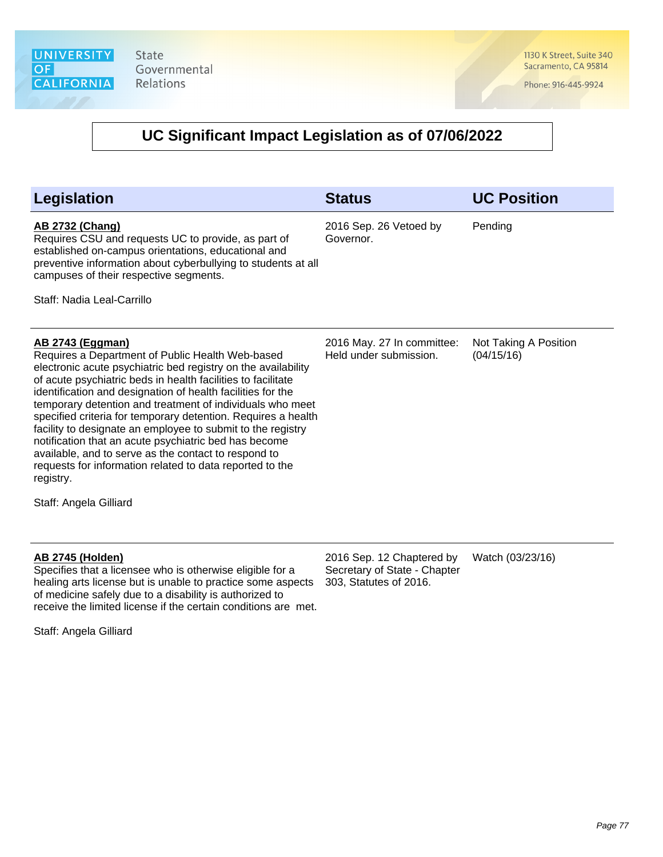1130 K Street, Suite 340 Sacramento, CA 95814

Phone: 916-445-9924

#### **UC Significant Impact Legislation as of 07/06/2022**

| <b>Legislation</b>                                                                                                                                                                                                                                                                                                                                                                                                                                                                                                                                                                                                                                                                           | <b>Status</b>                                        | <b>UC Position</b>                  |
|----------------------------------------------------------------------------------------------------------------------------------------------------------------------------------------------------------------------------------------------------------------------------------------------------------------------------------------------------------------------------------------------------------------------------------------------------------------------------------------------------------------------------------------------------------------------------------------------------------------------------------------------------------------------------------------------|------------------------------------------------------|-------------------------------------|
| <b>AB 2732 (Chang)</b><br>Requires CSU and requests UC to provide, as part of<br>established on-campus orientations, educational and<br>preventive information about cyberbullying to students at all<br>campuses of their respective segments.                                                                                                                                                                                                                                                                                                                                                                                                                                              | 2016 Sep. 26 Vetoed by<br>Governor.                  | Pending                             |
| Staff: Nadia Leal-Carrillo                                                                                                                                                                                                                                                                                                                                                                                                                                                                                                                                                                                                                                                                   |                                                      |                                     |
| <u>AB 2743 (Eggman)</u><br>Requires a Department of Public Health Web-based<br>electronic acute psychiatric bed registry on the availability<br>of acute psychiatric beds in health facilities to facilitate<br>identification and designation of health facilities for the<br>temporary detention and treatment of individuals who meet<br>specified criteria for temporary detention. Requires a health<br>facility to designate an employee to submit to the registry<br>notification that an acute psychiatric bed has become<br>available, and to serve as the contact to respond to<br>requests for information related to data reported to the<br>registry.<br>Staff: Angela Gilliard | 2016 May. 27 In committee:<br>Held under submission. | Not Taking A Position<br>(04/15/16) |

#### **AB 2745 (Holden)**

Specifies that a licensee who is otherwise eligible for a healing arts license but is unable to practice some aspects of medicine safely due to a disability is authorized to receive the limited license if the certain conditions are met.

Staff: Angela Gilliard

2016 Sep. 12 Chaptered by Secretary of State - Chapter 303, Statutes of 2016. Watch (03/23/16)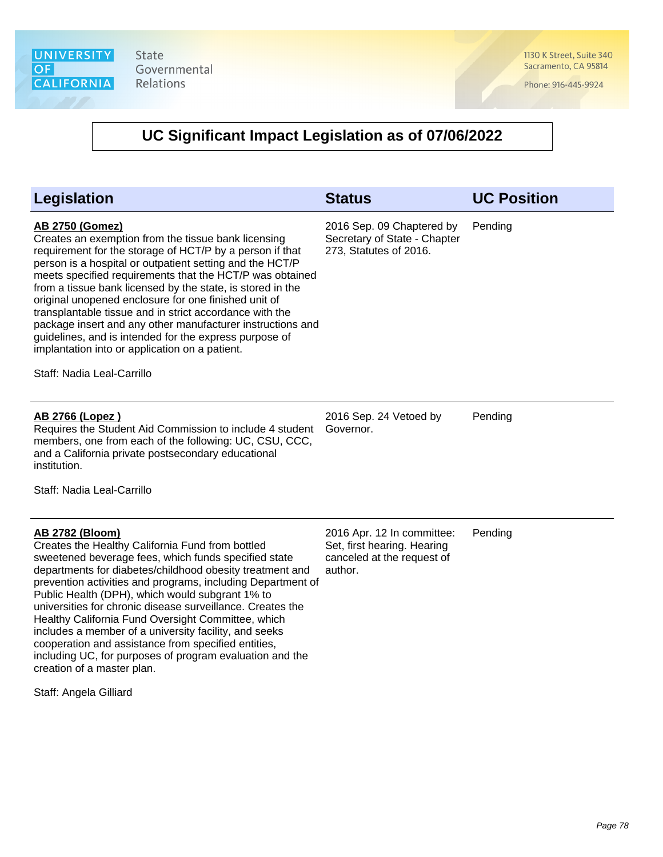1130 K Street, Suite 340 Sacramento, CA 95814

Phone: 916-445-9924

| <b>Legislation</b>                                                                                                                                                                                                                                                                                                                                                                                                                                                                                                                                                                                                                                                | <b>Status</b>                                                                                      | <b>UC Position</b> |
|-------------------------------------------------------------------------------------------------------------------------------------------------------------------------------------------------------------------------------------------------------------------------------------------------------------------------------------------------------------------------------------------------------------------------------------------------------------------------------------------------------------------------------------------------------------------------------------------------------------------------------------------------------------------|----------------------------------------------------------------------------------------------------|--------------------|
| <b>AB 2750 (Gomez)</b><br>Creates an exemption from the tissue bank licensing<br>requirement for the storage of HCT/P by a person if that<br>person is a hospital or outpatient setting and the HCT/P<br>meets specified requirements that the HCT/P was obtained<br>from a tissue bank licensed by the state, is stored in the<br>original unopened enclosure for one finished unit of<br>transplantable tissue and in strict accordance with the<br>package insert and any other manufacturer instructions and<br>guidelines, and is intended for the express purpose of<br>implantation into or application on a patient.<br>Staff: Nadia Leal-Carrillo        | 2016 Sep. 09 Chaptered by<br>Secretary of State - Chapter<br>273, Statutes of 2016.                | Pending            |
| AB 2766 (Lopez)<br>Requires the Student Aid Commission to include 4 student<br>members, one from each of the following: UC, CSU, CCC,<br>and a California private postsecondary educational<br>institution.<br>Staff: Nadia Leal-Carrillo                                                                                                                                                                                                                                                                                                                                                                                                                         | 2016 Sep. 24 Vetoed by<br>Governor.                                                                | Pending            |
| AB 2782 (Bloom)<br>Creates the Healthy California Fund from bottled<br>sweetened beverage fees, which funds specified state<br>departments for diabetes/childhood obesity treatment and<br>prevention activities and programs, including Department of<br>Public Health (DPH), which would subgrant 1% to<br>universities for chronic disease surveillance. Creates the<br>Healthy California Fund Oversight Committee, which<br>includes a member of a university facility, and seeks<br>cooperation and assistance from specified entities,<br>including UC, for purposes of program evaluation and the<br>creation of a master plan.<br>Staff: Angela Gilliard | 2016 Apr. 12 In committee:<br>Set, first hearing. Hearing<br>canceled at the request of<br>author. | Pending            |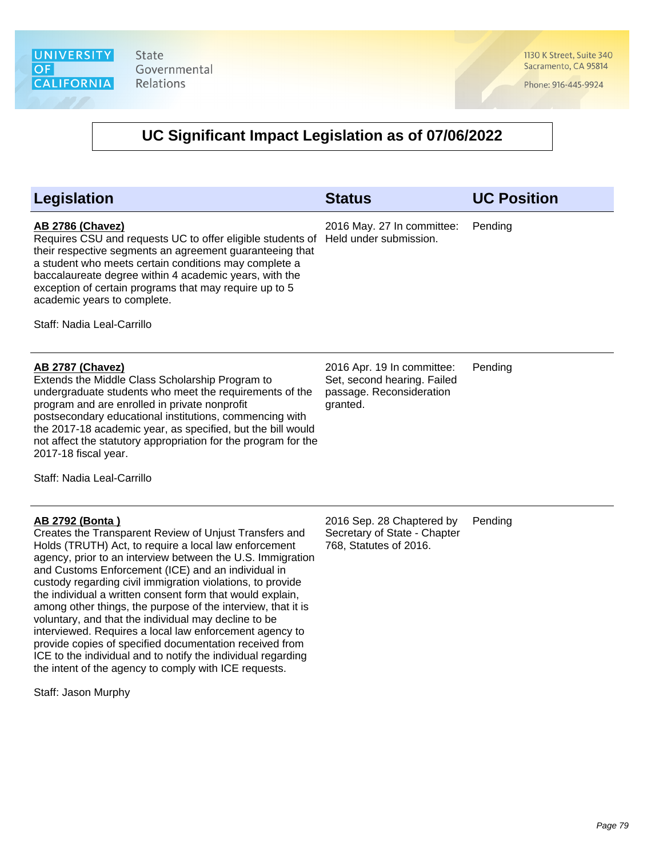1130 K Street, Suite 340 Sacramento, CA 95814

Phone: 916-445-9924

| <b>Legislation</b>                                                                                                                                                                                                                                                                                                                                                                                                                                                                                                                                                                                                                                                                                                                                                                     | <b>Status</b>                                                                                     | <b>UC Position</b> |
|----------------------------------------------------------------------------------------------------------------------------------------------------------------------------------------------------------------------------------------------------------------------------------------------------------------------------------------------------------------------------------------------------------------------------------------------------------------------------------------------------------------------------------------------------------------------------------------------------------------------------------------------------------------------------------------------------------------------------------------------------------------------------------------|---------------------------------------------------------------------------------------------------|--------------------|
| <b>AB 2786 (Chavez)</b><br>Requires CSU and requests UC to offer eligible students of<br>their respective segments an agreement guaranteeing that<br>a student who meets certain conditions may complete a<br>baccalaureate degree within 4 academic years, with the<br>exception of certain programs that may require up to 5<br>academic years to complete.<br>Staff: Nadia Leal-Carrillo                                                                                                                                                                                                                                                                                                                                                                                            | 2016 May. 27 In committee:<br>Held under submission.                                              | Pending            |
| <b>AB 2787 (Chavez)</b><br>Extends the Middle Class Scholarship Program to<br>undergraduate students who meet the requirements of the<br>program and are enrolled in private nonprofit<br>postsecondary educational institutions, commencing with<br>the 2017-18 academic year, as specified, but the bill would<br>not affect the statutory appropriation for the program for the<br>2017-18 fiscal year.<br>Staff: Nadia Leal-Carrillo                                                                                                                                                                                                                                                                                                                                               | 2016 Apr. 19 In committee:<br>Set, second hearing. Failed<br>passage. Reconsideration<br>granted. | Pending            |
| <b>AB 2792 (Bonta)</b><br>Creates the Transparent Review of Unjust Transfers and<br>Holds (TRUTH) Act, to require a local law enforcement<br>agency, prior to an interview between the U.S. Immigration<br>and Customs Enforcement (ICE) and an individual in<br>custody regarding civil immigration violations, to provide<br>the individual a written consent form that would explain,<br>among other things, the purpose of the interview, that it is<br>voluntary, and that the individual may decline to be<br>interviewed. Requires a local law enforcement agency to<br>provide copies of specified documentation received from<br>ICE to the individual and to notify the individual regarding<br>the intent of the agency to comply with ICE requests.<br>Staff: Jason Murphy | 2016 Sep. 28 Chaptered by<br>Secretary of State - Chapter<br>768, Statutes of 2016.               | Pending            |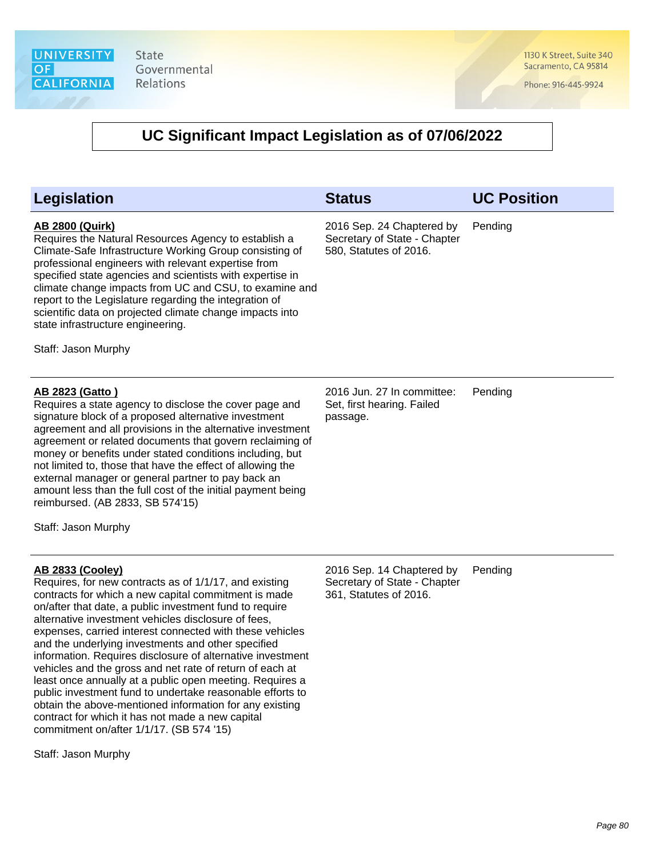1130 K Street, Suite 340 Sacramento, CA 95814

Phone: 916-445-9924

| Legislation                                                                                                                                                                                                                                                                                                                                                                                                                                                                                                                                                                                                                                                                                                                                                                                                        | <b>Status</b>                                                                       | <b>UC Position</b> |
|--------------------------------------------------------------------------------------------------------------------------------------------------------------------------------------------------------------------------------------------------------------------------------------------------------------------------------------------------------------------------------------------------------------------------------------------------------------------------------------------------------------------------------------------------------------------------------------------------------------------------------------------------------------------------------------------------------------------------------------------------------------------------------------------------------------------|-------------------------------------------------------------------------------------|--------------------|
| <u>AB 2800 (Quirk)</u><br>Requires the Natural Resources Agency to establish a<br>Climate-Safe Infrastructure Working Group consisting of<br>professional engineers with relevant expertise from<br>specified state agencies and scientists with expertise in<br>climate change impacts from UC and CSU, to examine and<br>report to the Legislature regarding the integration of<br>scientific data on projected climate change impacts into<br>state infrastructure engineering.<br>Staff: Jason Murphy                                                                                                                                                                                                                                                                                                          | 2016 Sep. 24 Chaptered by<br>Secretary of State - Chapter<br>580, Statutes of 2016. | Pending            |
| <b>AB 2823 (Gatto)</b><br>Requires a state agency to disclose the cover page and<br>signature block of a proposed alternative investment<br>agreement and all provisions in the alternative investment<br>agreement or related documents that govern reclaiming of<br>money or benefits under stated conditions including, but<br>not limited to, those that have the effect of allowing the<br>external manager or general partner to pay back an<br>amount less than the full cost of the initial payment being<br>reimbursed. (AB 2833, SB 574'15)<br>Staff: Jason Murphy                                                                                                                                                                                                                                       | 2016 Jun. 27 In committee:<br>Set, first hearing. Failed<br>passage.                | Pending            |
| <u>AB 2833 (Cooley)</u><br>Requires, for new contracts as of 1/1/17, and existing<br>contracts for which a new capital commitment is made<br>on/after that date, a public investment fund to require<br>alternative investment vehicles disclosure of fees,<br>expenses, carried interest connected with these vehicles<br>and the underlying investments and other specified<br>information. Requires disclosure of alternative investment<br>vehicles and the gross and net rate of return of each at<br>least once annually at a public open meeting. Requires a<br>public investment fund to undertake reasonable efforts to<br>obtain the above-mentioned information for any existing<br>contract for which it has not made a new capital<br>commitment on/after 1/1/17. (SB 574 '15)<br>Staff: Jason Murphy | 2016 Sep. 14 Chaptered by<br>Secretary of State - Chapter<br>361, Statutes of 2016. | Pending            |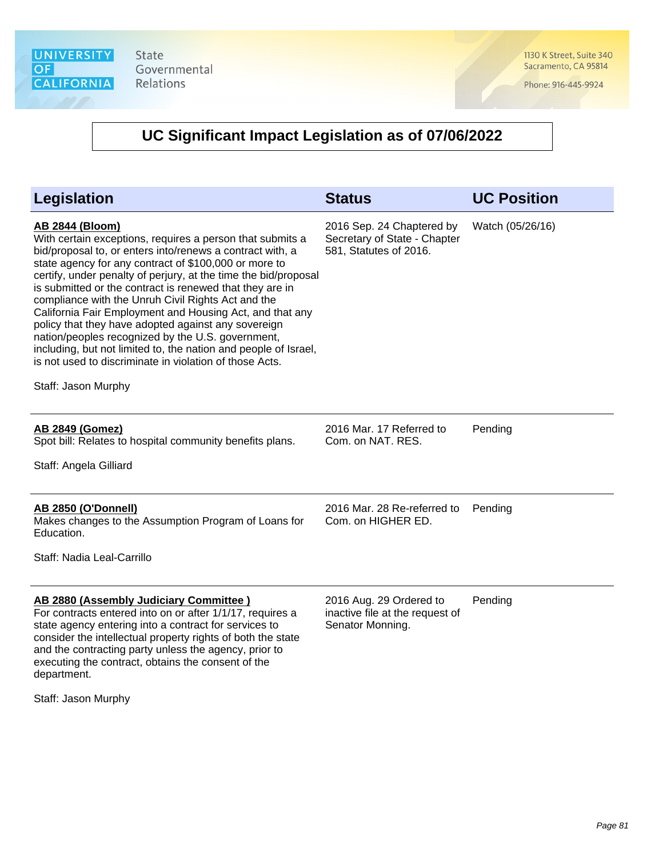1130 K Street, Suite 340 Sacramento, CA 95814

Phone: 916-445-9924

## **UC Significant Impact Legislation as of 07/06/2022**

| <b>Legislation</b>                                                                                                                                                                                                                                                                                                                                                                                                                                                                                                                                                                                                                                                                                                          | <b>Status</b>                                                                       | <b>UC Position</b> |
|-----------------------------------------------------------------------------------------------------------------------------------------------------------------------------------------------------------------------------------------------------------------------------------------------------------------------------------------------------------------------------------------------------------------------------------------------------------------------------------------------------------------------------------------------------------------------------------------------------------------------------------------------------------------------------------------------------------------------------|-------------------------------------------------------------------------------------|--------------------|
| <b>AB 2844 (Bloom)</b><br>With certain exceptions, requires a person that submits a<br>bid/proposal to, or enters into/renews a contract with, a<br>state agency for any contract of \$100,000 or more to<br>certify, under penalty of perjury, at the time the bid/proposal<br>is submitted or the contract is renewed that they are in<br>compliance with the Unruh Civil Rights Act and the<br>California Fair Employment and Housing Act, and that any<br>policy that they have adopted against any sovereign<br>nation/peoples recognized by the U.S. government,<br>including, but not limited to, the nation and people of Israel,<br>is not used to discriminate in violation of those Acts.<br>Staff: Jason Murphy | 2016 Sep. 24 Chaptered by<br>Secretary of State - Chapter<br>581, Statutes of 2016. | Watch (05/26/16)   |
| <b>AB 2849 (Gomez)</b><br>Spot bill: Relates to hospital community benefits plans.<br>Staff: Angela Gilliard                                                                                                                                                                                                                                                                                                                                                                                                                                                                                                                                                                                                                | 2016 Mar. 17 Referred to<br>Com. on NAT. RES.                                       | Pending            |
| <b>AB 2850 (O'Donnell)</b><br>Makes changes to the Assumption Program of Loans for<br>Education.<br>Staff: Nadia Leal-Carrillo                                                                                                                                                                                                                                                                                                                                                                                                                                                                                                                                                                                              | 2016 Mar. 28 Re-referred to<br>Com. on HIGHER ED.                                   | Pending            |
| AB 2880 (Assembly Judiciary Committee)<br>For contracts entered into on or after 1/1/17, requires a<br>state agency entering into a contract for services to<br>consider the intellectual property rights of both the state<br>and the contracting party unless the agency, prior to<br>executing the contract, obtains the consent of the                                                                                                                                                                                                                                                                                                                                                                                  | 2016 Aug. 29 Ordered to<br>inactive file at the request of<br>Senator Monning.      | Pending            |

Staff: Jason Murphy

department.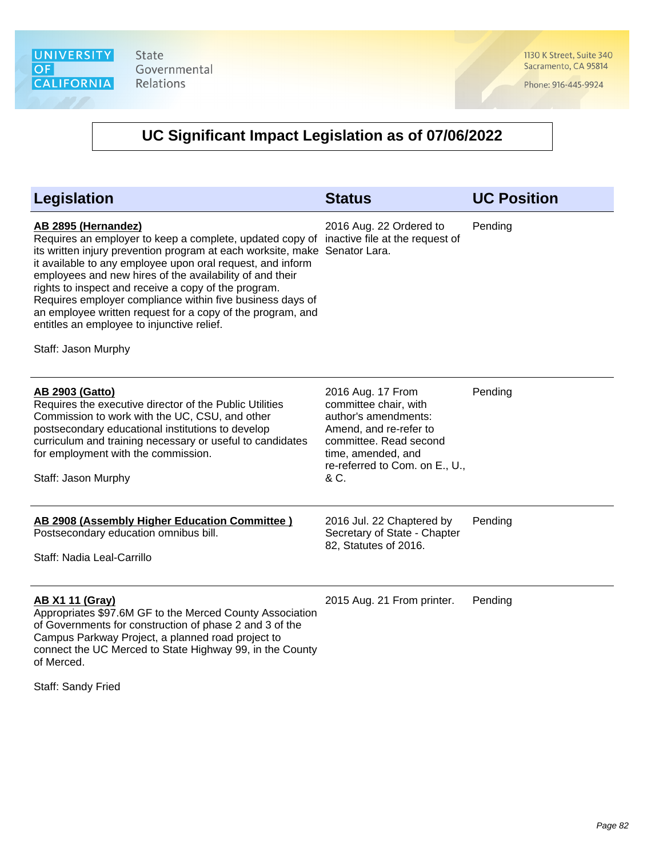1130 K Street, Suite 340 Sacramento, CA 95814

Phone: 916-445-9924

| <b>Legislation</b>                                                                                                                                                                                                                                                                                                                                                                                                                                                                                                                                                              | <b>Status</b>                                                                                                                                                                          | <b>UC Position</b> |
|---------------------------------------------------------------------------------------------------------------------------------------------------------------------------------------------------------------------------------------------------------------------------------------------------------------------------------------------------------------------------------------------------------------------------------------------------------------------------------------------------------------------------------------------------------------------------------|----------------------------------------------------------------------------------------------------------------------------------------------------------------------------------------|--------------------|
| AB 2895 (Hernandez)<br>Requires an employer to keep a complete, updated copy of inactive file at the request of<br>its written injury prevention program at each worksite, make Senator Lara.<br>it available to any employee upon oral request, and inform<br>employees and new hires of the availability of and their<br>rights to inspect and receive a copy of the program.<br>Requires employer compliance within five business days of<br>an employee written request for a copy of the program, and<br>entitles an employee to injunctive relief.<br>Staff: Jason Murphy | 2016 Aug. 22 Ordered to                                                                                                                                                                | Pending            |
| <b>AB 2903 (Gatto)</b><br>Requires the executive director of the Public Utilities<br>Commission to work with the UC, CSU, and other<br>postsecondary educational institutions to develop<br>curriculum and training necessary or useful to candidates<br>for employment with the commission.<br>Staff: Jason Murphy                                                                                                                                                                                                                                                             | 2016 Aug. 17 From<br>committee chair, with<br>author's amendments:<br>Amend, and re-refer to<br>committee. Read second<br>time, amended, and<br>re-referred to Com. on E., U.,<br>& C. | Pending            |
| AB 2908 (Assembly Higher Education Committee)<br>Postsecondary education omnibus bill.<br>Staff: Nadia Leal-Carrillo                                                                                                                                                                                                                                                                                                                                                                                                                                                            | 2016 Jul. 22 Chaptered by<br>Secretary of State - Chapter<br>82, Statutes of 2016.                                                                                                     | Pending            |
| <b>AB X1 11 (Gray)</b><br>Appropriates \$97.6M GF to the Merced County Association<br>of Governments for construction of phase 2 and 3 of the<br>Campus Parkway Project, a planned road project to<br>connect the UC Merced to State Highway 99, in the County<br>of Merced.                                                                                                                                                                                                                                                                                                    | 2015 Aug. 21 From printer.                                                                                                                                                             | Pending            |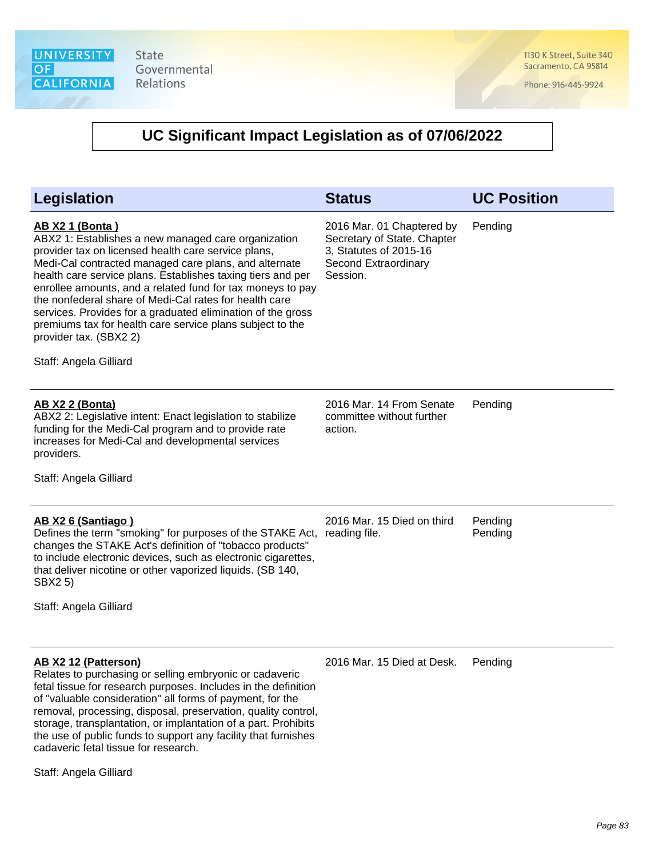1130 K Street, Suite 340 Sacramento, CA 95814

Phone: 916-445-9924

| <b>Legislation</b>                                                                                                                                                                                                                                                                                                                                                                                                                                                                                                                                                   | <b>Status</b>                                                                                                          | <b>UC Position</b> |
|----------------------------------------------------------------------------------------------------------------------------------------------------------------------------------------------------------------------------------------------------------------------------------------------------------------------------------------------------------------------------------------------------------------------------------------------------------------------------------------------------------------------------------------------------------------------|------------------------------------------------------------------------------------------------------------------------|--------------------|
| <b>AB X2 1 (Bonta)</b><br>ABX2 1: Establishes a new managed care organization<br>provider tax on licensed health care service plans,<br>Medi-Cal contracted managed care plans, and alternate<br>health care service plans. Establishes taxing tiers and per<br>enrollee amounts, and a related fund for tax moneys to pay<br>the nonfederal share of Medi-Cal rates for health care<br>services. Provides for a graduated elimination of the gross<br>premiums tax for health care service plans subject to the<br>provider tax. (SBX2 2)<br>Staff: Angela Gilliard | 2016 Mar. 01 Chaptered by<br>Secretary of State. Chapter<br>3, Statutes of 2015-16<br>Second Extraordinary<br>Session. | Pending            |
| <b>AB X2 2 (Bonta)</b><br>ABX2 2: Legislative intent: Enact legislation to stabilize<br>funding for the Medi-Cal program and to provide rate<br>increases for Medi-Cal and developmental services<br>providers.<br>Staff: Angela Gilliard                                                                                                                                                                                                                                                                                                                            | 2016 Mar. 14 From Senate<br>committee without further<br>action.                                                       | Pending            |
| AB X2 6 (Santiago)<br>Defines the term "smoking" for purposes of the STAKE Act,<br>changes the STAKE Act's definition of "tobacco products"<br>to include electronic devices, such as electronic cigarettes,<br>that deliver nicotine or other vaporized liquids. (SB 140,<br>SBX2 5)<br>Staff: Angela Gilliard                                                                                                                                                                                                                                                      | 2016 Mar. 15 Died on third<br>reading file.                                                                            | Pending<br>Pending |
| AB X2 12 (Patterson)<br>Relates to purchasing or selling embryonic or cadaveric<br>fetal tissue for research purposes. Includes in the definition<br>of "valuable consideration" all forms of payment, for the<br>removal, processing, disposal, preservation, quality control,<br>storage, transplantation, or implantation of a part. Prohibits<br>the use of public funds to support any facility that furnishes<br>cadaveric fetal tissue for research.<br>Staff: Angela Gilliard                                                                                | 2016 Mar. 15 Died at Desk.                                                                                             | Pending            |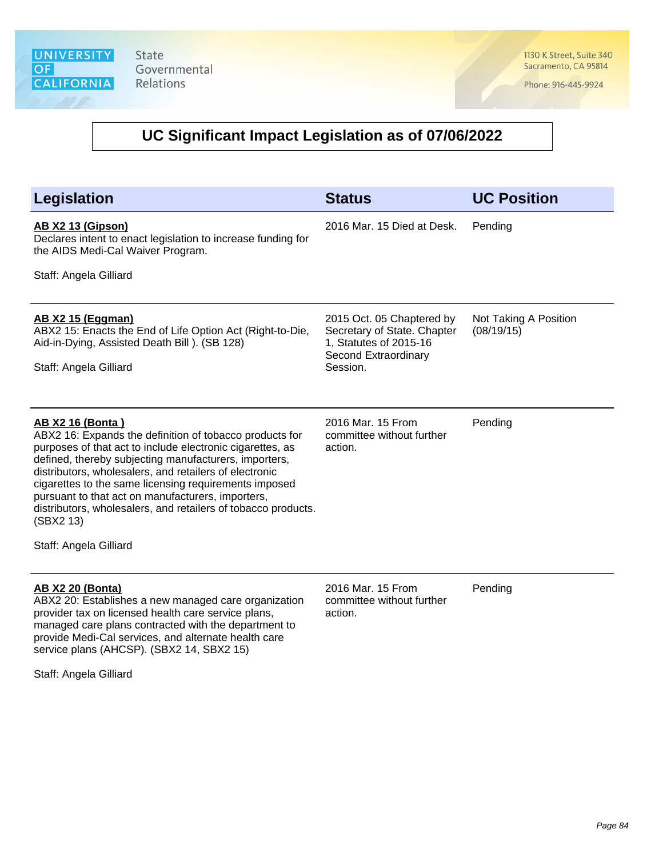1130 K Street, Suite 340 Sacramento, CA 95814

Phone: 916-445-9924

| <b>Legislation</b>                                                                                                                                                                                                                                                                                                                                                                                                                                                                       | <b>Status</b>                                                                                                          | <b>UC Position</b>                  |
|------------------------------------------------------------------------------------------------------------------------------------------------------------------------------------------------------------------------------------------------------------------------------------------------------------------------------------------------------------------------------------------------------------------------------------------------------------------------------------------|------------------------------------------------------------------------------------------------------------------------|-------------------------------------|
| <u>AB X2 13 (Gipson)</u><br>Declares intent to enact legislation to increase funding for<br>the AIDS Medi-Cal Waiver Program.<br>Staff: Angela Gilliard                                                                                                                                                                                                                                                                                                                                  | 2016 Mar. 15 Died at Desk.                                                                                             | Pending                             |
| <b>AB X2 15 (Eggman)</b><br>ABX2 15: Enacts the End of Life Option Act (Right-to-Die,<br>Aid-in-Dying, Assisted Death Bill). (SB 128)<br>Staff: Angela Gilliard                                                                                                                                                                                                                                                                                                                          | 2015 Oct. 05 Chaptered by<br>Secretary of State. Chapter<br>1, Statutes of 2015-16<br>Second Extraordinary<br>Session. | Not Taking A Position<br>(08/19/15) |
| <u>AB X2 16 (Bonta)</u><br>ABX2 16: Expands the definition of tobacco products for<br>purposes of that act to include electronic cigarettes, as<br>defined, thereby subjecting manufacturers, importers,<br>distributors, wholesalers, and retailers of electronic<br>cigarettes to the same licensing requirements imposed<br>pursuant to that act on manufacturers, importers,<br>distributors, wholesalers, and retailers of tobacco products.<br>(SBX2 13)<br>Staff: Angela Gilliard | 2016 Mar. 15 From<br>committee without further<br>action.                                                              | Pending                             |
| <b>AB X2 20 (Bonta)</b><br>ABX2 20: Establishes a new managed care organization<br>provider tax on licensed health care service plans,<br>managed care plans contracted with the department to<br>provide Medi-Cal services, and alternate health care<br>service plans (AHCSP). (SBX2 14, SBX2 15)<br>Staff: Angela Gilliard                                                                                                                                                            | 2016 Mar. 15 From<br>committee without further<br>action.                                                              | Pending                             |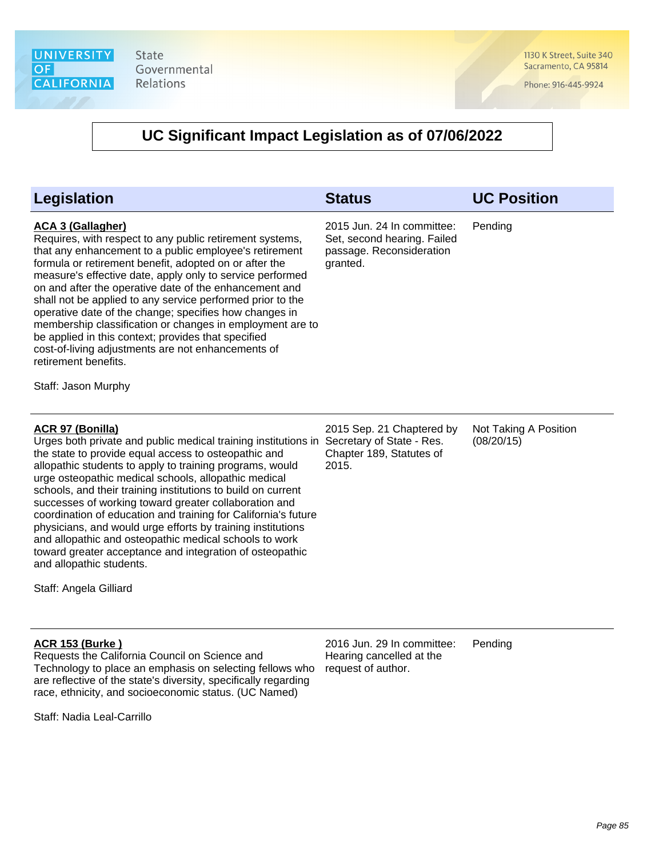1130 K Street, Suite 340 Sacramento, CA 95814

Phone: 916-445-9924

| <b>Legislation</b>                                                                                                                                                                                                                                                                                                                                                                                                                                                                                                                                                                                                                                                                                                                    | <b>Status</b>                                                                                     | <b>UC Position</b>                  |
|---------------------------------------------------------------------------------------------------------------------------------------------------------------------------------------------------------------------------------------------------------------------------------------------------------------------------------------------------------------------------------------------------------------------------------------------------------------------------------------------------------------------------------------------------------------------------------------------------------------------------------------------------------------------------------------------------------------------------------------|---------------------------------------------------------------------------------------------------|-------------------------------------|
| <b>ACA 3 (Gallagher)</b><br>Requires, with respect to any public retirement systems,<br>that any enhancement to a public employee's retirement<br>formula or retirement benefit, adopted on or after the<br>measure's effective date, apply only to service performed<br>on and after the operative date of the enhancement and<br>shall not be applied to any service performed prior to the<br>operative date of the change; specifies how changes in<br>membership classification or changes in employment are to<br>be applied in this context; provides that specified<br>cost-of-living adjustments are not enhancements of<br>retirement benefits.<br>Staff: Jason Murphy                                                      | 2015 Jun. 24 In committee:<br>Set, second hearing. Failed<br>passage. Reconsideration<br>granted. | Pending                             |
| <b>ACR 97 (Bonilla)</b><br>Urges both private and public medical training institutions in Secretary of State - Res.<br>the state to provide equal access to osteopathic and<br>allopathic students to apply to training programs, would<br>urge osteopathic medical schools, allopathic medical<br>schools, and their training institutions to build on current<br>successes of working toward greater collaboration and<br>coordination of education and training for California's future<br>physicians, and would urge efforts by training institutions<br>and allopathic and osteopathic medical schools to work<br>toward greater acceptance and integration of osteopathic<br>and allopathic students.<br>Staff: Angela Gilliard | 2015 Sep. 21 Chaptered by<br>Chapter 189, Statutes of<br>2015.                                    | Not Taking A Position<br>(08/20/15) |
| <b>ACR 153 (Burke)</b><br>Requests the California Council on Science and<br>Technology to place an emphasis on selecting fellows who<br>are reflective of the state's diversity, specifically regarding<br>race, ethnicity, and socioeconomic status. (UC Named)<br>Staff: Nadia Leal-Carrillo                                                                                                                                                                                                                                                                                                                                                                                                                                        | 2016 Jun. 29 In committee:<br>Hearing cancelled at the<br>request of author.                      | Pending                             |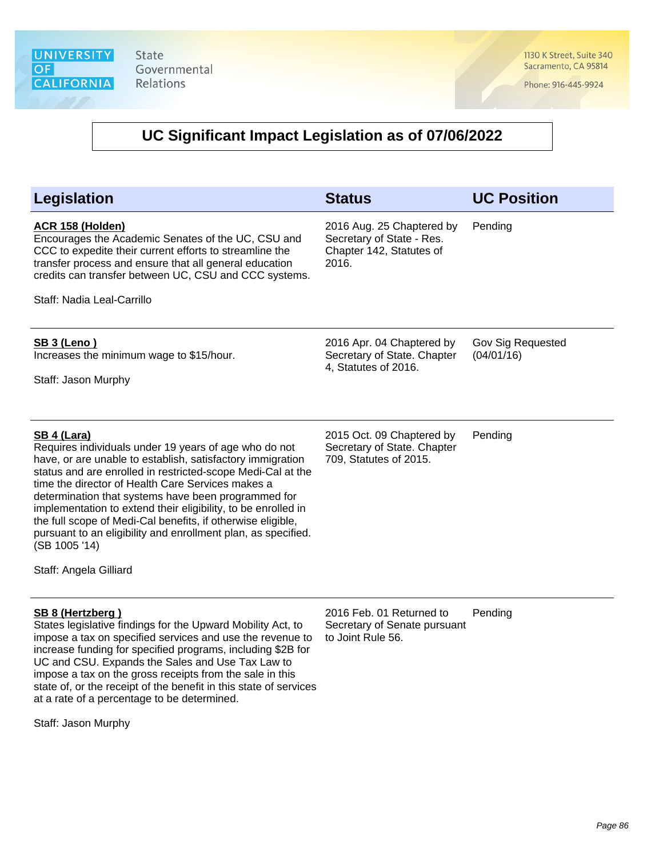1130 K Street, Suite 340 Sacramento, CA 95814

Phone: 916-445-9924

#### **UC Significant Impact Legislation as of 07/06/2022**

| Legislation                                                                                                                                                                                                                                                                                                                                                                                                                                                                                                                                                      | <b>Status</b>                                                                               | <b>UC Position</b>              |
|------------------------------------------------------------------------------------------------------------------------------------------------------------------------------------------------------------------------------------------------------------------------------------------------------------------------------------------------------------------------------------------------------------------------------------------------------------------------------------------------------------------------------------------------------------------|---------------------------------------------------------------------------------------------|---------------------------------|
| <b>ACR 158 (Holden)</b><br>Encourages the Academic Senates of the UC, CSU and<br>CCC to expedite their current efforts to streamline the<br>transfer process and ensure that all general education<br>credits can transfer between UC, CSU and CCC systems.<br>Staff: Nadia Leal-Carrillo                                                                                                                                                                                                                                                                        | 2016 Aug. 25 Chaptered by<br>Secretary of State - Res.<br>Chapter 142, Statutes of<br>2016. | Pending                         |
| <b>SB 3 (Leno)</b><br>Increases the minimum wage to \$15/hour.<br>Staff: Jason Murphy                                                                                                                                                                                                                                                                                                                                                                                                                                                                            | 2016 Apr. 04 Chaptered by<br>Secretary of State. Chapter<br>4, Statutes of 2016.            | Gov Sig Requested<br>(04/01/16) |
| <b>SB 4 (Lara)</b><br>Requires individuals under 19 years of age who do not<br>have, or are unable to establish, satisfactory immigration<br>status and are enrolled in restricted-scope Medi-Cal at the<br>time the director of Health Care Services makes a<br>determination that systems have been programmed for<br>implementation to extend their eligibility, to be enrolled in<br>the full scope of Medi-Cal benefits, if otherwise eligible,<br>pursuant to an eligibility and enrollment plan, as specified.<br>(SB 1005 '14)<br>Staff: Angela Gilliard | 2015 Oct. 09 Chaptered by<br>Secretary of State. Chapter<br>709, Statutes of 2015.          | Pending                         |
| <b>SB 8 (Hertzberg)</b>                                                                                                                                                                                                                                                                                                                                                                                                                                                                                                                                          | 2016 Feb. 01 Returned to                                                                    | Pending                         |

States legislative findings for the Upward Mobility Act, to impose a tax on specified services and use the revenue to increase funding for specified programs, including \$2B for UC and CSU. Expands the Sales and Use Tax Law to impose a tax on the gross receipts from the sale in this state of, or the receipt of the benefit in this state of services at a rate of a percentage to be determined.

2016 Feb. 01 Returned to Secretary of Senate pursuant to Joint Rule 56.

Staff: Jason Murphy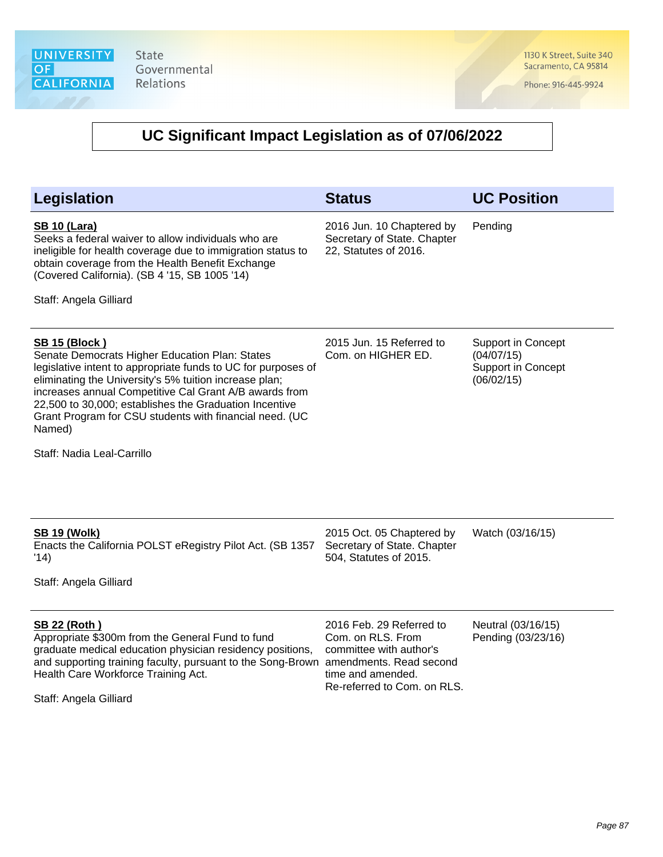1130 K Street, Suite 340 Sacramento, CA 95814

Phone: 916-445-9924

| <b>Legislation</b>                                                                                                                                                                                                                                                                                                                                                                         | <b>Status</b>                                                                                                                                           | <b>UC Position</b>                                                          |
|--------------------------------------------------------------------------------------------------------------------------------------------------------------------------------------------------------------------------------------------------------------------------------------------------------------------------------------------------------------------------------------------|---------------------------------------------------------------------------------------------------------------------------------------------------------|-----------------------------------------------------------------------------|
| <b>SB 10 (Lara)</b><br>Seeks a federal waiver to allow individuals who are<br>ineligible for health coverage due to immigration status to<br>obtain coverage from the Health Benefit Exchange<br>(Covered California). (SB 4 '15, SB 1005 '14)                                                                                                                                             | 2016 Jun. 10 Chaptered by<br>Secretary of State. Chapter<br>22, Statutes of 2016.                                                                       | Pending                                                                     |
| Staff: Angela Gilliard                                                                                                                                                                                                                                                                                                                                                                     |                                                                                                                                                         |                                                                             |
| <u>SB 15 (Block)</u><br>Senate Democrats Higher Education Plan: States<br>legislative intent to appropriate funds to UC for purposes of<br>eliminating the University's 5% tuition increase plan;<br>increases annual Competitive Cal Grant A/B awards from<br>22,500 to 30,000; establishes the Graduation Incentive<br>Grant Program for CSU students with financial need. (UC<br>Named) | 2015 Jun. 15 Referred to<br>Com. on HIGHER ED.                                                                                                          | <b>Support in Concept</b><br>(04/07/15)<br>Support in Concept<br>(06/02/15) |
| Staff: Nadia Leal-Carrillo                                                                                                                                                                                                                                                                                                                                                                 |                                                                                                                                                         |                                                                             |
| <b>SB 19 (Wolk)</b><br>Enacts the California POLST eRegistry Pilot Act. (SB 1357<br>'14)<br>Staff: Angela Gilliard                                                                                                                                                                                                                                                                         | 2015 Oct. 05 Chaptered by<br>Secretary of State. Chapter<br>504, Statutes of 2015.                                                                      | Watch (03/16/15)                                                            |
| <b>SB 22 (Roth)</b><br>Appropriate \$300m from the General Fund to fund<br>graduate medical education physician residency positions,<br>and supporting training faculty, pursuant to the Song-Brown<br>Health Care Workforce Training Act.<br>Staff: Angela Gilliard                                                                                                                       | 2016 Feb. 29 Referred to<br>Com. on RLS. From<br>committee with author's<br>amendments. Read second<br>time and amended.<br>Re-referred to Com. on RLS. | Neutral (03/16/15)<br>Pending (03/23/16)                                    |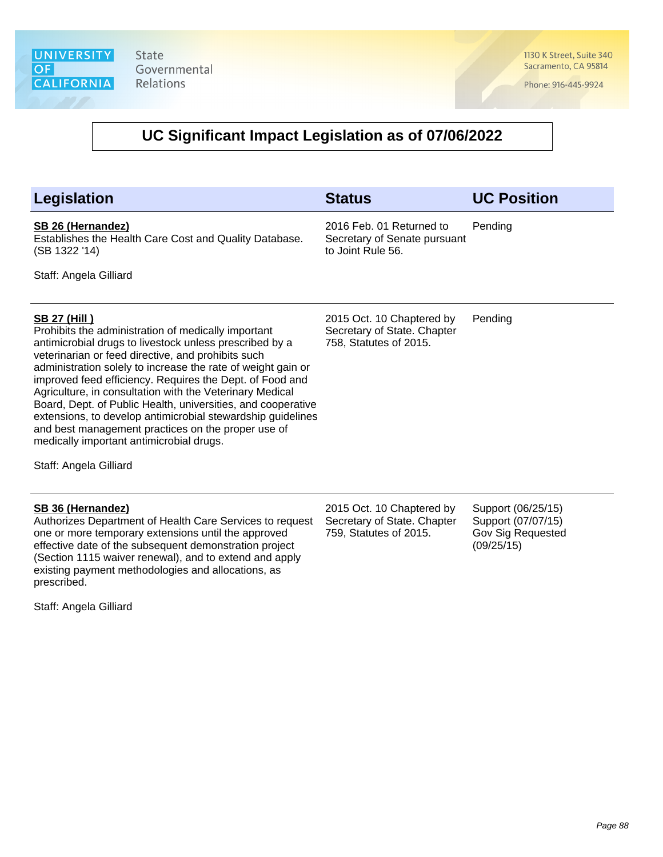1130 K Street, Suite 340 Sacramento, CA 95814

Phone: 916-445-9924

#### **UC Significant Impact Legislation as of 07/06/2022**

| <b>Legislation</b>                                                                                                                                                                                                                                                                                                                                                                                                                                                                                                                                                                                                   | <b>Status</b>                                                                      | <b>UC Position</b> |
|----------------------------------------------------------------------------------------------------------------------------------------------------------------------------------------------------------------------------------------------------------------------------------------------------------------------------------------------------------------------------------------------------------------------------------------------------------------------------------------------------------------------------------------------------------------------------------------------------------------------|------------------------------------------------------------------------------------|--------------------|
| SB 26 (Hernandez)<br>Establishes the Health Care Cost and Quality Database.<br>(SB 1322 '14)                                                                                                                                                                                                                                                                                                                                                                                                                                                                                                                         | 2016 Feb. 01 Returned to<br>Secretary of Senate pursuant<br>to Joint Rule 56.      | Pending            |
| Staff: Angela Gilliard                                                                                                                                                                                                                                                                                                                                                                                                                                                                                                                                                                                               |                                                                                    |                    |
| <u>SB 27 (Hill)</u><br>Prohibits the administration of medically important<br>antimicrobial drugs to livestock unless prescribed by a<br>veterinarian or feed directive, and prohibits such<br>administration solely to increase the rate of weight gain or<br>improved feed efficiency. Requires the Dept. of Food and<br>Agriculture, in consultation with the Veterinary Medical<br>Board, Dept. of Public Health, universities, and cooperative<br>extensions, to develop antimicrobial stewardship guidelines<br>and best management practices on the proper use of<br>medically important antimicrobial drugs. | 2015 Oct. 10 Chaptered by<br>Secretary of State. Chapter<br>758, Statutes of 2015. | Pending            |

Staff: Angela Gilliard

#### **SB 36 (Hernandez)**

Authorizes Department of Health Care Services to request one or more temporary extensions until the approved effective date of the subsequent demonstration project (Section 1115 waiver renewal), and to extend and apply existing payment methodologies and allocations, as prescribed.

Staff: Angela Gilliard

2015 Oct. 10 Chaptered by Secretary of State. Chapter 759, Statutes of 2015.

Support (06/25/15) Support (07/07/15) Gov Sig Requested (09/25/15)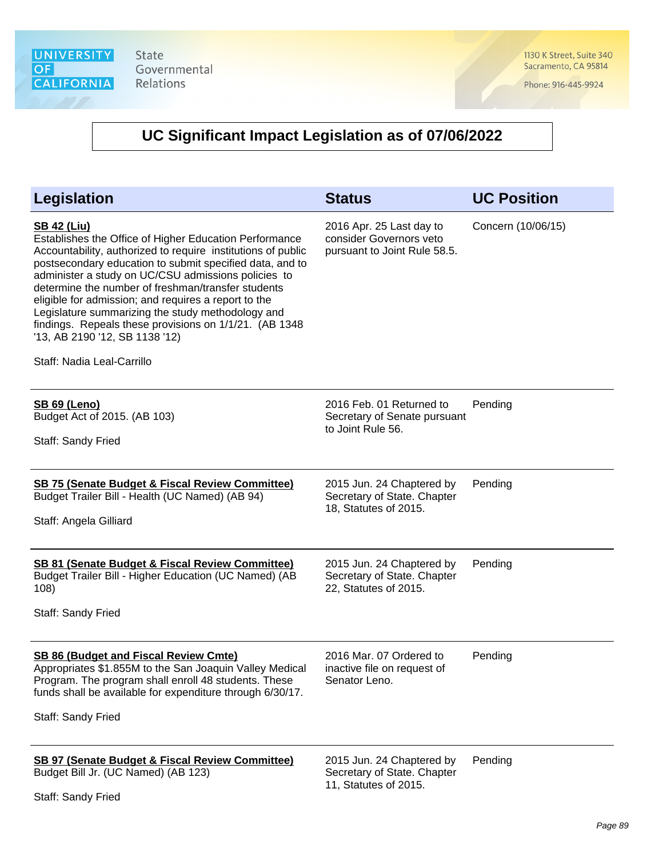1130 K Street, Suite 340 Sacramento, CA 95814

Phone: 916-445-9924

| Legislation                                                                                                                                                                                                                                                                                                                                                                                                                                                                                                                                                  | <b>Status</b>                                                                       | <b>UC Position</b> |
|--------------------------------------------------------------------------------------------------------------------------------------------------------------------------------------------------------------------------------------------------------------------------------------------------------------------------------------------------------------------------------------------------------------------------------------------------------------------------------------------------------------------------------------------------------------|-------------------------------------------------------------------------------------|--------------------|
| <b>SB 42 (Liu)</b><br>Establishes the Office of Higher Education Performance<br>Accountability, authorized to require institutions of public<br>postsecondary education to submit specified data, and to<br>administer a study on UC/CSU admissions policies to<br>determine the number of freshman/transfer students<br>eligible for admission; and requires a report to the<br>Legislature summarizing the study methodology and<br>findings. Repeals these provisions on 1/1/21. (AB 1348<br>'13, AB 2190 '12, SB 1138 '12)<br>Staff: Nadia Leal-Carrillo | 2016 Apr. 25 Last day to<br>consider Governors veto<br>pursuant to Joint Rule 58.5. | Concern (10/06/15) |
| <b>SB 69 (Leno)</b><br>Budget Act of 2015. (AB 103)<br>Staff: Sandy Fried                                                                                                                                                                                                                                                                                                                                                                                                                                                                                    | 2016 Feb. 01 Returned to<br>Secretary of Senate pursuant<br>to Joint Rule 56.       | Pending            |
| <b>SB 75 (Senate Budget &amp; Fiscal Review Committee)</b><br>Budget Trailer Bill - Health (UC Named) (AB 94)<br>Staff: Angela Gilliard                                                                                                                                                                                                                                                                                                                                                                                                                      | 2015 Jun. 24 Chaptered by<br>Secretary of State. Chapter<br>18, Statutes of 2015.   | Pending            |
| <b>SB 81 (Senate Budget &amp; Fiscal Review Committee)</b><br>Budget Trailer Bill - Higher Education (UC Named) (AB<br>108)<br>Staff: Sandy Fried                                                                                                                                                                                                                                                                                                                                                                                                            | 2015 Jun. 24 Chaptered by<br>Secretary of State. Chapter<br>22, Statutes of 2015.   | Pending            |
| <b>SB 86 (Budget and Fiscal Review Cmte)</b><br>Appropriates \$1.855M to the San Joaquin Valley Medical<br>Program. The program shall enroll 48 students. These<br>funds shall be available for expenditure through 6/30/17.<br>Staff: Sandy Fried                                                                                                                                                                                                                                                                                                           | 2016 Mar. 07 Ordered to<br>inactive file on request of<br>Senator Leno.             | Pending            |
| <b>SB 97 (Senate Budget &amp; Fiscal Review Committee)</b><br>Budget Bill Jr. (UC Named) (AB 123)<br>Staff: Sandy Fried                                                                                                                                                                                                                                                                                                                                                                                                                                      | 2015 Jun. 24 Chaptered by<br>Secretary of State. Chapter<br>11, Statutes of 2015.   | Pending            |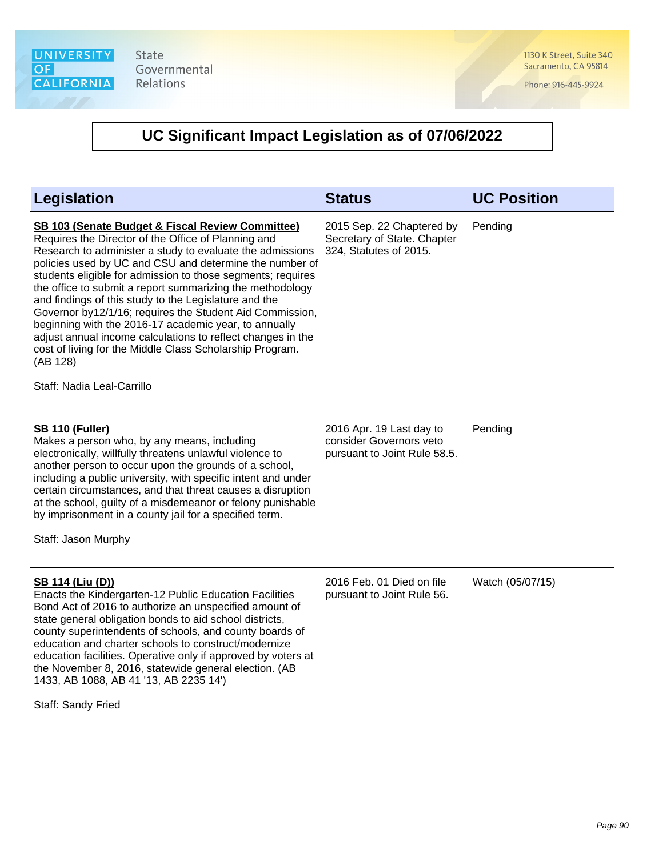

1130 K Street, Suite 340 Sacramento, CA 95814

Phone: 916-445-9924

| <b>Legislation</b>                                                                                                                                                                                                                                                                                                                                                                                                                                                                                                                                                                                                                                                                                                        | <b>Status</b>                                                                       | <b>UC Position</b> |
|---------------------------------------------------------------------------------------------------------------------------------------------------------------------------------------------------------------------------------------------------------------------------------------------------------------------------------------------------------------------------------------------------------------------------------------------------------------------------------------------------------------------------------------------------------------------------------------------------------------------------------------------------------------------------------------------------------------------------|-------------------------------------------------------------------------------------|--------------------|
| <b>SB 103 (Senate Budget &amp; Fiscal Review Committee)</b><br>Requires the Director of the Office of Planning and<br>Research to administer a study to evaluate the admissions<br>policies used by UC and CSU and determine the number of<br>students eligible for admission to those segments; requires<br>the office to submit a report summarizing the methodology<br>and findings of this study to the Legislature and the<br>Governor by12/1/16; requires the Student Aid Commission,<br>beginning with the 2016-17 academic year, to annually<br>adjust annual income calculations to reflect changes in the<br>cost of living for the Middle Class Scholarship Program.<br>(AB 128)<br>Staff: Nadia Leal-Carrillo | 2015 Sep. 22 Chaptered by<br>Secretary of State. Chapter<br>324, Statutes of 2015.  | Pending            |
| <b>SB 110 (Fuller)</b><br>Makes a person who, by any means, including<br>electronically, willfully threatens unlawful violence to<br>another person to occur upon the grounds of a school,<br>including a public university, with specific intent and under<br>certain circumstances, and that threat causes a disruption<br>at the school, guilty of a misdemeanor or felony punishable<br>by imprisonment in a county jail for a specified term.<br>Staff: Jason Murphy                                                                                                                                                                                                                                                 | 2016 Apr. 19 Last day to<br>consider Governors veto<br>pursuant to Joint Rule 58.5. | Pending            |
| SB 114 (Liu (D))<br>Enacts the Kindergarten-12 Public Education Facilities<br>Bond Act of 2016 to authorize an unspecified amount of<br>state general obligation bonds to aid school districts,<br>county superintendents of schools, and county boards of<br>education and charter schools to construct/modernize<br>education facilities. Operative only if approved by voters at<br>the November 8, 2016, statewide general election. (AB<br>1433, AB 1088, AB 41 '13, AB 2235 14')<br>Staff: Sandy Fried                                                                                                                                                                                                              | 2016 Feb. 01 Died on file<br>pursuant to Joint Rule 56.                             | Watch (05/07/15)   |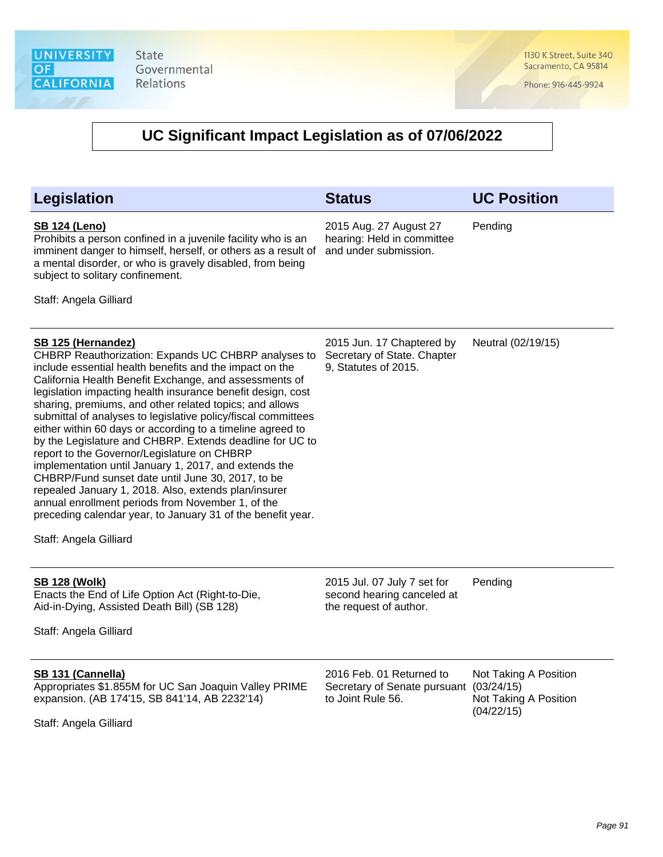1130 K Street, Suite 340 Sacramento, CA 95814

Phone: 916-445-9924

| <b>Legislation</b>                                                                                                                                                                                                                                                                                                                                                                                                                                                                                                                                                                                                                                                                                                                                                                                                                                                                            | <b>Status</b>                                                                       | <b>UC Position</b>                                                         |
|-----------------------------------------------------------------------------------------------------------------------------------------------------------------------------------------------------------------------------------------------------------------------------------------------------------------------------------------------------------------------------------------------------------------------------------------------------------------------------------------------------------------------------------------------------------------------------------------------------------------------------------------------------------------------------------------------------------------------------------------------------------------------------------------------------------------------------------------------------------------------------------------------|-------------------------------------------------------------------------------------|----------------------------------------------------------------------------|
| <b>SB 124 (Leno)</b><br>Prohibits a person confined in a juvenile facility who is an<br>imminent danger to himself, herself, or others as a result of<br>a mental disorder, or who is gravely disabled, from being<br>subject to solitary confinement.<br>Staff: Angela Gilliard                                                                                                                                                                                                                                                                                                                                                                                                                                                                                                                                                                                                              | 2015 Aug. 27 August 27<br>hearing: Held in committee<br>and under submission.       | Pending                                                                    |
| <b>SB 125 (Hernandez)</b><br>CHBRP Reauthorization: Expands UC CHBRP analyses to<br>include essential health benefits and the impact on the<br>California Health Benefit Exchange, and assessments of<br>legislation impacting health insurance benefit design, cost<br>sharing, premiums, and other related topics; and allows<br>submittal of analyses to legislative policy/fiscal committees<br>either within 60 days or according to a timeline agreed to<br>by the Legislature and CHBRP. Extends deadline for UC to<br>report to the Governor/Legislature on CHBRP<br>implementation until January 1, 2017, and extends the<br>CHBRP/Fund sunset date until June 30, 2017, to be<br>repealed January 1, 2018. Also, extends plan/insurer<br>annual enrollment periods from November 1, of the<br>preceding calendar year, to January 31 of the benefit year.<br>Staff: Angela Gilliard | 2015 Jun. 17 Chaptered by<br>Secretary of State. Chapter<br>9, Statutes of 2015.    | Neutral (02/19/15)                                                         |
| <b>SB 128 (Wolk)</b><br>Enacts the End of Life Option Act (Right-to-Die,<br>Aid-in-Dying, Assisted Death Bill) (SB 128)<br>Staff: Angela Gilliard                                                                                                                                                                                                                                                                                                                                                                                                                                                                                                                                                                                                                                                                                                                                             | 2015 Jul. 07 July 7 set for<br>second hearing canceled at<br>the request of author. | Pending                                                                    |
| SB 131 (Cannella)<br>Appropriates \$1.855M for UC San Joaquin Valley PRIME<br>expansion. (AB 174'15, SB 841'14, AB 2232'14)<br>Staff: Angela Gilliard                                                                                                                                                                                                                                                                                                                                                                                                                                                                                                                                                                                                                                                                                                                                         | 2016 Feb. 01 Returned to<br>Secretary of Senate pursuant<br>to Joint Rule 56.       | Not Taking A Position<br>(03/24/15)<br>Not Taking A Position<br>(04/22/15) |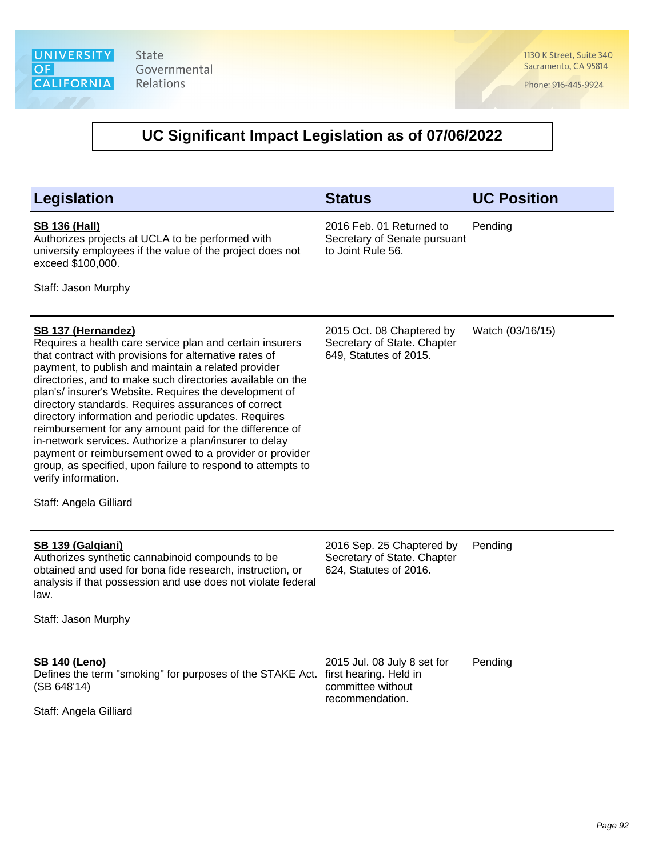1130 K Street, Suite 340 Sacramento, CA 95814

Phone: 916-445-9924

| <b>Legislation</b>                                                                                                                                                                                                                                                                                                                                                                                                                                                                                                                                                                                                                                                                                           | <b>Status</b>                                                                      | <b>UC Position</b> |
|--------------------------------------------------------------------------------------------------------------------------------------------------------------------------------------------------------------------------------------------------------------------------------------------------------------------------------------------------------------------------------------------------------------------------------------------------------------------------------------------------------------------------------------------------------------------------------------------------------------------------------------------------------------------------------------------------------------|------------------------------------------------------------------------------------|--------------------|
| <b>SB 136 (Hall)</b><br>Authorizes projects at UCLA to be performed with<br>university employees if the value of the project does not<br>exceed \$100,000.<br>Staff: Jason Murphy                                                                                                                                                                                                                                                                                                                                                                                                                                                                                                                            | 2016 Feb. 01 Returned to<br>Secretary of Senate pursuant<br>to Joint Rule 56.      | Pending            |
|                                                                                                                                                                                                                                                                                                                                                                                                                                                                                                                                                                                                                                                                                                              |                                                                                    |                    |
| SB 137 (Hernandez)<br>Requires a health care service plan and certain insurers<br>that contract with provisions for alternative rates of<br>payment, to publish and maintain a related provider<br>directories, and to make such directories available on the<br>plan's/ insurer's Website. Requires the development of<br>directory standards. Requires assurances of correct<br>directory information and periodic updates. Requires<br>reimbursement for any amount paid for the difference of<br>in-network services. Authorize a plan/insurer to delay<br>payment or reimbursement owed to a provider or provider<br>group, as specified, upon failure to respond to attempts to<br>verify information. | 2015 Oct. 08 Chaptered by<br>Secretary of State. Chapter<br>649, Statutes of 2015. | Watch (03/16/15)   |
| Staff: Angela Gilliard                                                                                                                                                                                                                                                                                                                                                                                                                                                                                                                                                                                                                                                                                       |                                                                                    |                    |
| <b>SB 139 (Galgiani)</b><br>Authorizes synthetic cannabinoid compounds to be<br>obtained and used for bona fide research, instruction, or<br>analysis if that possession and use does not violate federal<br>law.                                                                                                                                                                                                                                                                                                                                                                                                                                                                                            | 2016 Sep. 25 Chaptered by<br>Secretary of State. Chapter<br>624, Statutes of 2016. | Pending            |
| Staff: Jason Murphy                                                                                                                                                                                                                                                                                                                                                                                                                                                                                                                                                                                                                                                                                          |                                                                                    |                    |
|                                                                                                                                                                                                                                                                                                                                                                                                                                                                                                                                                                                                                                                                                                              |                                                                                    |                    |
| <b>SB 140 (Leno)</b><br>Defines the term "smoking" for purposes of the STAKE Act. first hearing. Held in<br>(SB 648'14)<br>Staff: Angela Gilliard                                                                                                                                                                                                                                                                                                                                                                                                                                                                                                                                                            | 2015 Jul. 08 July 8 set for<br>committee without<br>recommendation.                | Pending            |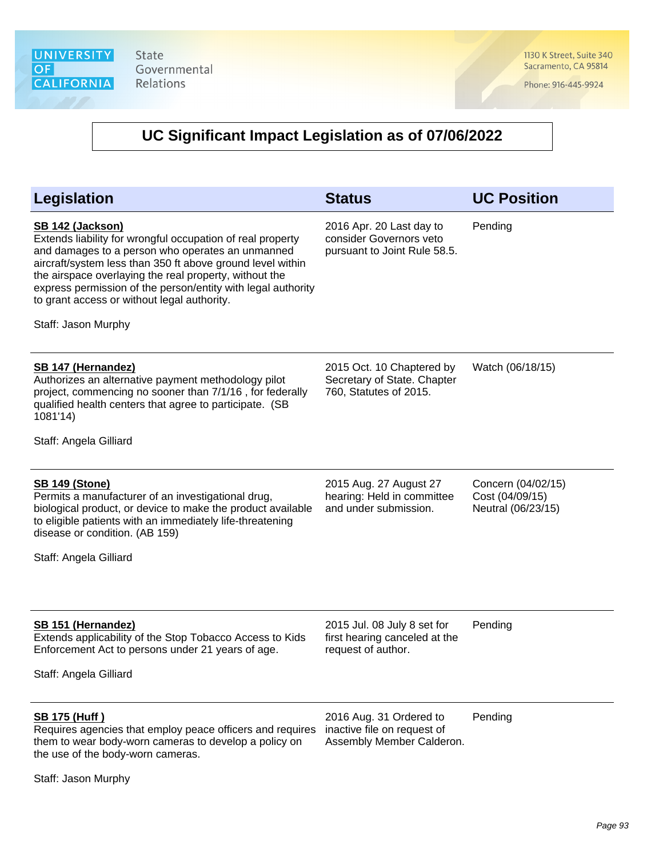1130 K Street, Suite 340 Sacramento, CA 95814

Phone: 916-445-9924

| <b>Legislation</b>                                                                                                                                                                                                                                                                                                                                                                               | <b>Status</b>                                                                       | <b>UC Position</b>                                          |
|--------------------------------------------------------------------------------------------------------------------------------------------------------------------------------------------------------------------------------------------------------------------------------------------------------------------------------------------------------------------------------------------------|-------------------------------------------------------------------------------------|-------------------------------------------------------------|
| SB 142 (Jackson)<br>Extends liability for wrongful occupation of real property<br>and damages to a person who operates an unmanned<br>aircraft/system less than 350 ft above ground level within<br>the airspace overlaying the real property, without the<br>express permission of the person/entity with legal authority<br>to grant access or without legal authority.<br>Staff: Jason Murphy | 2016 Apr. 20 Last day to<br>consider Governors veto<br>pursuant to Joint Rule 58.5. | Pending                                                     |
|                                                                                                                                                                                                                                                                                                                                                                                                  |                                                                                     |                                                             |
| <b>SB 147 (Hernandez)</b><br>Authorizes an alternative payment methodology pilot<br>project, commencing no sooner than 7/1/16, for federally<br>qualified health centers that agree to participate. (SB<br>1081'14)                                                                                                                                                                              | 2015 Oct. 10 Chaptered by<br>Secretary of State. Chapter<br>760, Statutes of 2015.  | Watch (06/18/15)                                            |
| Staff: Angela Gilliard                                                                                                                                                                                                                                                                                                                                                                           |                                                                                     |                                                             |
| <b>SB 149 (Stone)</b><br>Permits a manufacturer of an investigational drug,<br>biological product, or device to make the product available<br>to eligible patients with an immediately life-threatening<br>disease or condition. (AB 159)<br>Staff: Angela Gilliard                                                                                                                              | 2015 Aug. 27 August 27<br>hearing: Held in committee<br>and under submission.       | Concern (04/02/15)<br>Cost (04/09/15)<br>Neutral (06/23/15) |
| <b>SB 151 (Hernandez)</b><br>Extends applicability of the Stop Tobacco Access to Kids<br>Enforcement Act to persons under 21 years of age.<br>Staff: Angela Gilliard                                                                                                                                                                                                                             | 2015 Jul. 08 July 8 set for<br>first hearing canceled at the<br>request of author.  | Pending                                                     |
| <b>SB 175 (Huff)</b><br>Requires agencies that employ peace officers and requires<br>them to wear body-worn cameras to develop a policy on<br>the use of the body-worn cameras.<br>Staff: Jason Murphy                                                                                                                                                                                           | 2016 Aug. 31 Ordered to<br>inactive file on request of<br>Assembly Member Calderon. | Pending                                                     |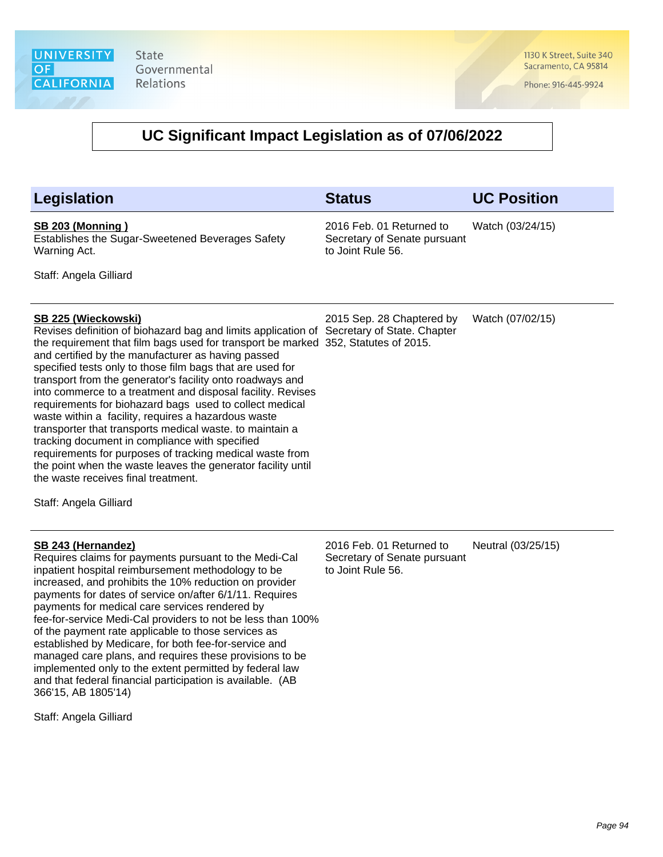1130 K Street, Suite 340 Sacramento, CA 95814

Phone: 916-445-9924

#### **UC Significant Impact Legislation as of 07/06/2022**

| Legislation                                                                                                                                                                                                                                                                                                                                                                                                                                                                                                                                                                                                                                                                                                                                                                                                                                                                               | <b>Status</b>                                                                 | <b>UC Position</b> |
|-------------------------------------------------------------------------------------------------------------------------------------------------------------------------------------------------------------------------------------------------------------------------------------------------------------------------------------------------------------------------------------------------------------------------------------------------------------------------------------------------------------------------------------------------------------------------------------------------------------------------------------------------------------------------------------------------------------------------------------------------------------------------------------------------------------------------------------------------------------------------------------------|-------------------------------------------------------------------------------|--------------------|
| <b>SB 203 (Monning)</b><br>Establishes the Sugar-Sweetened Beverages Safety<br>Warning Act.                                                                                                                                                                                                                                                                                                                                                                                                                                                                                                                                                                                                                                                                                                                                                                                               | 2016 Feb. 01 Returned to<br>Secretary of Senate pursuant<br>to Joint Rule 56. | Watch (03/24/15)   |
| Staff: Angela Gilliard                                                                                                                                                                                                                                                                                                                                                                                                                                                                                                                                                                                                                                                                                                                                                                                                                                                                    |                                                                               |                    |
| <b>SB 225 (Wieckowski)</b><br>Revises definition of biohazard bag and limits application of Secretary of State. Chapter<br>the requirement that film bags used for transport be marked 352, Statutes of 2015.<br>and certified by the manufacturer as having passed<br>specified tests only to those film bags that are used for<br>transport from the generator's facility onto roadways and<br>into commerce to a treatment and disposal facility. Revises<br>requirements for biohazard bags used to collect medical<br>waste within a facility, requires a hazardous waste<br>transporter that transports medical waste. to maintain a<br>tracking document in compliance with specified<br>requirements for purposes of tracking medical waste from<br>the point when the waste leaves the generator facility until<br>the waste receives final treatment.<br>Staff: Angela Gilliard | 2015 Sep. 28 Chaptered by                                                     | Watch (07/02/15)   |
| SB 243 (Hernandez)<br>Requires claims for payments pursuant to the Medi-Cal                                                                                                                                                                                                                                                                                                                                                                                                                                                                                                                                                                                                                                                                                                                                                                                                               | 2016 Feb. 01 Returned to<br>Secretary of Senate pursuant                      | Neutral (03/25/15) |

to Joint Rule 56.

Requires claims for payments pursuant to the Medi-Cal inpatient hospital reimbursement methodology to be increased, and prohibits the 10% reduction on provider payments for dates of service on/after 6/1/11. Requires payments for medical care services rendered by fee-for-service Medi-Cal providers to not be less than 100% of the payment rate applicable to those services as established by Medicare, for both fee-for-service and managed care plans, and requires these provisions to be implemented only to the extent permitted by federal law and that federal financial participation is available. (AB 366'15, AB 1805'14)

Staff: Angela Gilliard

Page 94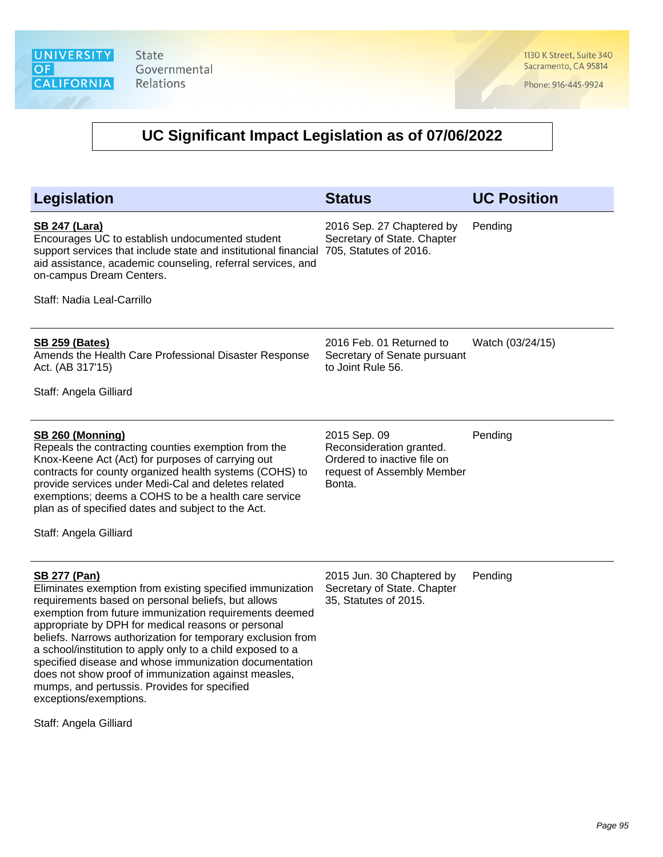1130 K Street, Suite 340 Sacramento, CA 95814

Phone: 916-445-9924

| Legislation                                                                                                                                                                                                                                                                                                                                                                                                                                                                                                                                                                                               | <b>Status</b>                                                                                                   | <b>UC Position</b> |
|-----------------------------------------------------------------------------------------------------------------------------------------------------------------------------------------------------------------------------------------------------------------------------------------------------------------------------------------------------------------------------------------------------------------------------------------------------------------------------------------------------------------------------------------------------------------------------------------------------------|-----------------------------------------------------------------------------------------------------------------|--------------------|
| <b>SB 247 (Lara)</b><br>Encourages UC to establish undocumented student<br>support services that include state and institutional financial<br>aid assistance, academic counseling, referral services, and<br>on-campus Dream Centers.                                                                                                                                                                                                                                                                                                                                                                     | 2016 Sep. 27 Chaptered by<br>Secretary of State. Chapter<br>705, Statutes of 2016.                              | Pending            |
| Staff: Nadia Leal-Carrillo                                                                                                                                                                                                                                                                                                                                                                                                                                                                                                                                                                                |                                                                                                                 |                    |
| <b>SB 259 (Bates)</b><br>Amends the Health Care Professional Disaster Response<br>Act. (AB 317'15)                                                                                                                                                                                                                                                                                                                                                                                                                                                                                                        | 2016 Feb. 01 Returned to<br>Secretary of Senate pursuant<br>to Joint Rule 56.                                   | Watch (03/24/15)   |
| Staff: Angela Gilliard                                                                                                                                                                                                                                                                                                                                                                                                                                                                                                                                                                                    |                                                                                                                 |                    |
| <b>SB 260 (Monning)</b><br>Repeals the contracting counties exemption from the<br>Knox-Keene Act (Act) for purposes of carrying out<br>contracts for county organized health systems (COHS) to<br>provide services under Medi-Cal and deletes related<br>exemptions; deems a COHS to be a health care service<br>plan as of specified dates and subject to the Act.<br>Staff: Angela Gilliard                                                                                                                                                                                                             | 2015 Sep. 09<br>Reconsideration granted.<br>Ordered to inactive file on<br>request of Assembly Member<br>Bonta. | Pending            |
| <b>SB 277 (Pan)</b><br>Eliminates exemption from existing specified immunization<br>requirements based on personal beliefs, but allows<br>exemption from future immunization requirements deemed<br>appropriate by DPH for medical reasons or personal<br>beliefs. Narrows authorization for temporary exclusion from<br>a school/institution to apply only to a child exposed to a<br>specified disease and whose immunization documentation<br>does not show proof of immunization against measles,<br>mumps, and pertussis. Provides for specified<br>exceptions/exemptions.<br>Staff: Angela Gilliard | 2015 Jun. 30 Chaptered by<br>Secretary of State. Chapter<br>35, Statutes of 2015.                               | Pending            |
|                                                                                                                                                                                                                                                                                                                                                                                                                                                                                                                                                                                                           |                                                                                                                 |                    |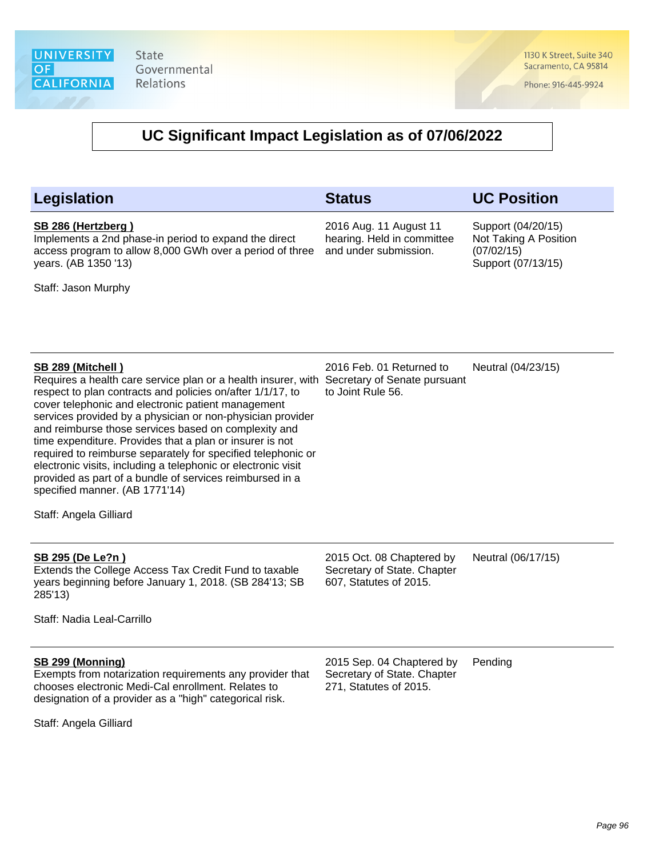1130 K Street, Suite 340 Sacramento, CA 95814

Phone: 916-445-9924

## **UC Significant Impact Legislation as of 07/06/2022**

| <b>Legislation</b>                                                                                                                                                                                                                                                                                                                                                                                                                                                                                                                                                                                                                                                             | <b>Status</b>                                                                      | <b>UC Position</b>                                                              |
|--------------------------------------------------------------------------------------------------------------------------------------------------------------------------------------------------------------------------------------------------------------------------------------------------------------------------------------------------------------------------------------------------------------------------------------------------------------------------------------------------------------------------------------------------------------------------------------------------------------------------------------------------------------------------------|------------------------------------------------------------------------------------|---------------------------------------------------------------------------------|
| SB 286 (Hertzberg)<br>Implements a 2nd phase-in period to expand the direct<br>access program to allow 8,000 GWh over a period of three<br>years. (AB 1350 '13)<br>Staff: Jason Murphy                                                                                                                                                                                                                                                                                                                                                                                                                                                                                         | 2016 Aug. 11 August 11<br>hearing. Held in committee<br>and under submission.      | Support (04/20/15)<br>Not Taking A Position<br>(07/02/15)<br>Support (07/13/15) |
| SB 289 (Mitchell)<br>Requires a health care service plan or a health insurer, with Secretary of Senate pursuant<br>respect to plan contracts and policies on/after 1/1/17, to<br>cover telephonic and electronic patient management<br>services provided by a physician or non-physician provider<br>and reimburse those services based on complexity and<br>time expenditure. Provides that a plan or insurer is not<br>required to reimburse separately for specified telephonic or<br>electronic visits, including a telephonic or electronic visit<br>provided as part of a bundle of services reimbursed in a<br>specified manner. (AB 1771'14)<br>Staff: Angela Gilliard | 2016 Feb. 01 Returned to<br>to Joint Rule 56.                                      | Neutral (04/23/15)                                                              |
| SB 295 (De Le?n)<br>Extends the College Access Tax Credit Fund to taxable<br>years beginning before January 1, 2018. (SB 284'13; SB<br>285'13)<br>Staff: Nadia Leal-Carrillo                                                                                                                                                                                                                                                                                                                                                                                                                                                                                                   | 2015 Oct. 08 Chaptered by<br>Secretary of State. Chapter<br>607, Statutes of 2015. | Neutral (06/17/15)                                                              |
| SB 299 (Monning)<br>Exempts from notarization requirements any provider that<br>chooses electronic Medi-Cal enrollment. Relates to<br>designation of a provider as a "high" categorical risk.                                                                                                                                                                                                                                                                                                                                                                                                                                                                                  | 2015 Sep. 04 Chaptered by<br>Secretary of State. Chapter<br>271, Statutes of 2015. | Pending                                                                         |

Staff: Angela Gilliard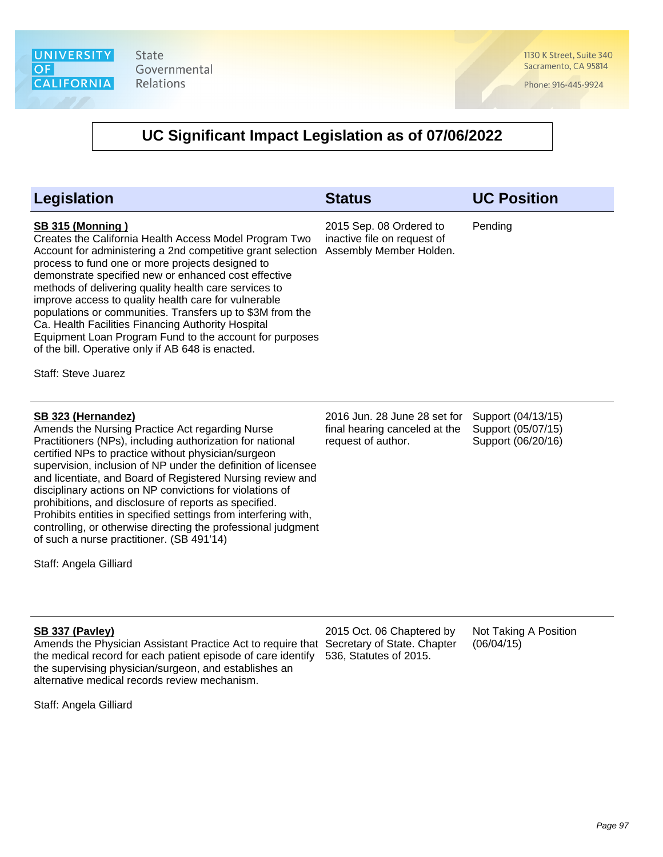1130 K Street, Suite 340 Sacramento, CA 95814

Phone: 916-445-9924

#### **UC Significant Impact Legislation as of 07/06/2022**

| <b>Legislation</b>                                                                                                                                                                                                                                                                                                                                                                                                                                                                                                                                                                                                                                       | <b>Status</b>                                                                       | <b>UC Position</b>                                             |
|----------------------------------------------------------------------------------------------------------------------------------------------------------------------------------------------------------------------------------------------------------------------------------------------------------------------------------------------------------------------------------------------------------------------------------------------------------------------------------------------------------------------------------------------------------------------------------------------------------------------------------------------------------|-------------------------------------------------------------------------------------|----------------------------------------------------------------|
| <b>SB 315 (Monning)</b><br>Creates the California Health Access Model Program Two<br>Account for administering a 2nd competitive grant selection<br>process to fund one or more projects designed to<br>demonstrate specified new or enhanced cost effective<br>methods of delivering quality health care services to<br>improve access to quality health care for vulnerable<br>populations or communities. Transfers up to \$3M from the<br>Ca. Health Facilities Financing Authority Hospital<br>Equipment Loan Program Fund to the account for purposes<br>of the bill. Operative only if AB 648 is enacted.<br>Staff: Steve Juarez                  | 2015 Sep. 08 Ordered to<br>inactive file on request of<br>Assembly Member Holden.   | Pending                                                        |
| SB 323 (Hernandez)<br>Amends the Nursing Practice Act regarding Nurse<br>Practitioners (NPs), including authorization for national<br>certified NPs to practice without physician/surgeon<br>supervision, inclusion of NP under the definition of licensee<br>and licentiate, and Board of Registered Nursing review and<br>disciplinary actions on NP convictions for violations of<br>prohibitions, and disclosure of reports as specified.<br>Prohibits entities in specified settings from interfering with,<br>controlling, or otherwise directing the professional judgment<br>of such a nurse practitioner. (SB 491'14)<br>Staff: Angela Gilliard | 2016 Jun. 28 June 28 set for<br>final hearing canceled at the<br>request of author. | Support (04/13/15)<br>Support (05/07/15)<br>Support (06/20/16) |
| SB 337 (Pavley)                                                                                                                                                                                                                                                                                                                                                                                                                                                                                                                                                                                                                                          | 2015 Oct. 06 Chaptered by                                                           | Not Taking A Position                                          |

Amends the Physician Assistant Practice Act to require that Secretary of State. Chapter the medical record for each patient episode of care identify 536, Statutes of 2015. the supervising physician/surgeon, and establishes an alternative medical records review mechanism.

 $(06/04/15)$ 

Staff: Angela Gilliard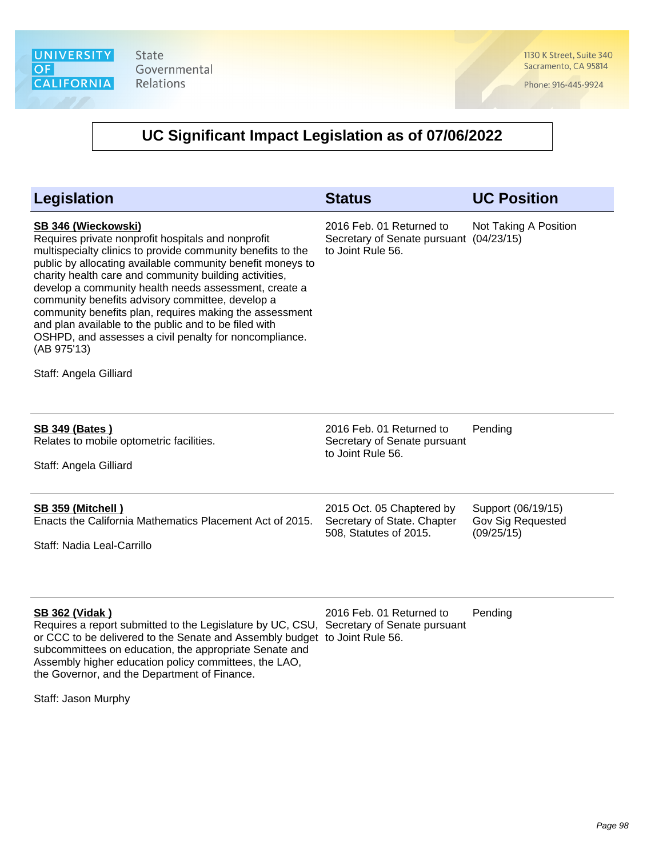1130 K Street, Suite 340 Sacramento, CA 95814

Phone: 916-445-9924

| <b>Legislation</b>                                                                                                                                                                                                                                                                                                                                                                                                                                                                                                                                                                                   | <b>Status</b>                                                                            | <b>UC Position</b>                                    |
|------------------------------------------------------------------------------------------------------------------------------------------------------------------------------------------------------------------------------------------------------------------------------------------------------------------------------------------------------------------------------------------------------------------------------------------------------------------------------------------------------------------------------------------------------------------------------------------------------|------------------------------------------------------------------------------------------|-------------------------------------------------------|
| SB 346 (Wieckowski)<br>Requires private nonprofit hospitals and nonprofit<br>multispecialty clinics to provide community benefits to the<br>public by allocating available community benefit moneys to<br>charity health care and community building activities,<br>develop a community health needs assessment, create a<br>community benefits advisory committee, develop a<br>community benefits plan, requires making the assessment<br>and plan available to the public and to be filed with<br>OSHPD, and assesses a civil penalty for noncompliance.<br>(AB 975'13)<br>Staff: Angela Gilliard | 2016 Feb. 01 Returned to<br>Secretary of Senate pursuant (04/23/15)<br>to Joint Rule 56. | Not Taking A Position                                 |
| <b>SB 349 (Bates)</b><br>Relates to mobile optometric facilities.<br>Staff: Angela Gilliard                                                                                                                                                                                                                                                                                                                                                                                                                                                                                                          | 2016 Feb. 01 Returned to<br>Secretary of Senate pursuant<br>to Joint Rule 56.            | Pending                                               |
| <b>SB 359 (Mitchell)</b><br>Enacts the California Mathematics Placement Act of 2015.<br>Staff: Nadia Leal-Carrillo                                                                                                                                                                                                                                                                                                                                                                                                                                                                                   | 2015 Oct. 05 Chaptered by<br>Secretary of State. Chapter<br>508, Statutes of 2015.       | Support (06/19/15)<br>Gov Sig Requested<br>(09/25/15) |
| <b>SB 362 (Vidak)</b><br>Requires a report submitted to the Legislature by UC, CSU, Secretary of Senate pursuant<br>or CCC to be delivered to the Senate and Assembly budget to Joint Rule 56.<br>subcommittees on education, the appropriate Senate and<br>Assembly higher education policy committees, the LAO,<br>the Governor, and the Department of Finance.                                                                                                                                                                                                                                    | 2016 Feb. 01 Returned to                                                                 | Pending                                               |
| Staff: Jason Murphy                                                                                                                                                                                                                                                                                                                                                                                                                                                                                                                                                                                  |                                                                                          |                                                       |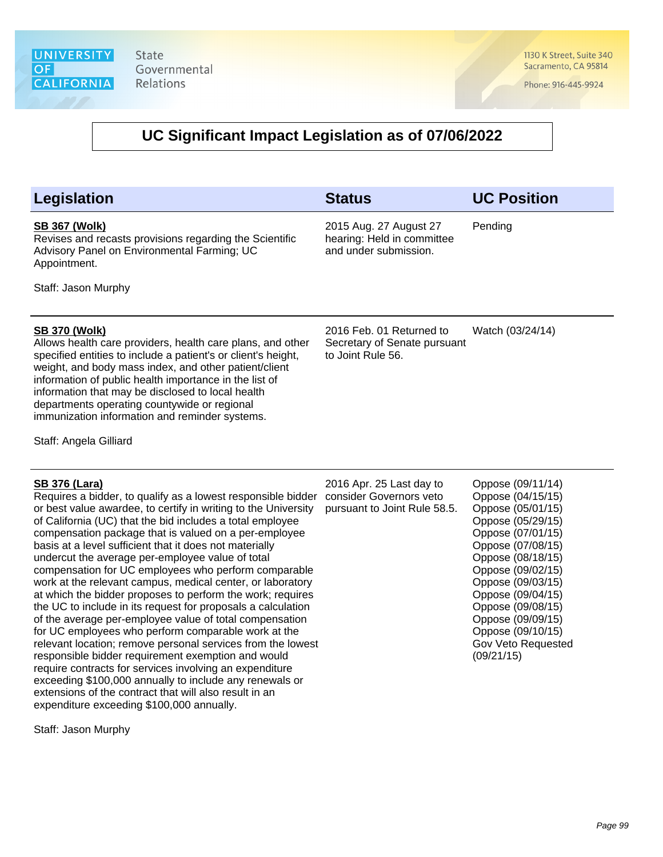1130 K Street, Suite 340 Sacramento, CA 95814

Phone: 916-445-9924

#### **UC Significant Impact Legislation as of 07/06/2022**

#### **SB 367 (Wolk)**

Revises and recasts provisions regarding the Scientific Advisory Panel on Environmental Farming; UC Appointment.

Staff: Jason Murphy

#### **SB 370 (Wolk)**

Allows health care providers, health care plans, and other specified entities to include a patient's or client's height, weight, and body mass index, and other patient/client information of public health importance in the list of information that may be disclosed to local health departments operating countywide or regional immunization information and reminder systems.

Staff: Angela Gilliard

#### **SB 376 (Lara)**

Requires a bidder, to qualify as a lowest responsible bidder consider Governors veto or best value awardee, to certify in writing to the University of California (UC) that the bid includes a total employee compensation package that is valued on a per-employee basis at a level sufficient that it does not materially undercut the average per-employee value of total compensation for UC employees who perform comparable work at the relevant campus, medical center, or laboratory at which the bidder proposes to perform the work; requires the UC to include in its request for proposals a calculation of the average per-employee value of total compensation for UC employees who perform comparable work at the relevant location; remove personal services from the lowest responsible bidder requirement exemption and would require contracts for services involving an expenditure exceeding \$100,000 annually to include any renewals or extensions of the contract that will also result in an expenditure exceeding \$100,000 annually.

Staff: Jason Murphy

2016 Feb. 01 Returned to Secretary of Senate pursuant to Joint Rule 56. Watch (03/24/14)

**Legislation Status UC Position**

Pending

2016 Apr. 25 Last day to pursuant to Joint Rule 58.5.

2015 Aug. 27 August 27 hearing: Held in committee and under submission.

> Oppose (09/11/14) Oppose (04/15/15) Oppose (05/01/15) Oppose (05/29/15) Oppose (07/01/15) Oppose (07/08/15) Oppose (08/18/15) Oppose (09/02/15) Oppose (09/03/15) Oppose (09/04/15) Oppose (09/08/15) Oppose (09/09/15) Oppose (09/10/15) Gov Veto Requested (09/21/15)

> > Page 99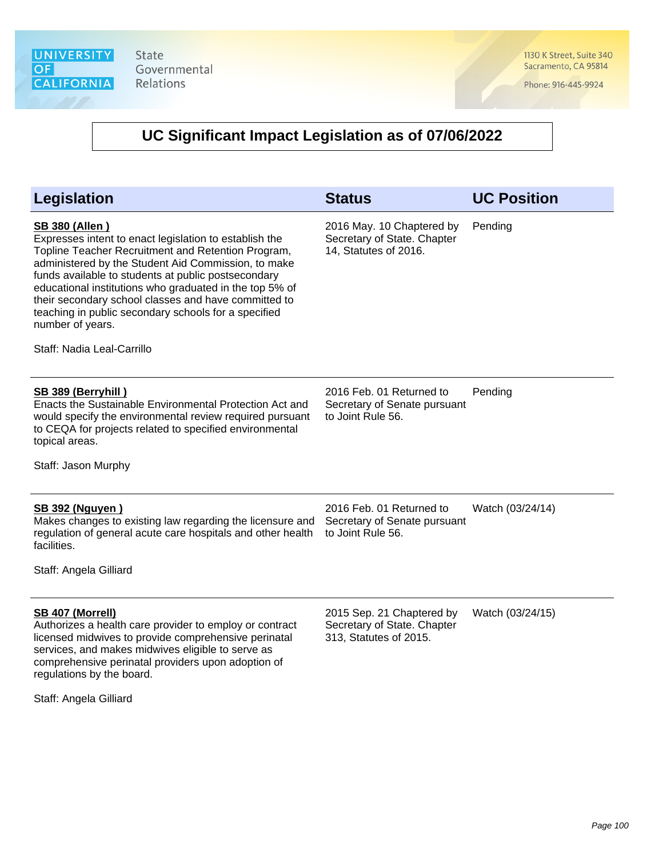1130 K Street, Suite 340 Sacramento, CA 95814

Phone: 916-445-9924

| <b>Legislation</b>                                                                                                                                                                                                                                                                                                                                                                                                                                                               | <b>Status</b>                                                                      | <b>UC Position</b> |
|----------------------------------------------------------------------------------------------------------------------------------------------------------------------------------------------------------------------------------------------------------------------------------------------------------------------------------------------------------------------------------------------------------------------------------------------------------------------------------|------------------------------------------------------------------------------------|--------------------|
| <b>SB 380 (Allen)</b><br>Expresses intent to enact legislation to establish the<br>Topline Teacher Recruitment and Retention Program,<br>administered by the Student Aid Commission, to make<br>funds available to students at public postsecondary<br>educational institutions who graduated in the top 5% of<br>their secondary school classes and have committed to<br>teaching in public secondary schools for a specified<br>number of years.<br>Staff: Nadia Leal-Carrillo | 2016 May. 10 Chaptered by<br>Secretary of State. Chapter<br>14, Statutes of 2016.  | Pending            |
| SB 389 (Berryhill)<br>Enacts the Sustainable Environmental Protection Act and<br>would specify the environmental review required pursuant<br>to CEQA for projects related to specified environmental<br>topical areas.<br>Staff: Jason Murphy                                                                                                                                                                                                                                    | 2016 Feb. 01 Returned to<br>Secretary of Senate pursuant<br>to Joint Rule 56.      | Pending            |
| <b>SB 392 (Nguyen)</b><br>Makes changes to existing law regarding the licensure and<br>regulation of general acute care hospitals and other health<br>facilities.<br>Staff: Angela Gilliard                                                                                                                                                                                                                                                                                      | 2016 Feb. 01 Returned to<br>Secretary of Senate pursuant<br>to Joint Rule 56.      | Watch (03/24/14)   |
| <b>SB 407 (Morrell)</b><br>Authorizes a health care provider to employ or contract<br>licensed midwives to provide comprehensive perinatal<br>services, and makes midwives eligible to serve as<br>comprehensive perinatal providers upon adoption of<br>regulations by the board.<br>Staff: Angela Gilliard                                                                                                                                                                     | 2015 Sep. 21 Chaptered by<br>Secretary of State. Chapter<br>313, Statutes of 2015. | Watch (03/24/15)   |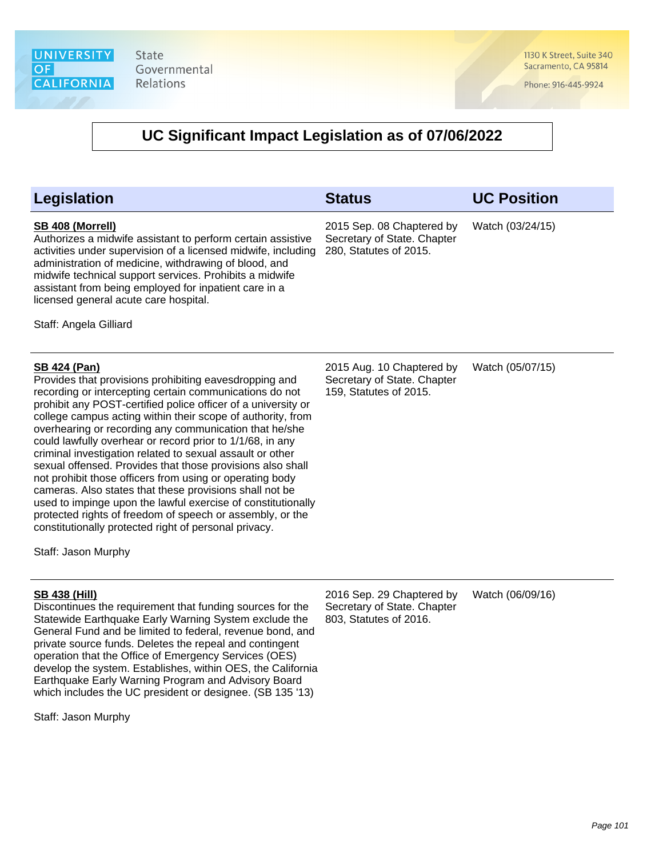1130 K Street, Suite 340 Sacramento, CA 95814

Phone: 916-445-9924

| <b>Legislation</b>                                                                                                                                                                                                                                                                                                                                                                                                                                                                                                                                                                                                                                                                                                                                                                                                                                             | <b>Status</b>                                                                      | <b>UC Position</b> |
|----------------------------------------------------------------------------------------------------------------------------------------------------------------------------------------------------------------------------------------------------------------------------------------------------------------------------------------------------------------------------------------------------------------------------------------------------------------------------------------------------------------------------------------------------------------------------------------------------------------------------------------------------------------------------------------------------------------------------------------------------------------------------------------------------------------------------------------------------------------|------------------------------------------------------------------------------------|--------------------|
| SB 408 (Morrell)<br>Authorizes a midwife assistant to perform certain assistive<br>activities under supervision of a licensed midwife, including<br>administration of medicine, withdrawing of blood, and<br>midwife technical support services. Prohibits a midwife<br>assistant from being employed for inpatient care in a<br>licensed general acute care hospital.<br>Staff: Angela Gilliard                                                                                                                                                                                                                                                                                                                                                                                                                                                               | 2015 Sep. 08 Chaptered by<br>Secretary of State. Chapter<br>280, Statutes of 2015. | Watch (03/24/15)   |
| <b>SB 424 (Pan)</b><br>Provides that provisions prohibiting eavesdropping and<br>recording or intercepting certain communications do not<br>prohibit any POST-certified police officer of a university or<br>college campus acting within their scope of authority, from<br>overhearing or recording any communication that he/she<br>could lawfully overhear or record prior to 1/1/68, in any<br>criminal investigation related to sexual assault or other<br>sexual offensed. Provides that those provisions also shall<br>not prohibit those officers from using or operating body<br>cameras. Also states that these provisions shall not be<br>used to impinge upon the lawful exercise of constitutionally<br>protected rights of freedom of speech or assembly, or the<br>constitutionally protected right of personal privacy.<br>Staff: Jason Murphy | 2015 Aug. 10 Chaptered by<br>Secretary of State. Chapter<br>159, Statutes of 2015. | Watch (05/07/15)   |
| <b>SB 438 (Hill)</b><br>Discontinues the requirement that funding sources for the<br>Statewide Earthquake Early Warning System exclude the<br>General Fund and be limited to federal, revenue bond, and<br>private source funds. Deletes the repeal and contingent<br>operation that the Office of Emergency Services (OES)<br>develop the system. Establishes, within OES, the California<br>Earthquake Early Warning Program and Advisory Board<br>which includes the UC president or designee. (SB 135 '13)<br>Staff: Jason Murphy                                                                                                                                                                                                                                                                                                                          | 2016 Sep. 29 Chaptered by<br>Secretary of State. Chapter<br>803, Statutes of 2016. | Watch (06/09/16)   |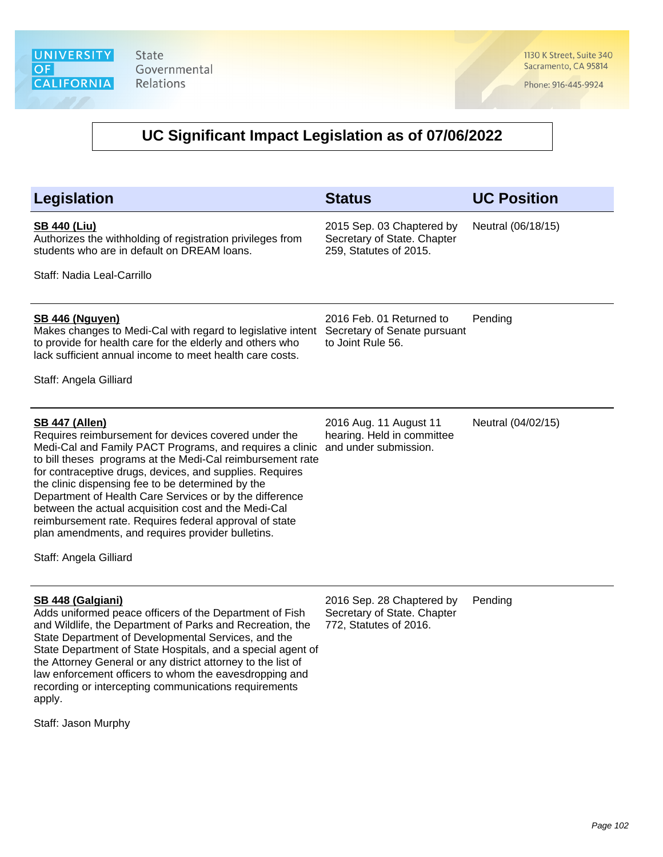1130 K Street, Suite 340 Sacramento, CA 95814

Phone: 916-445-9924

#### **UC Significant Impact Legislation as of 07/06/2022**

| Legislation                                                                                                                                                                                                                                                                                                                                                                                                                                                                                                                                                                          | <b>Status</b>                                                                      | <b>UC Position</b> |
|--------------------------------------------------------------------------------------------------------------------------------------------------------------------------------------------------------------------------------------------------------------------------------------------------------------------------------------------------------------------------------------------------------------------------------------------------------------------------------------------------------------------------------------------------------------------------------------|------------------------------------------------------------------------------------|--------------------|
| <b>SB 440 (Liu)</b><br>Authorizes the withholding of registration privileges from<br>students who are in default on DREAM loans.<br>Staff: Nadia Leal-Carrillo                                                                                                                                                                                                                                                                                                                                                                                                                       | 2015 Sep. 03 Chaptered by<br>Secretary of State. Chapter<br>259, Statutes of 2015. | Neutral (06/18/15) |
| <b>SB 446 (Nguyen)</b><br>Makes changes to Medi-Cal with regard to legislative intent<br>to provide for health care for the elderly and others who<br>lack sufficient annual income to meet health care costs.<br>Staff: Angela Gilliard                                                                                                                                                                                                                                                                                                                                             | 2016 Feb. 01 Returned to<br>Secretary of Senate pursuant<br>to Joint Rule 56.      | Pending            |
| <b>SB 447 (Allen)</b><br>Requires reimbursement for devices covered under the<br>Medi-Cal and Family PACT Programs, and requires a clinic<br>to bill theses programs at the Medi-Cal reimbursement rate<br>for contraceptive drugs, devices, and supplies. Requires<br>the clinic dispensing fee to be determined by the<br>Department of Health Care Services or by the difference<br>between the actual acquisition cost and the Medi-Cal<br>reimbursement rate. Requires federal approval of state<br>plan amendments, and requires provider bulletins.<br>Staff: Angela Gilliard | 2016 Aug. 11 August 11<br>hearing. Held in committee<br>and under submission.      | Neutral (04/02/15) |
| SB 448 (Galgiani)<br>Adds uniformed peace officers of the Department of Fish<br>and Wildlife, the Department of Parks and Recreation, the<br>State Department of Developmental Services, and the<br>State Department of State Hospitals, and a special agent of<br>the Attorney General or any district attorney to the list of<br>law enforcement officers to whom the eavesdropping and<br>recording or intercepting communications requirements                                                                                                                                   | 2016 Sep. 28 Chaptered by<br>Secretary of State. Chapter<br>772, Statutes of 2016. | Pending            |

Staff: Jason Murphy

apply.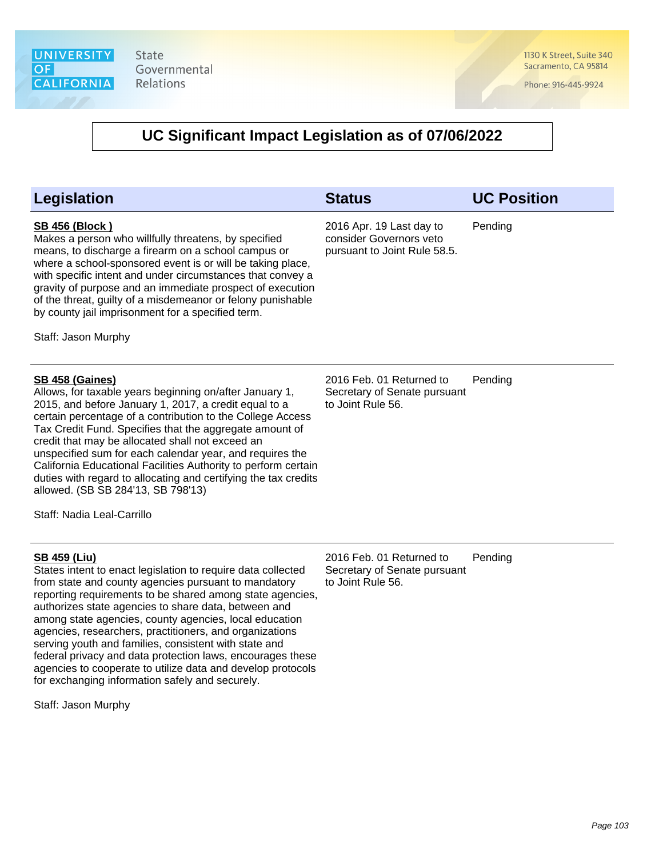1130 K Street, Suite 340 Sacramento, CA 95814

Phone: 916-445-9924

## **UC Significant Impact Legislation as of 07/06/2022**

| Legislation                                                                                                                                                                                                                                                                                                                                                                                                                                                                                                                                                                                                                    | <b>Status</b>                                                                       | <b>UC Position</b> |
|--------------------------------------------------------------------------------------------------------------------------------------------------------------------------------------------------------------------------------------------------------------------------------------------------------------------------------------------------------------------------------------------------------------------------------------------------------------------------------------------------------------------------------------------------------------------------------------------------------------------------------|-------------------------------------------------------------------------------------|--------------------|
| <b>SB 456 (Block)</b><br>Makes a person who willfully threatens, by specified<br>means, to discharge a firearm on a school campus or<br>where a school-sponsored event is or will be taking place,<br>with specific intent and under circumstances that convey a<br>gravity of purpose and an immediate prospect of execution<br>of the threat, guilty of a misdemeanor or felony punishable<br>by county jail imprisonment for a specified term.<br>Staff: Jason Murphy                                                                                                                                                       | 2016 Apr. 19 Last day to<br>consider Governors veto<br>pursuant to Joint Rule 58.5. | Pending            |
| <b>SB 458 (Gaines)</b><br>Allows, for taxable years beginning on/after January 1,<br>2015, and before January 1, 2017, a credit equal to a<br>certain percentage of a contribution to the College Access<br>Tax Credit Fund. Specifies that the aggregate amount of<br>credit that may be allocated shall not exceed an<br>unspecified sum for each calendar year, and requires the<br>California Educational Facilities Authority to perform certain<br>duties with regard to allocating and certifying the tax credits<br>allowed. (SB SB 284'13, SB 798'13)<br>Staff: Nadia Leal-Carrillo                                   | 2016 Feb. 01 Returned to<br>Secretary of Senate pursuant<br>to Joint Rule 56.       | Pending            |
| <b>SB 459 (Liu)</b><br>States intent to enact legislation to require data collected<br>from state and county agencies pursuant to mandatory<br>reporting requirements to be shared among state agencies,<br>authorizes state agencies to share data, between and<br>among state agencies, county agencies, local education<br>agencies, researchers, practitioners, and organizations<br>serving youth and families, consistent with state and<br>federal privacy and data protection laws, encourages these<br>agencies to cooperate to utilize data and develop protocols<br>for exchanging information safely and securely. | 2016 Feb. 01 Returned to<br>Secretary of Senate pursuant<br>to Joint Rule 56.       | Pending            |

Staff: Jason Murphy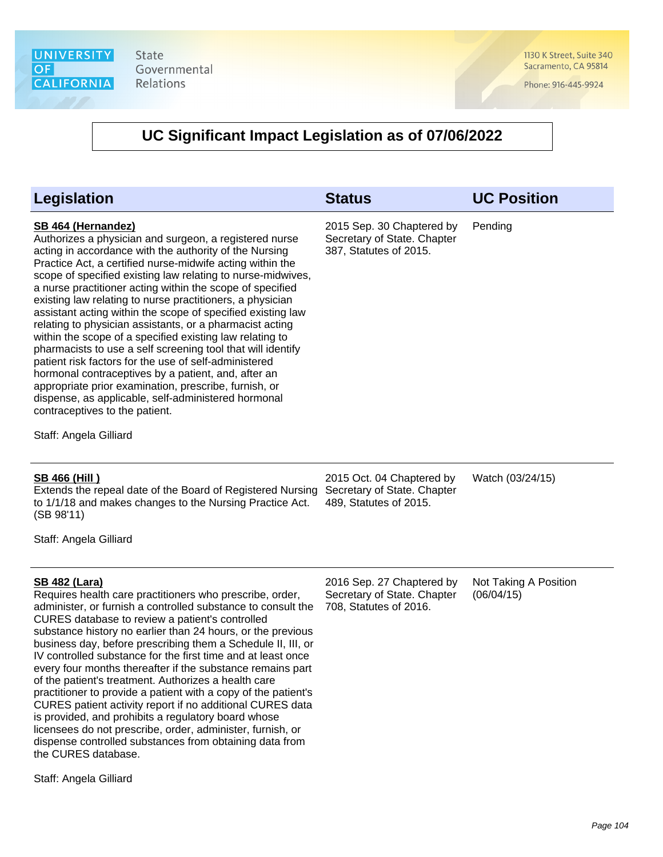1130 K Street, Suite 340 Sacramento, CA 95814

Phone: 916-445-9924

| Legislation                                                                                                                                                                                                                                                                                                                                                                                                                                                                                                                                                                                                                                                                                                                                                                                                                                                                                                                                           | <b>Status</b>                                                                      | <b>UC Position</b>                  |
|-------------------------------------------------------------------------------------------------------------------------------------------------------------------------------------------------------------------------------------------------------------------------------------------------------------------------------------------------------------------------------------------------------------------------------------------------------------------------------------------------------------------------------------------------------------------------------------------------------------------------------------------------------------------------------------------------------------------------------------------------------------------------------------------------------------------------------------------------------------------------------------------------------------------------------------------------------|------------------------------------------------------------------------------------|-------------------------------------|
| <b>SB 464 (Hernandez)</b><br>Authorizes a physician and surgeon, a registered nurse<br>acting in accordance with the authority of the Nursing<br>Practice Act, a certified nurse-midwife acting within the<br>scope of specified existing law relating to nurse-midwives,<br>a nurse practitioner acting within the scope of specified<br>existing law relating to nurse practitioners, a physician<br>assistant acting within the scope of specified existing law<br>relating to physician assistants, or a pharmacist acting<br>within the scope of a specified existing law relating to<br>pharmacists to use a self screening tool that will identify<br>patient risk factors for the use of self-administered<br>hormonal contraceptives by a patient, and, after an<br>appropriate prior examination, prescribe, furnish, or<br>dispense, as applicable, self-administered hormonal<br>contraceptives to the patient.<br>Staff: Angela Gilliard | 2015 Sep. 30 Chaptered by<br>Secretary of State. Chapter<br>387, Statutes of 2015. | Pending                             |
| <b>SB 466 (Hill)</b><br>Extends the repeal date of the Board of Registered Nursing<br>to 1/1/18 and makes changes to the Nursing Practice Act.<br>(SB 98'11)<br>Staff: Angela Gilliard                                                                                                                                                                                                                                                                                                                                                                                                                                                                                                                                                                                                                                                                                                                                                                | 2015 Oct. 04 Chaptered by<br>Secretary of State. Chapter<br>489, Statutes of 2015. | Watch (03/24/15)                    |
| <b>SB 482 (Lara)</b><br>Requires health care practitioners who prescribe, order,<br>administer, or furnish a controlled substance to consult the<br>CURES database to review a patient's controlled<br>substance history no earlier than 24 hours, or the previous<br>business day, before prescribing them a Schedule II, III, or<br>IV controlled substance for the first time and at least once<br>every four months thereafter if the substance remains part<br>of the patient's treatment. Authorizes a health care<br>practitioner to provide a patient with a copy of the patient's<br>CURES patient activity report if no additional CURES data<br>is provided, and prohibits a regulatory board whose<br>licensees do not prescribe, order, administer, furnish, or<br>dispense controlled substances from obtaining data from<br>the CURES database.                                                                                        | 2016 Sep. 27 Chaptered by<br>Secretary of State. Chapter<br>708, Statutes of 2016. | Not Taking A Position<br>(06/04/15) |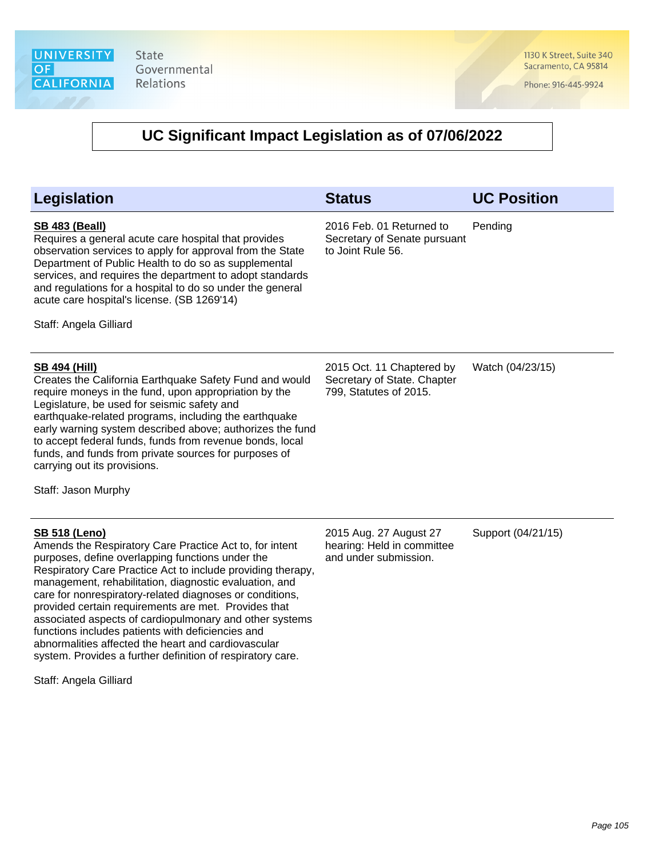1130 K Street, Suite 340 Sacramento, CA 95814

Phone: 916-445-9924

| Legislation                                                                                                                                                                                                                                                                                                                                                                                                                                                                                                                                                                                                                                     | <b>Status</b>                                                                      | <b>UC Position</b> |
|-------------------------------------------------------------------------------------------------------------------------------------------------------------------------------------------------------------------------------------------------------------------------------------------------------------------------------------------------------------------------------------------------------------------------------------------------------------------------------------------------------------------------------------------------------------------------------------------------------------------------------------------------|------------------------------------------------------------------------------------|--------------------|
| <b>SB 483 (Beall)</b><br>Requires a general acute care hospital that provides<br>observation services to apply for approval from the State<br>Department of Public Health to do so as supplemental<br>services, and requires the department to adopt standards<br>and regulations for a hospital to do so under the general<br>acute care hospital's license. (SB 1269'14)<br>Staff: Angela Gilliard                                                                                                                                                                                                                                            | 2016 Feb. 01 Returned to<br>Secretary of Senate pursuant<br>to Joint Rule 56.      | Pending            |
| <u>SB 494 (Hill)</u><br>Creates the California Earthquake Safety Fund and would<br>require moneys in the fund, upon appropriation by the<br>Legislature, be used for seismic safety and<br>earthquake-related programs, including the earthquake<br>early warning system described above; authorizes the fund<br>to accept federal funds, funds from revenue bonds, local<br>funds, and funds from private sources for purposes of<br>carrying out its provisions.<br>Staff: Jason Murphy                                                                                                                                                       | 2015 Oct. 11 Chaptered by<br>Secretary of State. Chapter<br>799, Statutes of 2015. | Watch (04/23/15)   |
| <b>SB 518 (Leno)</b><br>Amends the Respiratory Care Practice Act to, for intent<br>purposes, define overlapping functions under the<br>Respiratory Care Practice Act to include providing therapy,<br>management, rehabilitation, diagnostic evaluation, and<br>care for nonrespiratory-related diagnoses or conditions,<br>provided certain requirements are met. Provides that<br>associated aspects of cardiopulmonary and other systems<br>functions includes patients with deficiencies and<br>abnormalities affected the heart and cardiovascular<br>system. Provides a further definition of respiratory care.<br>Staff: Angela Gilliard | 2015 Aug. 27 August 27<br>hearing: Held in committee<br>and under submission.      | Support (04/21/15) |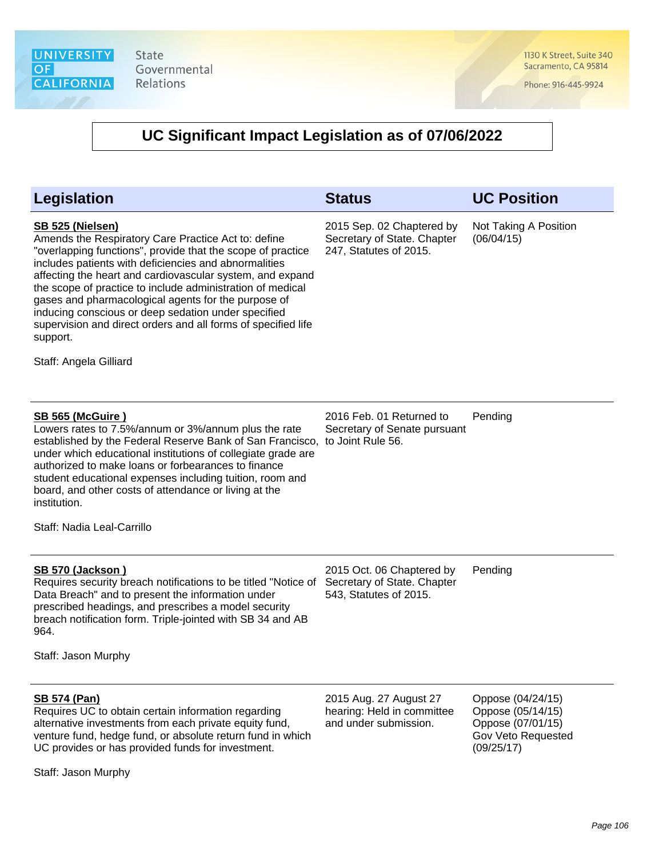1130 K Street, Suite 340 Sacramento, CA 95814

Phone: 916-445-9924

| <b>Legislation</b>                                                                                                                                                                                                                                                                                                                                                                                                                                                                                                                              | <b>Status</b>                                                                      | <b>UC Position</b>                                                                              |
|-------------------------------------------------------------------------------------------------------------------------------------------------------------------------------------------------------------------------------------------------------------------------------------------------------------------------------------------------------------------------------------------------------------------------------------------------------------------------------------------------------------------------------------------------|------------------------------------------------------------------------------------|-------------------------------------------------------------------------------------------------|
| SB 525 (Nielsen)<br>Amends the Respiratory Care Practice Act to: define<br>"overlapping functions", provide that the scope of practice<br>includes patients with deficiencies and abnormalities<br>affecting the heart and cardiovascular system, and expand<br>the scope of practice to include administration of medical<br>gases and pharmacological agents for the purpose of<br>inducing conscious or deep sedation under specified<br>supervision and direct orders and all forms of specified life<br>support.<br>Staff: Angela Gilliard | 2015 Sep. 02 Chaptered by<br>Secretary of State. Chapter<br>247, Statutes of 2015. | Not Taking A Position<br>(06/04/15)                                                             |
| <b>SB 565 (McGuire)</b><br>Lowers rates to 7.5%/annum or 3%/annum plus the rate<br>established by the Federal Reserve Bank of San Francisco,<br>under which educational institutions of collegiate grade are<br>authorized to make loans or forbearances to finance<br>student educational expenses including tuition, room and<br>board, and other costs of attendance or living at the<br>institution.<br>Staff: Nadia Leal-Carrillo                                                                                                          | 2016 Feb. 01 Returned to<br>Secretary of Senate pursuant<br>to Joint Rule 56.      | Pending                                                                                         |
| <b>SB 570 (Jackson)</b><br>Requires security breach notifications to be titled "Notice of<br>Data Breach" and to present the information under<br>prescribed headings, and prescribes a model security<br>breach notification form. Triple-jointed with SB 34 and AB<br>964.<br>Staff: Jason Murphy                                                                                                                                                                                                                                             | 2015 Oct. 06 Chaptered by<br>Secretary of State. Chapter<br>543, Statutes of 2015. | Pending                                                                                         |
| <b>SB 574 (Pan)</b><br>Requires UC to obtain certain information regarding<br>alternative investments from each private equity fund,<br>venture fund, hedge fund, or absolute return fund in which<br>UC provides or has provided funds for investment.<br>Staff: Jason Murphy                                                                                                                                                                                                                                                                  | 2015 Aug. 27 August 27<br>hearing: Held in committee<br>and under submission.      | Oppose (04/24/15)<br>Oppose (05/14/15)<br>Oppose (07/01/15)<br>Gov Veto Requested<br>(09/25/17) |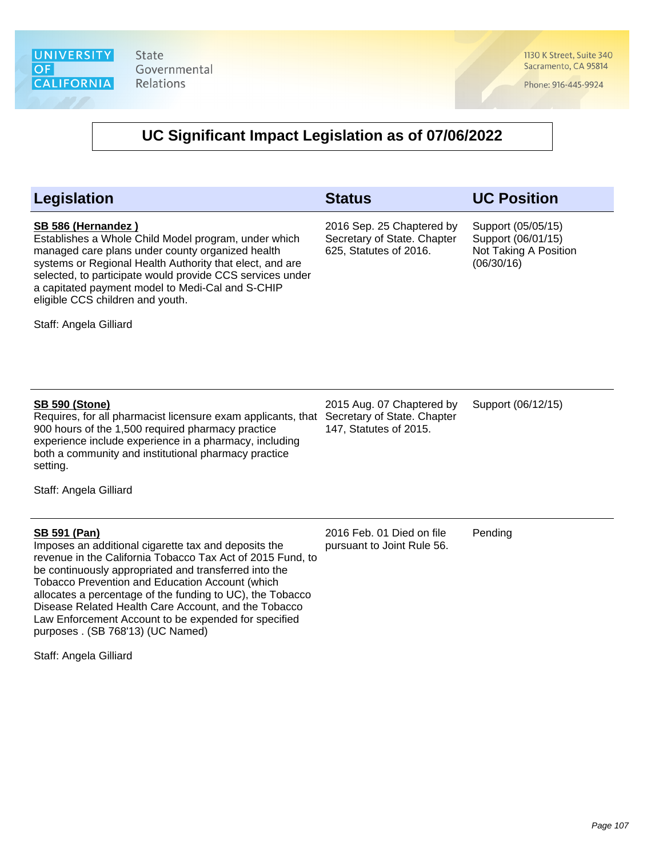1130 K Street, Suite 340 Sacramento, CA 95814

Phone: 916-445-9924

| <b>Legislation</b>                                                                                                                                                                                                                                                                                                                                                                                                                                                                                       | <b>Status</b>                                                                      | <b>UC Position</b>                                                              |
|----------------------------------------------------------------------------------------------------------------------------------------------------------------------------------------------------------------------------------------------------------------------------------------------------------------------------------------------------------------------------------------------------------------------------------------------------------------------------------------------------------|------------------------------------------------------------------------------------|---------------------------------------------------------------------------------|
| SB 586 (Hernandez)<br>Establishes a Whole Child Model program, under which<br>managed care plans under county organized health<br>systems or Regional Health Authority that elect, and are<br>selected, to participate would provide CCS services under<br>a capitated payment model to Medi-Cal and S-CHIP<br>eligible CCS children and youth.<br>Staff: Angela Gilliard                                                                                                                                | 2016 Sep. 25 Chaptered by<br>Secretary of State. Chapter<br>625, Statutes of 2016. | Support (05/05/15)<br>Support (06/01/15)<br>Not Taking A Position<br>(06/30/16) |
| <b>SB 590 (Stone)</b><br>Requires, for all pharmacist licensure exam applicants, that<br>900 hours of the 1,500 required pharmacy practice<br>experience include experience in a pharmacy, including<br>both a community and institutional pharmacy practice<br>setting.<br>Staff: Angela Gilliard                                                                                                                                                                                                       | 2015 Aug. 07 Chaptered by<br>Secretary of State. Chapter<br>147, Statutes of 2015. | Support (06/12/15)                                                              |
| <b>SB 591 (Pan)</b><br>Imposes an additional cigarette tax and deposits the<br>revenue in the California Tobacco Tax Act of 2015 Fund, to<br>be continuously appropriated and transferred into the<br><b>Tobacco Prevention and Education Account (which</b><br>allocates a percentage of the funding to UC), the Tobacco<br>Disease Related Health Care Account, and the Tobacco<br>Law Enforcement Account to be expended for specified<br>purposes . (SB 768'13) (UC Named)<br>Staff: Angela Gilliard | 2016 Feb. 01 Died on file<br>pursuant to Joint Rule 56.                            | Pending                                                                         |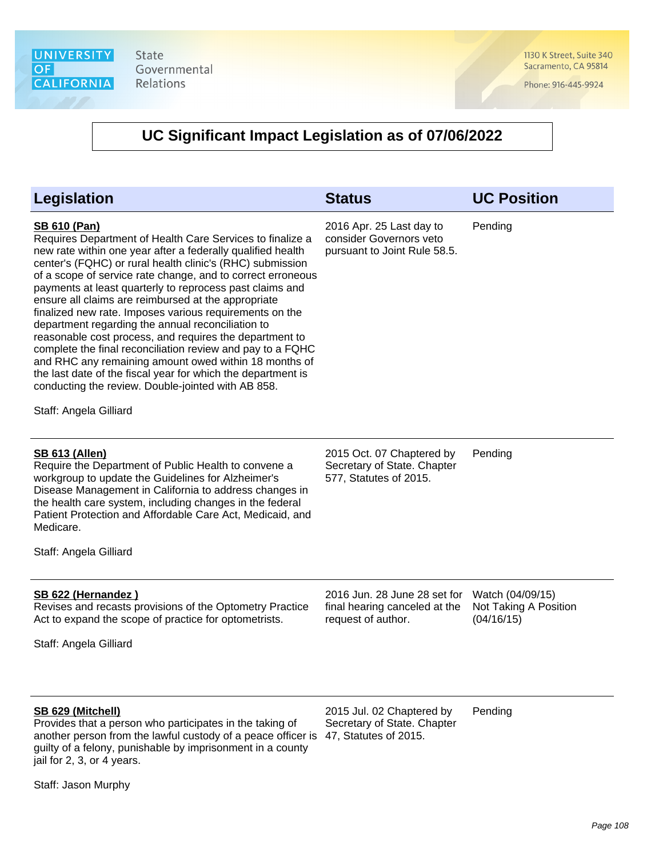1130 K Street, Suite 340 Sacramento, CA 95814

Phone: 916-445-9924

## **UC Significant Impact Legislation as of 07/06/2022**

| <b>Legislation</b>                                                                                                                                                                                                                                                                                                                                                                                                                                                                                                                                                                                                                                                                                                                                                                                                                               | <b>Status</b>                                                                       | <b>UC Position</b>                                      |
|--------------------------------------------------------------------------------------------------------------------------------------------------------------------------------------------------------------------------------------------------------------------------------------------------------------------------------------------------------------------------------------------------------------------------------------------------------------------------------------------------------------------------------------------------------------------------------------------------------------------------------------------------------------------------------------------------------------------------------------------------------------------------------------------------------------------------------------------------|-------------------------------------------------------------------------------------|---------------------------------------------------------|
| <b>SB 610 (Pan)</b><br>Requires Department of Health Care Services to finalize a<br>new rate within one year after a federally qualified health<br>center's (FQHC) or rural health clinic's (RHC) submission<br>of a scope of service rate change, and to correct erroneous<br>payments at least quarterly to reprocess past claims and<br>ensure all claims are reimbursed at the appropriate<br>finalized new rate. Imposes various requirements on the<br>department regarding the annual reconciliation to<br>reasonable cost process, and requires the department to<br>complete the final reconciliation review and pay to a FQHC<br>and RHC any remaining amount owed within 18 months of<br>the last date of the fiscal year for which the department is<br>conducting the review. Double-jointed with AB 858.<br>Staff: Angela Gilliard | 2016 Apr. 25 Last day to<br>consider Governors veto<br>pursuant to Joint Rule 58.5. | Pending                                                 |
| <b>SB 613 (Allen)</b><br>Require the Department of Public Health to convene a<br>workgroup to update the Guidelines for Alzheimer's<br>Disease Management in California to address changes in<br>the health care system, including changes in the federal<br>Patient Protection and Affordable Care Act, Medicaid, and<br>Medicare.<br>Staff: Angela Gilliard                                                                                                                                                                                                                                                                                                                                                                                                                                                                                    | 2015 Oct. 07 Chaptered by<br>Secretary of State. Chapter<br>577, Statutes of 2015.  | Pending                                                 |
| SB 622 (Hernandez)<br>Revises and recasts provisions of the Optometry Practice<br>Act to expand the scope of practice for optometrists.<br>Staff: Angela Gilliard                                                                                                                                                                                                                                                                                                                                                                                                                                                                                                                                                                                                                                                                                | 2016 Jun. 28 June 28 set for<br>final hearing canceled at the<br>request of author. | Watch (04/09/15)<br>Not Taking A Position<br>(04/16/15) |
| SB 629 (Mitchell)<br>Provides that a person who participates in the taking of<br>another person from the lawful custody of a peace officer is<br>guilty of a felony, punishable by imprisonment in a county                                                                                                                                                                                                                                                                                                                                                                                                                                                                                                                                                                                                                                      | 2015 Jul. 02 Chaptered by<br>Secretary of State. Chapter<br>47, Statutes of 2015.   | Pending                                                 |

Staff: Jason Murphy

jail for 2, 3, or 4 years.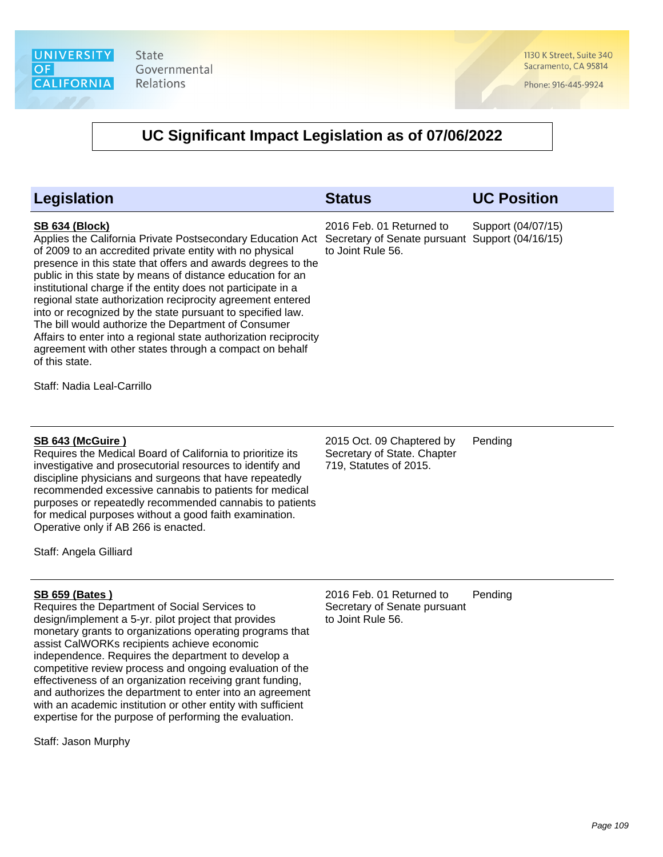1130 K Street, Suite 340 Sacramento, CA 95814

Phone: 916-445-9924

# **UC Significant Impact Legislation as of 07/06/2022**

| Legislation                                                                                                                                                                                                                                                                                                                                                                                                                                                                                                                                                                                                                                                                                                     | <b>Status</b>                                                                                    | <b>UC Position</b> |
|-----------------------------------------------------------------------------------------------------------------------------------------------------------------------------------------------------------------------------------------------------------------------------------------------------------------------------------------------------------------------------------------------------------------------------------------------------------------------------------------------------------------------------------------------------------------------------------------------------------------------------------------------------------------------------------------------------------------|--------------------------------------------------------------------------------------------------|--------------------|
| <b>SB 634 (Block)</b><br>Applies the California Private Postsecondary Education Act<br>of 2009 to an accredited private entity with no physical<br>presence in this state that offers and awards degrees to the<br>public in this state by means of distance education for an<br>institutional charge if the entity does not participate in a<br>regional state authorization reciprocity agreement entered<br>into or recognized by the state pursuant to specified law.<br>The bill would authorize the Department of Consumer<br>Affairs to enter into a regional state authorization reciprocity<br>agreement with other states through a compact on behalf<br>of this state.<br>Staff: Nadia Leal-Carrillo | 2016 Feb. 01 Returned to<br>Secretary of Senate pursuant Support (04/16/15)<br>to Joint Rule 56. | Support (04/07/15) |
| <b>SB 643 (McGuire)</b><br>Requires the Medical Board of California to prioritize its<br>investigative and prosecutorial resources to identify and<br>discipline physicians and surgeons that have repeatedly<br>recommended excessive cannabis to patients for medical<br>purposes or repeatedly recommended cannabis to patients<br>for medical purposes without a good faith examination.<br>Operative only if AB 266 is enacted.                                                                                                                                                                                                                                                                            | 2015 Oct. 09 Chaptered by<br>Secretary of State. Chapter<br>719, Statutes of 2015.               | Pending            |
| Staff: Angela Gilliard                                                                                                                                                                                                                                                                                                                                                                                                                                                                                                                                                                                                                                                                                          |                                                                                                  |                    |
| <b>SB 659 (Bates)</b><br>Requires the Department of Social Services to<br>design/implement a 5-yr. pilot project that provides<br>monetary grants to organizations operating programs that<br>assist CalWORKs recipients achieve economic<br>independence. Requires the department to develop a<br>competitive review process and ongoing evaluation of the<br>effectiveness of an organization receiving grant funding,<br>and authorizes the department to enter into an agreement<br>with an academic institution or other entity with sufficient<br>expertise for the purpose of performing the evaluation.                                                                                                 | 2016 Feb. 01 Returned to<br>Secretary of Senate pursuant<br>to Joint Rule 56.                    | Pending            |

Staff: Jason Murphy

Page 109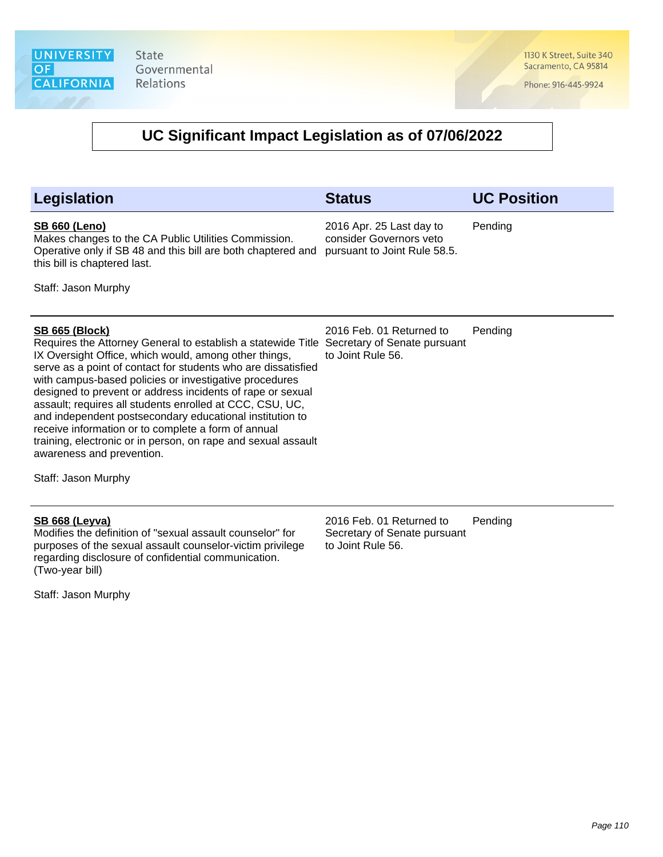1130 K Street, Suite 340 Sacramento, CA 95814

Phone: 916-445-9924

#### **UC Significant Impact Legislation as of 07/06/2022**

| Legislation                                                                                                                                                                                                                                                                                                                                                                                                                                                                                                                                                                                                          | <b>Status</b>                                                                       | <b>UC Position</b> |
|----------------------------------------------------------------------------------------------------------------------------------------------------------------------------------------------------------------------------------------------------------------------------------------------------------------------------------------------------------------------------------------------------------------------------------------------------------------------------------------------------------------------------------------------------------------------------------------------------------------------|-------------------------------------------------------------------------------------|--------------------|
| <b>SB 660 (Leno)</b><br>Makes changes to the CA Public Utilities Commission.<br>Operative only if SB 48 and this bill are both chaptered and<br>this bill is chaptered last.                                                                                                                                                                                                                                                                                                                                                                                                                                         | 2016 Apr. 25 Last day to<br>consider Governors veto<br>pursuant to Joint Rule 58.5. | Pending            |
| Staff: Jason Murphy                                                                                                                                                                                                                                                                                                                                                                                                                                                                                                                                                                                                  |                                                                                     |                    |
|                                                                                                                                                                                                                                                                                                                                                                                                                                                                                                                                                                                                                      |                                                                                     |                    |
| <b>SB 665 (Block)</b><br>Requires the Attorney General to establish a statewide Title<br>IX Oversight Office, which would, among other things,<br>serve as a point of contact for students who are dissatisfied<br>with campus-based policies or investigative procedures<br>designed to prevent or address incidents of rape or sexual<br>assault; requires all students enrolled at CCC, CSU, UC,<br>and independent postsecondary educational institution to<br>receive information or to complete a form of annual<br>training, electronic or in person, on rape and sexual assault<br>awareness and prevention. | 2016 Feb. 01 Returned to<br>Secretary of Senate pursuant<br>to Joint Rule 56.       | Pending            |
| Staff: Jason Murphy                                                                                                                                                                                                                                                                                                                                                                                                                                                                                                                                                                                                  |                                                                                     |                    |

#### **SB 668 (Leyva)**

Modifies the definition of "sexual assault counselor" for purposes of the sexual assault counselor-victim privilege regarding disclosure of confidential communication. (Two-year bill)

Staff: Jason Murphy

2016 Feb. 01 Returned to Secretary of Senate pursuant to Joint Rule 56. Pending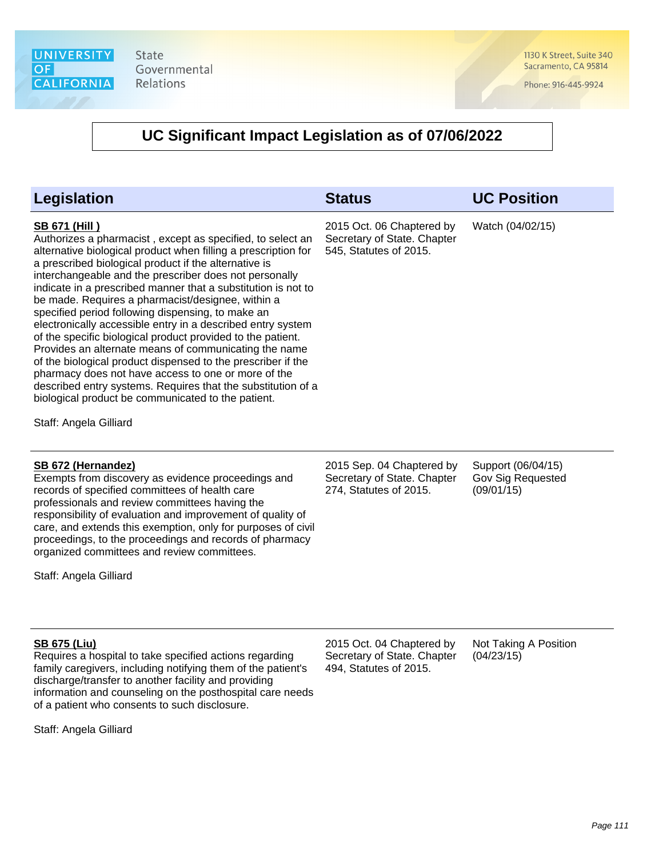1130 K Street, Suite 340 Sacramento, CA 95814

Phone: 916-445-9924

#### **UC Significant Impact Legislation as of 07/06/2022**

| <b>Status</b>                                                                      | <b>UC Position</b>                                    |
|------------------------------------------------------------------------------------|-------------------------------------------------------|
| 2015 Oct. 06 Chaptered by<br>Secretary of State. Chapter<br>545, Statutes of 2015. | Watch (04/02/15)                                      |
| 2015 Sep. 04 Chaptered by<br>Secretary of State. Chapter<br>274, Statutes of 2015. | Support (06/04/15)<br>Gov Sig Requested<br>(09/01/15) |
|                                                                                    |                                                       |

Staff: Angela Gilliard

#### **SB 675 (Liu)**

Requires a hospital to take specified actions regarding family caregivers, including notifying them of the patient's discharge/transfer to another facility and providing information and counseling on the posthospital care needs of a patient who consents to such disclosure.

organized committees and review committees.

Staff: Angela Gilliard

2015 Oct. 04 Chaptered by Secretary of State. Chapter 494, Statutes of 2015.

Not Taking A Position (04/23/15)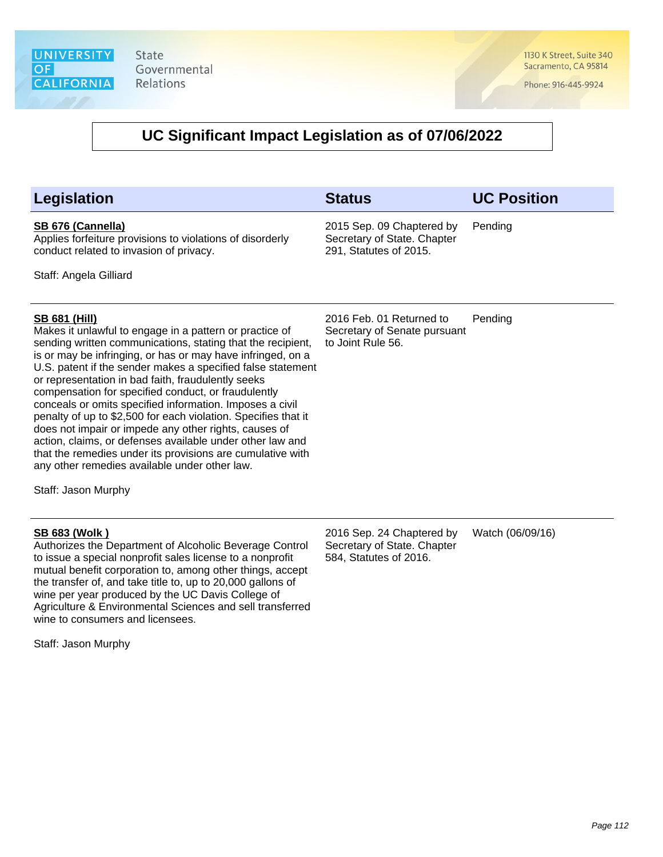1130 K Street, Suite 340 Sacramento, CA 95814

Phone: 916-445-9924

#### **UC Significant Impact Legislation as of 07/06/2022**

| <b>Legislation</b> |  |
|--------------------|--|
|--------------------|--|

#### **SB 676 (Cannella)**

Applies forfeiture provisions to violations of disorderly conduct related to invasion of privacy.

Staff: Angela Gilliard

**SB 681 (Hill)**

Makes it unlawful to engage in a pattern or practice of sending written communications, stating that the recipient, is or may be infringing, or has or may have infringed, on a U.S. patent if the sender makes a specified false statement or representation in bad faith, fraudulently seeks compensation for specified conduct, or fraudulently conceals or omits specified information. Imposes a civil penalty of up to \$2,500 for each violation. Specifies that it does not impair or impede any other rights, causes of action, claims, or defenses available under other law and that the remedies under its provisions are cumulative with any other remedies available under other law.

Staff: Jason Murphy

#### **SB 683 (Wolk )**

Authorizes the Department of Alcoholic Beverage Control to issue a special nonprofit sales license to a nonprofit mutual benefit corporation to, among other things, accept the transfer of, and take title to, up to 20,000 gallons of wine per year produced by the UC Davis College of Agriculture & Environmental Sciences and sell transferred wine to consumers and licensees.

Staff: Jason Murphy

2016 Feb. 01 Returned to Secretary of Senate pursuant to Joint Rule 56. Pending

2015 Sep. 09 Chaptered by Secretary of State. Chapter 291, Statutes of 2015.

**Legislation Status UC Position**

Pending

2016 Sep. 24 Chaptered by Secretary of State. Chapter 584, Statutes of 2016.

Watch (06/09/16)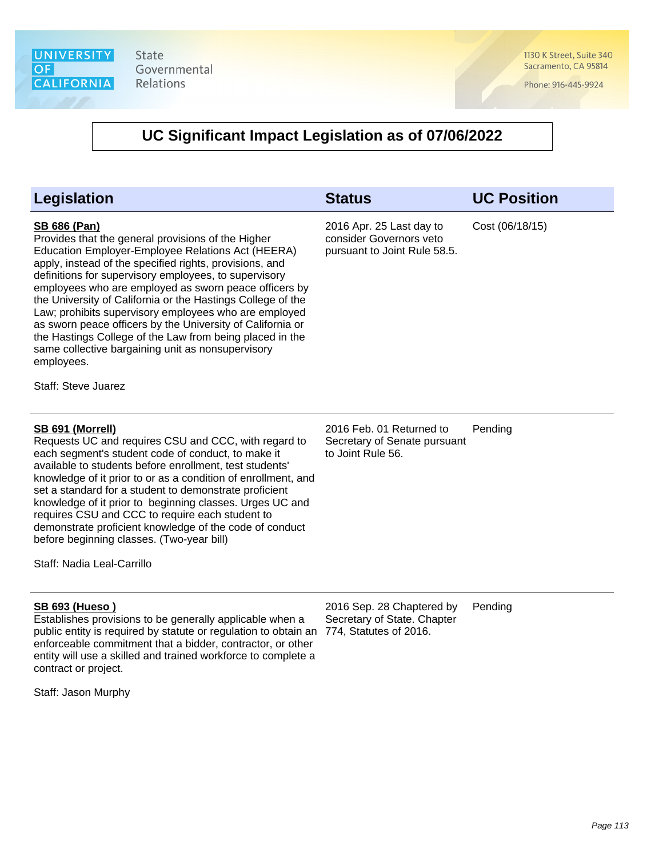1130 K Street, Suite 340 Sacramento, CA 95814

Phone: 916-445-9924

| <b>Legislation</b>                                                                                                                                                                                                                                                                                                                                                                                                                                                                                                                                                                                                                                             | <b>Status</b>                                                                       | <b>UC Position</b> |
|----------------------------------------------------------------------------------------------------------------------------------------------------------------------------------------------------------------------------------------------------------------------------------------------------------------------------------------------------------------------------------------------------------------------------------------------------------------------------------------------------------------------------------------------------------------------------------------------------------------------------------------------------------------|-------------------------------------------------------------------------------------|--------------------|
| <b>SB 686 (Pan)</b><br>Provides that the general provisions of the Higher<br>Education Employer-Employee Relations Act (HEERA)<br>apply, instead of the specified rights, provisions, and<br>definitions for supervisory employees, to supervisory<br>employees who are employed as sworn peace officers by<br>the University of California or the Hastings College of the<br>Law; prohibits supervisory employees who are employed<br>as sworn peace officers by the University of California or<br>the Hastings College of the Law from being placed in the<br>same collective bargaining unit as nonsupervisory<br>employees.<br><b>Staff: Steve Juarez</b> | 2016 Apr. 25 Last day to<br>consider Governors veto<br>pursuant to Joint Rule 58.5. | Cost (06/18/15)    |
| SB 691 (Morrell)<br>Requests UC and requires CSU and CCC, with regard to<br>each segment's student code of conduct, to make it<br>available to students before enrollment, test students'<br>knowledge of it prior to or as a condition of enrollment, and<br>set a standard for a student to demonstrate proficient<br>knowledge of it prior to beginning classes. Urges UC and<br>requires CSU and CCC to require each student to<br>demonstrate proficient knowledge of the code of conduct<br>before beginning classes. (Two-year bill)<br>Staff: Nadia Leal-Carrillo                                                                                      | 2016 Feb. 01 Returned to<br>Secretary of Senate pursuant<br>to Joint Rule 56.       | Pending            |
| <b>SB 693 (Hueso)</b><br>Establishes provisions to be generally applicable when a<br>public entity is required by statute or regulation to obtain an<br>enforceable commitment that a bidder, contractor, or other<br>entity will use a skilled and trained workforce to complete a<br>contract or project.<br>Staff: Jason Murphy                                                                                                                                                                                                                                                                                                                             | 2016 Sep. 28 Chaptered by<br>Secretary of State. Chapter<br>774, Statutes of 2016.  | Pending            |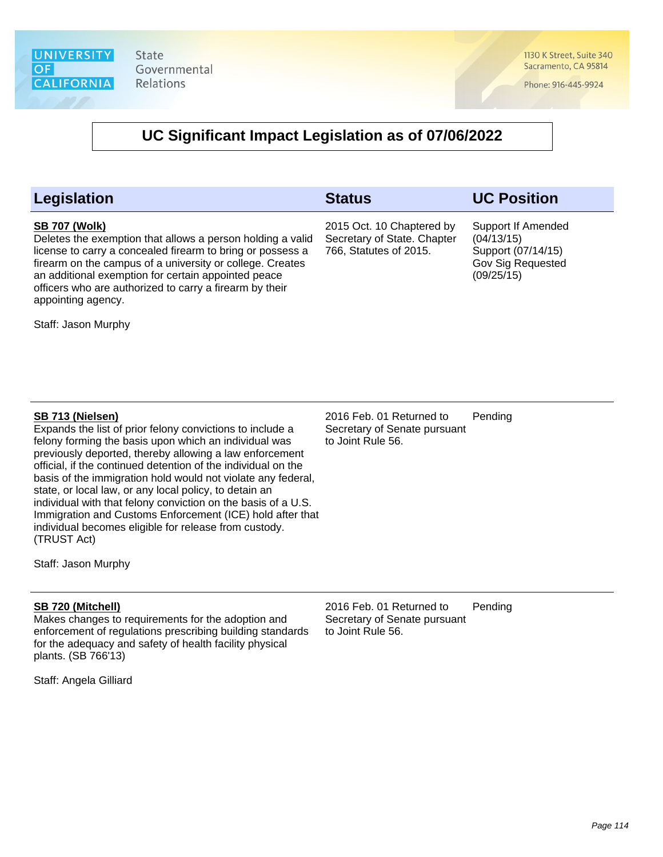1130 K Street, Suite 340 Sacramento, CA 95814

Phone: 916-445-9924

#### **UC Significant Impact Legislation as of 07/06/2022**

| <b>Legislation</b>                                                                                                                                                                                                                                                                                                                                                                                                                                            | <b>Status</b>                                                                      | <b>UC Position</b>                                                                        |
|---------------------------------------------------------------------------------------------------------------------------------------------------------------------------------------------------------------------------------------------------------------------------------------------------------------------------------------------------------------------------------------------------------------------------------------------------------------|------------------------------------------------------------------------------------|-------------------------------------------------------------------------------------------|
| <b>SB 707 (Wolk)</b><br>Deletes the exemption that allows a person holding a valid<br>license to carry a concealed firearm to bring or possess a<br>firearm on the campus of a university or college. Creates<br>an additional exemption for certain appointed peace<br>officers who are authorized to carry a firearm by their<br>appointing agency.                                                                                                         | 2015 Oct. 10 Chaptered by<br>Secretary of State. Chapter<br>766, Statutes of 2015. | Support If Amended<br>(04/13/15)<br>Support (07/14/15)<br>Gov Sig Requested<br>(09/25/15) |
| Staff: Jason Murphy                                                                                                                                                                                                                                                                                                                                                                                                                                           |                                                                                    |                                                                                           |
|                                                                                                                                                                                                                                                                                                                                                                                                                                                               |                                                                                    |                                                                                           |
|                                                                                                                                                                                                                                                                                                                                                                                                                                                               |                                                                                    |                                                                                           |
| SB 713 (Nielsen)<br>Expands the list of prior felony convictions to include a<br>felony forming the basis upon which an individual was<br>previously deported, thereby allowing a law enforcement<br>official, if the continued detention of the individual on the<br>basis of the immigration hold would not violate any federal,<br>state, or local law, or any local policy, to detain an<br>individual with that felony conviction on the basis of a U.S. | 2016 Feb. 01 Returned to<br>Secretary of Senate pursuant<br>to Joint Rule 56.      | Pending                                                                                   |

Staff: Jason Murphy

(TRUST Act)

#### **SB 720 (Mitchell)**

Makes changes to requirements for the adoption and enforcement of regulations prescribing building standards for the adequacy and safety of health facility physical plants. (SB 766'13)

Immigration and Customs Enforcement (ICE) hold after that

individual becomes eligible for release from custody.

Staff: Angela Gilliard

2016 Feb. 01 Returned to Secretary of Senate pursuant to Joint Rule 56. Pending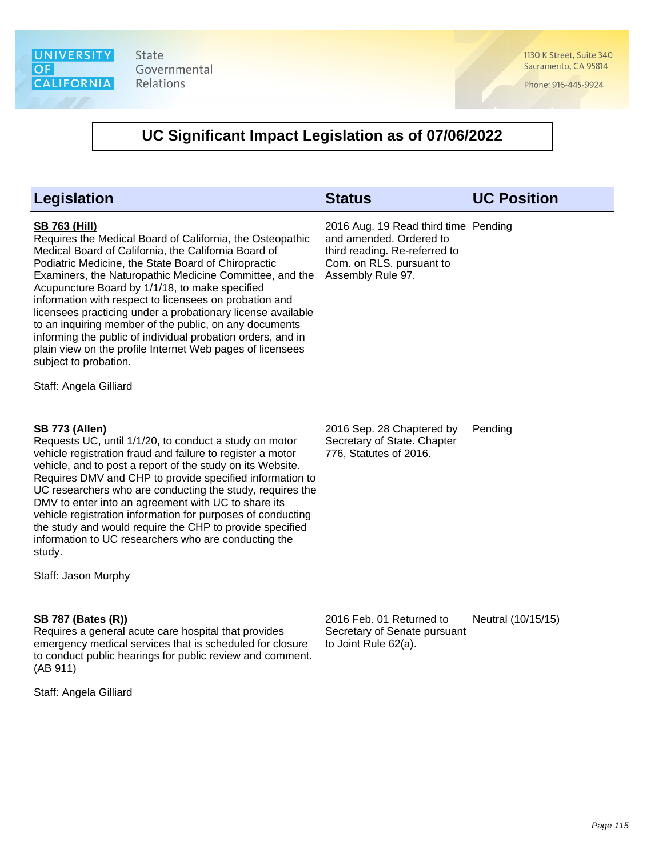

1130 K Street, Suite 340 Sacramento, CA 95814

Phone: 916-445-9924

# **UC Significant Impact Legislation as of 07/06/2022**

| Legislation                                                                                                                                                                                                                                                                                                                                                                                                                                                                                                                                                                                                                                                                     | <b>Status</b>                                                                                                                                     | <b>UC Position</b> |
|---------------------------------------------------------------------------------------------------------------------------------------------------------------------------------------------------------------------------------------------------------------------------------------------------------------------------------------------------------------------------------------------------------------------------------------------------------------------------------------------------------------------------------------------------------------------------------------------------------------------------------------------------------------------------------|---------------------------------------------------------------------------------------------------------------------------------------------------|--------------------|
| <b>SB 763 (Hill)</b><br>Requires the Medical Board of California, the Osteopathic<br>Medical Board of California, the California Board of<br>Podiatric Medicine, the State Board of Chiropractic<br>Examiners, the Naturopathic Medicine Committee, and the<br>Acupuncture Board by 1/1/18, to make specified<br>information with respect to licensees on probation and<br>licensees practicing under a probationary license available<br>to an inquiring member of the public, on any documents<br>informing the public of individual probation orders, and in<br>plain view on the profile Internet Web pages of licensees<br>subject to probation.<br>Staff: Angela Gilliard | 2016 Aug. 19 Read third time Pending<br>and amended. Ordered to<br>third reading. Re-referred to<br>Com. on RLS. pursuant to<br>Assembly Rule 97. |                    |
| <b>SB 773 (Allen)</b><br>Requests UC, until 1/1/20, to conduct a study on motor<br>vehicle registration fraud and failure to register a motor<br>vehicle, and to post a report of the study on its Website.<br>Requires DMV and CHP to provide specified information to<br>UC researchers who are conducting the study, requires the<br>DMV to enter into an agreement with UC to share its<br>vehicle registration information for purposes of conducting<br>the study and would require the CHP to provide specified<br>information to UC researchers who are conducting the<br>study.<br>Staff: Jason Murphy                                                                 | 2016 Sep. 28 Chaptered by<br>Secretary of State. Chapter<br>776, Statutes of 2016.                                                                | Pending            |
| <b>SB 787 (Bates (R))</b><br>Requires a general acute care hospital that provides<br>emergency medical services that is scheduled for closure<br>to conduct public hearings for public review and comment.<br>(AB 911)                                                                                                                                                                                                                                                                                                                                                                                                                                                          | 2016 Feb. 01 Returned to<br>Secretary of Senate pursuant<br>to Joint Rule 62(a).                                                                  | Neutral (10/15/15) |

Staff: Angela Gilliard

Page 115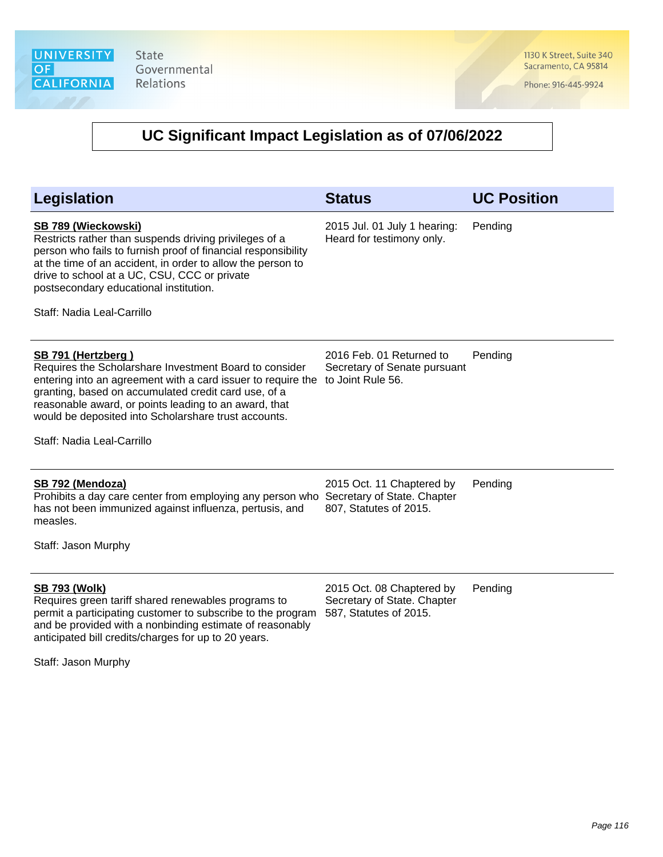State Governmental Relations

1130 K Street, Suite 340 Sacramento, CA 95814

Phone: 916-445-9924

| Legislation                                                                                                                                                                                                                                                                                                                                         | <b>Status</b>                                                                      | <b>UC Position</b> |
|-----------------------------------------------------------------------------------------------------------------------------------------------------------------------------------------------------------------------------------------------------------------------------------------------------------------------------------------------------|------------------------------------------------------------------------------------|--------------------|
| SB 789 (Wieckowski)<br>Restricts rather than suspends driving privileges of a<br>person who fails to furnish proof of financial responsibility<br>at the time of an accident, in order to allow the person to<br>drive to school at a UC, CSU, CCC or private<br>postsecondary educational institution.<br>Staff: Nadia Leal-Carrillo               | 2015 Jul. 01 July 1 hearing:<br>Heard for testimony only.                          | Pending            |
| SB 791 (Hertzberg)<br>Requires the Scholarshare Investment Board to consider<br>entering into an agreement with a card issuer to require the<br>granting, based on accumulated credit card use, of a<br>reasonable award, or points leading to an award, that<br>would be deposited into Scholarshare trust accounts.<br>Staff: Nadia Leal-Carrillo | 2016 Feb. 01 Returned to<br>Secretary of Senate pursuant<br>to Joint Rule 56.      | Pending            |
| SB 792 (Mendoza)<br>Prohibits a day care center from employing any person who<br>has not been immunized against influenza, pertusis, and<br>measles.<br>Staff: Jason Murphy                                                                                                                                                                         | 2015 Oct. 11 Chaptered by<br>Secretary of State. Chapter<br>807, Statutes of 2015. | Pending            |
| <b>SB 793 (Wolk)</b><br>Requires green tariff shared renewables programs to<br>permit a participating customer to subscribe to the program<br>and be provided with a nonbinding estimate of reasonably<br>anticipated bill credits/charges for up to 20 years.<br>Staff: Jason Murphy                                                               | 2015 Oct. 08 Chaptered by<br>Secretary of State. Chapter<br>587, Statutes of 2015. | Pending            |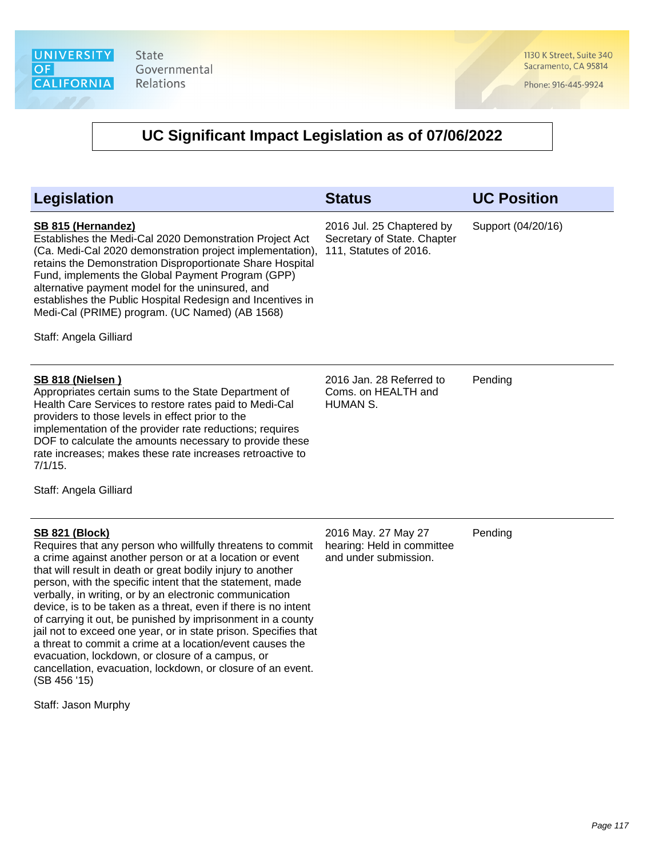1130 K Street, Suite 340 Sacramento, CA 95814

Phone: 916-445-9924

| <b>Legislation</b>                                                                                                                                                                                                                                                                                                                                                                                                                                                                                                                                                                                                                                                                                                                                                | <b>Status</b>                                                                      | <b>UC Position</b> |
|-------------------------------------------------------------------------------------------------------------------------------------------------------------------------------------------------------------------------------------------------------------------------------------------------------------------------------------------------------------------------------------------------------------------------------------------------------------------------------------------------------------------------------------------------------------------------------------------------------------------------------------------------------------------------------------------------------------------------------------------------------------------|------------------------------------------------------------------------------------|--------------------|
| SB 815 (Hernandez)<br>Establishes the Medi-Cal 2020 Demonstration Project Act<br>(Ca. Medi-Cal 2020 demonstration project implementation),<br>retains the Demonstration Disproportionate Share Hospital<br>Fund, implements the Global Payment Program (GPP)<br>alternative payment model for the uninsured, and<br>establishes the Public Hospital Redesign and Incentives in<br>Medi-Cal (PRIME) program. (UC Named) (AB 1568)<br>Staff: Angela Gilliard                                                                                                                                                                                                                                                                                                        | 2016 Jul. 25 Chaptered by<br>Secretary of State. Chapter<br>111, Statutes of 2016. | Support (04/20/16) |
| <b>SB 818 (Nielsen)</b><br>Appropriates certain sums to the State Department of<br>Health Care Services to restore rates paid to Medi-Cal<br>providers to those levels in effect prior to the<br>implementation of the provider rate reductions; requires<br>DOF to calculate the amounts necessary to provide these<br>rate increases; makes these rate increases retroactive to<br>$7/1/15$ .<br>Staff: Angela Gilliard                                                                                                                                                                                                                                                                                                                                         | 2016 Jan. 28 Referred to<br>Coms. on HEALTH and<br>HUMAN S.                        | Pending            |
| <b>SB 821 (Block)</b><br>Requires that any person who willfully threatens to commit<br>a crime against another person or at a location or event<br>that will result in death or great bodily injury to another<br>person, with the specific intent that the statement, made<br>verbally, in writing, or by an electronic communication<br>device, is to be taken as a threat, even if there is no intent<br>of carrying it out, be punished by imprisonment in a county<br>jail not to exceed one year, or in state prison. Specifies that<br>a threat to commit a crime at a location/event causes the<br>evacuation, lockdown, or closure of a campus, or<br>cancellation, evacuation, lockdown, or closure of an event.<br>(SB 456 '15)<br>Staff: Jason Murphy | 2016 May. 27 May 27<br>hearing: Held in committee<br>and under submission.         | Pending            |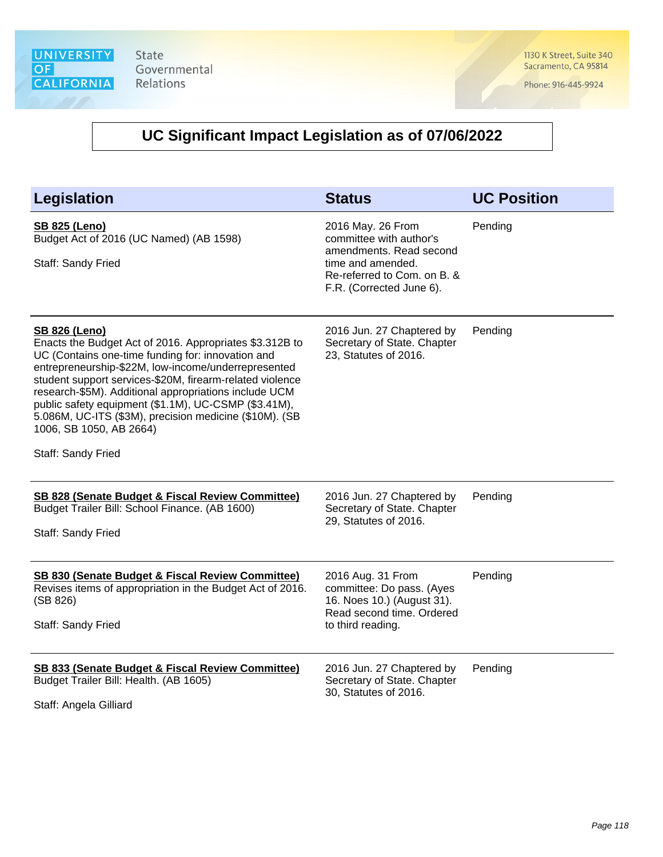1130 K Street, Suite 340 Sacramento, CA 95814

Phone: 916-445-9924

| <b>Legislation</b>                                                                                                                                                                                                                                                                                                                                                                                                                                            | <b>Status</b>                                                                                                                                           | <b>UC Position</b> |
|---------------------------------------------------------------------------------------------------------------------------------------------------------------------------------------------------------------------------------------------------------------------------------------------------------------------------------------------------------------------------------------------------------------------------------------------------------------|---------------------------------------------------------------------------------------------------------------------------------------------------------|--------------------|
| <b>SB 825 (Leno)</b><br>Budget Act of 2016 (UC Named) (AB 1598)<br>Staff: Sandy Fried                                                                                                                                                                                                                                                                                                                                                                         | 2016 May. 26 From<br>committee with author's<br>amendments. Read second<br>time and amended.<br>Re-referred to Com. on B. &<br>F.R. (Corrected June 6). | Pending            |
| <b>SB 826 (Leno)</b><br>Enacts the Budget Act of 2016. Appropriates \$3.312B to<br>UC (Contains one-time funding for: innovation and<br>entrepreneurship-\$22M, low-income/underrepresented<br>student support services-\$20M, firearm-related violence<br>research-\$5M). Additional appropriations include UCM<br>public safety equipment (\$1.1M), UC-CSMP (\$3.41M),<br>5.086M, UC-ITS (\$3M), precision medicine (\$10M). (SB<br>1006, SB 1050, AB 2664) | 2016 Jun. 27 Chaptered by<br>Secretary of State. Chapter<br>23, Statutes of 2016.                                                                       | Pending            |
| Staff: Sandy Fried                                                                                                                                                                                                                                                                                                                                                                                                                                            |                                                                                                                                                         |                    |
| SB 828 (Senate Budget & Fiscal Review Committee)<br>Budget Trailer Bill: School Finance. (AB 1600)<br>Staff: Sandy Fried                                                                                                                                                                                                                                                                                                                                      | 2016 Jun. 27 Chaptered by<br>Secretary of State. Chapter<br>29, Statutes of 2016.                                                                       | Pending            |
| <b>SB 830 (Senate Budget &amp; Fiscal Review Committee)</b><br>Revises items of appropriation in the Budget Act of 2016.<br>(SB 826)<br>Staff: Sandy Fried                                                                                                                                                                                                                                                                                                    | 2016 Aug. 31 From<br>committee: Do pass. (Ayes<br>16. Noes 10.) (August 31).<br>Read second time. Ordered<br>to third reading.                          | Pending            |
| SB 833 (Senate Budget & Fiscal Review Committee)<br>Budget Trailer Bill: Health. (AB 1605)<br>Staff: Angela Gilliard                                                                                                                                                                                                                                                                                                                                          | 2016 Jun. 27 Chaptered by<br>Secretary of State. Chapter<br>30, Statutes of 2016.                                                                       | Pending            |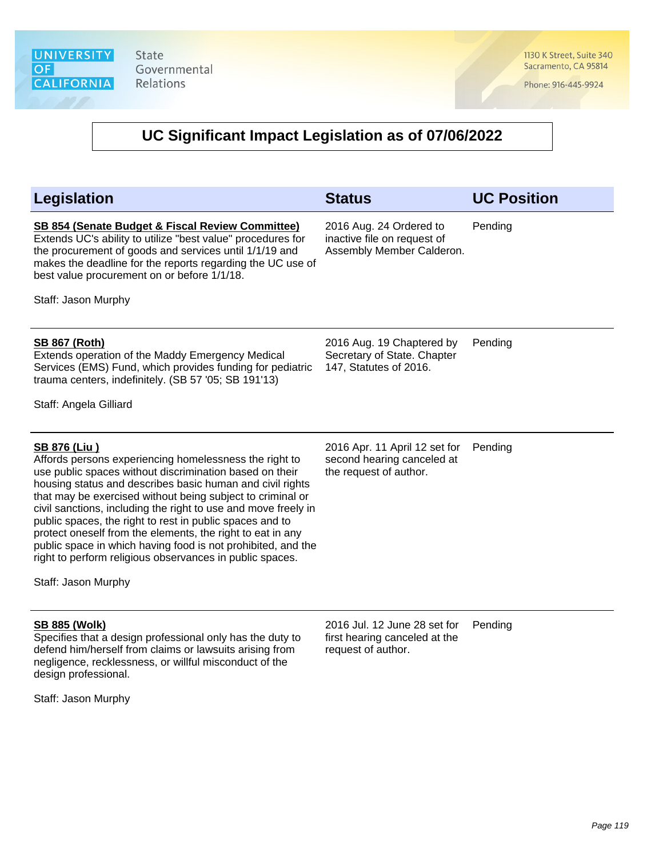1130 K Street, Suite 340 Sacramento, CA 95814

Phone: 916-445-9924

#### **UC Significant Impact Legislation as of 07/06/2022**

| <b>Legislation</b>                                                                                                                                                                                                                                                                                                                                                                                                                                                                                                                                                                                                 | <b>Status</b>                                                                         | <b>UC Position</b> |
|--------------------------------------------------------------------------------------------------------------------------------------------------------------------------------------------------------------------------------------------------------------------------------------------------------------------------------------------------------------------------------------------------------------------------------------------------------------------------------------------------------------------------------------------------------------------------------------------------------------------|---------------------------------------------------------------------------------------|--------------------|
| SB 854 (Senate Budget & Fiscal Review Committee)<br>Extends UC's ability to utilize "best value" procedures for<br>the procurement of goods and services until 1/1/19 and<br>makes the deadline for the reports regarding the UC use of<br>best value procurement on or before 1/1/18.<br>Staff: Jason Murphy                                                                                                                                                                                                                                                                                                      | 2016 Aug. 24 Ordered to<br>inactive file on request of<br>Assembly Member Calderon.   | Pending            |
|                                                                                                                                                                                                                                                                                                                                                                                                                                                                                                                                                                                                                    |                                                                                       |                    |
| <b>SB 867 (Roth)</b><br>Extends operation of the Maddy Emergency Medical<br>Services (EMS) Fund, which provides funding for pediatric<br>trauma centers, indefinitely. (SB 57 '05; SB 191'13)                                                                                                                                                                                                                                                                                                                                                                                                                      | 2016 Aug. 19 Chaptered by<br>Secretary of State. Chapter<br>147, Statutes of 2016.    | Pending            |
| Staff: Angela Gilliard                                                                                                                                                                                                                                                                                                                                                                                                                                                                                                                                                                                             |                                                                                       |                    |
| <b>SB 876 (Liu)</b><br>Affords persons experiencing homelessness the right to<br>use public spaces without discrimination based on their<br>housing status and describes basic human and civil rights<br>that may be exercised without being subject to criminal or<br>civil sanctions, including the right to use and move freely in<br>public spaces, the right to rest in public spaces and to<br>protect oneself from the elements, the right to eat in any<br>public space in which having food is not prohibited, and the<br>right to perform religious observances in public spaces.<br>Staff: Jason Murphy | 2016 Apr. 11 April 12 set for<br>second hearing canceled at<br>the request of author. | Pending            |
| <b>SB 885 (Wolk)</b>                                                                                                                                                                                                                                                                                                                                                                                                                                                                                                                                                                                               | 2016 Jul. 12 June 28 set for                                                          | Pending            |
| Specifies that a design professional only has the duty to<br>defend him/herself from claims or lawsuits arising from                                                                                                                                                                                                                                                                                                                                                                                                                                                                                               | first hearing canceled at the<br>request of author.                                   |                    |

Staff: Jason Murphy

design professional.

negligence, recklessness, or willful misconduct of the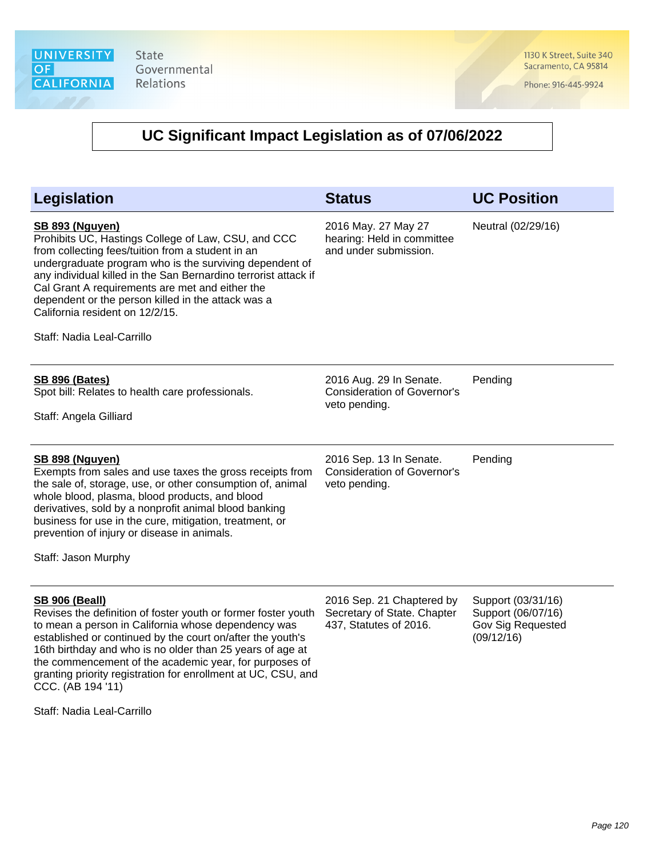1130 K Street, Suite 340 Sacramento, CA 95814

Phone: 916-445-9924

| Legislation                                                                                                                                                                                                                                                                                                                                                                                                                                            | <b>Status</b>                                                                      | <b>UC Position</b>                                                          |
|--------------------------------------------------------------------------------------------------------------------------------------------------------------------------------------------------------------------------------------------------------------------------------------------------------------------------------------------------------------------------------------------------------------------------------------------------------|------------------------------------------------------------------------------------|-----------------------------------------------------------------------------|
| <b>SB 893 (Nguyen)</b><br>Prohibits UC, Hastings College of Law, CSU, and CCC<br>from collecting fees/tuition from a student in an<br>undergraduate program who is the surviving dependent of<br>any individual killed in the San Bernardino terrorist attack if<br>Cal Grant A requirements are met and either the<br>dependent or the person killed in the attack was a<br>California resident on 12/2/15.<br>Staff: Nadia Leal-Carrillo             | 2016 May. 27 May 27<br>hearing: Held in committee<br>and under submission.         | Neutral (02/29/16)                                                          |
| <b>SB 896 (Bates)</b><br>Spot bill: Relates to health care professionals.<br>Staff: Angela Gilliard                                                                                                                                                                                                                                                                                                                                                    | 2016 Aug. 29 In Senate.<br><b>Consideration of Governor's</b><br>veto pending.     | Pending                                                                     |
| SB 898 (Nguyen)<br>Exempts from sales and use taxes the gross receipts from<br>the sale of, storage, use, or other consumption of, animal<br>whole blood, plasma, blood products, and blood<br>derivatives, sold by a nonprofit animal blood banking<br>business for use in the cure, mitigation, treatment, or<br>prevention of injury or disease in animals.<br>Staff: Jason Murphy                                                                  | 2016 Sep. 13 In Senate.<br><b>Consideration of Governor's</b><br>veto pending.     | Pending                                                                     |
| <b>SB 906 (Beall)</b><br>Revises the definition of foster youth or former foster youth<br>to mean a person in California whose dependency was<br>established or continued by the court on/after the youth's<br>16th birthday and who is no older than 25 years of age at<br>the commencement of the academic year, for purposes of<br>granting priority registration for enrollment at UC, CSU, and<br>CCC. (AB 194 '11)<br>Staff: Nadia Leal-Carrillo | 2016 Sep. 21 Chaptered by<br>Secretary of State. Chapter<br>437, Statutes of 2016. | Support (03/31/16)<br>Support (06/07/16)<br>Gov Sig Requested<br>(09/12/16) |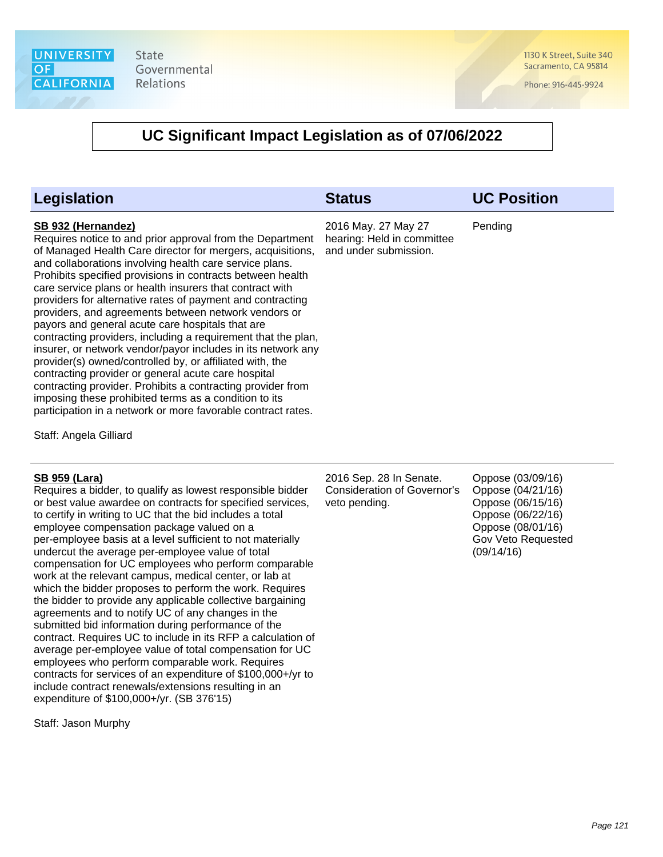1130 K Street, Suite 340 Sacramento, CA 95814

Phone: 916-445-9924

#### **UC Significant Impact Legislation as of 07/06/2022**

| Legislation                                                                                                                                                                                                                                                                                                                                                                                                                                                                                                                                                                                                                                                                                                                                                                                                                                                                                                                                              | <b>Status</b>                                                              | <b>UC Position</b> |
|----------------------------------------------------------------------------------------------------------------------------------------------------------------------------------------------------------------------------------------------------------------------------------------------------------------------------------------------------------------------------------------------------------------------------------------------------------------------------------------------------------------------------------------------------------------------------------------------------------------------------------------------------------------------------------------------------------------------------------------------------------------------------------------------------------------------------------------------------------------------------------------------------------------------------------------------------------|----------------------------------------------------------------------------|--------------------|
| SB 932 (Hernandez)<br>Requires notice to and prior approval from the Department<br>of Managed Health Care director for mergers, acquisitions,<br>and collaborations involving health care service plans.<br>Prohibits specified provisions in contracts between health<br>care service plans or health insurers that contract with<br>providers for alternative rates of payment and contracting<br>providers, and agreements between network vendors or<br>payors and general acute care hospitals that are<br>contracting providers, including a requirement that the plan,<br>insurer, or network vendor/payor includes in its network any<br>provider(s) owned/controlled by, or affiliated with, the<br>contracting provider or general acute care hospital<br>contracting provider. Prohibits a contracting provider from<br>imposing these prohibited terms as a condition to its<br>participation in a network or more favorable contract rates. | 2016 May. 27 May 27<br>hearing: Held in committee<br>and under submission. | Pending            |
| Staff: Angela Gilliard                                                                                                                                                                                                                                                                                                                                                                                                                                                                                                                                                                                                                                                                                                                                                                                                                                                                                                                                   |                                                                            |                    |

#### **SB 959 (Lara)**

Requires a bidder, to qualify as lowest responsible bidder or best value awardee on contracts for specified services, to certify in writing to UC that the bid includes a total employee compensation package valued on a per-employee basis at a level sufficient to not materially undercut the average per-employee value of total compensation for UC employees who perform comparable work at the relevant campus, medical center, or lab at which the bidder proposes to perform the work. Requires the bidder to provide any applicable collective bargaining agreements and to notify UC of any changes in the submitted bid information during performance of the contract. Requires UC to include in its RFP a calculation of average per-employee value of total compensation for UC employees who perform comparable work. Requires contracts for services of an expenditure of \$100,000+/yr to include contract renewals/extensions resulting in an expenditure of \$100,000+/yr. (SB 376'15)

Staff: Jason Murphy

2016 Sep. 28 In Senate. Consideration of Governor's veto pending.

Oppose (03/09/16) Oppose (04/21/16) Oppose (06/15/16) Oppose (06/22/16) Oppose (08/01/16) Gov Veto Requested (09/14/16)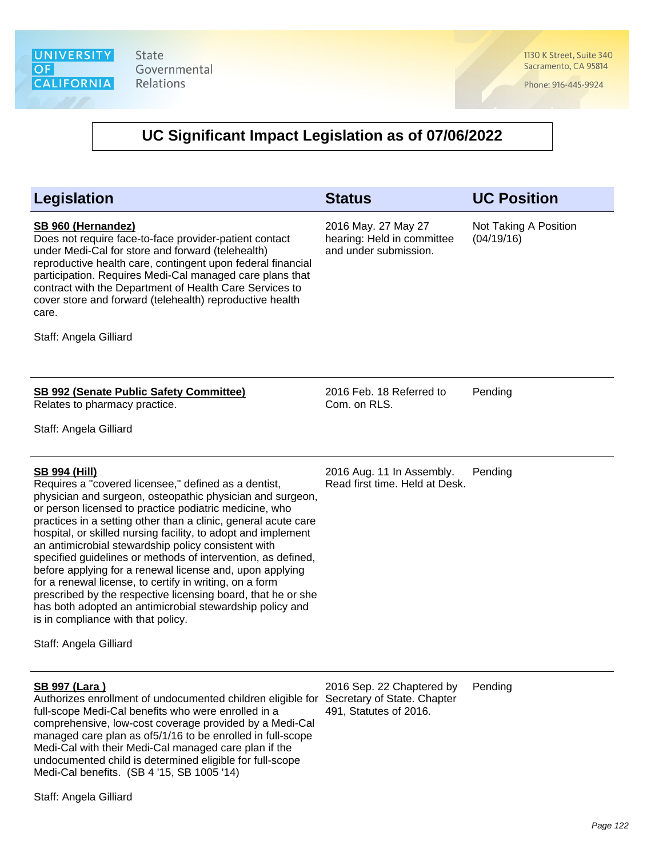1130 K Street, Suite 340 Sacramento, CA 95814

Phone: 916-445-9924

#### **UC Significant Impact Legislation as of 07/06/2022**

| <b>Legislation</b>                                                                                                                                                                                                                                                                                                                                                                                                                                                                                                                                                                                                                                                                                                                                                               | <b>Status</b>                                                                      | <b>UC Position</b>                  |
|----------------------------------------------------------------------------------------------------------------------------------------------------------------------------------------------------------------------------------------------------------------------------------------------------------------------------------------------------------------------------------------------------------------------------------------------------------------------------------------------------------------------------------------------------------------------------------------------------------------------------------------------------------------------------------------------------------------------------------------------------------------------------------|------------------------------------------------------------------------------------|-------------------------------------|
| SB 960 (Hernandez)<br>Does not require face-to-face provider-patient contact<br>under Medi-Cal for store and forward (telehealth)<br>reproductive health care, contingent upon federal financial<br>participation. Requires Medi-Cal managed care plans that<br>contract with the Department of Health Care Services to<br>cover store and forward (telehealth) reproductive health<br>care.<br>Staff: Angela Gilliard                                                                                                                                                                                                                                                                                                                                                           | 2016 May. 27 May 27<br>hearing: Held in committee<br>and under submission.         | Not Taking A Position<br>(04/19/16) |
| <b>SB 992 (Senate Public Safety Committee)</b><br>Relates to pharmacy practice.<br>Staff: Angela Gilliard                                                                                                                                                                                                                                                                                                                                                                                                                                                                                                                                                                                                                                                                        | 2016 Feb. 18 Referred to<br>Com. on RLS.                                           | Pending                             |
| <b>SB 994 (Hill)</b><br>Requires a "covered licensee," defined as a dentist,<br>physician and surgeon, osteopathic physician and surgeon,<br>or person licensed to practice podiatric medicine, who<br>practices in a setting other than a clinic, general acute care<br>hospital, or skilled nursing facility, to adopt and implement<br>an antimicrobial stewardship policy consistent with<br>specified guidelines or methods of intervention, as defined,<br>before applying for a renewal license and, upon applying<br>for a renewal license, to certify in writing, on a form<br>prescribed by the respective licensing board, that he or she<br>has both adopted an antimicrobial stewardship policy and<br>is in compliance with that policy.<br>Staff: Angela Gilliard | 2016 Aug. 11 In Assembly.<br>Read first time. Held at Desk.                        | Pending                             |
| <b>SB 997 (Lara)</b><br>Authorizes enrollment of undocumented children eligible for<br>full-scope Medi-Cal benefits who were enrolled in a<br>comprehensive, low-cost coverage provided by a Medi-Cal<br>managed care plan as of 5/1/16 to be enrolled in full-scope<br>Medi-Cal with their Medi-Cal managed care plan if the                                                                                                                                                                                                                                                                                                                                                                                                                                                    | 2016 Sep. 22 Chaptered by<br>Secretary of State. Chapter<br>491, Statutes of 2016. | Pending                             |

Staff: Angela Gilliard

undocumented child is determined eligible for full-scope

Medi-Cal benefits. (SB 4 '15, SB 1005 '14)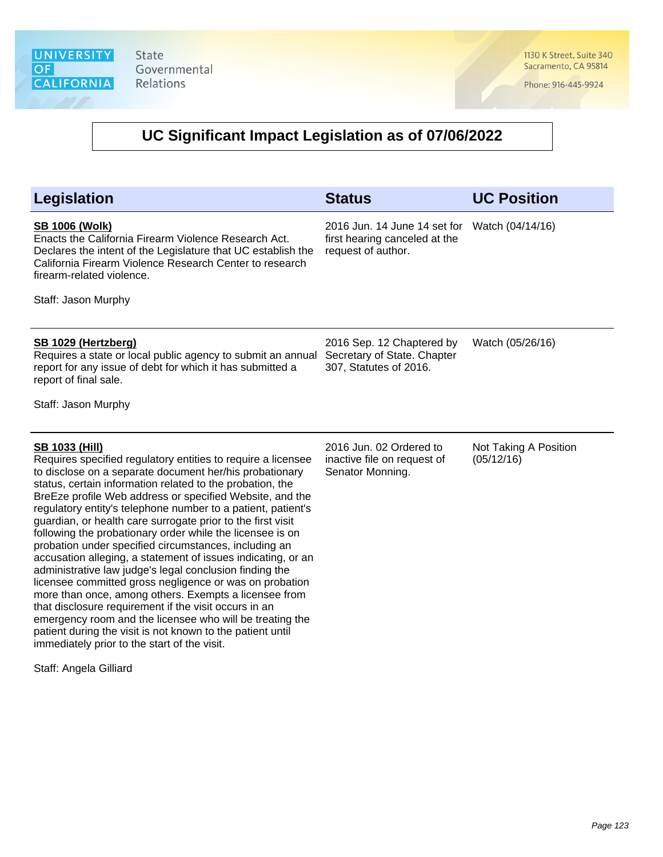probation under specified circumstances, including an accusation alleging, a statement of issues indicating, or an administrative law judge's legal conclusion finding the licensee committed gross negligence or was on probation more than once, among others. Exempts a licensee from that disclosure requirement if the visit occurs in an

emergency room and the licensee who will be treating the patient during the visit is not known to the patient until

immediately prior to the start of the visit.

Staff: Angela Gilliard

1130 K Street, Suite 340 Sacramento, CA 95814

Phone: 916-445-9924

| Legislation                                                                                                                                                                                                                                                                                                                                                                                                                                                           | <b>Status</b>                                                                                        | <b>UC Position</b>                  |
|-----------------------------------------------------------------------------------------------------------------------------------------------------------------------------------------------------------------------------------------------------------------------------------------------------------------------------------------------------------------------------------------------------------------------------------------------------------------------|------------------------------------------------------------------------------------------------------|-------------------------------------|
| <b>SB 1006 (Wolk)</b><br>Enacts the California Firearm Violence Research Act.<br>Declares the intent of the Legislature that UC establish the<br>California Firearm Violence Research Center to research<br>firearm-related violence.<br>Staff: Jason Murphy                                                                                                                                                                                                          | 2016 Jun. 14 June 14 set for Watch (04/14/16)<br>first hearing canceled at the<br>request of author. |                                     |
| <b>SB 1029 (Hertzberg)</b><br>Requires a state or local public agency to submit an annual<br>report for any issue of debt for which it has submitted a<br>report of final sale.<br>Staff: Jason Murphy                                                                                                                                                                                                                                                                | 2016 Sep. 12 Chaptered by<br>Secretary of State. Chapter<br>307, Statutes of 2016.                   | Watch (05/26/16)                    |
| <b>SB 1033 (Hill)</b><br>Requires specified regulatory entities to require a licensee<br>to disclose on a separate document her/his probationary<br>status, certain information related to the probation, the<br>BreEze profile Web address or specified Website, and the<br>regulatory entity's telephone number to a patient, patient's<br>guardian, or health care surrogate prior to the first visit<br>following the probationary order while the licensee is on | 2016 Jun. 02 Ordered to<br>inactive file on request of<br>Senator Monning.                           | Not Taking A Position<br>(05/12/16) |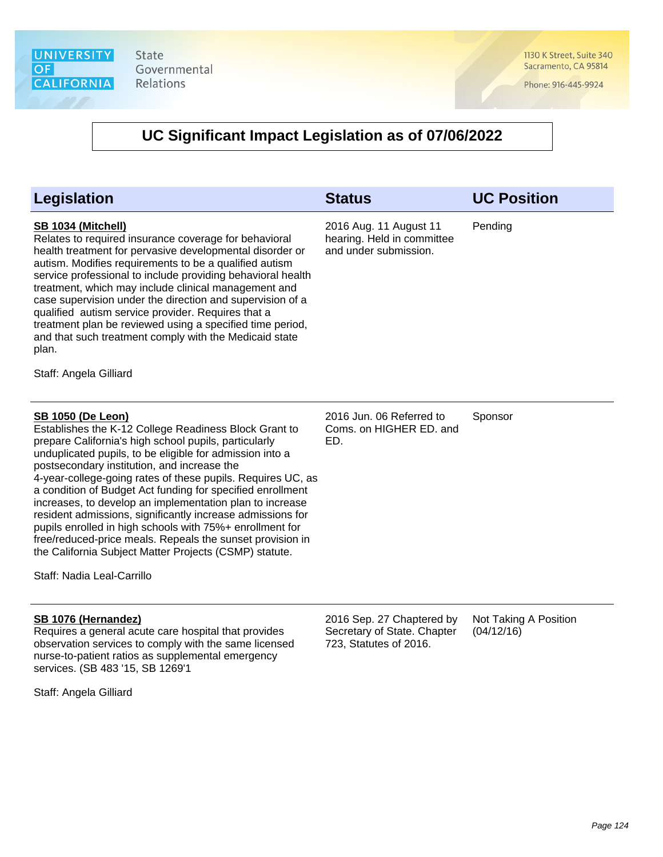1130 K Street, Suite 340 Sacramento, CA 95814

Phone: 916-445-9924

| Legislation                                                                                                                                                                                                                                                                                                                                                                                                                                                                                                                                                                                                                                                                                                                   | <b>Status</b>                                                                      | <b>UC Position</b>                  |
|-------------------------------------------------------------------------------------------------------------------------------------------------------------------------------------------------------------------------------------------------------------------------------------------------------------------------------------------------------------------------------------------------------------------------------------------------------------------------------------------------------------------------------------------------------------------------------------------------------------------------------------------------------------------------------------------------------------------------------|------------------------------------------------------------------------------------|-------------------------------------|
| SB 1034 (Mitchell)<br>Relates to required insurance coverage for behavioral<br>health treatment for pervasive developmental disorder or<br>autism. Modifies requirements to be a qualified autism<br>service professional to include providing behavioral health<br>treatment, which may include clinical management and<br>case supervision under the direction and supervision of a<br>qualified autism service provider. Requires that a<br>treatment plan be reviewed using a specified time period,<br>and that such treatment comply with the Medicaid state<br>plan.<br>Staff: Angela Gilliard                                                                                                                         | 2016 Aug. 11 August 11<br>hearing. Held in committee<br>and under submission.      | Pending                             |
| <b>SB 1050 (De Leon)</b><br>Establishes the K-12 College Readiness Block Grant to<br>prepare California's high school pupils, particularly<br>unduplicated pupils, to be eligible for admission into a<br>postsecondary institution, and increase the<br>4-year-college-going rates of these pupils. Requires UC, as<br>a condition of Budget Act funding for specified enrollment<br>increases, to develop an implementation plan to increase<br>resident admissions, significantly increase admissions for<br>pupils enrolled in high schools with 75%+ enrollment for<br>free/reduced-price meals. Repeals the sunset provision in<br>the California Subject Matter Projects (CSMP) statute.<br>Staff: Nadia Leal-Carrillo | 2016 Jun. 06 Referred to<br>Coms. on HIGHER ED. and<br>ED.                         | Sponsor                             |
| SB 1076 (Hernandez)<br>Requires a general acute care hospital that provides<br>observation services to comply with the same licensed<br>nurse-to-patient ratios as supplemental emergency<br>services. (SB 483 '15, SB 1269'1                                                                                                                                                                                                                                                                                                                                                                                                                                                                                                 | 2016 Sep. 27 Chaptered by<br>Secretary of State. Chapter<br>723, Statutes of 2016. | Not Taking A Position<br>(04/12/16) |
| Staff: Angela Gilliard                                                                                                                                                                                                                                                                                                                                                                                                                                                                                                                                                                                                                                                                                                        |                                                                                    |                                     |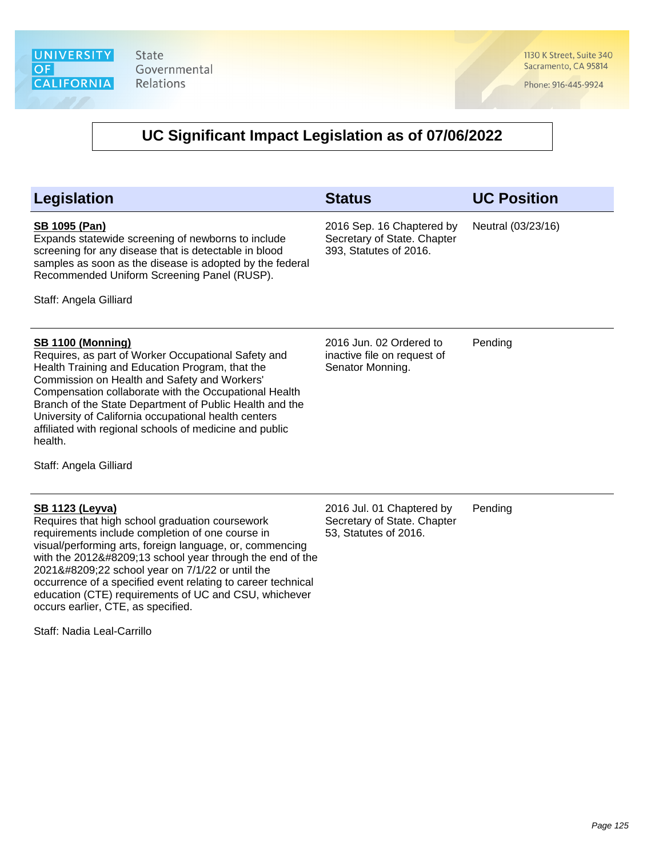1130 K Street, Suite 340 Sacramento, CA 95814

Phone: 916-445-9924

| <b>Legislation</b>                                                                                                                                                                                                                                                                                                                                                                                                                                                                          | <b>Status</b>                                                                      | <b>UC Position</b> |
|---------------------------------------------------------------------------------------------------------------------------------------------------------------------------------------------------------------------------------------------------------------------------------------------------------------------------------------------------------------------------------------------------------------------------------------------------------------------------------------------|------------------------------------------------------------------------------------|--------------------|
| <b>SB 1095 (Pan)</b><br>Expands statewide screening of newborns to include<br>screening for any disease that is detectable in blood<br>samples as soon as the disease is adopted by the federal<br>Recommended Uniform Screening Panel (RUSP).<br>Staff: Angela Gilliard                                                                                                                                                                                                                    | 2016 Sep. 16 Chaptered by<br>Secretary of State. Chapter<br>393, Statutes of 2016. | Neutral (03/23/16) |
| <b>SB 1100 (Monning)</b><br>Requires, as part of Worker Occupational Safety and<br>Health Training and Education Program, that the<br>Commission on Health and Safety and Workers'<br>Compensation collaborate with the Occupational Health<br>Branch of the State Department of Public Health and the<br>University of California occupational health centers<br>affiliated with regional schools of medicine and public<br>health.<br>Staff: Angela Gilliard                              | 2016 Jun. 02 Ordered to<br>inactive file on request of<br>Senator Monning.         | Pending            |
| <b>SB 1123 (Leyva)</b><br>Requires that high school graduation coursework<br>requirements include completion of one course in<br>visual/performing arts, foreign language, or, commencing<br>with the 2012‑13 school year through the end of the<br>2021‑22 school year on 7/1/22 or until the<br>occurrence of a specified event relating to career technical<br>education (CTE) requirements of UC and CSU, whichever<br>occurs earlier, CTE, as specified.<br>Staff: Nadia Leal-Carrillo | 2016 Jul. 01 Chaptered by<br>Secretary of State. Chapter<br>53, Statutes of 2016.  | Pending            |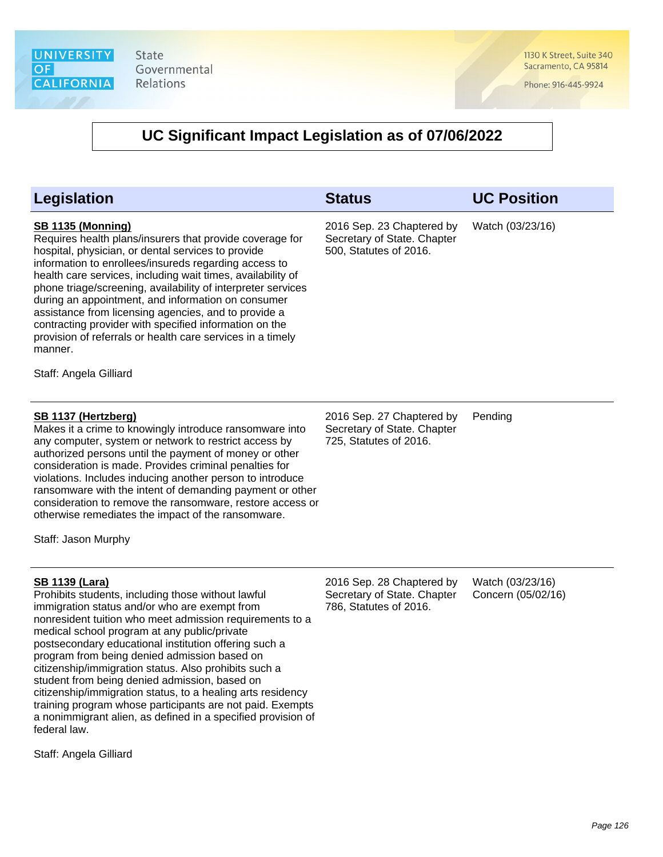1130 K Street, Suite 340 Sacramento, CA 95814

Phone: 916-445-9924

# **UC Significant Impact Legislation as of 07/06/2022**

| Legislation                                                                                                                                                                                                                                                                                                                                                                                                                                                                                                                                                                                                                                                             | <b>Status</b>                                                                      | <b>UC Position</b>                     |
|-------------------------------------------------------------------------------------------------------------------------------------------------------------------------------------------------------------------------------------------------------------------------------------------------------------------------------------------------------------------------------------------------------------------------------------------------------------------------------------------------------------------------------------------------------------------------------------------------------------------------------------------------------------------------|------------------------------------------------------------------------------------|----------------------------------------|
| <b>SB 1135 (Monning)</b><br>Requires health plans/insurers that provide coverage for<br>hospital, physician, or dental services to provide<br>information to enrollees/insureds regarding access to<br>health care services, including wait times, availability of<br>phone triage/screening, availability of interpreter services<br>during an appointment, and information on consumer<br>assistance from licensing agencies, and to provide a<br>contracting provider with specified information on the<br>provision of referrals or health care services in a timely<br>manner.<br>Staff: Angela Gilliard                                                           | 2016 Sep. 23 Chaptered by<br>Secretary of State. Chapter<br>500, Statutes of 2016. | Watch (03/23/16)                       |
| <b>SB 1137 (Hertzberg)</b><br>Makes it a crime to knowingly introduce ransomware into<br>any computer, system or network to restrict access by<br>authorized persons until the payment of money or other<br>consideration is made. Provides criminal penalties for<br>violations. Includes inducing another person to introduce<br>ransomware with the intent of demanding payment or other<br>consideration to remove the ransomware, restore access or<br>otherwise remediates the impact of the ransomware.<br>Staff: Jason Murphy                                                                                                                                   | 2016 Sep. 27 Chaptered by<br>Secretary of State. Chapter<br>725, Statutes of 2016. | Pending                                |
| <b>SB 1139 (Lara)</b><br>Prohibits students, including those without lawful<br>immigration status and/or who are exempt from<br>nonresident tuition who meet admission requirements to a<br>medical school program at any public/private<br>postsecondary educational institution offering such a<br>program from being denied admission based on<br>citizenship/immigration status. Also prohibits such a<br>student from being denied admission, based on<br>citizenship/immigration status, to a healing arts residency<br>training program whose participants are not paid. Exempts<br>a nonimmigrant alien, as defined in a specified provision of<br>federal law. | 2016 Sep. 28 Chaptered by<br>Secretary of State. Chapter<br>786, Statutes of 2016. | Watch (03/23/16)<br>Concern (05/02/16) |

Staff: Angela Gilliard

Page 126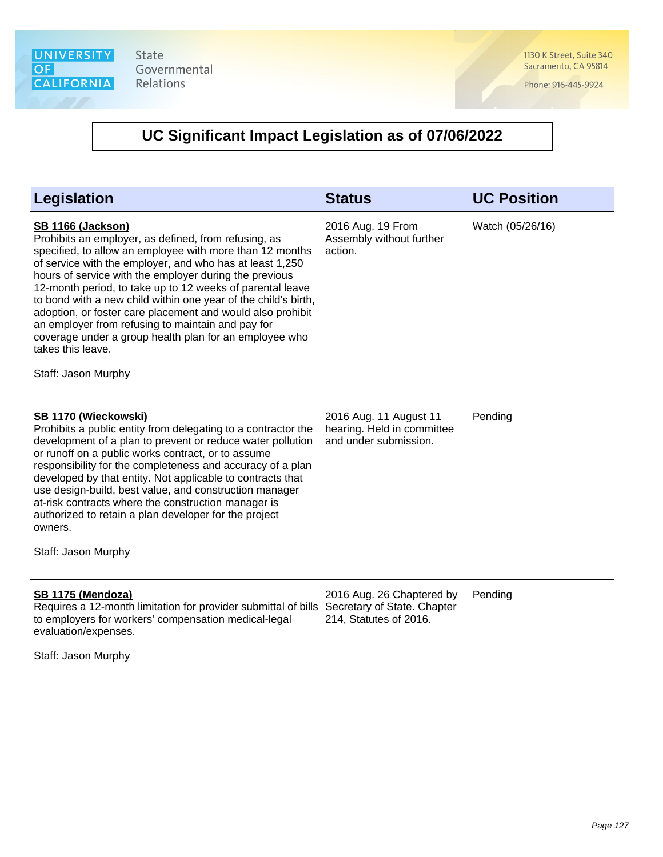1130 K Street, Suite 340 Sacramento, CA 95814

Phone: 916-445-9924

| <b>Legislation</b>                                                                                                                                                                                                                                                                                                                                                                                                                                                                                                                                                                                                         | <b>Status</b>                                                                 | <b>UC Position</b> |
|----------------------------------------------------------------------------------------------------------------------------------------------------------------------------------------------------------------------------------------------------------------------------------------------------------------------------------------------------------------------------------------------------------------------------------------------------------------------------------------------------------------------------------------------------------------------------------------------------------------------------|-------------------------------------------------------------------------------|--------------------|
| <b>SB 1166 (Jackson)</b><br>Prohibits an employer, as defined, from refusing, as<br>specified, to allow an employee with more than 12 months<br>of service with the employer, and who has at least 1,250<br>hours of service with the employer during the previous<br>12-month period, to take up to 12 weeks of parental leave<br>to bond with a new child within one year of the child's birth,<br>adoption, or foster care placement and would also prohibit<br>an employer from refusing to maintain and pay for<br>coverage under a group health plan for an employee who<br>takes this leave.<br>Staff: Jason Murphy | 2016 Aug. 19 From<br>Assembly without further<br>action.                      | Watch (05/26/16)   |
| SB 1170 (Wieckowski)<br>Prohibits a public entity from delegating to a contractor the<br>development of a plan to prevent or reduce water pollution<br>or runoff on a public works contract, or to assume<br>responsibility for the completeness and accuracy of a plan<br>developed by that entity. Not applicable to contracts that<br>use design-build, best value, and construction manager<br>at-risk contracts where the construction manager is<br>authorized to retain a plan developer for the project<br>owners.<br>Staff: Jason Murphy                                                                          | 2016 Aug. 11 August 11<br>hearing. Held in committee<br>and under submission. | Pending            |
| SB 1175 (Mendoza)<br>Requires a 12-month limitation for provider submittal of bills Secretary of State. Chapter<br>to employers for workers' compensation medical-legal<br>evaluation/expenses.<br>Staff: Jason Murphy                                                                                                                                                                                                                                                                                                                                                                                                     | 2016 Aug. 26 Chaptered by<br>214, Statutes of 2016.                           | Pending            |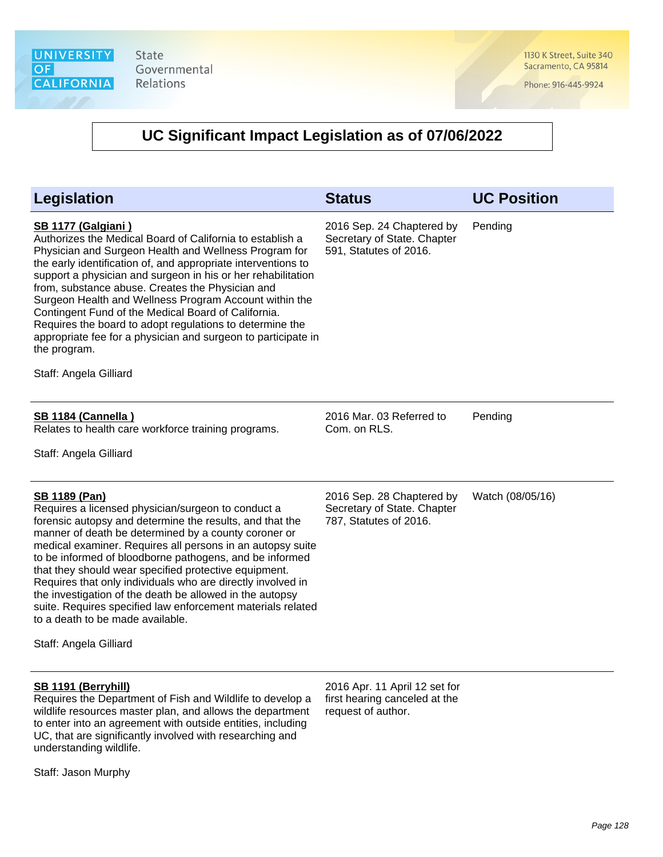1130 K Street, Suite 340 Sacramento, CA 95814

Phone: 916-445-9924

| <b>Legislation</b>                                                                                                                                                                                                                                                                                                                                                                                                                                                                                                                                                                                                                       | <b>Status</b>                                                                        | <b>UC Position</b> |
|------------------------------------------------------------------------------------------------------------------------------------------------------------------------------------------------------------------------------------------------------------------------------------------------------------------------------------------------------------------------------------------------------------------------------------------------------------------------------------------------------------------------------------------------------------------------------------------------------------------------------------------|--------------------------------------------------------------------------------------|--------------------|
| <b>SB 1177 (Galgiani)</b><br>Authorizes the Medical Board of California to establish a<br>Physician and Surgeon Health and Wellness Program for<br>the early identification of, and appropriate interventions to<br>support a physician and surgeon in his or her rehabilitation<br>from, substance abuse. Creates the Physician and<br>Surgeon Health and Wellness Program Account within the<br>Contingent Fund of the Medical Board of California.<br>Requires the board to adopt regulations to determine the<br>appropriate fee for a physician and surgeon to participate in<br>the program.<br>Staff: Angela Gilliard             | 2016 Sep. 24 Chaptered by<br>Secretary of State. Chapter<br>591, Statutes of 2016.   | Pending            |
| <b>SB 1184 (Cannella)</b><br>Relates to health care workforce training programs.                                                                                                                                                                                                                                                                                                                                                                                                                                                                                                                                                         | 2016 Mar. 03 Referred to<br>Com. on RLS.                                             | Pending            |
| Staff: Angela Gilliard                                                                                                                                                                                                                                                                                                                                                                                                                                                                                                                                                                                                                   |                                                                                      |                    |
| <b>SB 1189 (Pan)</b><br>Requires a licensed physician/surgeon to conduct a<br>forensic autopsy and determine the results, and that the<br>manner of death be determined by a county coroner or<br>medical examiner. Requires all persons in an autopsy suite<br>to be informed of bloodborne pathogens, and be informed<br>that they should wear specified protective equipment.<br>Requires that only individuals who are directly involved in<br>the investigation of the death be allowed in the autopsy<br>suite. Requires specified law enforcement materials related<br>to a death to be made available.<br>Staff: Angela Gilliard | 2016 Sep. 28 Chaptered by<br>Secretary of State. Chapter<br>787, Statutes of 2016.   | Watch (08/05/16)   |
|                                                                                                                                                                                                                                                                                                                                                                                                                                                                                                                                                                                                                                          |                                                                                      |                    |
| SB 1191 (Berryhill)<br>Requires the Department of Fish and Wildlife to develop a<br>wildlife resources master plan, and allows the department<br>to enter into an agreement with outside entities, including<br>UC, that are significantly involved with researching and<br>understanding wildlife.<br>Staff: Jason Murphy                                                                                                                                                                                                                                                                                                               | 2016 Apr. 11 April 12 set for<br>first hearing canceled at the<br>request of author. |                    |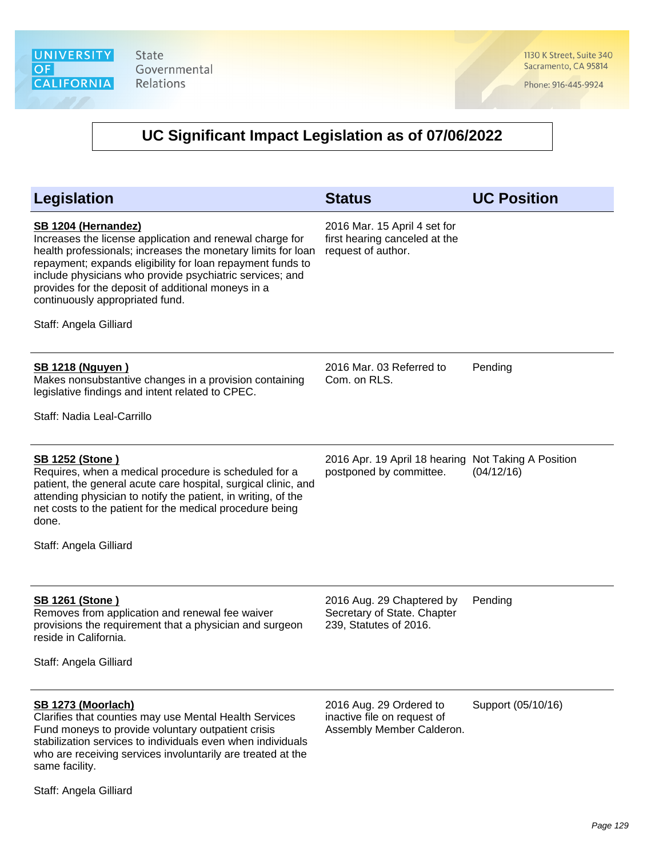1130 K Street, Suite 340 Sacramento, CA 95814

Phone: 916-445-9924

# **UC Significant Impact Legislation as of 07/06/2022**

| <b>Legislation</b>                                                                                                                                                                                                                                                                                                                                                                           | <b>Status</b>                                                                       | <b>UC Position</b> |
|----------------------------------------------------------------------------------------------------------------------------------------------------------------------------------------------------------------------------------------------------------------------------------------------------------------------------------------------------------------------------------------------|-------------------------------------------------------------------------------------|--------------------|
| SB 1204 (Hernandez)<br>Increases the license application and renewal charge for<br>health professionals; increases the monetary limits for loan<br>repayment; expands eligibility for loan repayment funds to<br>include physicians who provide psychiatric services; and<br>provides for the deposit of additional moneys in a<br>continuously appropriated fund.<br>Staff: Angela Gilliard | 2016 Mar. 15 April 4 set for<br>first hearing canceled at the<br>request of author. |                    |
| <u>SB 1218 (Nguyen)</u><br>Makes nonsubstantive changes in a provision containing<br>legislative findings and intent related to CPEC.<br>Staff: Nadia Leal-Carrillo                                                                                                                                                                                                                          | 2016 Mar. 03 Referred to<br>Com. on RLS.                                            | Pending            |
|                                                                                                                                                                                                                                                                                                                                                                                              |                                                                                     |                    |
| <b>SB 1252 (Stone)</b><br>Requires, when a medical procedure is scheduled for a<br>patient, the general acute care hospital, surgical clinic, and<br>attending physician to notify the patient, in writing, of the<br>net costs to the patient for the medical procedure being<br>done.<br>Staff: Angela Gilliard                                                                            | 2016 Apr. 19 April 18 hearing Not Taking A Position<br>postponed by committee.      | (04/12/16)         |
|                                                                                                                                                                                                                                                                                                                                                                                              |                                                                                     |                    |
| <b>SB 1261 (Stone)</b><br>Removes from application and renewal fee waiver<br>provisions the requirement that a physician and surgeon<br>reside in California.<br>Staff: Angela Gilliard                                                                                                                                                                                                      | 2016 Aug. 29 Chaptered by<br>Secretary of State. Chapter<br>239, Statutes of 2016.  | Pending            |
|                                                                                                                                                                                                                                                                                                                                                                                              |                                                                                     |                    |
| SB 1273 (Moorlach)<br>Clarifies that counties may use Mental Health Services<br>Fund moneys to provide voluntary outpatient crisis<br>stabilization services to individuals even when individuals<br>who are receiving services involuntarily are treated at the<br>same facility.                                                                                                           | 2016 Aug. 29 Ordered to<br>inactive file on request of<br>Assembly Member Calderon. | Support (05/10/16) |

Staff: Angela Gilliard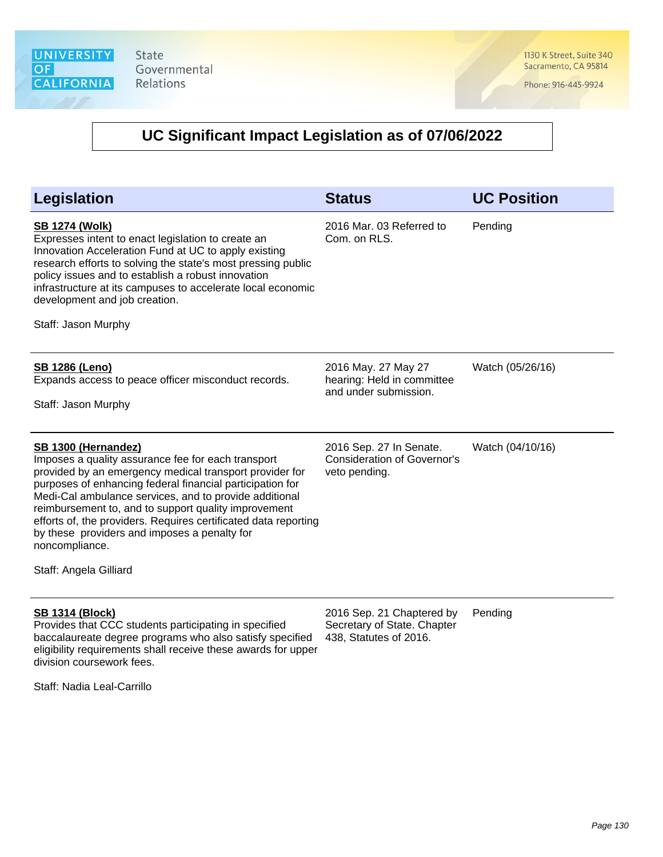1130 K Street, Suite 340 Sacramento, CA 95814

Phone: 916-445-9924

# **UC Significant Impact Legislation as of 07/06/2022**

| <b>Legislation</b>                                                                                                                                                                                                                                                                                                                                                                                                                                                                 | <b>Status</b>                                                                  | <b>UC Position</b> |
|------------------------------------------------------------------------------------------------------------------------------------------------------------------------------------------------------------------------------------------------------------------------------------------------------------------------------------------------------------------------------------------------------------------------------------------------------------------------------------|--------------------------------------------------------------------------------|--------------------|
| <b>SB 1274 (Wolk)</b><br>Expresses intent to enact legislation to create an<br>Innovation Acceleration Fund at UC to apply existing<br>research efforts to solving the state's most pressing public<br>policy issues and to establish a robust innovation<br>infrastructure at its campuses to accelerate local economic<br>development and job creation.<br>Staff: Jason Murphy                                                                                                   | 2016 Mar. 03 Referred to<br>Com. on RLS.                                       | Pending            |
| <b>SB 1286 (Leno)</b><br>Expands access to peace officer misconduct records.<br>Staff: Jason Murphy                                                                                                                                                                                                                                                                                                                                                                                | 2016 May. 27 May 27<br>hearing: Held in committee<br>and under submission.     | Watch (05/26/16)   |
| SB 1300 (Hernandez)<br>Imposes a quality assurance fee for each transport<br>provided by an emergency medical transport provider for<br>purposes of enhancing federal financial participation for<br>Medi-Cal ambulance services, and to provide additional<br>reimbursement to, and to support quality improvement<br>efforts of, the providers. Requires certificated data reporting<br>by these providers and imposes a penalty for<br>noncompliance.<br>Staff: Angela Gilliard | 2016 Sep. 27 In Senate.<br><b>Consideration of Governor's</b><br>veto pending. | Watch (04/10/16)   |
| <b>SB 1314 (Block)</b><br>Provides that CCC students participating in specified                                                                                                                                                                                                                                                                                                                                                                                                    | 2016 Sep. 21 Chaptered by<br>Secretary of State. Chapter                       | Pending            |

Provides that CCC students participating in specified baccalaureate degree programs who also satisfy specified 438, Statutes of 2016. eligibility requirements shall receive these awards for upper division coursework fees.

Staff: Nadia Leal-Carrillo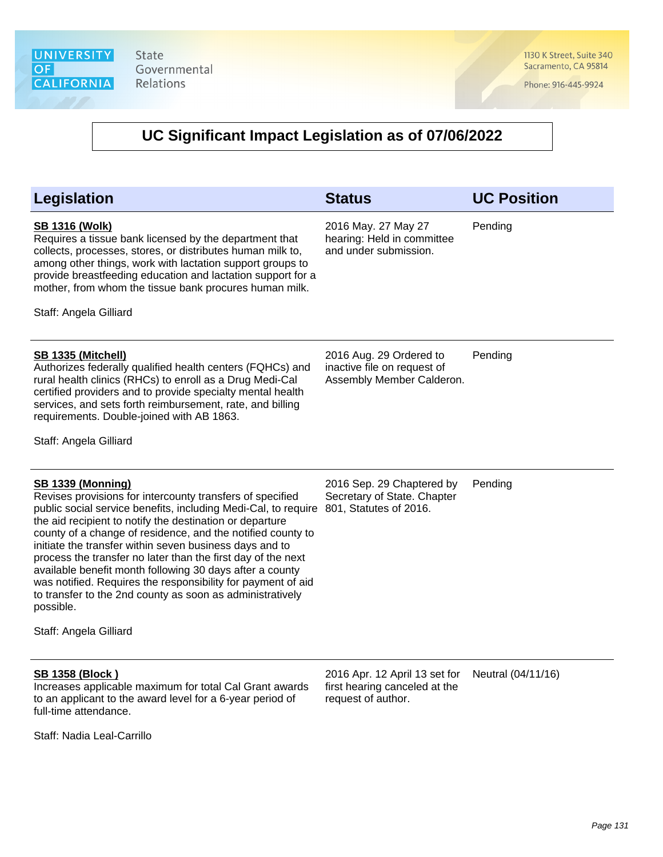1130 K Street, Suite 340 Sacramento, CA 95814

Phone: 916-445-9924

| Legislation                                                                                                                                                                                                                                                                                                                                                                                                                                                                                                                                                                                                                                   | <b>Status</b>                                                                        | <b>UC Position</b> |
|-----------------------------------------------------------------------------------------------------------------------------------------------------------------------------------------------------------------------------------------------------------------------------------------------------------------------------------------------------------------------------------------------------------------------------------------------------------------------------------------------------------------------------------------------------------------------------------------------------------------------------------------------|--------------------------------------------------------------------------------------|--------------------|
| <b>SB 1316 (Wolk)</b><br>Requires a tissue bank licensed by the department that<br>collects, processes, stores, or distributes human milk to,<br>among other things, work with lactation support groups to<br>provide breastfeeding education and lactation support for a<br>mother, from whom the tissue bank procures human milk.<br>Staff: Angela Gilliard                                                                                                                                                                                                                                                                                 | 2016 May. 27 May 27<br>hearing: Held in committee<br>and under submission.           | Pending            |
| <b>SB 1335 (Mitchell)</b><br>Authorizes federally qualified health centers (FQHCs) and<br>rural health clinics (RHCs) to enroll as a Drug Medi-Cal<br>certified providers and to provide specialty mental health<br>services, and sets forth reimbursement, rate, and billing<br>requirements. Double-joined with AB 1863.<br>Staff: Angela Gilliard                                                                                                                                                                                                                                                                                          | 2016 Aug. 29 Ordered to<br>inactive file on request of<br>Assembly Member Calderon.  | Pending            |
| <b>SB 1339 (Monning)</b><br>Revises provisions for intercounty transfers of specified<br>public social service benefits, including Medi-Cal, to require<br>the aid recipient to notify the destination or departure<br>county of a change of residence, and the notified county to<br>initiate the transfer within seven business days and to<br>process the transfer no later than the first day of the next<br>available benefit month following 30 days after a county<br>was notified. Requires the responsibility for payment of aid<br>to transfer to the 2nd county as soon as administratively<br>possible.<br>Staff: Angela Gilliard | 2016 Sep. 29 Chaptered by<br>Secretary of State. Chapter<br>801, Statutes of 2016.   | Pending            |
| <b>SB 1358 (Block)</b><br>Increases applicable maximum for total Cal Grant awards<br>to an applicant to the award level for a 6-year period of<br>full-time attendance.<br>Staff: Nadia Leal-Carrillo                                                                                                                                                                                                                                                                                                                                                                                                                                         | 2016 Apr. 12 April 13 set for<br>first hearing canceled at the<br>request of author. | Neutral (04/11/16) |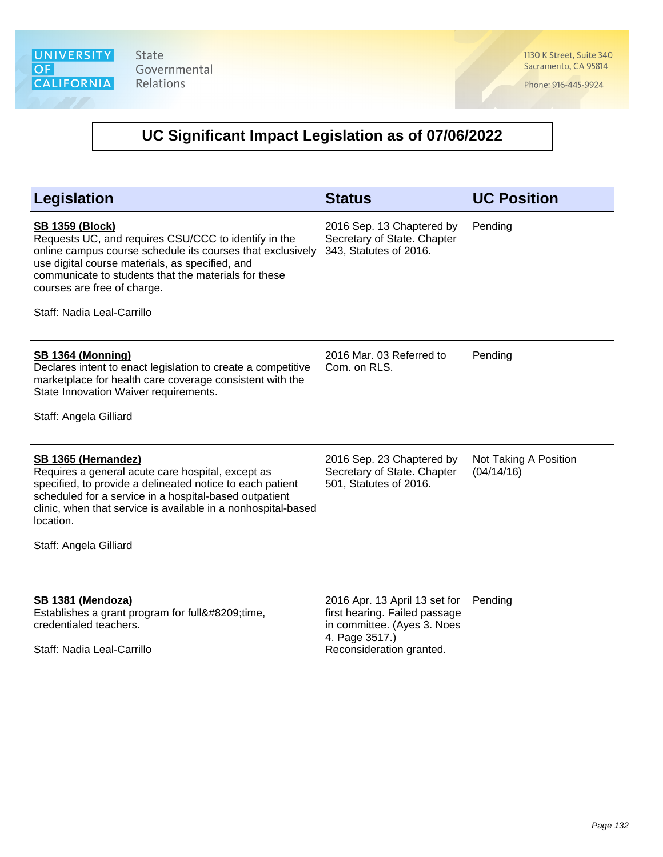1130 K Street, Suite 340 Sacramento, CA 95814

Phone: 916-445-9924

| <b>Legislation</b>                                                                                                                                                                                                                                                                                                   | <b>Status</b>                                                                                                                               | <b>UC Position</b>                  |
|----------------------------------------------------------------------------------------------------------------------------------------------------------------------------------------------------------------------------------------------------------------------------------------------------------------------|---------------------------------------------------------------------------------------------------------------------------------------------|-------------------------------------|
| <b>SB 1359 (Block)</b><br>Requests UC, and requires CSU/CCC to identify in the<br>online campus course schedule its courses that exclusively<br>use digital course materials, as specified, and<br>communicate to students that the materials for these<br>courses are free of charge.<br>Staff: Nadia Leal-Carrillo | 2016 Sep. 13 Chaptered by<br>Secretary of State. Chapter<br>343, Statutes of 2016.                                                          | Pending                             |
| <b>SB 1364 (Monning)</b><br>Declares intent to enact legislation to create a competitive<br>marketplace for health care coverage consistent with the<br>State Innovation Waiver requirements.<br>Staff: Angela Gilliard                                                                                              | 2016 Mar. 03 Referred to<br>Com. on RLS.                                                                                                    | Pending                             |
| SB 1365 (Hernandez)<br>Requires a general acute care hospital, except as<br>specified, to provide a delineated notice to each patient<br>scheduled for a service in a hospital-based outpatient<br>clinic, when that service is available in a nonhospital-based<br>location.<br>Staff: Angela Gilliard              | 2016 Sep. 23 Chaptered by<br>Secretary of State. Chapter<br>501, Statutes of 2016.                                                          | Not Taking A Position<br>(04/14/16) |
| SB 1381 (Mendoza)<br>Establishes a grant program for full‑time,<br>credentialed teachers.<br>Staff: Nadia Leal-Carrillo                                                                                                                                                                                              | 2016 Apr. 13 April 13 set for<br>first hearing. Failed passage<br>in committee. (Ayes 3. Noes<br>4. Page 3517.)<br>Reconsideration granted. | Pending                             |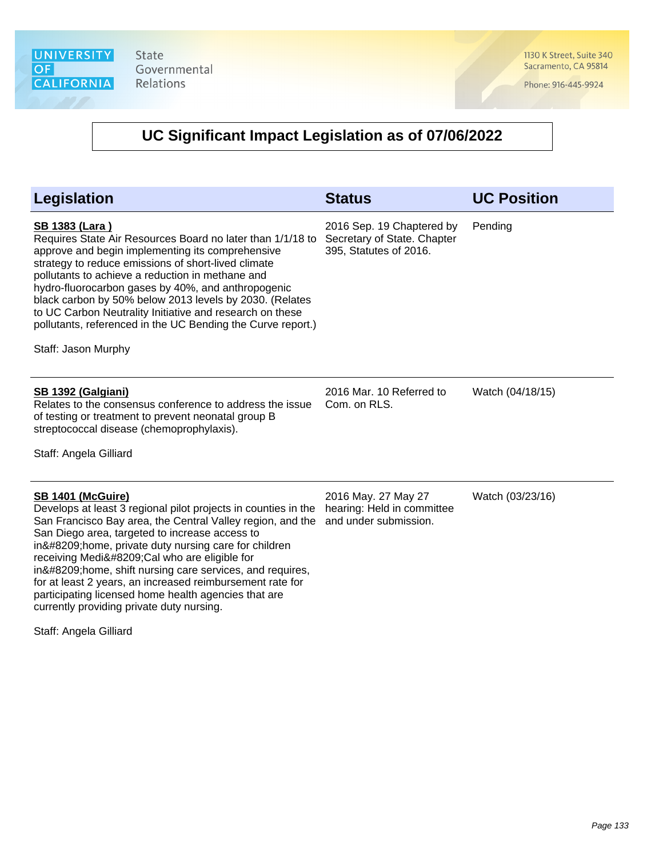1130 K Street, Suite 340 Sacramento, CA 95814

Phone: 916-445-9924

# **UC Significant Impact Legislation as of 07/06/2022**

| <b>Legislation</b>                                                                                                                                                                                                                                                                                                                                                                                                                                                                                                                | <b>Status</b>                                                                      | <b>UC Position</b> |
|-----------------------------------------------------------------------------------------------------------------------------------------------------------------------------------------------------------------------------------------------------------------------------------------------------------------------------------------------------------------------------------------------------------------------------------------------------------------------------------------------------------------------------------|------------------------------------------------------------------------------------|--------------------|
| <b>SB 1383 (Lara)</b><br>Requires State Air Resources Board no later than 1/1/18 to<br>approve and begin implementing its comprehensive<br>strategy to reduce emissions of short-lived climate<br>pollutants to achieve a reduction in methane and<br>hydro-fluorocarbon gases by 40%, and anthropogenic<br>black carbon by 50% below 2013 levels by 2030. (Relates<br>to UC Carbon Neutrality Initiative and research on these<br>pollutants, referenced in the UC Bending the Curve report.)<br>Staff: Jason Murphy             | 2016 Sep. 19 Chaptered by<br>Secretary of State. Chapter<br>395, Statutes of 2016. | Pending            |
| SB 1392 (Galgiani)<br>Relates to the consensus conference to address the issue<br>of testing or treatment to prevent neonatal group B<br>streptococcal disease (chemoprophylaxis).<br>Staff: Angela Gilliard                                                                                                                                                                                                                                                                                                                      | 2016 Mar. 10 Referred to<br>Com. on RLS.                                           | Watch (04/18/15)   |
| <b>SB 1401 (McGuire)</b><br>Develops at least 3 regional pilot projects in counties in the<br>San Francisco Bay area, the Central Valley region, and the<br>San Diego area, targeted to increase access to<br>in‑home, private duty nursing care for children<br>receiving Medi‑Cal who are eligible for<br>in‑home, shift nursing care services, and requires,<br>for at least 2 years, an increased reimbursement rate for<br>participating licensed home health agencies that are<br>currently providing private duty nursing. | 2016 May. 27 May 27<br>hearing: Held in committee<br>and under submission.         | Watch (03/23/16)   |

Staff: Angela Gilliard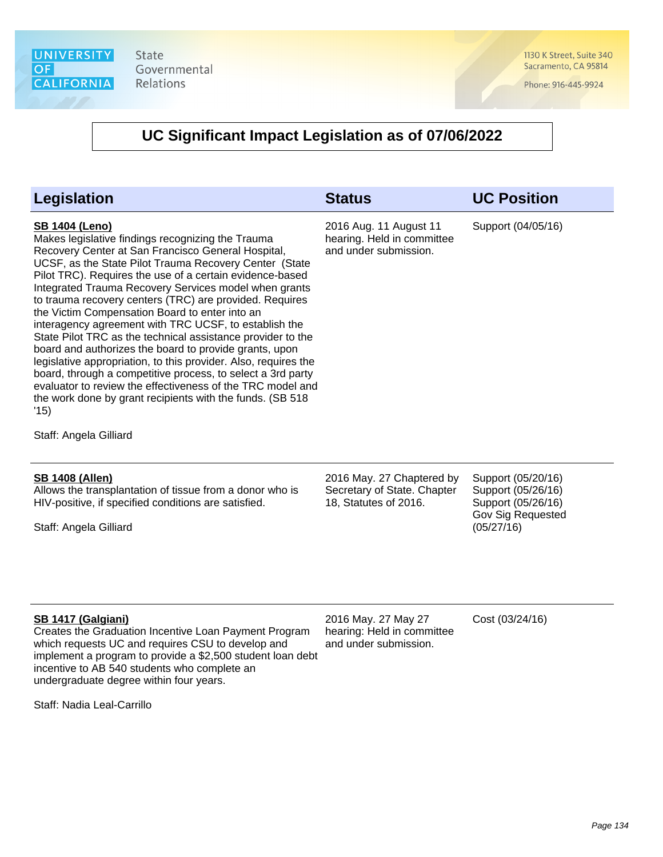

1130 K Street, Suite 340 Sacramento, CA 95814

Phone: 916-445-9924

| <b>Legislation</b>                                                                                                                                                                                                                                                                                                                                                                                                                                                                                                                                                                                                                                                                                                                                                                                                                                                                                             | <b>Status</b>                                                                     | <b>UC Position</b>                                                                                |
|----------------------------------------------------------------------------------------------------------------------------------------------------------------------------------------------------------------------------------------------------------------------------------------------------------------------------------------------------------------------------------------------------------------------------------------------------------------------------------------------------------------------------------------------------------------------------------------------------------------------------------------------------------------------------------------------------------------------------------------------------------------------------------------------------------------------------------------------------------------------------------------------------------------|-----------------------------------------------------------------------------------|---------------------------------------------------------------------------------------------------|
| <b>SB 1404 (Leno)</b><br>Makes legislative findings recognizing the Trauma<br>Recovery Center at San Francisco General Hospital,<br>UCSF, as the State Pilot Trauma Recovery Center (State<br>Pilot TRC). Requires the use of a certain evidence-based<br>Integrated Trauma Recovery Services model when grants<br>to trauma recovery centers (TRC) are provided. Requires<br>the Victim Compensation Board to enter into an<br>interagency agreement with TRC UCSF, to establish the<br>State Pilot TRC as the technical assistance provider to the<br>board and authorizes the board to provide grants, upon<br>legislative appropriation, to this provider. Also, requires the<br>board, through a competitive process, to select a 3rd party<br>evaluator to review the effectiveness of the TRC model and<br>the work done by grant recipients with the funds. (SB 518)<br>'15)<br>Staff: Angela Gilliard | 2016 Aug. 11 August 11<br>hearing. Held in committee<br>and under submission.     | Support (04/05/16)                                                                                |
| <b>SB 1408 (Allen)</b><br>Allows the transplantation of tissue from a donor who is<br>HIV-positive, if specified conditions are satisfied.<br>Staff: Angela Gilliard                                                                                                                                                                                                                                                                                                                                                                                                                                                                                                                                                                                                                                                                                                                                           | 2016 May. 27 Chaptered by<br>Secretary of State. Chapter<br>18, Statutes of 2016. | Support (05/20/16)<br>Support (05/26/16)<br>Support (05/26/16)<br>Gov Sig Requested<br>(05/27/16) |
| SB 1417 (Galgiani)<br>Creates the Graduation Incentive Loan Payment Program<br>which requests UC and requires CSU to develop and<br>implement a program to provide a \$2,500 student loan debt<br>incentive to AB 540 students who complete an<br>undergraduate degree within four years.<br>Staff: Nadia Leal-Carrillo                                                                                                                                                                                                                                                                                                                                                                                                                                                                                                                                                                                        | 2016 May. 27 May 27<br>hearing: Held in committee<br>and under submission.        | Cost (03/24/16)                                                                                   |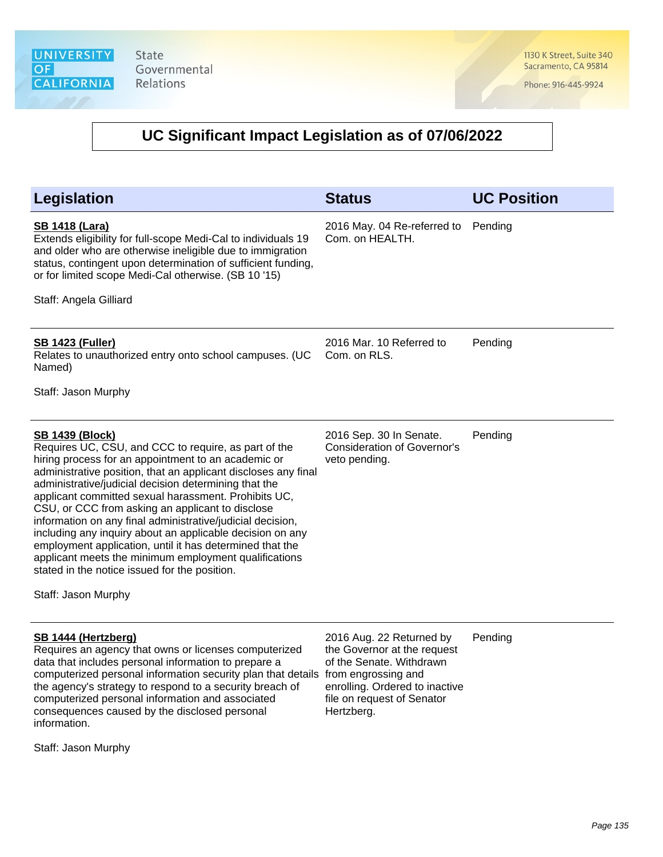1130 K Street, Suite 340 Sacramento, CA 95814

Phone: 916-445-9924

#### **UC Significant Impact Legislation as of 07/06/2022**

| <b>Legislation</b>                                                                                                                                                                                                                                                                                                                                                                                                                                                                                                                                                                                                                                                                                   | <b>Status</b>                                                                                                         | <b>UC Position</b> |
|------------------------------------------------------------------------------------------------------------------------------------------------------------------------------------------------------------------------------------------------------------------------------------------------------------------------------------------------------------------------------------------------------------------------------------------------------------------------------------------------------------------------------------------------------------------------------------------------------------------------------------------------------------------------------------------------------|-----------------------------------------------------------------------------------------------------------------------|--------------------|
| <b>SB 1418 (Lara)</b><br>Extends eligibility for full-scope Medi-Cal to individuals 19<br>and older who are otherwise ineligible due to immigration<br>status, contingent upon determination of sufficient funding,<br>or for limited scope Medi-Cal otherwise. (SB 10 '15)<br>Staff: Angela Gilliard                                                                                                                                                                                                                                                                                                                                                                                                | 2016 May. 04 Re-referred to<br>Com. on HEALTH.                                                                        | Pending            |
| <b>SB 1423 (Fuller)</b><br>Relates to unauthorized entry onto school campuses. (UC<br>Named)<br>Staff: Jason Murphy                                                                                                                                                                                                                                                                                                                                                                                                                                                                                                                                                                                  | 2016 Mar. 10 Referred to<br>Com. on RLS.                                                                              | Pending            |
| <b>SB 1439 (Block)</b><br>Requires UC, CSU, and CCC to require, as part of the<br>hiring process for an appointment to an academic or<br>administrative position, that an applicant discloses any final<br>administrative/judicial decision determining that the<br>applicant committed sexual harassment. Prohibits UC,<br>CSU, or CCC from asking an applicant to disclose<br>information on any final administrative/judicial decision,<br>including any inquiry about an applicable decision on any<br>employment application, until it has determined that the<br>applicant meets the minimum employment qualifications<br>stated in the notice issued for the position.<br>Staff: Jason Murphy | 2016 Sep. 30 In Senate.<br><b>Consideration of Governor's</b><br>veto pending.                                        | Pending            |
| SB 1444 (Hertzberg)<br>Requires an agency that owns or licenses computerized<br>data that includes personal information to prepare a<br>computerized personal information security plan that details from engrossing and<br>the agency's strategy to respond to a security breach of                                                                                                                                                                                                                                                                                                                                                                                                                 | 2016 Aug. 22 Returned by<br>the Governor at the request<br>of the Senate. Withdrawn<br>enrolling. Ordered to inactive | Pending            |

file on request of Senator

Hertzberg.

Staff: Jason Murphy

information.

computerized personal information and associated consequences caused by the disclosed personal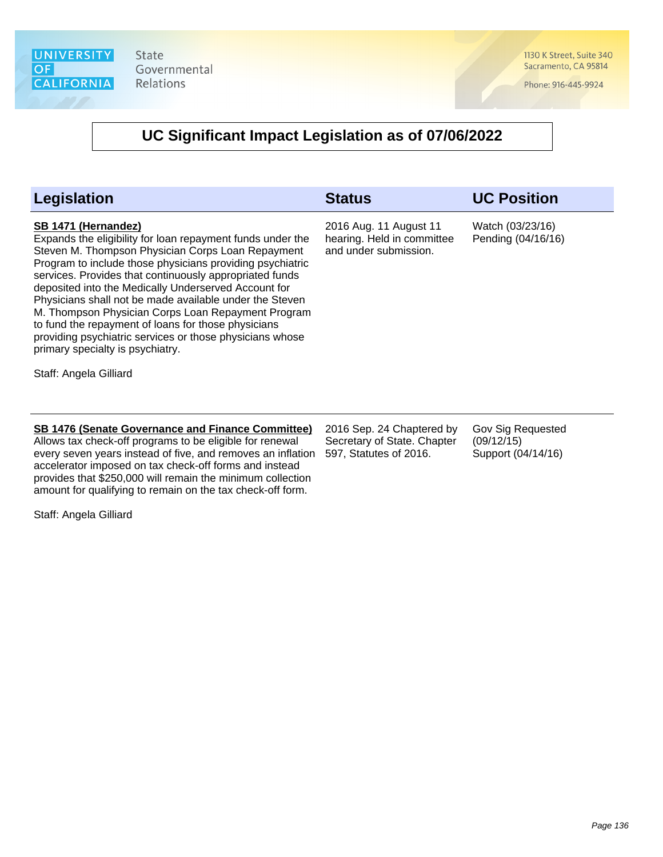1130 K Street, Suite 340 Sacramento, CA 95814

Phone: 916-445-9924

#### **UC Significant Impact Legislation as of 07/06/2022**

| Legislation                                                                                                                                                                                                                                                                                                                                                                                                                                                                                                                                                                                    | <b>Status</b>                                                                      | <b>UC Position</b>                                    |
|------------------------------------------------------------------------------------------------------------------------------------------------------------------------------------------------------------------------------------------------------------------------------------------------------------------------------------------------------------------------------------------------------------------------------------------------------------------------------------------------------------------------------------------------------------------------------------------------|------------------------------------------------------------------------------------|-------------------------------------------------------|
| SB 1471 (Hernandez)<br>Expands the eligibility for loan repayment funds under the<br>Steven M. Thompson Physician Corps Loan Repayment<br>Program to include those physicians providing psychiatric<br>services. Provides that continuously appropriated funds<br>deposited into the Medically Underserved Account for<br>Physicians shall not be made available under the Steven<br>M. Thompson Physician Corps Loan Repayment Program<br>to fund the repayment of loans for those physicians<br>providing psychiatric services or those physicians whose<br>primary specialty is psychiatry. | 2016 Aug. 11 August 11<br>hearing. Held in committee<br>and under submission.      | Watch (03/23/16)<br>Pending (04/16/16)                |
| Staff: Angela Gilliard                                                                                                                                                                                                                                                                                                                                                                                                                                                                                                                                                                         |                                                                                    |                                                       |
| <b>SB 1476 (Senate Governance and Finance Committee)</b><br>Allows tax check-off programs to be eligible for renewal<br>every seven years instead of five, and removes an inflation<br>accelerator imposed on tax check-off forms and instead<br>provides that \$250,000 will remain the minimum collection<br>amount for qualifying to remain on the tax check-off form.                                                                                                                                                                                                                      | 2016 Sep. 24 Chaptered by<br>Secretary of State. Chapter<br>597, Statutes of 2016. | Gov Sig Requested<br>(09/12/15)<br>Support (04/14/16) |

Staff: Angela Gilliard

Page 136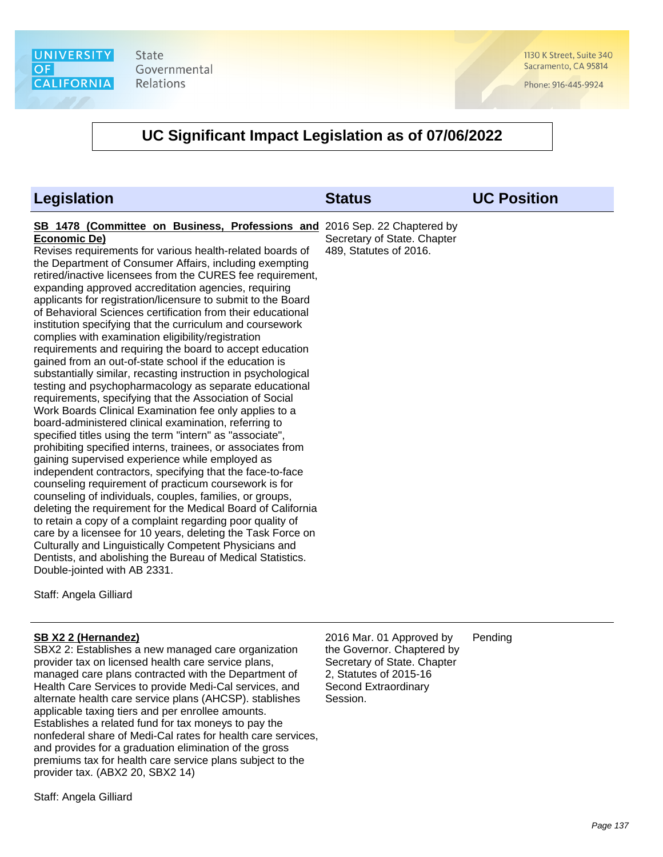1130 K Street, Suite 340 Sacramento, CA 95814

Phone: 916-445-9924

#### **UC Significant Impact Legislation as of 07/06/2022**

| <b>Legislation</b>                                                                                                                                                                                                                                                                                                                                                                                                                                                                                                                                                                                                                                                                                                                                                                                                                                                                                                                                                                                                                                                                                                                                                                                                                                                                                                                                                                                                                                                                                                                                                                                                                                                                                                                                                            | <b>Status</b>                                         | <b>UC Position</b> |
|-------------------------------------------------------------------------------------------------------------------------------------------------------------------------------------------------------------------------------------------------------------------------------------------------------------------------------------------------------------------------------------------------------------------------------------------------------------------------------------------------------------------------------------------------------------------------------------------------------------------------------------------------------------------------------------------------------------------------------------------------------------------------------------------------------------------------------------------------------------------------------------------------------------------------------------------------------------------------------------------------------------------------------------------------------------------------------------------------------------------------------------------------------------------------------------------------------------------------------------------------------------------------------------------------------------------------------------------------------------------------------------------------------------------------------------------------------------------------------------------------------------------------------------------------------------------------------------------------------------------------------------------------------------------------------------------------------------------------------------------------------------------------------|-------------------------------------------------------|--------------------|
| SB 1478 (Committee on Business, Professions and 2016 Sep. 22 Chaptered by<br><b>Economic De)</b><br>Revises requirements for various health-related boards of<br>the Department of Consumer Affairs, including exempting<br>retired/inactive licensees from the CURES fee requirement,<br>expanding approved accreditation agencies, requiring<br>applicants for registration/licensure to submit to the Board<br>of Behavioral Sciences certification from their educational<br>institution specifying that the curriculum and coursework<br>complies with examination eligibility/registration<br>requirements and requiring the board to accept education<br>gained from an out-of-state school if the education is<br>substantially similar, recasting instruction in psychological<br>testing and psychopharmacology as separate educational<br>requirements, specifying that the Association of Social<br>Work Boards Clinical Examination fee only applies to a<br>board-administered clinical examination, referring to<br>specified titles using the term "intern" as "associate",<br>prohibiting specified interns, trainees, or associates from<br>gaining supervised experience while employed as<br>independent contractors, specifying that the face-to-face<br>counseling requirement of practicum coursework is for<br>counseling of individuals, couples, families, or groups,<br>deleting the requirement for the Medical Board of California<br>to retain a copy of a complaint regarding poor quality of<br>care by a licensee for 10 years, deleting the Task Force on<br>Culturally and Linguistically Competent Physicians and<br>Dentists, and abolishing the Bureau of Medical Statistics.<br>Double-jointed with AB 2331.<br>Staff: Angela Gilliard | Secretary of State. Chapter<br>489, Statutes of 2016. |                    |
|                                                                                                                                                                                                                                                                                                                                                                                                                                                                                                                                                                                                                                                                                                                                                                                                                                                                                                                                                                                                                                                                                                                                                                                                                                                                                                                                                                                                                                                                                                                                                                                                                                                                                                                                                                               |                                                       |                    |

#### **SB X2 2 (Hernandez)**

SBX2 2: Establishes a new managed care organization provider tax on licensed health care service plans, managed care plans contracted with the Department of Health Care Services to provide Medi-Cal services, and alternate health care service plans (AHCSP). stablishes applicable taxing tiers and per enrollee amounts. Establishes a related fund for tax moneys to pay the nonfederal share of Medi-Cal rates for health care services, and provides for a graduation elimination of the gross premiums tax for health care service plans subject to the provider tax. (ABX2 20, SBX2 14)

Staff: Angela Gilliard

2016 Mar. 01 Approved by the Governor. Chaptered by Secretary of State. Chapter 2, Statutes of 2015-16 Second Extraordinary Session. Pending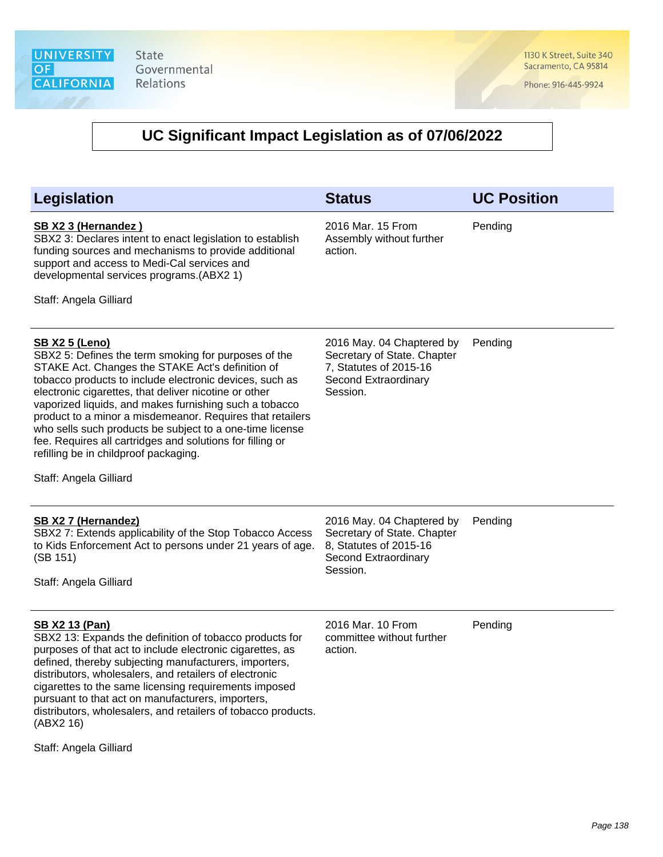1130 K Street, Suite 340 Sacramento, CA 95814

Phone: 916-445-9924

| <b>Legislation</b>                                                                                                                                                                                                                                                                                                                                                                                                                                                                                                                             | <b>Status</b>                                                                                                          | <b>UC Position</b> |
|------------------------------------------------------------------------------------------------------------------------------------------------------------------------------------------------------------------------------------------------------------------------------------------------------------------------------------------------------------------------------------------------------------------------------------------------------------------------------------------------------------------------------------------------|------------------------------------------------------------------------------------------------------------------------|--------------------|
| SB X2 3 (Hernandez)<br>SBX2 3: Declares intent to enact legislation to establish<br>funding sources and mechanisms to provide additional<br>support and access to Medi-Cal services and<br>developmental services programs.(ABX2 1)<br>Staff: Angela Gilliard                                                                                                                                                                                                                                                                                  | 2016 Mar. 15 From<br>Assembly without further<br>action.                                                               | Pending            |
| <b>SB X2 5 (Leno)</b><br>SBX2 5: Defines the term smoking for purposes of the<br>STAKE Act. Changes the STAKE Act's definition of<br>tobacco products to include electronic devices, such as<br>electronic cigarettes, that deliver nicotine or other<br>vaporized liquids, and makes furnishing such a tobacco<br>product to a minor a misdemeanor. Requires that retailers<br>who sells such products be subject to a one-time license<br>fee. Requires all cartridges and solutions for filling or<br>refilling be in childproof packaging. | 2016 May. 04 Chaptered by<br>Secretary of State. Chapter<br>7, Statutes of 2015-16<br>Second Extraordinary<br>Session. | Pending            |
| Staff: Angela Gilliard                                                                                                                                                                                                                                                                                                                                                                                                                                                                                                                         |                                                                                                                        |                    |
| SB X2 7 (Hernandez)<br>SBX2 7: Extends applicability of the Stop Tobacco Access<br>to Kids Enforcement Act to persons under 21 years of age.<br>(SB 151)<br>Staff: Angela Gilliard                                                                                                                                                                                                                                                                                                                                                             | 2016 May. 04 Chaptered by<br>Secretary of State. Chapter<br>8, Statutes of 2015-16<br>Second Extraordinary<br>Session. | Pending            |
| <b>SB X2 13 (Pan)</b><br>SBX2 13: Expands the definition of tobacco products for<br>purposes of that act to include electronic cigarettes, as<br>defined, thereby subjecting manufacturers, importers,<br>distributors, wholesalers, and retailers of electronic<br>cigarettes to the same licensing requirements imposed<br>pursuant to that act on manufacturers, importers,<br>distributors, wholesalers, and retailers of tobacco products.<br>(ABX2 16)                                                                                   | 2016 Mar. 10 From<br>committee without further<br>action.                                                              | Pending            |
| Staff: Angela Gilliard                                                                                                                                                                                                                                                                                                                                                                                                                                                                                                                         |                                                                                                                        |                    |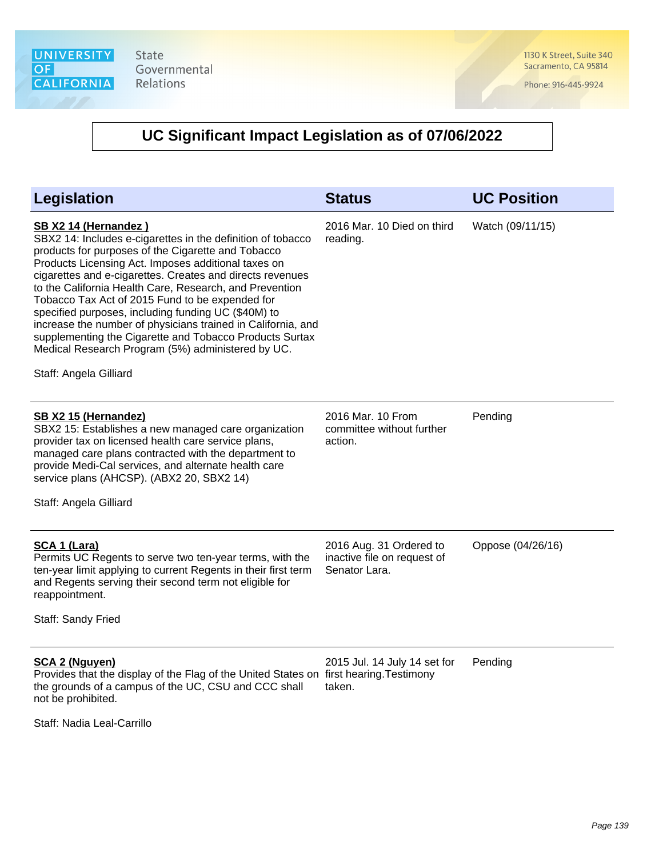1130 K Street, Suite 340 Sacramento, CA 95814

Phone: 916-445-9924

# **UC Significant Impact Legislation as of 07/06/2022**

| Legislation                                                                                                                                                                                                                                                                                                                                                                                                                                                                                                                                                                                                                                  | <b>Status</b>                                                           | <b>UC Position</b> |
|----------------------------------------------------------------------------------------------------------------------------------------------------------------------------------------------------------------------------------------------------------------------------------------------------------------------------------------------------------------------------------------------------------------------------------------------------------------------------------------------------------------------------------------------------------------------------------------------------------------------------------------------|-------------------------------------------------------------------------|--------------------|
| SB X2 14 (Hernandez)<br>SBX2 14: Includes e-cigarettes in the definition of tobacco<br>products for purposes of the Cigarette and Tobacco<br>Products Licensing Act. Imposes additional taxes on<br>cigarettes and e-cigarettes. Creates and directs revenues<br>to the California Health Care, Research, and Prevention<br>Tobacco Tax Act of 2015 Fund to be expended for<br>specified purposes, including funding UC (\$40M) to<br>increase the number of physicians trained in California, and<br>supplementing the Cigarette and Tobacco Products Surtax<br>Medical Research Program (5%) administered by UC.<br>Staff: Angela Gilliard | 2016 Mar. 10 Died on third<br>reading.                                  | Watch (09/11/15)   |
| SB X2 15 (Hernandez)<br>SBX2 15: Establishes a new managed care organization<br>provider tax on licensed health care service plans,<br>managed care plans contracted with the department to<br>provide Medi-Cal services, and alternate health care<br>service plans (AHCSP). (ABX2 20, SBX2 14)<br>Staff: Angela Gilliard                                                                                                                                                                                                                                                                                                                   | 2016 Mar. 10 From<br>committee without further<br>action.               | Pending            |
| SCA 1 (Lara)<br>Permits UC Regents to serve two ten-year terms, with the<br>ten-year limit applying to current Regents in their first term<br>and Regents serving their second term not eligible for<br>reappointment.<br>Staff: Sandy Fried                                                                                                                                                                                                                                                                                                                                                                                                 | 2016 Aug. 31 Ordered to<br>inactive file on request of<br>Senator Lara. | Oppose (04/26/16)  |
| <b>SCA 2 (Nguyen)</b><br>Provides that the display of the Flag of the United States on first hearing. Testimony<br>the grounds of a campus of the UC, CSU and CCC shall<br>not be prohibited.                                                                                                                                                                                                                                                                                                                                                                                                                                                | 2015 Jul. 14 July 14 set for<br>taken.                                  | Pending            |

Staff: Nadia Leal-Carrillo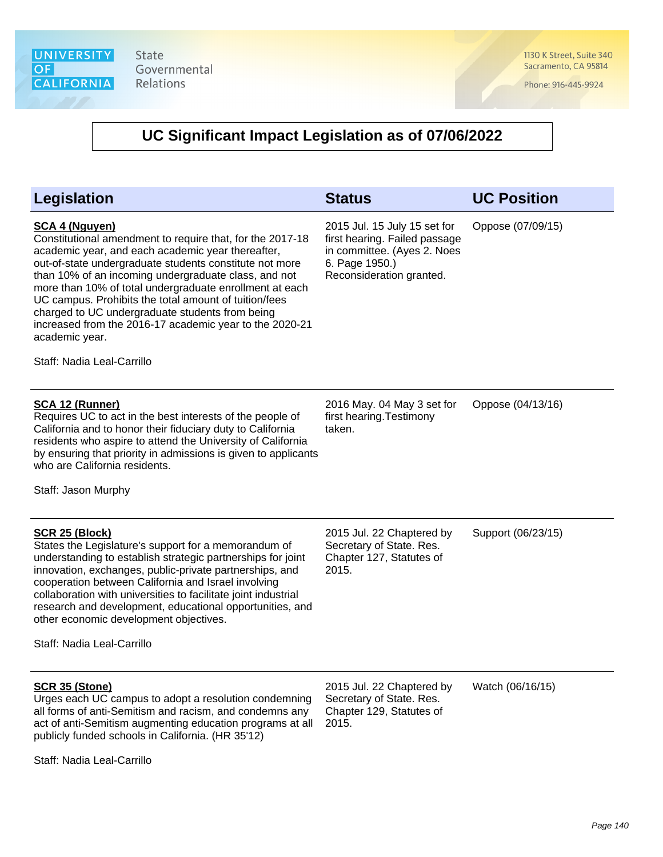1130 K Street, Suite 340 Sacramento, CA 95814

Phone: 916-445-9924

| <b>Legislation</b>                                                                                                                                                                                                                                                                                                                                                                                                                                                                                                                           | <b>Status</b>                                                                                                                              | <b>UC Position</b> |
|----------------------------------------------------------------------------------------------------------------------------------------------------------------------------------------------------------------------------------------------------------------------------------------------------------------------------------------------------------------------------------------------------------------------------------------------------------------------------------------------------------------------------------------------|--------------------------------------------------------------------------------------------------------------------------------------------|--------------------|
| <b>SCA 4 (Nguyen)</b><br>Constitutional amendment to require that, for the 2017-18<br>academic year, and each academic year thereafter,<br>out-of-state undergraduate students constitute not more<br>than 10% of an incoming undergraduate class, and not<br>more than 10% of total undergraduate enrollment at each<br>UC campus. Prohibits the total amount of tuition/fees<br>charged to UC undergraduate students from being<br>increased from the 2016-17 academic year to the 2020-21<br>academic year.<br>Staff: Nadia Leal-Carrillo | 2015 Jul. 15 July 15 set for<br>first hearing. Failed passage<br>in committee. (Ayes 2. Noes<br>6. Page 1950.)<br>Reconsideration granted. | Oppose (07/09/15)  |
| <b>SCA 12 (Runner)</b><br>Requires UC to act in the best interests of the people of<br>California and to honor their fiduciary duty to California<br>residents who aspire to attend the University of California<br>by ensuring that priority in admissions is given to applicants<br>who are California residents.<br>Staff: Jason Murphy                                                                                                                                                                                                   | 2016 May. 04 May 3 set for<br>first hearing. Testimony<br>taken.                                                                           | Oppose (04/13/16)  |
| <b>SCR 25 (Block)</b><br>States the Legislature's support for a memorandum of<br>understanding to establish strategic partnerships for joint<br>innovation, exchanges, public-private partnerships, and<br>cooperation between California and Israel involving<br>collaboration with universities to facilitate joint industrial<br>research and development, educational opportunities, and<br>other economic development objectives.<br>Staff: Nadia Leal-Carrillo                                                                         | 2015 Jul. 22 Chaptered by<br>Secretary of State. Res.<br>Chapter 127, Statutes of<br>2015.                                                 | Support (06/23/15) |
| <b>SCR 35 (Stone)</b><br>Urges each UC campus to adopt a resolution condemning<br>all forms of anti-Semitism and racism, and condemns any<br>act of anti-Semitism augmenting education programs at all<br>publicly funded schools in California. (HR 35'12)<br>Staff: Nadia Leal-Carrillo                                                                                                                                                                                                                                                    | 2015 Jul. 22 Chaptered by<br>Secretary of State. Res.<br>Chapter 129, Statutes of<br>2015.                                                 | Watch (06/16/15)   |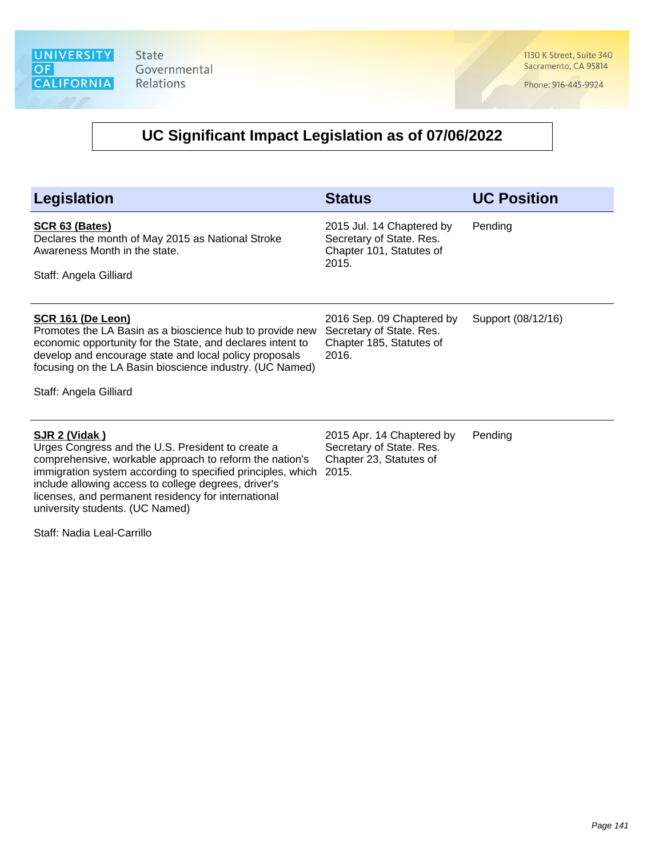1130 K Street, Suite 340 Sacramento, CA 95814

Phone: 916-445-9924

# **UC Significant Impact Legislation as of 07/06/2022**

| <b>Legislation</b>                                                                                                                                                                                                                                                                                                                             | <b>Status</b>                                                                              | <b>UC Position</b> |
|------------------------------------------------------------------------------------------------------------------------------------------------------------------------------------------------------------------------------------------------------------------------------------------------------------------------------------------------|--------------------------------------------------------------------------------------------|--------------------|
| SCR 63 (Bates)<br>Declares the month of May 2015 as National Stroke<br>Awareness Month in the state.<br>Staff: Angela Gilliard                                                                                                                                                                                                                 | 2015 Jul. 14 Chaptered by<br>Secretary of State. Res.<br>Chapter 101, Statutes of<br>2015. | Pending            |
| <b>SCR 161 (De Leon)</b><br>Promotes the LA Basin as a bioscience hub to provide new<br>economic opportunity for the State, and declares intent to<br>develop and encourage state and local policy proposals<br>focusing on the LA Basin bioscience industry. (UC Named)<br>Staff: Angela Gilliard                                             | 2016 Sep. 09 Chaptered by<br>Secretary of State. Res.<br>Chapter 185, Statutes of<br>2016. | Support (08/12/16) |
| SJR 2 (Vidak)<br>Urges Congress and the U.S. President to create a<br>comprehensive, workable approach to reform the nation's<br>immigration system according to specified principles, which<br>include allowing access to college degrees, driver's<br>licenses, and permanent residency for international<br>university students. (UC Named) | 2015 Apr. 14 Chaptered by<br>Secretary of State. Res.<br>Chapter 23, Statutes of<br>2015.  | Pending            |
| Staff: Nadia Leal-Carrillo                                                                                                                                                                                                                                                                                                                     |                                                                                            |                    |

Page 141